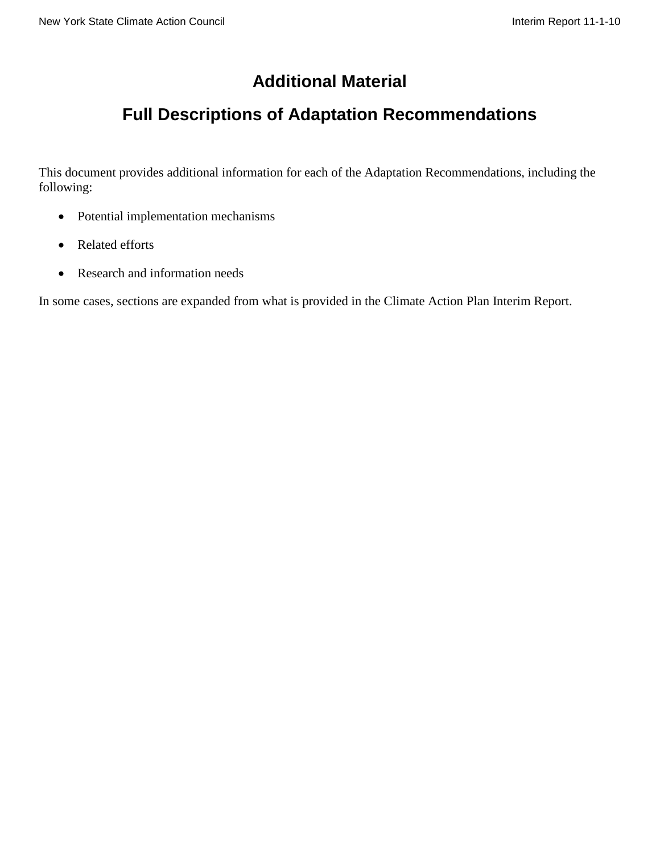# **Additional Material**

# **Full Descriptions of Adaptation Recommendations**

This document provides additional information for each of the Adaptation Recommendations, including the following:

- Potential implementation mechanisms
- Related efforts
- Research and information needs

In some cases, sections are expanded from what is provided in the Climate Action Plan Interim Report.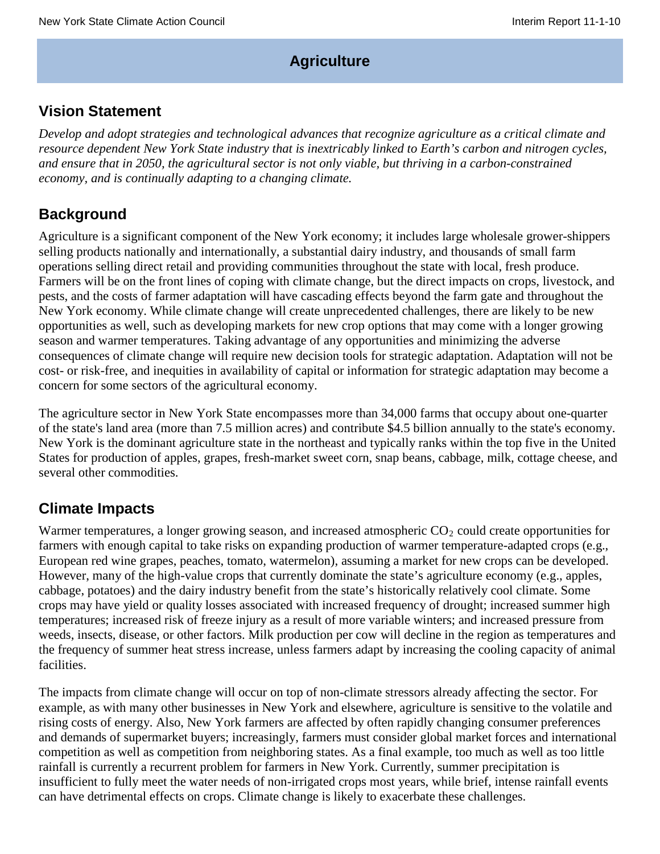# **Agriculture**

# **Vision Statement**

*Develop and adopt strategies and technological advances that recognize agriculture as a critical climate and resource dependent New York State industry that is inextricably linked to Earth's carbon and nitrogen cycles, and ensure that in 2050, the agricultural sector is not only viable, but thriving in a carbon-constrained economy, and is continually adapting to a changing climate.*

# **Background**

Agriculture is a significant component of the New York economy; it includes large wholesale grower-shippers selling products nationally and internationally, a substantial dairy industry, and thousands of small farm operations selling direct retail and providing communities throughout the state with local, fresh produce. Farmers will be on the front lines of coping with climate change, but the direct impacts on crops, livestock, and pests, and the costs of farmer adaptation will have cascading effects beyond the farm gate and throughout the New York economy. While climate change will create unprecedented challenges, there are likely to be new opportunities as well, such as developing markets for new crop options that may come with a longer growing season and warmer temperatures. Taking advantage of any opportunities and minimizing the adverse consequences of climate change will require new decision tools for strategic adaptation. Adaptation will not be cost- or risk-free, and inequities in availability of capital or information for strategic adaptation may become a concern for some sectors of the agricultural economy.

The agriculture sector in New York State encompasses more than 34,000 farms that occupy about one-quarter of the state's land area (more than 7.5 million acres) and contribute \$4.5 billion annually to the state's economy. New York is the dominant agriculture state in the northeast and typically ranks within the top five in the United States for production of apples, grapes, fresh-market sweet corn, snap beans, cabbage, milk, cottage cheese, and several other commodities.

# **Climate Impacts**

Warmer temperatures, a longer growing season, and increased atmospheric  $CO_2$  could create opportunities for farmers with enough capital to take risks on expanding production of warmer temperature-adapted crops (e.g., European red wine grapes, peaches, tomato, watermelon), assuming a market for new crops can be developed. However, many of the high-value crops that currently dominate the state's agriculture economy (e.g., apples, cabbage, potatoes) and the dairy industry benefit from the state's historically relatively cool climate. Some crops may have yield or quality losses associated with increased frequency of drought; increased summer high temperatures; increased risk of freeze injury as a result of more variable winters; and increased pressure from weeds, insects, disease, or other factors. Milk production per cow will decline in the region as temperatures and the frequency of summer heat stress increase, unless farmers adapt by increasing the cooling capacity of animal facilities.

The impacts from climate change will occur on top of non-climate stressors already affecting the sector. For example, as with many other businesses in New York and elsewhere, agriculture is sensitive to the volatile and rising costs of energy. Also, New York farmers are affected by often rapidly changing consumer preferences and demands of supermarket buyers; increasingly, farmers must consider global market forces and international competition as well as competition from neighboring states. As a final example, too much as well as too little rainfall is currently a recurrent problem for farmers in New York. Currently, summer precipitation is insufficient to fully meet the water needs of non-irrigated crops most years, while brief, intense rainfall events can have detrimental effects on crops. Climate change is likely to exacerbate these challenges.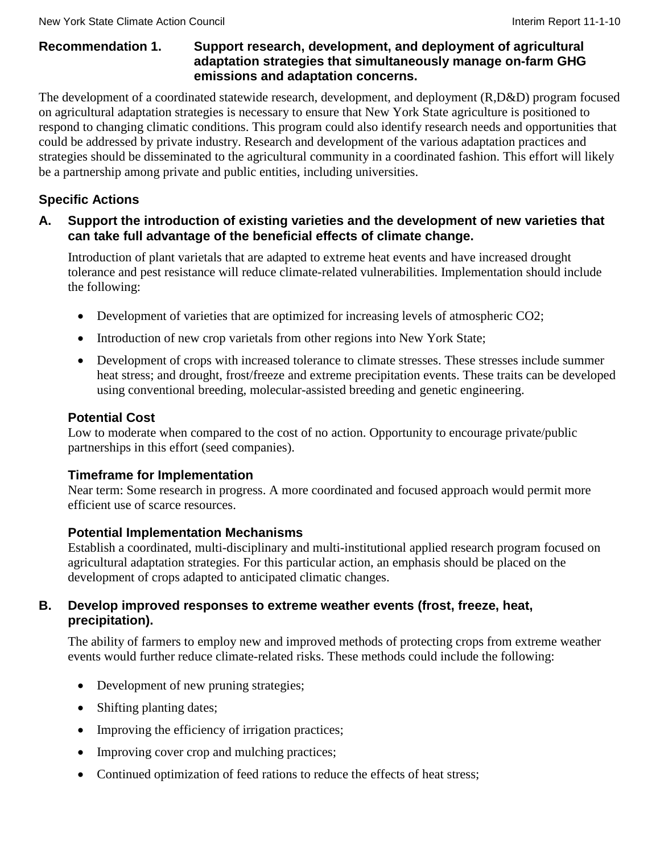### **Recommendation 1. Support research, development, and deployment of agricultural adaptation strategies that simultaneously manage on-farm GHG emissions and adaptation concerns.**

The development of a coordinated statewide research, development, and deployment (R,D&D) program focused on agricultural adaptation strategies is necessary to ensure that New York State agriculture is positioned to respond to changing climatic conditions. This program could also identify research needs and opportunities that could be addressed by private industry. Research and development of the various adaptation practices and strategies should be disseminated to the agricultural community in a coordinated fashion. This effort will likely be a partnership among private and public entities, including universities.

# **Specific Actions**

### **A. Support the introduction of existing varieties and the development of new varieties that can take full advantage of the beneficial effects of climate change.**

Introduction of plant varietals that are adapted to extreme heat events and have increased drought tolerance and pest resistance will reduce climate-related vulnerabilities. Implementation should include the following:

- Development of varieties that are optimized for increasing levels of atmospheric CO2;
- Introduction of new crop varietals from other regions into New York State;
- Development of crops with increased tolerance to climate stresses. These stresses include summer heat stress; and drought, frost/freeze and extreme precipitation events. These traits can be developed using conventional breeding, molecular-assisted breeding and genetic engineering.

# **Potential Cost**

Low to moderate when compared to the cost of no action. Opportunity to encourage private/public partnerships in this effort (seed companies).

#### **Timeframe for Implementation**

Near term: Some research in progress. A more coordinated and focused approach would permit more efficient use of scarce resources.

#### **Potential Implementation Mechanisms**

Establish a coordinated, multi-disciplinary and multi-institutional applied research program focused on agricultural adaptation strategies. For this particular action, an emphasis should be placed on the development of crops adapted to anticipated climatic changes.

### **B. Develop improved responses to extreme weather events (frost, freeze, heat, precipitation).**

The ability of farmers to employ new and improved methods of protecting crops from extreme weather events would further reduce climate-related risks. These methods could include the following:

- Development of new pruning strategies;
- Shifting planting dates;
- Improving the efficiency of irrigation practices;
- Improving cover crop and mulching practices;
- Continued optimization of feed rations to reduce the effects of heat stress;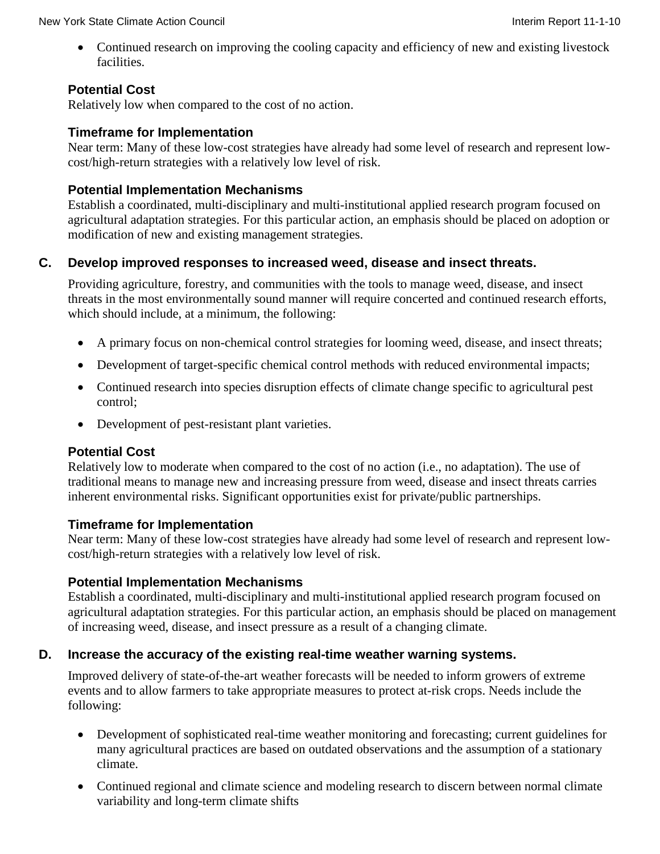• Continued research on improving the cooling capacity and efficiency of new and existing livestock facilities.

# **Potential Cost**

Relatively low when compared to the cost of no action.

# **Timeframe for Implementation**

Near term: Many of these low-cost strategies have already had some level of research and represent lowcost/high-return strategies with a relatively low level of risk.

# **Potential Implementation Mechanisms**

Establish a coordinated, multi-disciplinary and multi-institutional applied research program focused on agricultural adaptation strategies. For this particular action, an emphasis should be placed on adoption or modification of new and existing management strategies.

# **C. Develop improved responses to increased weed, disease and insect threats.**

Providing agriculture, forestry, and communities with the tools to manage weed, disease, and insect threats in the most environmentally sound manner will require concerted and continued research efforts, which should include, at a minimum, the following:

- A primary focus on non-chemical control strategies for looming weed, disease, and insect threats;
- Development of target-specific chemical control methods with reduced environmental impacts;
- Continued research into species disruption effects of climate change specific to agricultural pest control;
- Development of pest-resistant plant varieties.

# **Potential Cost**

Relatively low to moderate when compared to the cost of no action (i.e., no adaptation). The use of traditional means to manage new and increasing pressure from weed, disease and insect threats carries inherent environmental risks. Significant opportunities exist for private/public partnerships.

# **Timeframe for Implementation**

Near term: Many of these low-cost strategies have already had some level of research and represent lowcost/high-return strategies with a relatively low level of risk.

# **Potential Implementation Mechanisms**

Establish a coordinated, multi-disciplinary and multi-institutional applied research program focused on agricultural adaptation strategies. For this particular action, an emphasis should be placed on management of increasing weed, disease, and insect pressure as a result of a changing climate.

# **D. Increase the accuracy of the existing real-time weather warning systems.**

Improved delivery of state-of-the-art weather forecasts will be needed to inform growers of extreme events and to allow farmers to take appropriate measures to protect at-risk crops. Needs include the following:

- Development of sophisticated real-time weather monitoring and forecasting; current guidelines for many agricultural practices are based on outdated observations and the assumption of a stationary climate.
- Continued regional and climate science and modeling research to discern between normal climate variability and long-term climate shifts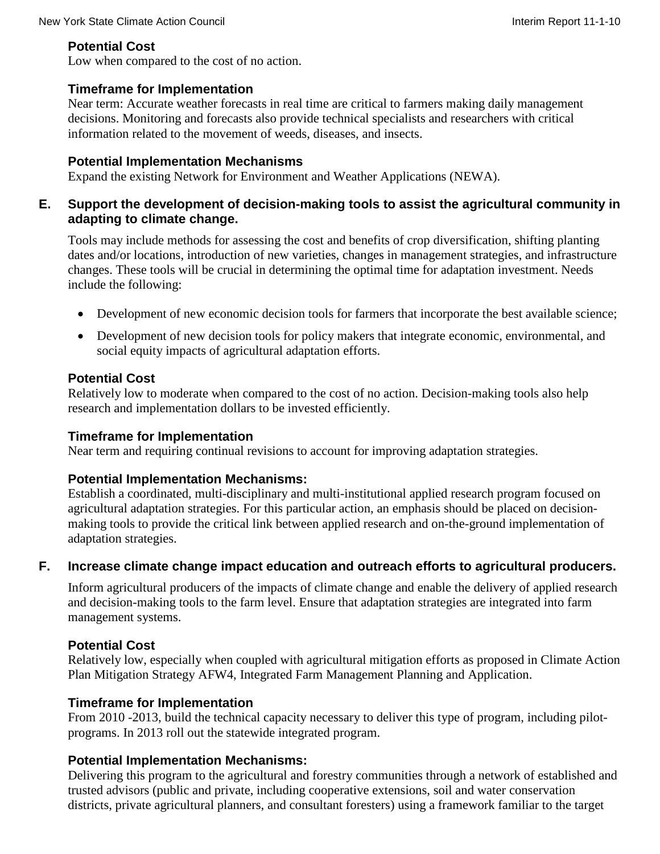# **Potential Cost**

Low when compared to the cost of no action.

# **Timeframe for Implementation**

Near term: Accurate weather forecasts in real time are critical to farmers making daily management decisions. Monitoring and forecasts also provide technical specialists and researchers with critical information related to the movement of weeds, diseases, and insects.

# **Potential Implementation Mechanisms**

Expand the existing Network for Environment and Weather Applications (NEWA).

# **E. Support the development of decision-making tools to assist the agricultural community in adapting to climate change.**

Tools may include methods for assessing the cost and benefits of crop diversification, shifting planting dates and/or locations, introduction of new varieties, changes in management strategies, and infrastructure changes. These tools will be crucial in determining the optimal time for adaptation investment. Needs include the following:

- Development of new economic decision tools for farmers that incorporate the best available science;
- Development of new decision tools for policy makers that integrate economic, environmental, and social equity impacts of agricultural adaptation efforts.

# **Potential Cost**

Relatively low to moderate when compared to the cost of no action. Decision-making tools also help research and implementation dollars to be invested efficiently.

# **Timeframe for Implementation**

Near term and requiring continual revisions to account for improving adaptation strategies.

# **Potential Implementation Mechanisms:**

Establish a coordinated, multi-disciplinary and multi-institutional applied research program focused on agricultural adaptation strategies. For this particular action, an emphasis should be placed on decisionmaking tools to provide the critical link between applied research and on-the-ground implementation of adaptation strategies.

# **F. Increase climate change impact education and outreach efforts to agricultural producers.**

Inform agricultural producers of the impacts of climate change and enable the delivery of applied research and decision-making tools to the farm level. Ensure that adaptation strategies are integrated into farm management systems.

# **Potential Cost**

Relatively low, especially when coupled with agricultural mitigation efforts as proposed in Climate Action Plan Mitigation Strategy AFW4, Integrated Farm Management Planning and Application.

# **Timeframe for Implementation**

From 2010 -2013, build the technical capacity necessary to deliver this type of program, including pilotprograms. In 2013 roll out the statewide integrated program.

# **Potential Implementation Mechanisms:**

Delivering this program to the agricultural and forestry communities through a network of established and trusted advisors (public and private, including cooperative extensions, soil and water conservation districts, private agricultural planners, and consultant foresters) using a framework familiar to the target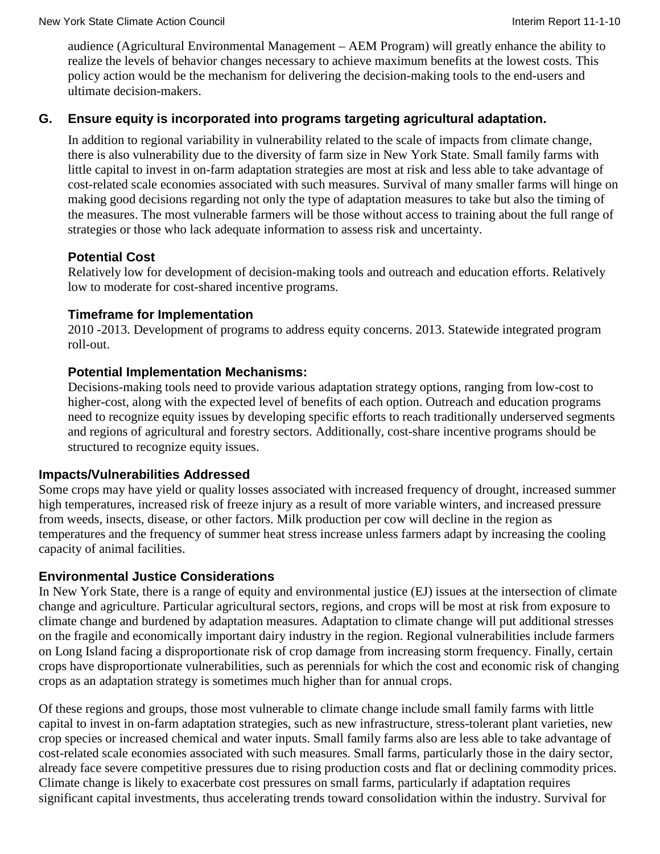audience (Agricultural Environmental Management – AEM Program) will greatly enhance the ability to realize the levels of behavior changes necessary to achieve maximum benefits at the lowest costs. This policy action would be the mechanism for delivering the decision-making tools to the end-users and ultimate decision-makers.

### **G. Ensure equity is incorporated into programs targeting agricultural adaptation.**

In addition to regional variability in vulnerability related to the scale of impacts from climate change, there is also vulnerability due to the diversity of farm size in New York State. Small family farms with little capital to invest in on-farm adaptation strategies are most at risk and less able to take advantage of cost-related scale economies associated with such measures. Survival of many smaller farms will hinge on making good decisions regarding not only the type of adaptation measures to take but also the timing of the measures. The most vulnerable farmers will be those without access to training about the full range of strategies or those who lack adequate information to assess risk and uncertainty.

### **Potential Cost**

Relatively low for development of decision-making tools and outreach and education efforts. Relatively low to moderate for cost-shared incentive programs.

#### **Timeframe for Implementation**

2010 -2013. Development of programs to address equity concerns. 2013. Statewide integrated program roll-out.

### **Potential Implementation Mechanisms:**

Decisions-making tools need to provide various adaptation strategy options, ranging from low-cost to higher-cost, along with the expected level of benefits of each option. Outreach and education programs need to recognize equity issues by developing specific efforts to reach traditionally underserved segments and regions of agricultural and forestry sectors. Additionally, cost-share incentive programs should be structured to recognize equity issues.

#### **Impacts/Vulnerabilities Addressed**

Some crops may have yield or quality losses associated with increased frequency of drought, increased summer high temperatures, increased risk of freeze injury as a result of more variable winters, and increased pressure from weeds, insects, disease, or other factors. Milk production per cow will decline in the region as temperatures and the frequency of summer heat stress increase unless farmers adapt by increasing the cooling capacity of animal facilities.

# **Environmental Justice Considerations**

In New York State, there is a range of equity and environmental justice (EJ) issues at the intersection of climate change and agriculture. Particular agricultural sectors, regions, and crops will be most at risk from exposure to climate change and burdened by adaptation measures. Adaptation to climate change will put additional stresses on the fragile and economically important dairy industry in the region. Regional vulnerabilities include farmers on Long Island facing a disproportionate risk of crop damage from increasing storm frequency. Finally, certain crops have disproportionate vulnerabilities, such as perennials for which the cost and economic risk of changing crops as an adaptation strategy is sometimes much higher than for annual crops.

Of these regions and groups, those most vulnerable to climate change include small family farms with little capital to invest in on-farm adaptation strategies, such as new infrastructure, stress-tolerant plant varieties, new crop species or increased chemical and water inputs. Small family farms also are less able to take advantage of cost-related scale economies associated with such measures. Small farms, particularly those in the dairy sector, already face severe competitive pressures due to rising production costs and flat or declining commodity prices. Climate change is likely to exacerbate cost pressures on small farms, particularly if adaptation requires significant capital investments, thus accelerating trends toward consolidation within the industry. Survival for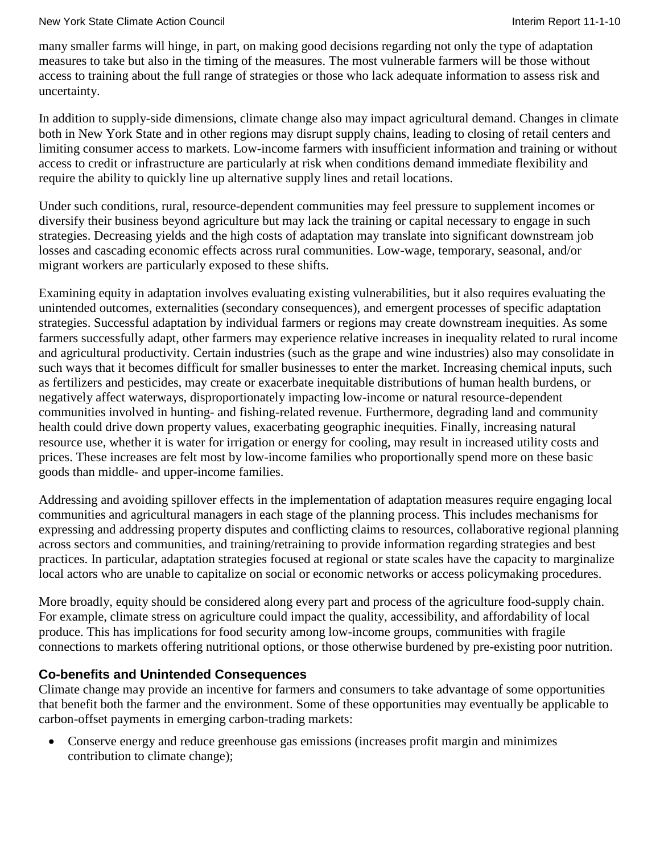#### New York State Climate Action Council **Interiment Council** Interim Report 11-1-10

many smaller farms will hinge, in part, on making good decisions regarding not only the type of adaptation measures to take but also in the timing of the measures. The most vulnerable farmers will be those without access to training about the full range of strategies or those who lack adequate information to assess risk and uncertainty.

In addition to supply-side dimensions, climate change also may impact agricultural demand. Changes in climate both in New York State and in other regions may disrupt supply chains, leading to closing of retail centers and limiting consumer access to markets. Low-income farmers with insufficient information and training or without access to credit or infrastructure are particularly at risk when conditions demand immediate flexibility and require the ability to quickly line up alternative supply lines and retail locations.

Under such conditions, rural, resource-dependent communities may feel pressure to supplement incomes or diversify their business beyond agriculture but may lack the training or capital necessary to engage in such strategies. Decreasing yields and the high costs of adaptation may translate into significant downstream job losses and cascading economic effects across rural communities. Low-wage, temporary, seasonal, and/or migrant workers are particularly exposed to these shifts.

Examining equity in adaptation involves evaluating existing vulnerabilities, but it also requires evaluating the unintended outcomes, externalities (secondary consequences), and emergent processes of specific adaptation strategies. Successful adaptation by individual farmers or regions may create downstream inequities. As some farmers successfully adapt, other farmers may experience relative increases in inequality related to rural income and agricultural productivity. Certain industries (such as the grape and wine industries) also may consolidate in such ways that it becomes difficult for smaller businesses to enter the market. Increasing chemical inputs, such as fertilizers and pesticides, may create or exacerbate inequitable distributions of human health burdens, or negatively affect waterways, disproportionately impacting low-income or natural resource-dependent communities involved in hunting- and fishing-related revenue. Furthermore, degrading land and community health could drive down property values, exacerbating geographic inequities. Finally, increasing natural resource use, whether it is water for irrigation or energy for cooling, may result in increased utility costs and prices. These increases are felt most by low-income families who proportionally spend more on these basic goods than middle- and upper-income families.

Addressing and avoiding spillover effects in the implementation of adaptation measures require engaging local communities and agricultural managers in each stage of the planning process. This includes mechanisms for expressing and addressing property disputes and conflicting claims to resources, collaborative regional planning across sectors and communities, and training/retraining to provide information regarding strategies and best practices. In particular, adaptation strategies focused at regional or state scales have the capacity to marginalize local actors who are unable to capitalize on social or economic networks or access policymaking procedures.

More broadly, equity should be considered along every part and process of the agriculture food-supply chain. For example, climate stress on agriculture could impact the quality, accessibility, and affordability of local produce. This has implications for food security among low-income groups, communities with fragile connections to markets offering nutritional options, or those otherwise burdened by pre-existing poor nutrition.

#### **Co-benefits and Unintended Consequences**

Climate change may provide an incentive for farmers and consumers to take advantage of some opportunities that benefit both the farmer and the environment. Some of these opportunities may eventually be applicable to carbon-offset payments in emerging carbon-trading markets:

• Conserve energy and reduce greenhouse gas emissions (increases profit margin and minimizes contribution to climate change);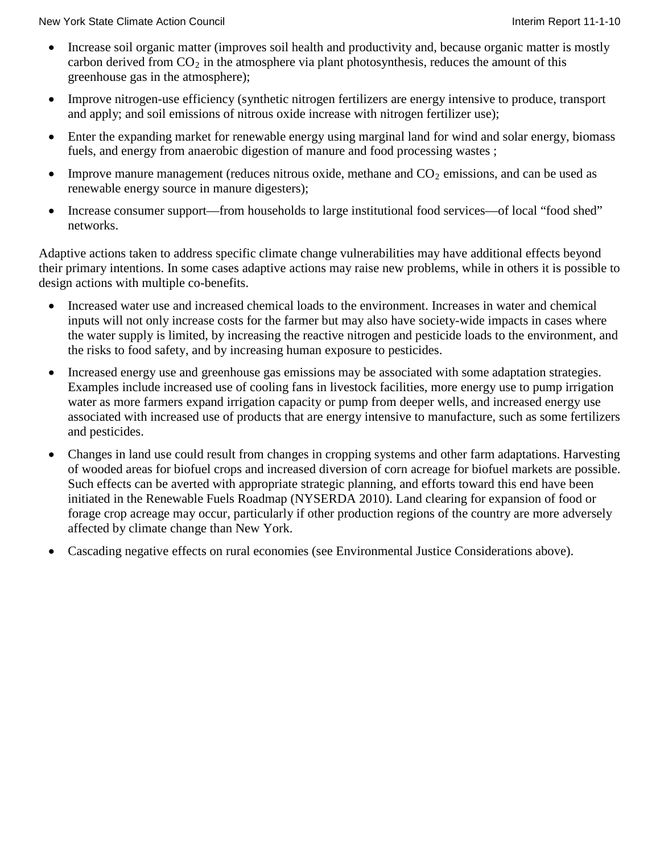- Increase soil organic matter (improves soil health and productivity and, because organic matter is mostly carbon derived from  $CO_2$  in the atmosphere via plant photosynthesis, reduces the amount of this greenhouse gas in the atmosphere);
- Improve nitrogen-use efficiency (synthetic nitrogen fertilizers are energy intensive to produce, transport and apply; and soil emissions of nitrous oxide increase with nitrogen fertilizer use);
- Enter the expanding market for renewable energy using marginal land for wind and solar energy, biomass fuels, and energy from anaerobic digestion of manure and food processing wastes ;
- Improve manure management (reduces nitrous oxide, methane and  $CO<sub>2</sub>$  emissions, and can be used as renewable energy source in manure digesters);
- Increase consumer support—from households to large institutional food services—of local "food shed" networks.

Adaptive actions taken to address specific climate change vulnerabilities may have additional effects beyond their primary intentions. In some cases adaptive actions may raise new problems, while in others it is possible to design actions with multiple co-benefits.

- Increased water use and increased chemical loads to the environment. Increases in water and chemical inputs will not only increase costs for the farmer but may also have society-wide impacts in cases where the water supply is limited, by increasing the reactive nitrogen and pesticide loads to the environment, and the risks to food safety, and by increasing human exposure to pesticides.
- Increased energy use and greenhouse gas emissions may be associated with some adaptation strategies. Examples include increased use of cooling fans in livestock facilities, more energy use to pump irrigation water as more farmers expand irrigation capacity or pump from deeper wells, and increased energy use associated with increased use of products that are energy intensive to manufacture, such as some fertilizers and pesticides.
- Changes in land use could result from changes in cropping systems and other farm adaptations. Harvesting of wooded areas for biofuel crops and increased diversion of corn acreage for biofuel markets are possible. Such effects can be averted with appropriate strategic planning, and efforts toward this end have been initiated in the Renewable Fuels Roadmap (NYSERDA 2010). Land clearing for expansion of food or forage crop acreage may occur, particularly if other production regions of the country are more adversely affected by climate change than New York.
- Cascading negative effects on rural economies (see Environmental Justice Considerations above).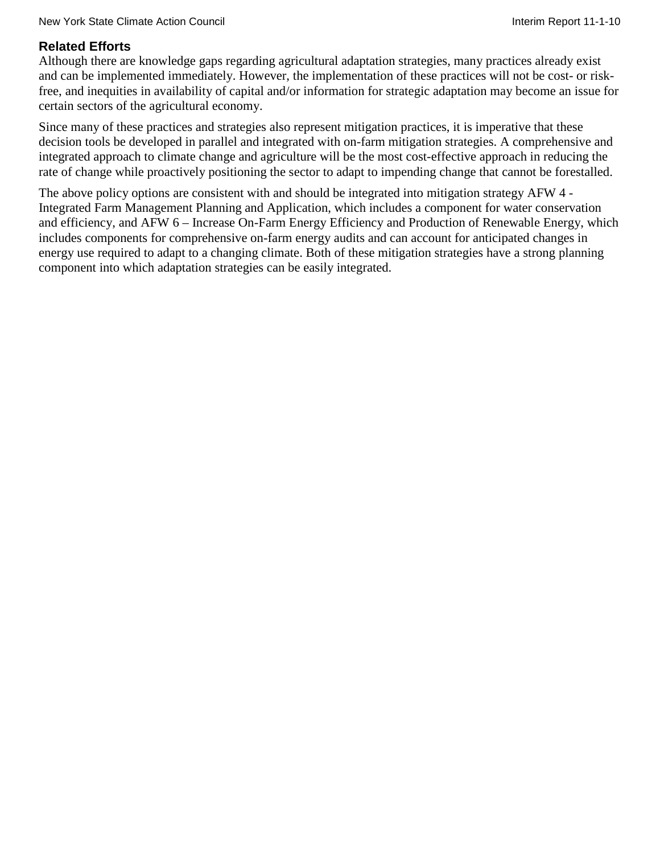# **Related Efforts**

Although there are knowledge gaps regarding agricultural adaptation strategies, many practices already exist and can be implemented immediately. However, the implementation of these practices will not be cost- or riskfree, and inequities in availability of capital and/or information for strategic adaptation may become an issue for certain sectors of the agricultural economy.

Since many of these practices and strategies also represent mitigation practices, it is imperative that these decision tools be developed in parallel and integrated with on-farm mitigation strategies. A comprehensive and integrated approach to climate change and agriculture will be the most cost-effective approach in reducing the rate of change while proactively positioning the sector to adapt to impending change that cannot be forestalled.

The above policy options are consistent with and should be integrated into mitigation strategy AFW 4 - Integrated Farm Management Planning and Application, which includes a component for water conservation and efficiency, and AFW 6 – Increase On-Farm Energy Efficiency and Production of Renewable Energy, which includes components for comprehensive on-farm energy audits and can account for anticipated changes in energy use required to adapt to a changing climate. Both of these mitigation strategies have a strong planning component into which adaptation strategies can be easily integrated.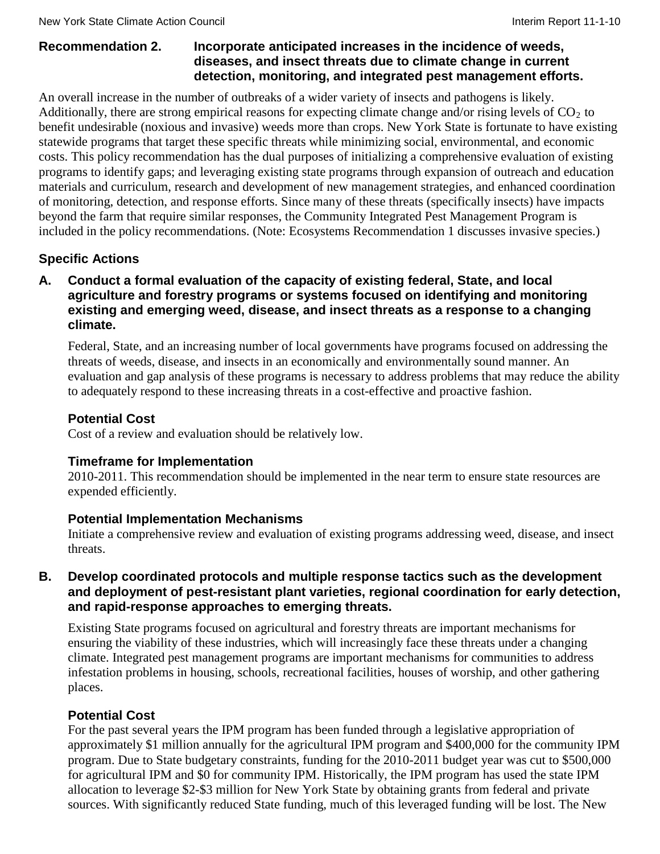#### **Recommendation 2. Incorporate anticipated increases in the incidence of weeds, diseases, and insect threats due to climate change in current detection, monitoring, and integrated pest management efforts.**

An overall increase in the number of outbreaks of a wider variety of insects and pathogens is likely. Additionally, there are strong empirical reasons for expecting climate change and/or rising levels of  $CO<sub>2</sub>$  to benefit undesirable (noxious and invasive) weeds more than crops. New York State is fortunate to have existing statewide programs that target these specific threats while minimizing social, environmental, and economic costs. This policy recommendation has the dual purposes of initializing a comprehensive evaluation of existing programs to identify gaps; and leveraging existing state programs through expansion of outreach and education materials and curriculum, research and development of new management strategies, and enhanced coordination of monitoring, detection, and response efforts. Since many of these threats (specifically insects) have impacts beyond the farm that require similar responses, the Community Integrated Pest Management Program is included in the policy recommendations. (Note: Ecosystems Recommendation 1 discusses invasive species.)

# **Specific Actions**

### **A. Conduct a formal evaluation of the capacity of existing federal, State, and local agriculture and forestry programs or systems focused on identifying and monitoring existing and emerging weed, disease, and insect threats as a response to a changing climate.**

Federal, State, and an increasing number of local governments have programs focused on addressing the threats of weeds, disease, and insects in an economically and environmentally sound manner. An evaluation and gap analysis of these programs is necessary to address problems that may reduce the ability to adequately respond to these increasing threats in a cost-effective and proactive fashion.

# **Potential Cost**

Cost of a review and evaluation should be relatively low.

# **Timeframe for Implementation**

2010-2011. This recommendation should be implemented in the near term to ensure state resources are expended efficiently.

# **Potential Implementation Mechanisms**

Initiate a comprehensive review and evaluation of existing programs addressing weed, disease, and insect threats.

### **B. Develop coordinated protocols and multiple response tactics such as the development and deployment of pest-resistant plant varieties, regional coordination for early detection, and rapid-response approaches to emerging threats.**

Existing State programs focused on agricultural and forestry threats are important mechanisms for ensuring the viability of these industries, which will increasingly face these threats under a changing climate. Integrated pest management programs are important mechanisms for communities to address infestation problems in housing, schools, recreational facilities, houses of worship, and other gathering places.

# **Potential Cost**

For the past several years the IPM program has been funded through a legislative appropriation of approximately \$1 million annually for the agricultural IPM program and \$400,000 for the community IPM program. Due to State budgetary constraints, funding for the 2010-2011 budget year was cut to \$500,000 for agricultural IPM and \$0 for community IPM. Historically, the IPM program has used the state IPM allocation to leverage \$2-\$3 million for New York State by obtaining grants from federal and private sources. With significantly reduced State funding, much of this leveraged funding will be lost. The New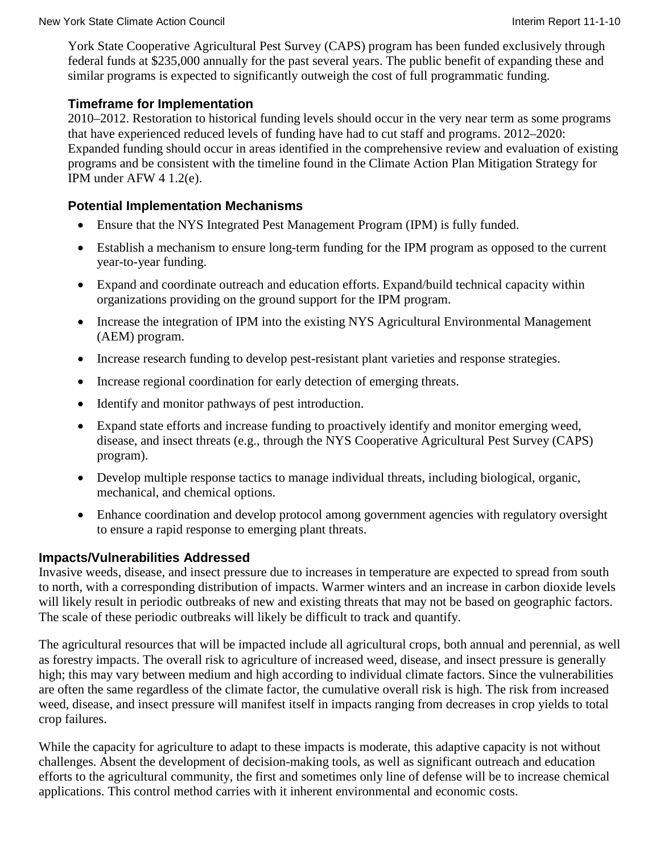York State Cooperative Agricultural Pest Survey (CAPS) program has been funded exclusively through federal funds at \$235,000 annually for the past several years. The public benefit of expanding these and similar programs is expected to significantly outweigh the cost of full programmatic funding.

#### **Timeframe for Implementation**

2010–2012. Restoration to historical funding levels should occur in the very near term as some programs that have experienced reduced levels of funding have had to cut staff and programs. 2012–2020: Expanded funding should occur in areas identified in the comprehensive review and evaluation of existing programs and be consistent with the timeline found in the Climate Action Plan Mitigation Strategy for IPM under AFW 4 1.2(e).

### **Potential Implementation Mechanisms**

- Ensure that the NYS Integrated Pest Management Program (IPM) is fully funded.
- Establish a mechanism to ensure long-term funding for the IPM program as opposed to the current year-to-year funding.
- Expand and coordinate outreach and education efforts. Expand/build technical capacity within organizations providing on the ground support for the IPM program.
- Increase the integration of IPM into the existing NYS Agricultural Environmental Management (AEM) program.
- Increase research funding to develop pest-resistant plant varieties and response strategies.
- Increase regional coordination for early detection of emerging threats.
- Identify and monitor pathways of pest introduction.
- Expand state efforts and increase funding to proactively identify and monitor emerging weed, disease, and insect threats (e.g., through the NYS Cooperative Agricultural Pest Survey (CAPS) program).
- Develop multiple response tactics to manage individual threats, including biological, organic, mechanical, and chemical options.
- Enhance coordination and develop protocol among government agencies with regulatory oversight to ensure a rapid response to emerging plant threats.

# **Impacts/Vulnerabilities Addressed**

Invasive weeds, disease, and insect pressure due to increases in temperature are expected to spread from south to north, with a corresponding distribution of impacts. Warmer winters and an increase in carbon dioxide levels will likely result in periodic outbreaks of new and existing threats that may not be based on geographic factors. The scale of these periodic outbreaks will likely be difficult to track and quantify.

The agricultural resources that will be impacted include all agricultural crops, both annual and perennial, as well as forestry impacts. The overall risk to agriculture of increased weed, disease, and insect pressure is generally high; this may vary between medium and high according to individual climate factors. Since the vulnerabilities are often the same regardless of the climate factor, the cumulative overall risk is high. The risk from increased weed, disease, and insect pressure will manifest itself in impacts ranging from decreases in crop yields to total crop failures.

While the capacity for agriculture to adapt to these impacts is moderate, this adaptive capacity is not without challenges. Absent the development of decision-making tools, as well as significant outreach and education efforts to the agricultural community, the first and sometimes only line of defense will be to increase chemical applications. This control method carries with it inherent environmental and economic costs.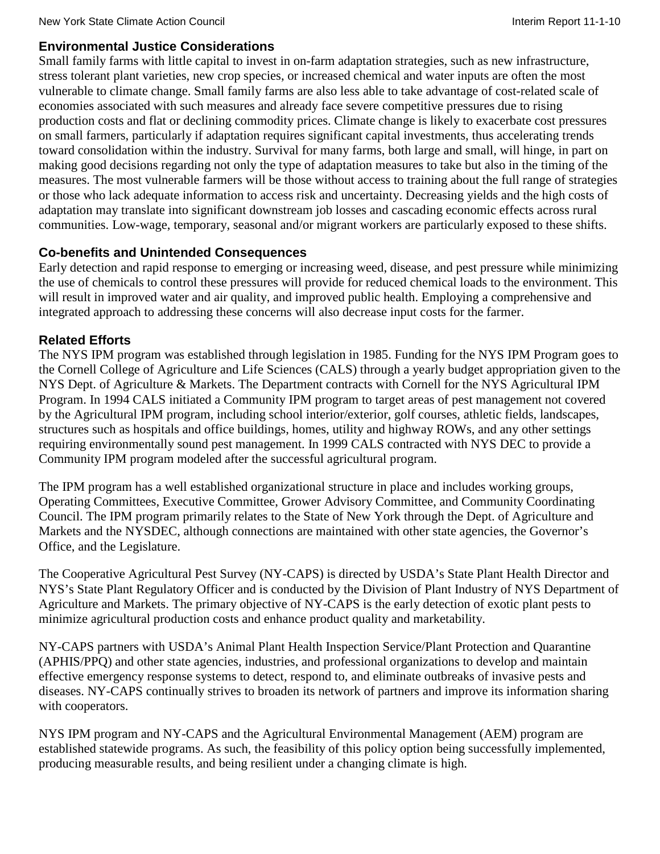### **Environmental Justice Considerations**

Small family farms with little capital to invest in on-farm adaptation strategies, such as new infrastructure, stress tolerant plant varieties, new crop species, or increased chemical and water inputs are often the most vulnerable to climate change. Small family farms are also less able to take advantage of cost-related scale of economies associated with such measures and already face severe competitive pressures due to rising production costs and flat or declining commodity prices. Climate change is likely to exacerbate cost pressures on small farmers, particularly if adaptation requires significant capital investments, thus accelerating trends toward consolidation within the industry. Survival for many farms, both large and small, will hinge, in part on making good decisions regarding not only the type of adaptation measures to take but also in the timing of the measures. The most vulnerable farmers will be those without access to training about the full range of strategies or those who lack adequate information to access risk and uncertainty. Decreasing yields and the high costs of adaptation may translate into significant downstream job losses and cascading economic effects across rural communities. Low-wage, temporary, seasonal and/or migrant workers are particularly exposed to these shifts.

# **Co-benefits and Unintended Consequences**

Early detection and rapid response to emerging or increasing weed, disease, and pest pressure while minimizing the use of chemicals to control these pressures will provide for reduced chemical loads to the environment. This will result in improved water and air quality, and improved public health. Employing a comprehensive and integrated approach to addressing these concerns will also decrease input costs for the farmer.

# **Related Efforts**

The NYS IPM program was established through legislation in 1985. Funding for the NYS IPM Program goes to the Cornell College of Agriculture and Life Sciences (CALS) through a yearly budget appropriation given to the NYS Dept. of Agriculture & Markets. The Department contracts with Cornell for the NYS Agricultural IPM Program. In 1994 CALS initiated a Community IPM program to target areas of pest management not covered by the Agricultural IPM program, including school interior/exterior, golf courses, athletic fields, landscapes, structures such as hospitals and office buildings, homes, utility and highway ROWs, and any other settings requiring environmentally sound pest management. In 1999 CALS contracted with NYS DEC to provide a Community IPM program modeled after the successful agricultural program.

The IPM program has a well established organizational structure in place and includes working groups, Operating Committees, Executive Committee, Grower Advisory Committee, and Community Coordinating Council. The IPM program primarily relates to the State of New York through the Dept. of Agriculture and Markets and the NYSDEC, although connections are maintained with other state agencies, the Governor's Office, and the Legislature.

The Cooperative Agricultural Pest Survey (NY-CAPS) is directed by USDA's State Plant Health Director and NYS's State Plant Regulatory Officer and is conducted by the Division of Plant Industry of NYS Department of Agriculture and Markets. The primary objective of NY-CAPS is the early detection of exotic plant pests to minimize agricultural production costs and enhance product quality and marketability.

NY-CAPS partners with USDA's Animal Plant Health Inspection Service/Plant Protection and Quarantine (APHIS/PPQ) and other state agencies, industries, and professional organizations to develop and maintain effective emergency response systems to detect, respond to, and eliminate outbreaks of invasive pests and diseases. NY-CAPS continually strives to broaden its network of partners and improve its information sharing with cooperators.

NYS IPM program and NY-CAPS and the Agricultural Environmental Management (AEM) program are established statewide programs. As such, the feasibility of this policy option being successfully implemented, producing measurable results, and being resilient under a changing climate is high.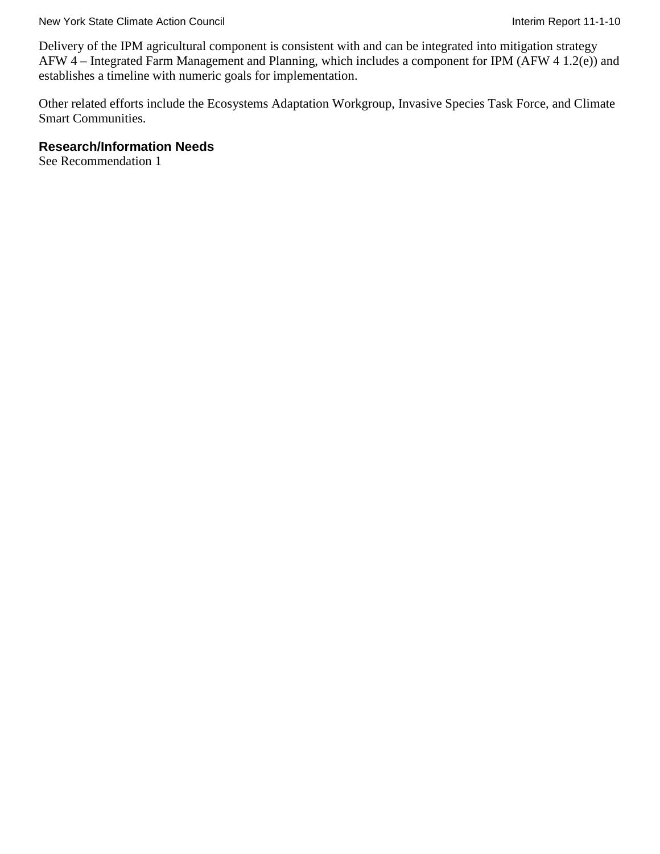Delivery of the IPM agricultural component is consistent with and can be integrated into mitigation strategy AFW 4 – Integrated Farm Management and Planning, which includes a component for IPM (AFW 4 1.2(e)) and establishes a timeline with numeric goals for implementation.

Other related efforts include the Ecosystems Adaptation Workgroup, Invasive Species Task Force, and Climate Smart Communities.

#### **Research/Information Needs**

See Recommendation 1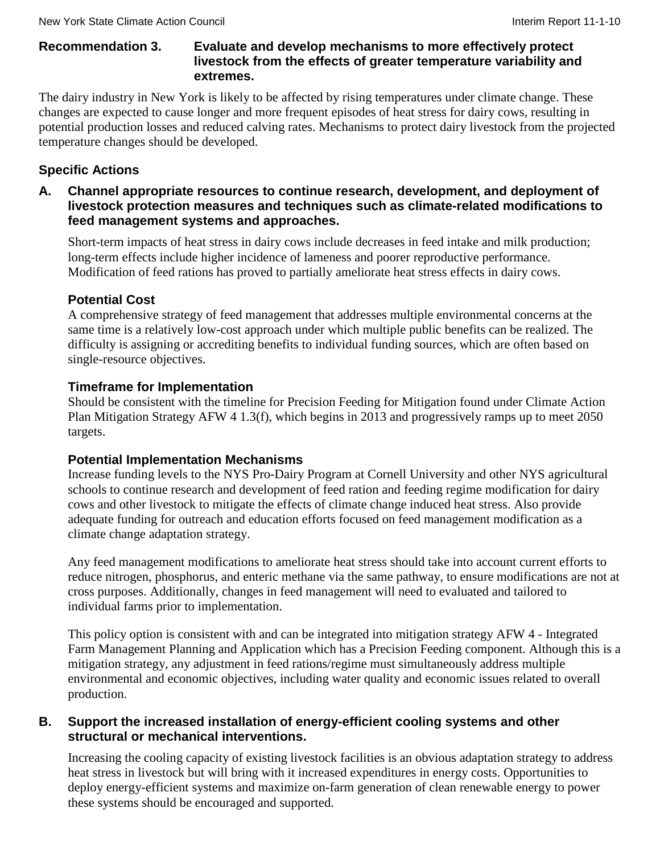### **Recommendation 3. Evaluate and develop mechanisms to more effectively protect livestock from the effects of greater temperature variability and extremes.**

The dairy industry in New York is likely to be affected by rising temperatures under climate change. These changes are expected to cause longer and more frequent episodes of heat stress for dairy cows, resulting in potential production losses and reduced calving rates. Mechanisms to protect dairy livestock from the projected temperature changes should be developed.

# **Specific Actions**

**A. Channel appropriate resources to continue research, development, and deployment of livestock protection measures and techniques such as climate-related modifications to feed management systems and approaches.**

Short-term impacts of heat stress in dairy cows include decreases in feed intake and milk production; long-term effects include higher incidence of lameness and poorer reproductive performance. Modification of feed rations has proved to partially ameliorate heat stress effects in dairy cows.

# **Potential Cost**

A comprehensive strategy of feed management that addresses multiple environmental concerns at the same time is a relatively low-cost approach under which multiple public benefits can be realized. The difficulty is assigning or accrediting benefits to individual funding sources, which are often based on single-resource objectives.

# **Timeframe for Implementation**

Should be consistent with the timeline for Precision Feeding for Mitigation found under Climate Action Plan Mitigation Strategy AFW 4 1.3(f), which begins in 2013 and progressively ramps up to meet 2050 targets.

# **Potential Implementation Mechanisms**

Increase funding levels to the NYS Pro-Dairy Program at Cornell University and other NYS agricultural schools to continue research and development of feed ration and feeding regime modification for dairy cows and other livestock to mitigate the effects of climate change induced heat stress. Also provide adequate funding for outreach and education efforts focused on feed management modification as a climate change adaptation strategy.

Any feed management modifications to ameliorate heat stress should take into account current efforts to reduce nitrogen, phosphorus, and enteric methane via the same pathway, to ensure modifications are not at cross purposes. Additionally, changes in feed management will need to evaluated and tailored to individual farms prior to implementation.

This policy option is consistent with and can be integrated into mitigation strategy AFW 4 - Integrated Farm Management Planning and Application which has a Precision Feeding component. Although this is a mitigation strategy, any adjustment in feed rations/regime must simultaneously address multiple environmental and economic objectives, including water quality and economic issues related to overall production.

### **B. Support the increased installation of energy-efficient cooling systems and other structural or mechanical interventions.**

Increasing the cooling capacity of existing livestock facilities is an obvious adaptation strategy to address heat stress in livestock but will bring with it increased expenditures in energy costs. Opportunities to deploy energy-efficient systems and maximize on-farm generation of clean renewable energy to power these systems should be encouraged and supported.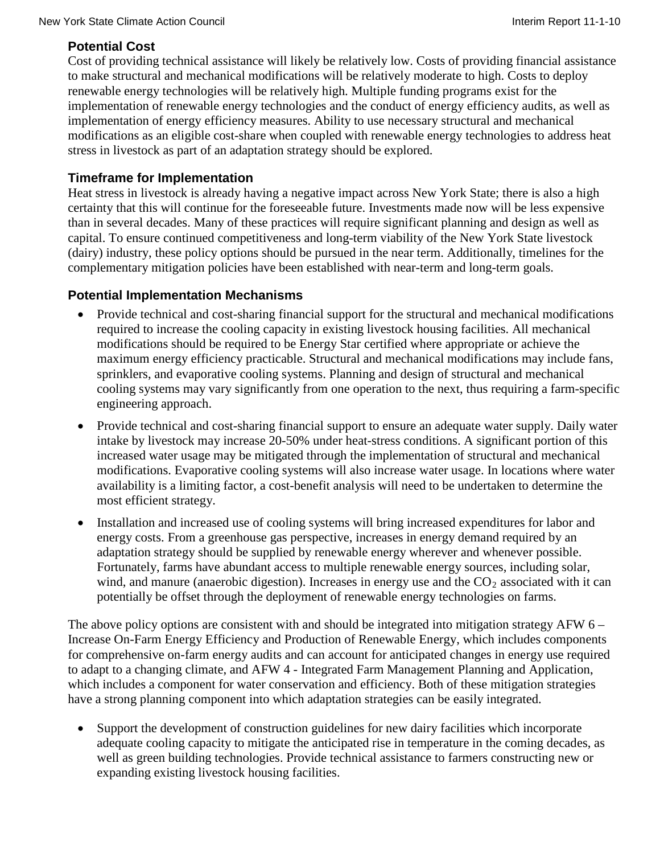# **Potential Cost**

Cost of providing technical assistance will likely be relatively low. Costs of providing financial assistance to make structural and mechanical modifications will be relatively moderate to high. Costs to deploy renewable energy technologies will be relatively high. Multiple funding programs exist for the implementation of renewable energy technologies and the conduct of energy efficiency audits, as well as implementation of energy efficiency measures. Ability to use necessary structural and mechanical modifications as an eligible cost-share when coupled with renewable energy technologies to address heat stress in livestock as part of an adaptation strategy should be explored.

### **Timeframe for Implementation**

Heat stress in livestock is already having a negative impact across New York State; there is also a high certainty that this will continue for the foreseeable future. Investments made now will be less expensive than in several decades. Many of these practices will require significant planning and design as well as capital. To ensure continued competitiveness and long-term viability of the New York State livestock (dairy) industry, these policy options should be pursued in the near term. Additionally, timelines for the complementary mitigation policies have been established with near-term and long-term goals.

### **Potential Implementation Mechanisms**

- Provide technical and cost-sharing financial support for the structural and mechanical modifications required to increase the cooling capacity in existing livestock housing facilities. All mechanical modifications should be required to be Energy Star certified where appropriate or achieve the maximum energy efficiency practicable. Structural and mechanical modifications may include fans, sprinklers, and evaporative cooling systems. Planning and design of structural and mechanical cooling systems may vary significantly from one operation to the next, thus requiring a farm-specific engineering approach.
- Provide technical and cost-sharing financial support to ensure an adequate water supply. Daily water intake by livestock may increase 20-50% under heat-stress conditions. A significant portion of this increased water usage may be mitigated through the implementation of structural and mechanical modifications. Evaporative cooling systems will also increase water usage. In locations where water availability is a limiting factor, a cost-benefit analysis will need to be undertaken to determine the most efficient strategy.
- Installation and increased use of cooling systems will bring increased expenditures for labor and energy costs. From a greenhouse gas perspective, increases in energy demand required by an adaptation strategy should be supplied by renewable energy wherever and whenever possible. Fortunately, farms have abundant access to multiple renewable energy sources, including solar, wind, and manure (anaerobic digestion). Increases in energy use and the  $CO_2$  associated with it can potentially be offset through the deployment of renewable energy technologies on farms.

The above policy options are consistent with and should be integrated into mitigation strategy AFW  $6 -$ Increase On-Farm Energy Efficiency and Production of Renewable Energy, which includes components for comprehensive on-farm energy audits and can account for anticipated changes in energy use required to adapt to a changing climate, and AFW 4 - Integrated Farm Management Planning and Application, which includes a component for water conservation and efficiency. Both of these mitigation strategies have a strong planning component into which adaptation strategies can be easily integrated.

Support the development of construction guidelines for new dairy facilities which incorporate adequate cooling capacity to mitigate the anticipated rise in temperature in the coming decades, as well as green building technologies. Provide technical assistance to farmers constructing new or expanding existing livestock housing facilities.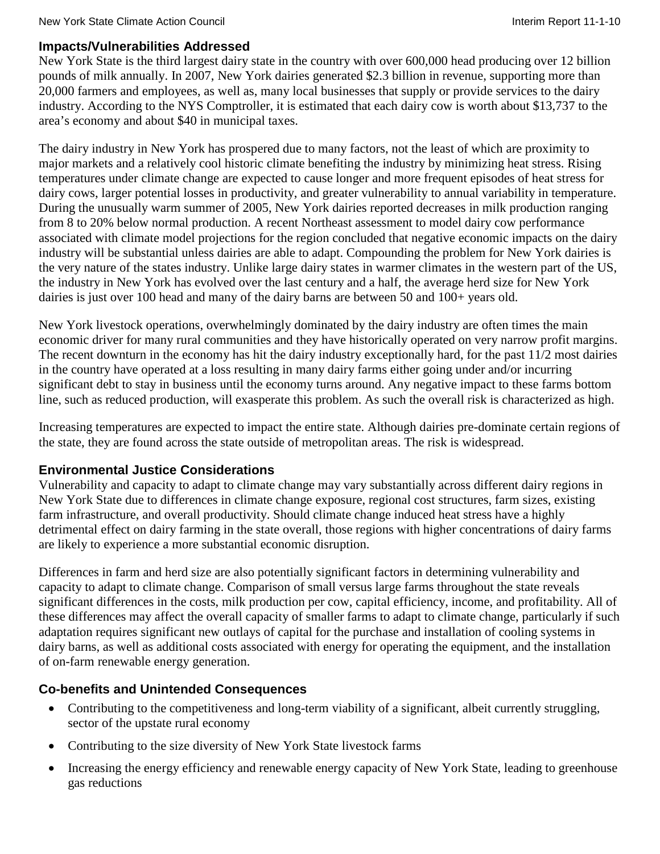### **Impacts/Vulnerabilities Addressed**

New York State is the third largest dairy state in the country with over 600,000 head producing over 12 billion pounds of milk annually. In 2007, New York dairies generated \$2.3 billion in revenue, supporting more than 20,000 farmers and employees, as well as, many local businesses that supply or provide services to the dairy industry. According to the NYS Comptroller, it is estimated that each dairy cow is worth about \$13,737 to the area's economy and about \$40 in municipal taxes.

The dairy industry in New York has prospered due to many factors, not the least of which are proximity to major markets and a relatively cool historic climate benefiting the industry by minimizing heat stress. Rising temperatures under climate change are expected to cause longer and more frequent episodes of heat stress for dairy cows, larger potential losses in productivity, and greater vulnerability to annual variability in temperature. During the unusually warm summer of 2005, New York dairies reported decreases in milk production ranging from 8 to 20% below normal production. A recent Northeast assessment to model dairy cow performance associated with climate model projections for the region concluded that negative economic impacts on the dairy industry will be substantial unless dairies are able to adapt. Compounding the problem for New York dairies is the very nature of the states industry. Unlike large dairy states in warmer climates in the western part of the US, the industry in New York has evolved over the last century and a half, the average herd size for New York dairies is just over 100 head and many of the dairy barns are between 50 and 100+ years old.

New York livestock operations, overwhelmingly dominated by the dairy industry are often times the main economic driver for many rural communities and they have historically operated on very narrow profit margins. The recent downturn in the economy has hit the dairy industry exceptionally hard, for the past  $11/2$  most dairies in the country have operated at a loss resulting in many dairy farms either going under and/or incurring significant debt to stay in business until the economy turns around. Any negative impact to these farms bottom line, such as reduced production, will exasperate this problem. As such the overall risk is characterized as high.

Increasing temperatures are expected to impact the entire state. Although dairies pre-dominate certain regions of the state, they are found across the state outside of metropolitan areas. The risk is widespread.

# **Environmental Justice Considerations**

Vulnerability and capacity to adapt to climate change may vary substantially across different dairy regions in New York State due to differences in climate change exposure, regional cost structures, farm sizes, existing farm infrastructure, and overall productivity. Should climate change induced heat stress have a highly detrimental effect on dairy farming in the state overall, those regions with higher concentrations of dairy farms are likely to experience a more substantial economic disruption.

Differences in farm and herd size are also potentially significant factors in determining vulnerability and capacity to adapt to climate change. Comparison of small versus large farms throughout the state reveals significant differences in the costs, milk production per cow, capital efficiency, income, and profitability. All of these differences may affect the overall capacity of smaller farms to adapt to climate change, particularly if such adaptation requires significant new outlays of capital for the purchase and installation of cooling systems in dairy barns, as well as additional costs associated with energy for operating the equipment, and the installation of on-farm renewable energy generation.

# **Co-benefits and Unintended Consequences**

- Contributing to the competitiveness and long-term viability of a significant, albeit currently struggling, sector of the upstate rural economy
- Contributing to the size diversity of New York State livestock farms
- Increasing the energy efficiency and renewable energy capacity of New York State, leading to greenhouse gas reductions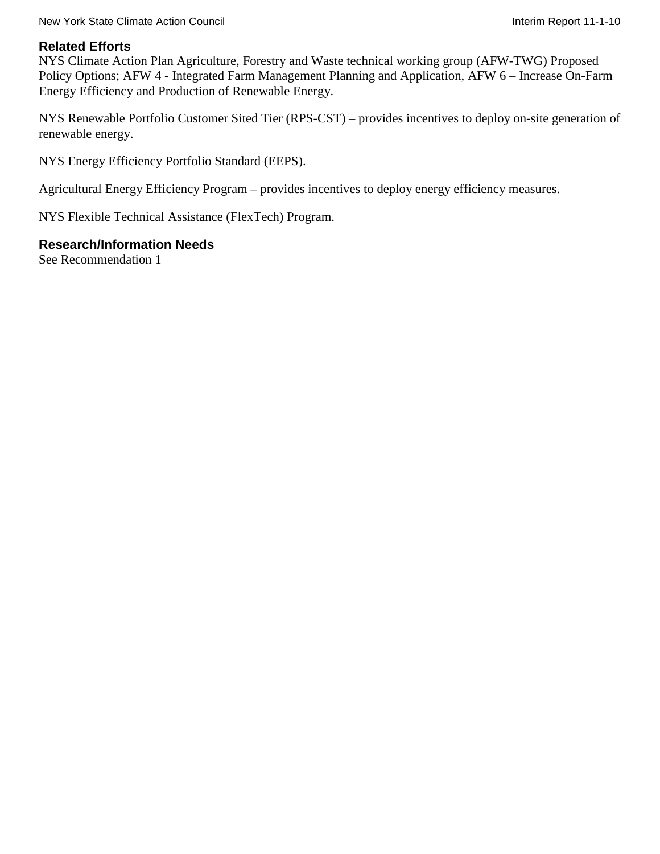#### New York State Climate Action Council **Interimental Interiment Council** Interim Report 11-1-10

#### **Related Efforts**

NYS Climate Action Plan Agriculture, Forestry and Waste technical working group (AFW-TWG) Proposed Policy Options; AFW 4 - Integrated Farm Management Planning and Application, AFW 6 – Increase On-Farm Energy Efficiency and Production of Renewable Energy.

NYS Renewable Portfolio Customer Sited Tier (RPS-CST) – provides incentives to deploy on-site generation of renewable energy.

NYS Energy Efficiency Portfolio Standard (EEPS).

Agricultural Energy Efficiency Program – provides incentives to deploy energy efficiency measures.

NYS Flexible Technical Assistance (FlexTech) Program.

#### **Research/Information Needs**

See Recommendation 1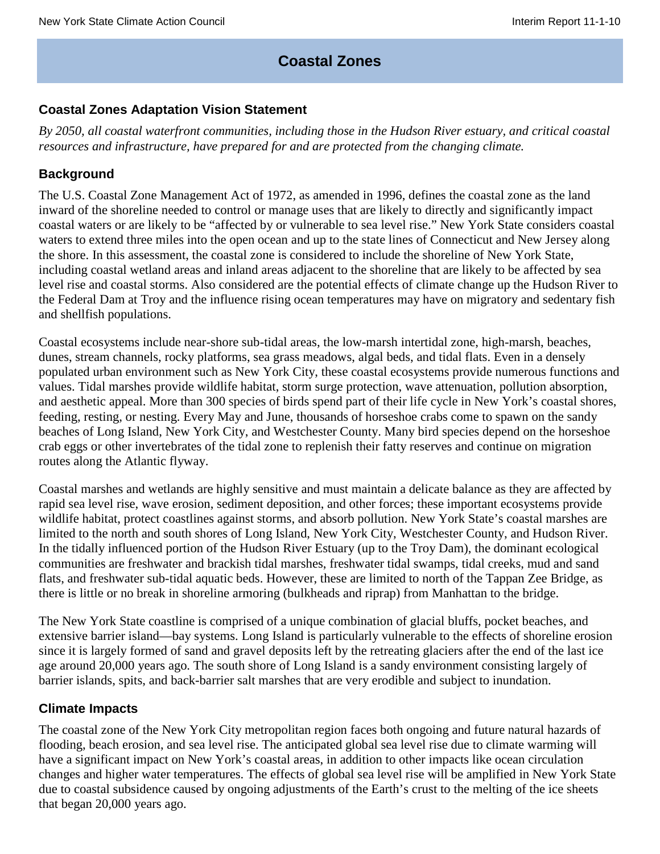# **Coastal Zones**

### **Coastal Zones Adaptation Vision Statement**

*By 2050, all coastal waterfront communities, including those in the Hudson River estuary, and critical coastal resources and infrastructure, have prepared for and are protected from the changing climate.*

#### **Background**

The U.S. Coastal Zone Management Act of 1972, as amended in 1996, defines the coastal zone as the land inward of the shoreline needed to control or manage uses that are likely to directly and significantly impact coastal waters or are likely to be "affected by or vulnerable to sea level rise." New York State considers coastal waters to extend three miles into the open ocean and up to the state lines of Connecticut and New Jersey along the shore. In this assessment, the coastal zone is considered to include the shoreline of New York State, including coastal wetland areas and inland areas adjacent to the shoreline that are likely to be affected by sea level rise and coastal storms. Also considered are the potential effects of climate change up the Hudson River to the Federal Dam at Troy and the influence rising ocean temperatures may have on migratory and sedentary fish and shellfish populations.

Coastal ecosystems include near-shore sub-tidal areas, the low-marsh intertidal zone, high-marsh, beaches, dunes, stream channels, rocky platforms, sea grass meadows, algal beds, and tidal flats. Even in a densely populated urban environment such as New York City, these coastal ecosystems provide numerous functions and values. Tidal marshes provide wildlife habitat, storm surge protection, wave attenuation, pollution absorption, and aesthetic appeal. More than 300 species of birds spend part of their life cycle in New York's coastal shores, feeding, resting, or nesting. Every May and June, thousands of horseshoe crabs come to spawn on the sandy beaches of Long Island, New York City, and Westchester County. Many bird species depend on the horseshoe crab eggs or other invertebrates of the tidal zone to replenish their fatty reserves and continue on migration routes along the Atlantic flyway.

Coastal marshes and wetlands are highly sensitive and must maintain a delicate balance as they are affected by rapid sea level rise, wave erosion, sediment deposition, and other forces; these important ecosystems provide wildlife habitat, protect coastlines against storms, and absorb pollution. New York State's coastal marshes are limited to the north and south shores of Long Island, New York City, Westchester County, and Hudson River. In the tidally influenced portion of the Hudson River Estuary (up to the Troy Dam), the dominant ecological communities are freshwater and brackish tidal marshes, freshwater tidal swamps, tidal creeks, mud and sand flats, and freshwater sub-tidal aquatic beds. However, these are limited to north of the Tappan Zee Bridge, as there is little or no break in shoreline armoring (bulkheads and riprap) from Manhattan to the bridge.

The New York State coastline is comprised of a unique combination of glacial bluffs, pocket beaches, and extensive barrier island—bay systems. Long Island is particularly vulnerable to the effects of shoreline erosion since it is largely formed of sand and gravel deposits left by the retreating glaciers after the end of the last ice age around 20,000 years ago. The south shore of Long Island is a sandy environment consisting largely of barrier islands, spits, and back-barrier salt marshes that are very erodible and subject to inundation.

#### **Climate Impacts**

The coastal zone of the New York City metropolitan region faces both ongoing and future natural hazards of flooding, beach erosion, and sea level rise. The anticipated global sea level rise due to climate warming will have a significant impact on New York's coastal areas, in addition to other impacts like ocean circulation changes and higher water temperatures. The effects of global sea level rise will be amplified in New York State due to coastal subsidence caused by ongoing adjustments of the Earth's crust to the melting of the ice sheets that began 20,000 years ago.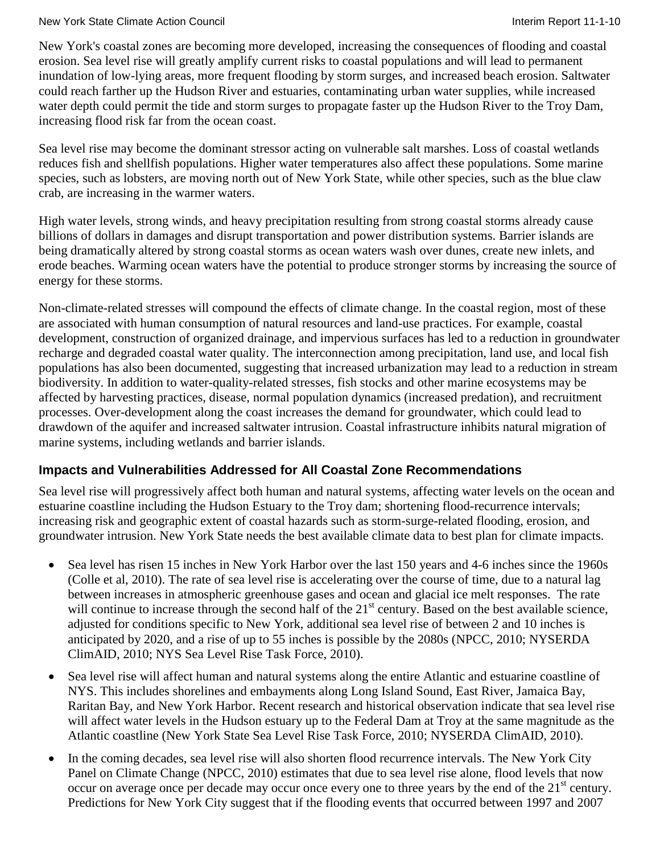#### New York State Climate Action Council **Interiment Council** Interim Report 11-1-10

New York's coastal zones are becoming more developed, increasing the consequences of flooding and coastal erosion. Sea level rise will greatly amplify current risks to coastal populations and will lead to permanent inundation of low-lying areas, more frequent flooding by storm surges, and increased beach erosion. Saltwater could reach farther up the Hudson River and estuaries, contaminating urban water supplies, while increased water depth could permit the tide and storm surges to propagate faster up the Hudson River to the Troy Dam, increasing flood risk far from the ocean coast.

Sea level rise may become the dominant stressor acting on vulnerable salt marshes. Loss of coastal wetlands reduces fish and shellfish populations. Higher water temperatures also affect these populations. Some marine species, such as lobsters, are moving north out of New York State, while other species, such as the blue claw crab, are increasing in the warmer waters.

High water levels, strong winds, and heavy precipitation resulting from strong coastal storms already cause billions of dollars in damages and disrupt transportation and power distribution systems. Barrier islands are being dramatically altered by strong coastal storms as ocean waters wash over dunes, create new inlets, and erode beaches. Warming ocean waters have the potential to produce stronger storms by increasing the source of energy for these storms.

Non-climate-related stresses will compound the effects of climate change. In the coastal region, most of these are associated with human consumption of natural resources and land-use practices. For example, coastal development, construction of organized drainage, and impervious surfaces has led to a reduction in groundwater recharge and degraded coastal water quality. The interconnection among precipitation, land use, and local fish populations has also been documented, suggesting that increased urbanization may lead to a reduction in stream biodiversity. In addition to water-quality-related stresses, fish stocks and other marine ecosystems may be affected by harvesting practices, disease, normal population dynamics (increased predation), and recruitment processes. Over-development along the coast increases the demand for groundwater, which could lead to drawdown of the aquifer and increased saltwater intrusion. Coastal infrastructure inhibits natural migration of marine systems, including wetlands and barrier islands.

# **Impacts and Vulnerabilities Addressed for All Coastal Zone Recommendations**

Sea level rise will progressively affect both human and natural systems, affecting water levels on the ocean and estuarine coastline including the Hudson Estuary to the Troy dam; shortening flood-recurrence intervals; increasing risk and geographic extent of coastal hazards such as storm-surge-related flooding, erosion, and groundwater intrusion. New York State needs the best available climate data to best plan for climate impacts.

- Sea level has risen 15 inches in New York Harbor over the last 150 years and 4-6 inches since the 1960s (Colle et al, 2010). The rate of sea level rise is accelerating over the course of time, due to a natural lag between increases in atmospheric greenhouse gases and ocean and glacial ice melt responses. The rate will continue to increase through the second half of the 21<sup>st</sup> century. Based on the best available science, adjusted for conditions specific to New York, additional sea level rise of between 2 and 10 inches is anticipated by 2020, and a rise of up to 55 inches is possible by the 2080s (NPCC, 2010; NYSERDA ClimAID, 2010; NYS Sea Level Rise Task Force, 2010).
- Sea level rise will affect human and natural systems along the entire Atlantic and estuarine coastline of NYS. This includes shorelines and embayments along Long Island Sound, East River, Jamaica Bay, Raritan Bay, and New York Harbor. Recent research and historical observation indicate that sea level rise will affect water levels in the Hudson estuary up to the Federal Dam at Troy at the same magnitude as the Atlantic coastline (New York State Sea Level Rise Task Force, 2010; NYSERDA ClimAID, 2010).
- In the coming decades, sea level rise will also shorten flood recurrence intervals. The New York City Panel on Climate Change (NPCC, 2010) estimates that due to sea level rise alone, flood levels that now occur on average once per decade may occur once every one to three years by the end of the  $21<sup>st</sup>$  century. Predictions for New York City suggest that if the flooding events that occurred between 1997 and 2007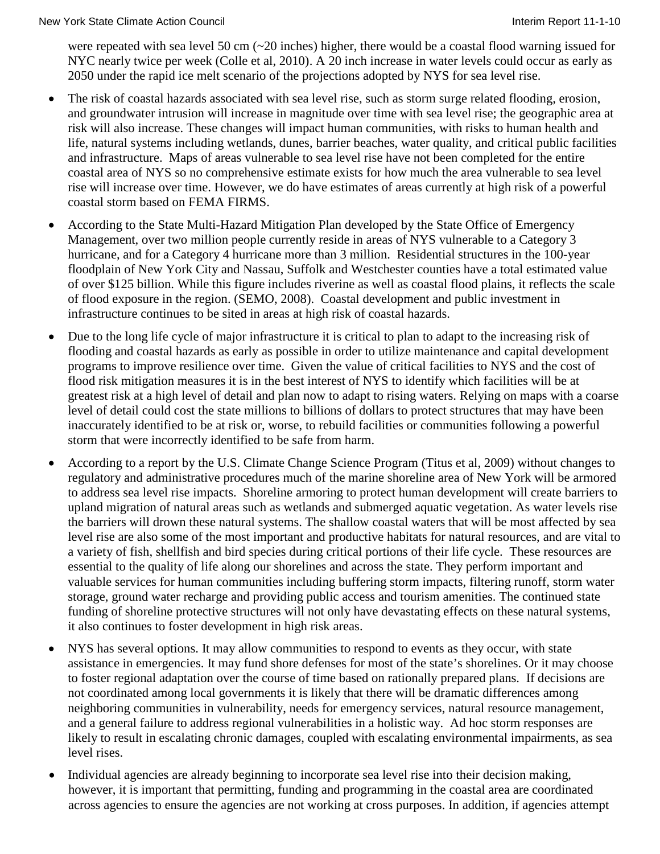were repeated with sea level 50 cm (~20 inches) higher, there would be a coastal flood warning issued for NYC nearly twice per week (Colle et al, 2010). A 20 inch increase in water levels could occur as early as 2050 under the rapid ice melt scenario of the projections adopted by NYS for sea level rise.

- The risk of coastal hazards associated with sea level rise, such as storm surge related flooding, erosion, and groundwater intrusion will increase in magnitude over time with sea level rise; the geographic area at risk will also increase. These changes will impact human communities, with risks to human health and life, natural systems including wetlands, dunes, barrier beaches, water quality, and critical public facilities and infrastructure. Maps of areas vulnerable to sea level rise have not been completed for the entire coastal area of NYS so no comprehensive estimate exists for how much the area vulnerable to sea level rise will increase over time. However, we do have estimates of areas currently at high risk of a powerful coastal storm based on FEMA FIRMS.
- According to the State Multi-Hazard Mitigation Plan developed by the State Office of Emergency Management, over two million people currently reside in areas of NYS vulnerable to a Category 3 hurricane, and for a Category 4 hurricane more than 3 million. Residential structures in the 100-year floodplain of New York City and Nassau, Suffolk and Westchester counties have a total estimated value of over \$125 billion. While this figure includes riverine as well as coastal flood plains, it reflects the scale of flood exposure in the region. (SEMO, 2008). Coastal development and public investment in infrastructure continues to be sited in areas at high risk of coastal hazards.
- Due to the long life cycle of major infrastructure it is critical to plan to adapt to the increasing risk of flooding and coastal hazards as early as possible in order to utilize maintenance and capital development programs to improve resilience over time. Given the value of critical facilities to NYS and the cost of flood risk mitigation measures it is in the best interest of NYS to identify which facilities will be at greatest risk at a high level of detail and plan now to adapt to rising waters. Relying on maps with a coarse level of detail could cost the state millions to billions of dollars to protect structures that may have been inaccurately identified to be at risk or, worse, to rebuild facilities or communities following a powerful storm that were incorrectly identified to be safe from harm.
- According to a report by the U.S. Climate Change Science Program (Titus et al, 2009) without changes to regulatory and administrative procedures much of the marine shoreline area of New York will be armored to address sea level rise impacts. Shoreline armoring to protect human development will create barriers to upland migration of natural areas such as wetlands and submerged aquatic vegetation. As water levels rise the barriers will drown these natural systems. The shallow coastal waters that will be most affected by sea level rise are also some of the most important and productive habitats for natural resources, and are vital to a variety of fish, shellfish and bird species during critical portions of their life cycle. These resources are essential to the quality of life along our shorelines and across the state. They perform important and valuable services for human communities including buffering storm impacts, filtering runoff, storm water storage, ground water recharge and providing public access and tourism amenities. The continued state funding of shoreline protective structures will not only have devastating effects on these natural systems, it also continues to foster development in high risk areas.
- NYS has several options. It may allow communities to respond to events as they occur, with state assistance in emergencies. It may fund shore defenses for most of the state's shorelines. Or it may choose to foster regional adaptation over the course of time based on rationally prepared plans. If decisions are not coordinated among local governments it is likely that there will be dramatic differences among neighboring communities in vulnerability, needs for emergency services, natural resource management, and a general failure to address regional vulnerabilities in a holistic way. Ad hoc storm responses are likely to result in escalating chronic damages, coupled with escalating environmental impairments, as sea level rises.
- Individual agencies are already beginning to incorporate sea level rise into their decision making, however, it is important that permitting, funding and programming in the coastal area are coordinated across agencies to ensure the agencies are not working at cross purposes. In addition, if agencies attempt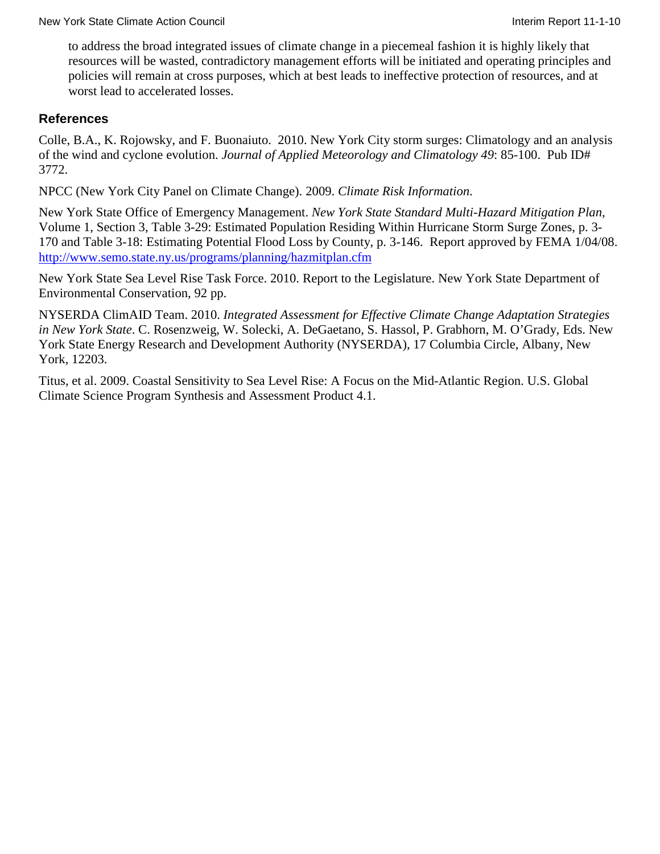to address the broad integrated issues of climate change in a piecemeal fashion it is highly likely that resources will be wasted, contradictory management efforts will be initiated and operating principles and policies will remain at cross purposes, which at best leads to ineffective protection of resources, and at worst lead to accelerated losses.

#### **References**

Colle, B.A., K. Rojowsky, and F. Buonaiuto. 2010. New York City storm surges: Climatology and an analysis of the wind and cyclone evolution. *Journal of Applied Meteorology and Climatology 49*: 85-100. Pub ID# 3772.

NPCC (New York City Panel on Climate Change). 2009. *Climate Risk Information*.

New York State Office of Emergency Management. *New York State Standard Multi-Hazard Mitigation Plan*, Volume 1, Section 3, Table 3-29: Estimated Population Residing Within Hurricane Storm Surge Zones, p. 3- 170 and Table 3-18: Estimating Potential Flood Loss by County, p. 3-146. Report approved by FEMA 1/04/08. <http://www.semo.state.ny.us/programs/planning/hazmitplan.cfm>

New York State Sea Level Rise Task Force. 2010. Report to the Legislature. New York State Department of Environmental Conservation, 92 pp.

NYSERDA ClimAID Team. 2010. *Integrated Assessment for Effective Climate Change Adaptation Strategies in New York State*. C. Rosenzweig, W. Solecki, A. DeGaetano, S. Hassol, P. Grabhorn, M. O'Grady, Eds. New York State Energy Research and Development Authority (NYSERDA), 17 Columbia Circle, Albany, New York, 12203.

Titus, et al. 2009. Coastal Sensitivity to Sea Level Rise: A Focus on the Mid-Atlantic Region. U.S. Global Climate Science Program Synthesis and Assessment Product 4.1.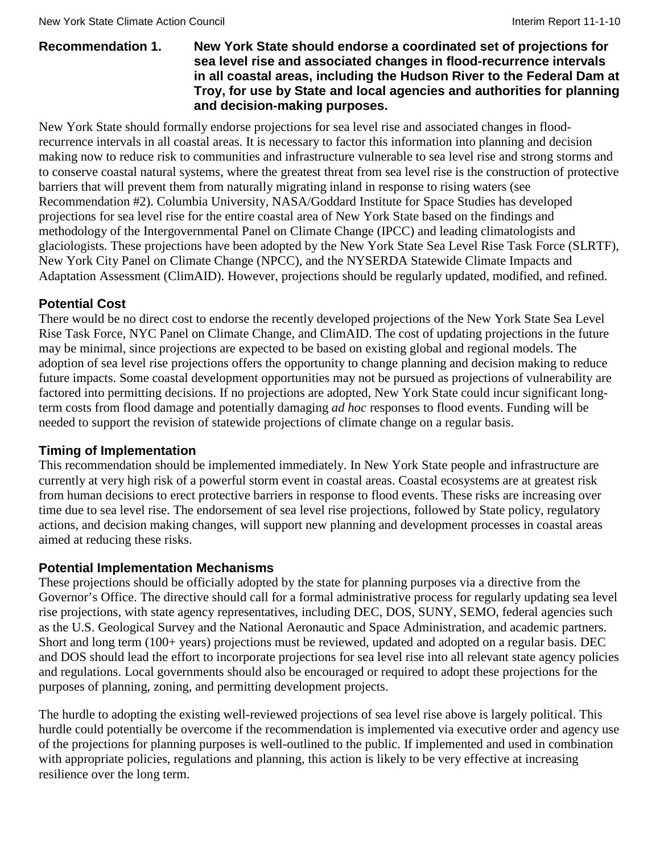#### **Recommendation 1. New York State should endorse a coordinated set of projections for sea level rise and associated changes in flood-recurrence intervals in all coastal areas, including the Hudson River to the Federal Dam at Troy, for use by State and local agencies and authorities for planning and decision-making purposes.**

New York State should formally endorse projections for sea level rise and associated changes in floodrecurrence intervals in all coastal areas. It is necessary to factor this information into planning and decision making now to reduce risk to communities and infrastructure vulnerable to sea level rise and strong storms and to conserve coastal natural systems, where the greatest threat from sea level rise is the construction of protective barriers that will prevent them from naturally migrating inland in response to rising waters (see Recommendation #2). Columbia University, NASA/Goddard Institute for Space Studies has developed projections for sea level rise for the entire coastal area of New York State based on the findings and methodology of the Intergovernmental Panel on Climate Change (IPCC) and leading climatologists and glaciologists. These projections have been adopted by the New York State Sea Level Rise Task Force (SLRTF), New York City Panel on Climate Change (NPCC), and the NYSERDA Statewide Climate Impacts and Adaptation Assessment (ClimAID). However, projections should be regularly updated, modified, and refined.

# **Potential Cost**

There would be no direct cost to endorse the recently developed projections of the New York State Sea Level Rise Task Force, NYC Panel on Climate Change, and ClimAID. The cost of updating projections in the future may be minimal, since projections are expected to be based on existing global and regional models. The adoption of sea level rise projections offers the opportunity to change planning and decision making to reduce future impacts. Some coastal development opportunities may not be pursued as projections of vulnerability are factored into permitting decisions. If no projections are adopted, New York State could incur significant longterm costs from flood damage and potentially damaging *ad hoc* responses to flood events. Funding will be needed to support the revision of statewide projections of climate change on a regular basis.

# **Timing of Implementation**

This recommendation should be implemented immediately. In New York State people and infrastructure are currently at very high risk of a powerful storm event in coastal areas. Coastal ecosystems are at greatest risk from human decisions to erect protective barriers in response to flood events. These risks are increasing over time due to sea level rise. The endorsement of sea level rise projections, followed by State policy, regulatory actions, and decision making changes, will support new planning and development processes in coastal areas aimed at reducing these risks.

# **Potential Implementation Mechanisms**

These projections should be officially adopted by the state for planning purposes via a directive from the Governor's Office. The directive should call for a formal administrative process for regularly updating sea level rise projections, with state agency representatives, including DEC, DOS, SUNY, SEMO, federal agencies such as the U.S. Geological Survey and the National Aeronautic and Space Administration, and academic partners. Short and long term (100+ years) projections must be reviewed, updated and adopted on a regular basis. DEC and DOS should lead the effort to incorporate projections for sea level rise into all relevant state agency policies and regulations. Local governments should also be encouraged or required to adopt these projections for the purposes of planning, zoning, and permitting development projects.

The hurdle to adopting the existing well-reviewed projections of sea level rise above is largely political. This hurdle could potentially be overcome if the recommendation is implemented via executive order and agency use of the projections for planning purposes is well-outlined to the public. If implemented and used in combination with appropriate policies, regulations and planning, this action is likely to be very effective at increasing resilience over the long term.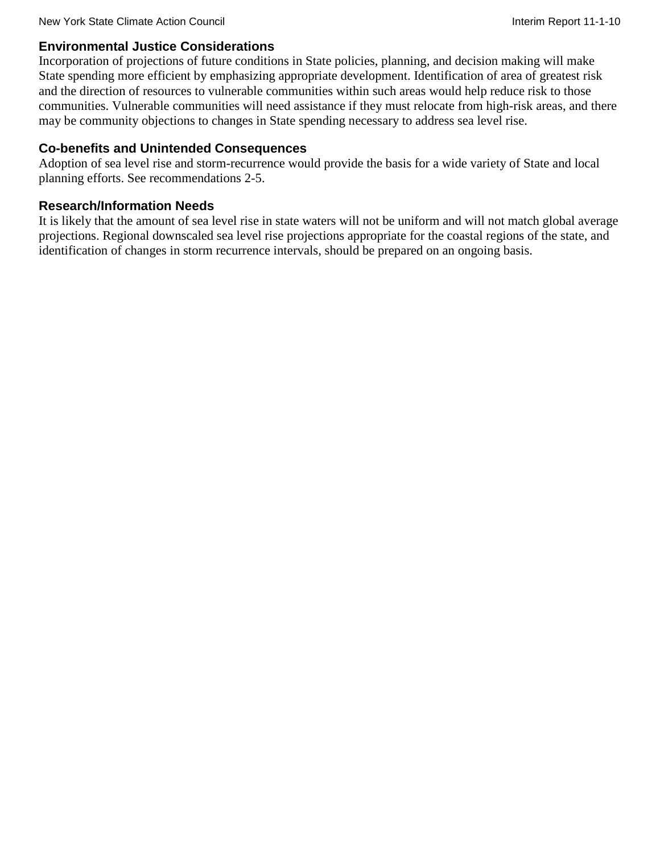### **Environmental Justice Considerations**

Incorporation of projections of future conditions in State policies, planning, and decision making will make State spending more efficient by emphasizing appropriate development. Identification of area of greatest risk and the direction of resources to vulnerable communities within such areas would help reduce risk to those communities. Vulnerable communities will need assistance if they must relocate from high-risk areas, and there may be community objections to changes in State spending necessary to address sea level rise.

### **Co-benefits and Unintended Consequences**

Adoption of sea level rise and storm-recurrence would provide the basis for a wide variety of State and local planning efforts. See recommendations 2-5.

### **Research/Information Needs**

It is likely that the amount of sea level rise in state waters will not be uniform and will not match global average projections. Regional downscaled sea level rise projections appropriate for the coastal regions of the state, and identification of changes in storm recurrence intervals, should be prepared on an ongoing basis.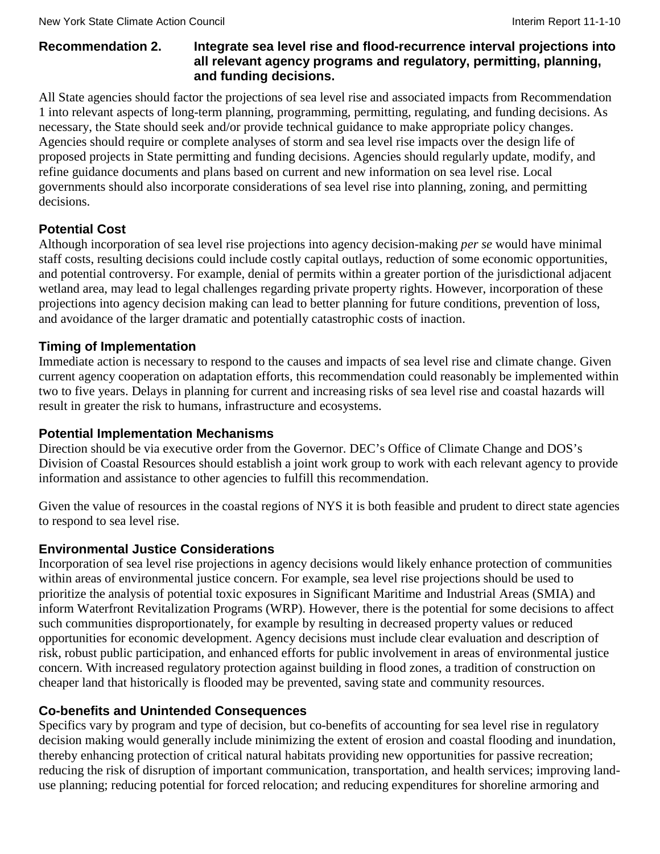### **Recommendation 2. Integrate sea level rise and flood-recurrence interval projections into all relevant agency programs and regulatory, permitting, planning, and funding decisions.**

All State agencies should factor the projections of sea level rise and associated impacts from Recommendation 1 into relevant aspects of long-term planning, programming, permitting, regulating, and funding decisions. As necessary, the State should seek and/or provide technical guidance to make appropriate policy changes. Agencies should require or complete analyses of storm and sea level rise impacts over the design life of proposed projects in State permitting and funding decisions. Agencies should regularly update, modify, and refine guidance documents and plans based on current and new information on sea level rise. Local governments should also incorporate considerations of sea level rise into planning, zoning, and permitting decisions.

# **Potential Cost**

Although incorporation of sea level rise projections into agency decision-making *per se* would have minimal staff costs, resulting decisions could include costly capital outlays, reduction of some economic opportunities, and potential controversy. For example, denial of permits within a greater portion of the jurisdictional adjacent wetland area, may lead to legal challenges regarding private property rights. However, incorporation of these projections into agency decision making can lead to better planning for future conditions, prevention of loss, and avoidance of the larger dramatic and potentially catastrophic costs of inaction.

# **Timing of Implementation**

Immediate action is necessary to respond to the causes and impacts of sea level rise and climate change. Given current agency cooperation on adaptation efforts, this recommendation could reasonably be implemented within two to five years. Delays in planning for current and increasing risks of sea level rise and coastal hazards will result in greater the risk to humans, infrastructure and ecosystems.

# **Potential Implementation Mechanisms**

Direction should be via executive order from the Governor. DEC's Office of Climate Change and DOS's Division of Coastal Resources should establish a joint work group to work with each relevant agency to provide information and assistance to other agencies to fulfill this recommendation.

Given the value of resources in the coastal regions of NYS it is both feasible and prudent to direct state agencies to respond to sea level rise.

# **Environmental Justice Considerations**

Incorporation of sea level rise projections in agency decisions would likely enhance protection of communities within areas of environmental justice concern. For example, sea level rise projections should be used to prioritize the analysis of potential toxic exposures in Significant Maritime and Industrial Areas (SMIA) and inform Waterfront Revitalization Programs (WRP). However, there is the potential for some decisions to affect such communities disproportionately, for example by resulting in decreased property values or reduced opportunities for economic development. Agency decisions must include clear evaluation and description of risk, robust public participation, and enhanced efforts for public involvement in areas of environmental justice concern. With increased regulatory protection against building in flood zones, a tradition of construction on cheaper land that historically is flooded may be prevented, saving state and community resources.

# **Co-benefits and Unintended Consequences**

Specifics vary by program and type of decision, but co-benefits of accounting for sea level rise in regulatory decision making would generally include minimizing the extent of erosion and coastal flooding and inundation, thereby enhancing protection of critical natural habitats providing new opportunities for passive recreation; reducing the risk of disruption of important communication, transportation, and health services; improving landuse planning; reducing potential for forced relocation; and reducing expenditures for shoreline armoring and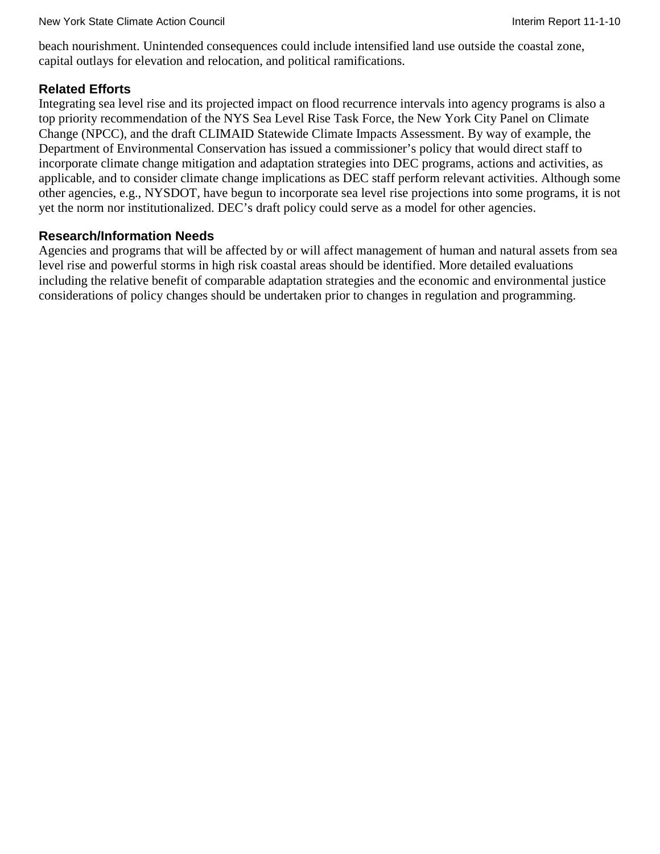beach nourishment. Unintended consequences could include intensified land use outside the coastal zone, capital outlays for elevation and relocation, and political ramifications.

### **Related Efforts**

Integrating sea level rise and its projected impact on flood recurrence intervals into agency programs is also a top priority recommendation of the NYS Sea Level Rise Task Force, the New York City Panel on Climate Change (NPCC), and the draft CLIMAID Statewide Climate Impacts Assessment. By way of example, the Department of Environmental Conservation has issued a commissioner's policy that would direct staff to incorporate climate change mitigation and adaptation strategies into DEC programs, actions and activities, as applicable, and to consider climate change implications as DEC staff perform relevant activities. Although some other agencies, e.g., NYSDOT, have begun to incorporate sea level rise projections into some programs, it is not yet the norm nor institutionalized. DEC's draft policy could serve as a model for other agencies.

#### **Research/Information Needs**

Agencies and programs that will be affected by or will affect management of human and natural assets from sea level rise and powerful storms in high risk coastal areas should be identified. More detailed evaluations including the relative benefit of comparable adaptation strategies and the economic and environmental justice considerations of policy changes should be undertaken prior to changes in regulation and programming.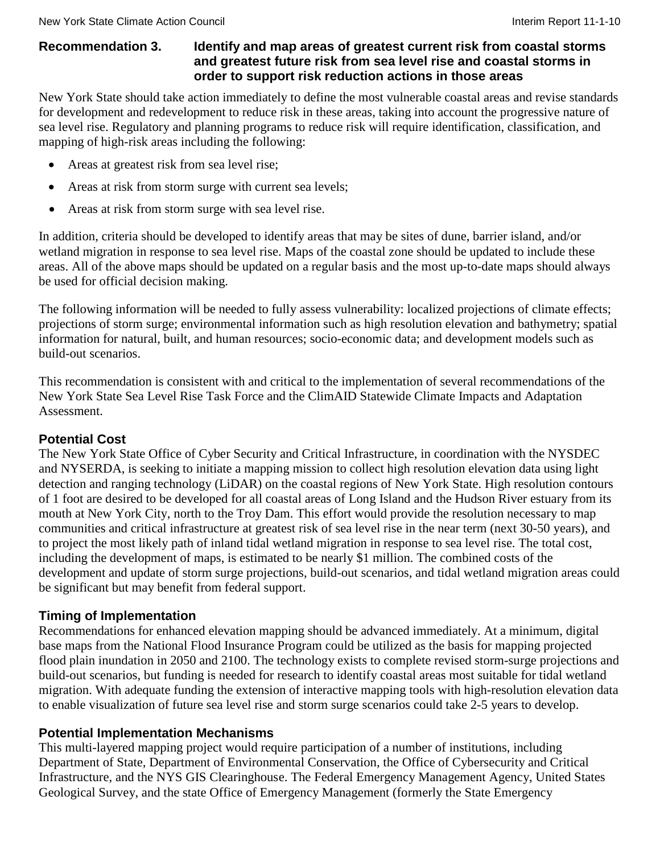#### **Recommendation 3. Identify and map areas of greatest current risk from coastal storms and greatest future risk from sea level rise and coastal storms in order to support risk reduction actions in those areas**

New York State should take action immediately to define the most vulnerable coastal areas and revise standards for development and redevelopment to reduce risk in these areas, taking into account the progressive nature of sea level rise. Regulatory and planning programs to reduce risk will require identification, classification, and mapping of high-risk areas including the following:

- Areas at greatest risk from sea level rise;
- Areas at risk from storm surge with current sea levels;
- Areas at risk from storm surge with sea level rise.

In addition, criteria should be developed to identify areas that may be sites of dune, barrier island, and/or wetland migration in response to sea level rise. Maps of the coastal zone should be updated to include these areas. All of the above maps should be updated on a regular basis and the most up-to-date maps should always be used for official decision making.

The following information will be needed to fully assess vulnerability: localized projections of climate effects; projections of storm surge; environmental information such as high resolution elevation and bathymetry; spatial information for natural, built, and human resources; socio-economic data; and development models such as build-out scenarios.

This recommendation is consistent with and critical to the implementation of several recommendations of the New York State Sea Level Rise Task Force and the ClimAID Statewide Climate Impacts and Adaptation Assessment.

# **Potential Cost**

The New York State Office of Cyber Security and Critical Infrastructure, in coordination with the NYSDEC and NYSERDA, is seeking to initiate a mapping mission to collect high resolution elevation data using light detection and ranging technology (LiDAR) on the coastal regions of New York State. High resolution contours of 1 foot are desired to be developed for all coastal areas of Long Island and the Hudson River estuary from its mouth at New York City, north to the Troy Dam. This effort would provide the resolution necessary to map communities and critical infrastructure at greatest risk of sea level rise in the near term (next 30-50 years), and to project the most likely path of inland tidal wetland migration in response to sea level rise. The total cost, including the development of maps, is estimated to be nearly \$1 million. The combined costs of the development and update of storm surge projections, build-out scenarios, and tidal wetland migration areas could be significant but may benefit from federal support.

#### **Timing of Implementation**

Recommendations for enhanced elevation mapping should be advanced immediately. At a minimum, digital base maps from the National Flood Insurance Program could be utilized as the basis for mapping projected flood plain inundation in 2050 and 2100. The technology exists to complete revised storm-surge projections and build-out scenarios, but funding is needed for research to identify coastal areas most suitable for tidal wetland migration. With adequate funding the extension of interactive mapping tools with high-resolution elevation data to enable visualization of future sea level rise and storm surge scenarios could take 2-5 years to develop.

#### **Potential Implementation Mechanisms**

This multi-layered mapping project would require participation of a number of institutions, including Department of State, Department of Environmental Conservation, the Office of Cybersecurity and Critical Infrastructure, and the NYS GIS Clearinghouse. The Federal Emergency Management Agency, United States Geological Survey, and the state Office of Emergency Management (formerly the State Emergency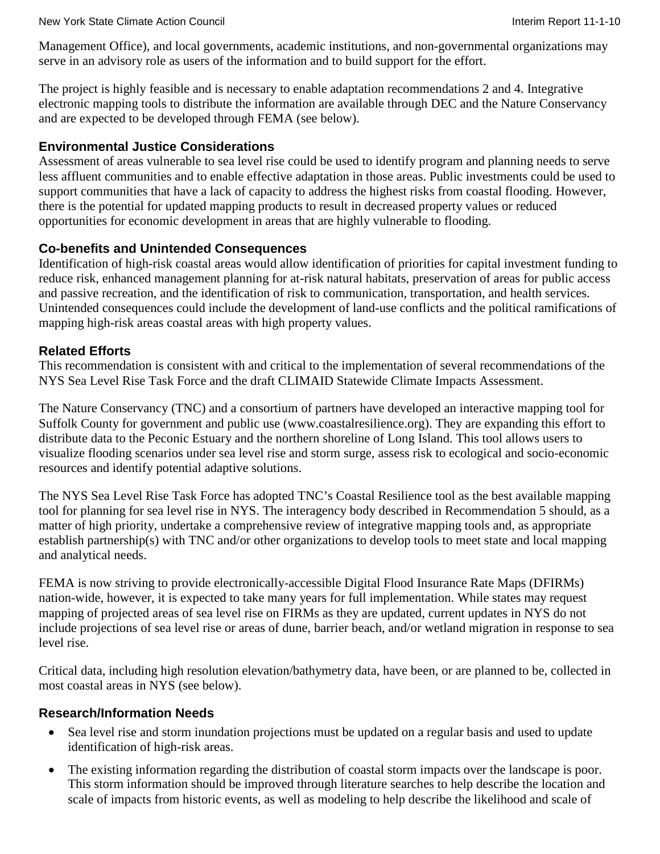Management Office), and local governments, academic institutions, and non-governmental organizations may serve in an advisory role as users of the information and to build support for the effort.

The project is highly feasible and is necessary to enable adaptation recommendations 2 and 4. Integrative electronic mapping tools to distribute the information are available through DEC and the Nature Conservancy and are expected to be developed through FEMA (see below).

### **Environmental Justice Considerations**

Assessment of areas vulnerable to sea level rise could be used to identify program and planning needs to serve less affluent communities and to enable effective adaptation in those areas. Public investments could be used to support communities that have a lack of capacity to address the highest risks from coastal flooding. However, there is the potential for updated mapping products to result in decreased property values or reduced opportunities for economic development in areas that are highly vulnerable to flooding.

### **Co-benefits and Unintended Consequences**

Identification of high-risk coastal areas would allow identification of priorities for capital investment funding to reduce risk, enhanced management planning for at-risk natural habitats, preservation of areas for public access and passive recreation, and the identification of risk to communication, transportation, and health services. Unintended consequences could include the development of land-use conflicts and the political ramifications of mapping high-risk areas coastal areas with high property values.

### **Related Efforts**

This recommendation is consistent with and critical to the implementation of several recommendations of the NYS Sea Level Rise Task Force and the draft CLIMAID Statewide Climate Impacts Assessment.

The Nature Conservancy (TNC) and a consortium of partners have developed an interactive mapping tool for Suffolk County for government and public use (www.coastalresilience.org). They are expanding this effort to distribute data to the Peconic Estuary and the northern shoreline of Long Island. This tool allows users to visualize flooding scenarios under sea level rise and storm surge, assess risk to ecological and socio-economic resources and identify potential adaptive solutions.

The NYS Sea Level Rise Task Force has adopted TNC's Coastal Resilience tool as the best available mapping tool for planning for sea level rise in NYS. The interagency body described in Recommendation 5 should, as a matter of high priority, undertake a comprehensive review of integrative mapping tools and, as appropriate establish partnership(s) with TNC and/or other organizations to develop tools to meet state and local mapping and analytical needs.

FEMA is now striving to provide electronically-accessible Digital Flood Insurance Rate Maps (DFIRMs) nation-wide, however, it is expected to take many years for full implementation. While states may request mapping of projected areas of sea level rise on FIRMs as they are updated, current updates in NYS do not include projections of sea level rise or areas of dune, barrier beach, and/or wetland migration in response to sea level rise.

Critical data, including high resolution elevation/bathymetry data, have been, or are planned to be, collected in most coastal areas in NYS (see below).

#### **Research/Information Needs**

- Sea level rise and storm inundation projections must be updated on a regular basis and used to update identification of high-risk areas.
- The existing information regarding the distribution of coastal storm impacts over the landscape is poor. This storm information should be improved through literature searches to help describe the location and scale of impacts from historic events, as well as modeling to help describe the likelihood and scale of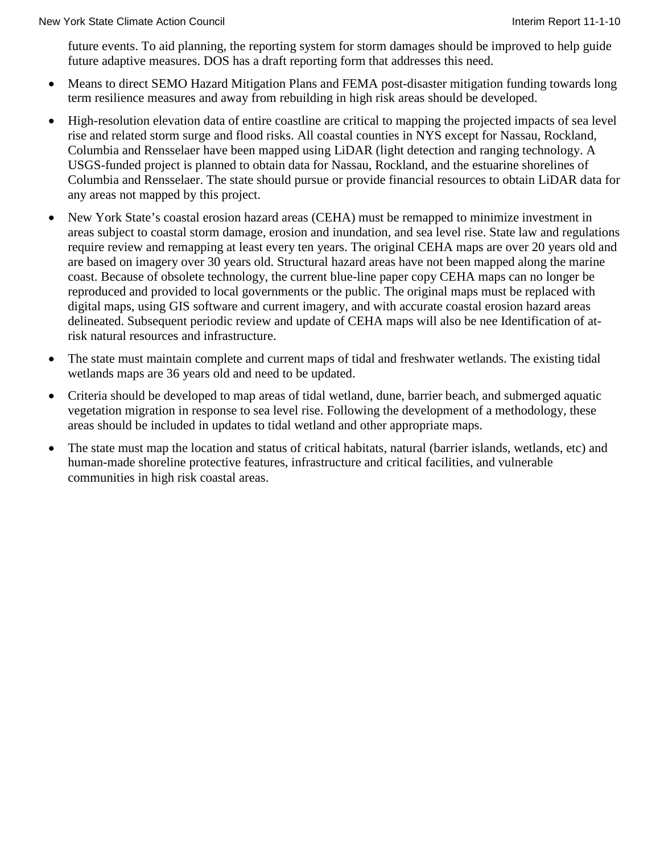future events. To aid planning, the reporting system for storm damages should be improved to help guide future adaptive measures. DOS has a draft reporting form that addresses this need.

- Means to direct SEMO Hazard Mitigation Plans and FEMA post-disaster mitigation funding towards long term resilience measures and away from rebuilding in high risk areas should be developed.
- High-resolution elevation data of entire coastline are critical to mapping the projected impacts of sea level rise and related storm surge and flood risks. All coastal counties in NYS except for Nassau, Rockland, Columbia and Rensselaer have been mapped using LiDAR (light detection and ranging technology. A USGS-funded project is planned to obtain data for Nassau, Rockland, and the estuarine shorelines of Columbia and Rensselaer. The state should pursue or provide financial resources to obtain LiDAR data for any areas not mapped by this project.
- New York State's coastal erosion hazard areas (CEHA) must be remapped to minimize investment in areas subject to coastal storm damage, erosion and inundation, and sea level rise. State law and regulations require review and remapping at least every ten years. The original CEHA maps are over 20 years old and are based on imagery over 30 years old. Structural hazard areas have not been mapped along the marine coast. Because of obsolete technology, the current blue-line paper copy CEHA maps can no longer be reproduced and provided to local governments or the public. The original maps must be replaced with digital maps, using GIS software and current imagery, and with accurate coastal erosion hazard areas delineated. Subsequent periodic review and update of CEHA maps will also be nee Identification of atrisk natural resources and infrastructure.
- The state must maintain complete and current maps of tidal and freshwater wetlands. The existing tidal wetlands maps are 36 years old and need to be updated.
- Criteria should be developed to map areas of tidal wetland, dune, barrier beach, and submerged aquatic vegetation migration in response to sea level rise. Following the development of a methodology, these areas should be included in updates to tidal wetland and other appropriate maps.
- The state must map the location and status of critical habitats, natural (barrier islands, wetlands, etc) and human-made shoreline protective features, infrastructure and critical facilities, and vulnerable communities in high risk coastal areas.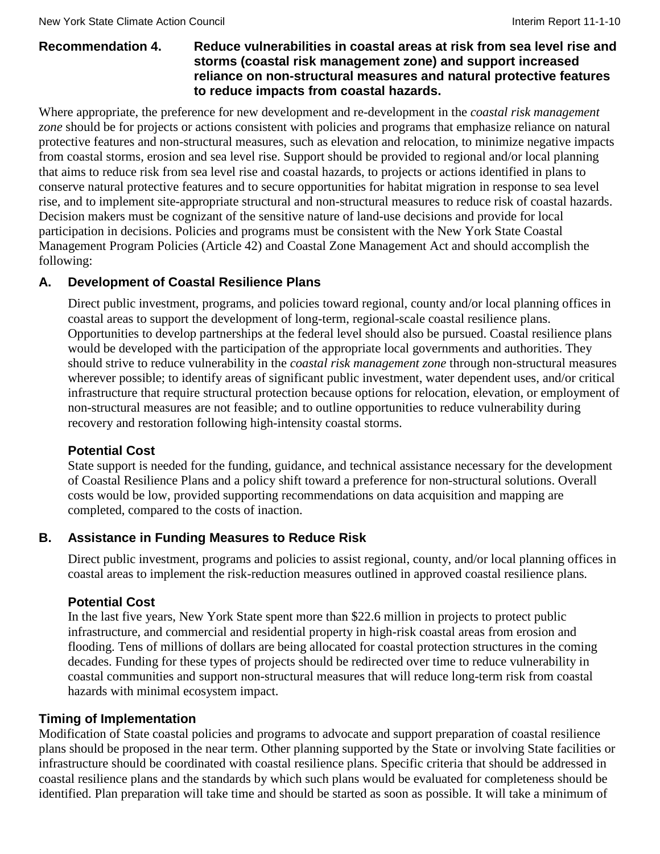#### **Recommendation 4. Reduce vulnerabilities in coastal areas at risk from sea level rise and storms (coastal risk management zone) and support increased reliance on non-structural measures and natural protective features to reduce impacts from coastal hazards.**

Where appropriate, the preference for new development and re-development in the *coastal risk management zone* should be for projects or actions consistent with policies and programs that emphasize reliance on natural protective features and non-structural measures, such as elevation and relocation, to minimize negative impacts from coastal storms, erosion and sea level rise. Support should be provided to regional and/or local planning that aims to reduce risk from sea level rise and coastal hazards, to projects or actions identified in plans to conserve natural protective features and to secure opportunities for habitat migration in response to sea level rise, and to implement site-appropriate structural and non-structural measures to reduce risk of coastal hazards. Decision makers must be cognizant of the sensitive nature of land-use decisions and provide for local participation in decisions. Policies and programs must be consistent with the New York State Coastal Management Program Policies (Article 42) and Coastal Zone Management Act and should accomplish the following:

#### **A. Development of Coastal Resilience Plans**

Direct public investment, programs, and policies toward regional, county and/or local planning offices in coastal areas to support the development of long-term, regional-scale coastal resilience plans. Opportunities to develop partnerships at the federal level should also be pursued. Coastal resilience plans would be developed with the participation of the appropriate local governments and authorities. They should strive to reduce vulnerability in the *coastal risk management zone* through non-structural measures wherever possible; to identify areas of significant public investment, water dependent uses, and/or critical infrastructure that require structural protection because options for relocation, elevation, or employment of non-structural measures are not feasible; and to outline opportunities to reduce vulnerability during recovery and restoration following high-intensity coastal storms.

#### **Potential Cost**

State support is needed for the funding, guidance, and technical assistance necessary for the development of Coastal Resilience Plans and a policy shift toward a preference for non-structural solutions. Overall costs would be low, provided supporting recommendations on data acquisition and mapping are completed, compared to the costs of inaction.

#### **B. Assistance in Funding Measures to Reduce Risk**

Direct public investment, programs and policies to assist regional, county, and/or local planning offices in coastal areas to implement the risk-reduction measures outlined in approved coastal resilience plans*.*

#### **Potential Cost**

In the last five years, New York State spent more than \$22.6 million in projects to protect public infrastructure, and commercial and residential property in high-risk coastal areas from erosion and flooding. Tens of millions of dollars are being allocated for coastal protection structures in the coming decades. Funding for these types of projects should be redirected over time to reduce vulnerability in coastal communities and support non-structural measures that will reduce long-term risk from coastal hazards with minimal ecosystem impact.

#### **Timing of Implementation**

Modification of State coastal policies and programs to advocate and support preparation of coastal resilience plans should be proposed in the near term. Other planning supported by the State or involving State facilities or infrastructure should be coordinated with coastal resilience plans. Specific criteria that should be addressed in coastal resilience plans and the standards by which such plans would be evaluated for completeness should be identified. Plan preparation will take time and should be started as soon as possible. It will take a minimum of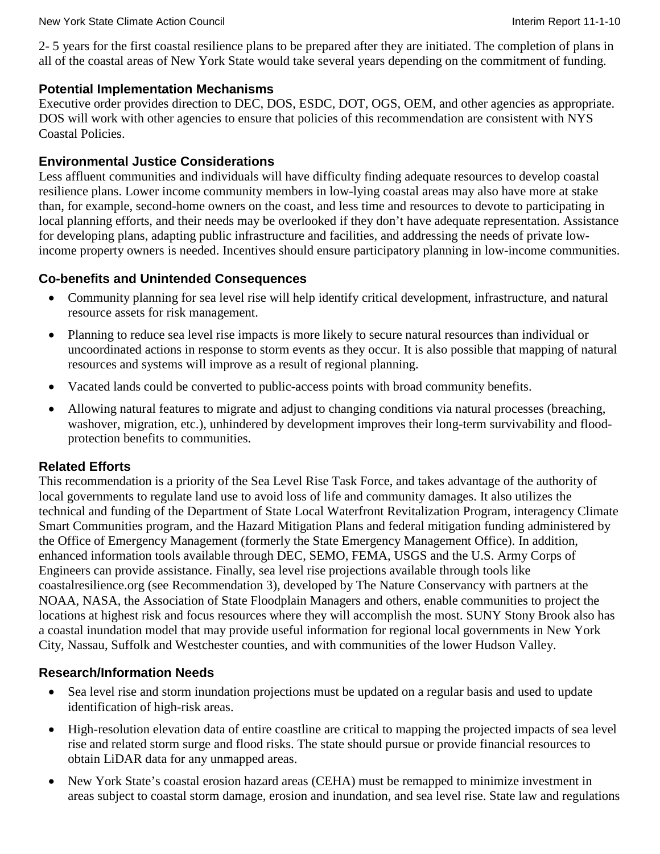2- 5 years for the first coastal resilience plans to be prepared after they are initiated. The completion of plans in all of the coastal areas of New York State would take several years depending on the commitment of funding.

### **Potential Implementation Mechanisms**

Executive order provides direction to DEC, DOS, ESDC, DOT, OGS, OEM, and other agencies as appropriate. DOS will work with other agencies to ensure that policies of this recommendation are consistent with NYS Coastal Policies.

### **Environmental Justice Considerations**

Less affluent communities and individuals will have difficulty finding adequate resources to develop coastal resilience plans. Lower income community members in low-lying coastal areas may also have more at stake than, for example, second-home owners on the coast, and less time and resources to devote to participating in local planning efforts, and their needs may be overlooked if they don't have adequate representation. Assistance for developing plans, adapting public infrastructure and facilities, and addressing the needs of private lowincome property owners is needed. Incentives should ensure participatory planning in low-income communities.

# **Co-benefits and Unintended Consequences**

- Community planning for sea level rise will help identify critical development, infrastructure, and natural resource assets for risk management.
- Planning to reduce sea level rise impacts is more likely to secure natural resources than individual or uncoordinated actions in response to storm events as they occur. It is also possible that mapping of natural resources and systems will improve as a result of regional planning.
- Vacated lands could be converted to public-access points with broad community benefits.
- Allowing natural features to migrate and adjust to changing conditions via natural processes (breaching, washover, migration, etc.), unhindered by development improves their long-term survivability and floodprotection benefits to communities.

# **Related Efforts**

This recommendation is a priority of the Sea Level Rise Task Force, and takes advantage of the authority of local governments to regulate land use to avoid loss of life and community damages. It also utilizes the technical and funding of the Department of State Local Waterfront Revitalization Program, interagency Climate Smart Communities program, and the Hazard Mitigation Plans and federal mitigation funding administered by the Office of Emergency Management (formerly the State Emergency Management Office). In addition, enhanced information tools available through DEC, SEMO, FEMA, USGS and the U.S. Army Corps of Engineers can provide assistance. Finally, sea level rise projections available through tools like coastalresilience.org (see Recommendation 3), developed by The Nature Conservancy with partners at the NOAA, NASA, the Association of State Floodplain Managers and others, enable communities to project the locations at highest risk and focus resources where they will accomplish the most. SUNY Stony Brook also has a coastal inundation model that may provide useful information for regional local governments in New York City, Nassau, Suffolk and Westchester counties, and with communities of the lower Hudson Valley.

# **Research/Information Needs**

- Sea level rise and storm inundation projections must be updated on a regular basis and used to update identification of high-risk areas.
- High-resolution elevation data of entire coastline are critical to mapping the projected impacts of sea level rise and related storm surge and flood risks. The state should pursue or provide financial resources to obtain LiDAR data for any unmapped areas.
- New York State's coastal erosion hazard areas (CEHA) must be remapped to minimize investment in areas subject to coastal storm damage, erosion and inundation, and sea level rise. State law and regulations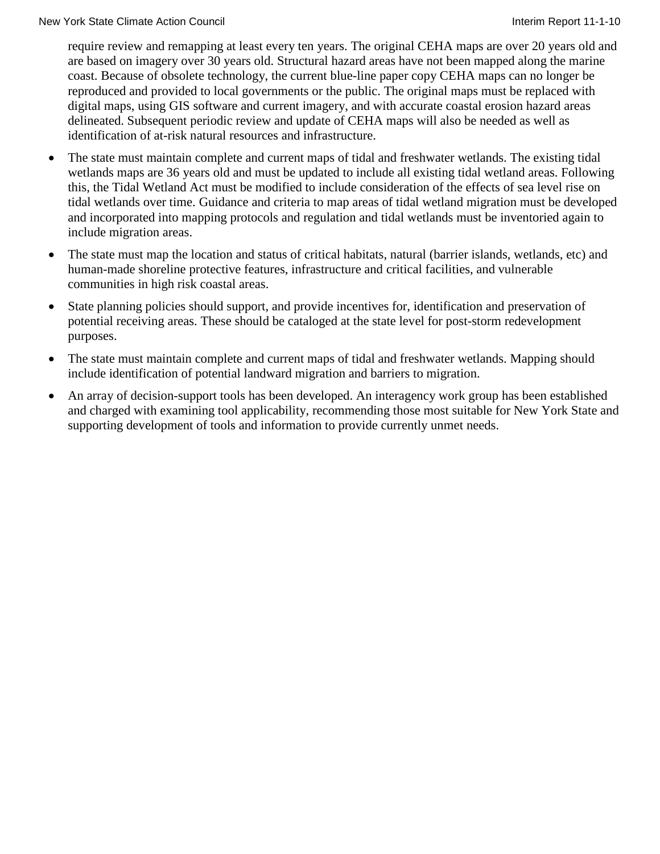require review and remapping at least every ten years. The original CEHA maps are over 20 years old and are based on imagery over 30 years old. Structural hazard areas have not been mapped along the marine coast. Because of obsolete technology, the current blue-line paper copy CEHA maps can no longer be reproduced and provided to local governments or the public. The original maps must be replaced with digital maps, using GIS software and current imagery, and with accurate coastal erosion hazard areas delineated. Subsequent periodic review and update of CEHA maps will also be needed as well as identification of at-risk natural resources and infrastructure.

- The state must maintain complete and current maps of tidal and freshwater wetlands. The existing tidal wetlands maps are 36 years old and must be updated to include all existing tidal wetland areas. Following this, the Tidal Wetland Act must be modified to include consideration of the effects of sea level rise on tidal wetlands over time. Guidance and criteria to map areas of tidal wetland migration must be developed and incorporated into mapping protocols and regulation and tidal wetlands must be inventoried again to include migration areas.
- The state must map the location and status of critical habitats, natural (barrier islands, wetlands, etc) and human-made shoreline protective features, infrastructure and critical facilities, and vulnerable communities in high risk coastal areas.
- State planning policies should support, and provide incentives for, identification and preservation of potential receiving areas. These should be cataloged at the state level for post-storm redevelopment purposes.
- The state must maintain complete and current maps of tidal and freshwater wetlands. Mapping should include identification of potential landward migration and barriers to migration.
- An array of decision-support tools has been developed. An interagency work group has been established and charged with examining tool applicability, recommending those most suitable for New York State and supporting development of tools and information to provide currently unmet needs.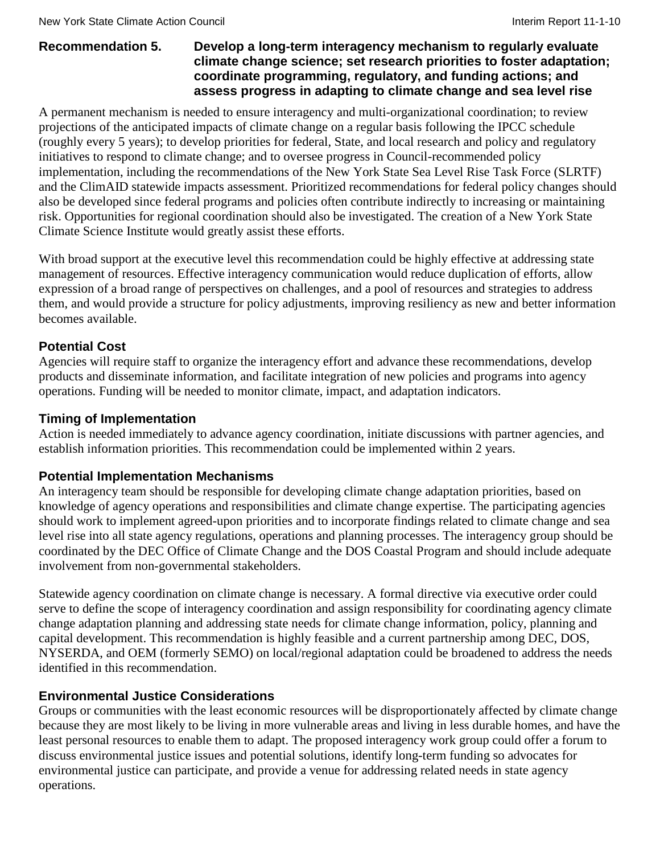#### **Recommendation 5. Develop a long-term interagency mechanism to regularly evaluate climate change science; set research priorities to foster adaptation; coordinate programming, regulatory, and funding actions; and assess progress in adapting to climate change and sea level rise**

A permanent mechanism is needed to ensure interagency and multi-organizational coordination; to review projections of the anticipated impacts of climate change on a regular basis following the IPCC schedule (roughly every 5 years); to develop priorities for federal, State, and local research and policy and regulatory initiatives to respond to climate change; and to oversee progress in Council-recommended policy implementation, including the recommendations of the New York State Sea Level Rise Task Force (SLRTF) and the ClimAID statewide impacts assessment. Prioritized recommendations for federal policy changes should also be developed since federal programs and policies often contribute indirectly to increasing or maintaining risk. Opportunities for regional coordination should also be investigated. The creation of a New York State Climate Science Institute would greatly assist these efforts.

With broad support at the executive level this recommendation could be highly effective at addressing state management of resources. Effective interagency communication would reduce duplication of efforts, allow expression of a broad range of perspectives on challenges, and a pool of resources and strategies to address them, and would provide a structure for policy adjustments, improving resiliency as new and better information becomes available.

# **Potential Cost**

Agencies will require staff to organize the interagency effort and advance these recommendations, develop products and disseminate information, and facilitate integration of new policies and programs into agency operations. Funding will be needed to monitor climate, impact, and adaptation indicators.

#### **Timing of Implementation**

Action is needed immediately to advance agency coordination, initiate discussions with partner agencies, and establish information priorities. This recommendation could be implemented within 2 years.

#### **Potential Implementation Mechanisms**

An interagency team should be responsible for developing climate change adaptation priorities, based on knowledge of agency operations and responsibilities and climate change expertise. The participating agencies should work to implement agreed-upon priorities and to incorporate findings related to climate change and sea level rise into all state agency regulations, operations and planning processes. The interagency group should be coordinated by the DEC Office of Climate Change and the DOS Coastal Program and should include adequate involvement from non-governmental stakeholders.

Statewide agency coordination on climate change is necessary. A formal directive via executive order could serve to define the scope of interagency coordination and assign responsibility for coordinating agency climate change adaptation planning and addressing state needs for climate change information, policy, planning and capital development. This recommendation is highly feasible and a current partnership among DEC, DOS, NYSERDA, and OEM (formerly SEMO) on local/regional adaptation could be broadened to address the needs identified in this recommendation.

#### **Environmental Justice Considerations**

Groups or communities with the least economic resources will be disproportionately affected by climate change because they are most likely to be living in more vulnerable areas and living in less durable homes, and have the least personal resources to enable them to adapt. The proposed interagency work group could offer a forum to discuss environmental justice issues and potential solutions, identify long-term funding so advocates for environmental justice can participate, and provide a venue for addressing related needs in state agency operations.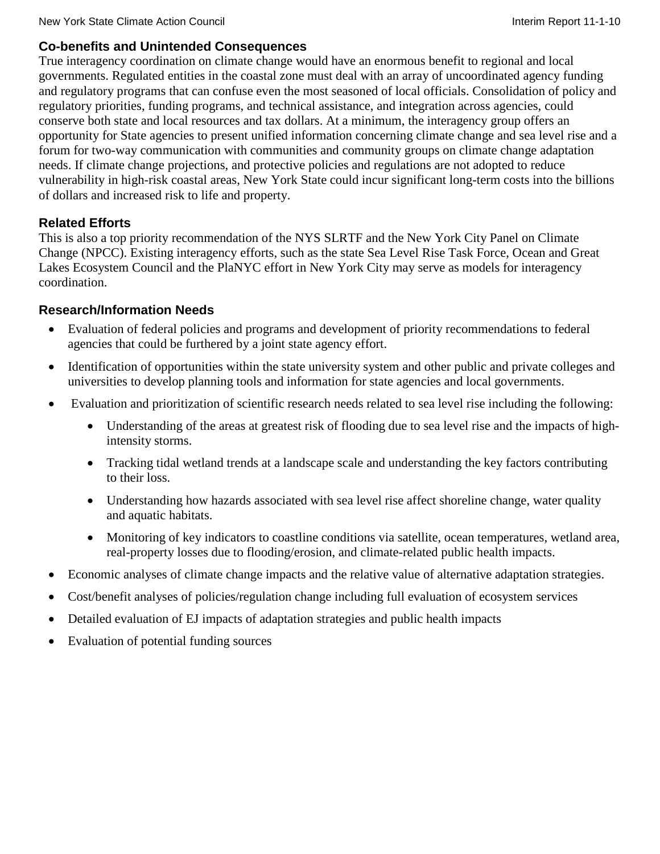### **Co-benefits and Unintended Consequences**

True interagency coordination on climate change would have an enormous benefit to regional and local governments. Regulated entities in the coastal zone must deal with an array of uncoordinated agency funding and regulatory programs that can confuse even the most seasoned of local officials. Consolidation of policy and regulatory priorities, funding programs, and technical assistance, and integration across agencies, could conserve both state and local resources and tax dollars. At a minimum, the interagency group offers an opportunity for State agencies to present unified information concerning climate change and sea level rise and a forum for two-way communication with communities and community groups on climate change adaptation needs. If climate change projections, and protective policies and regulations are not adopted to reduce vulnerability in high-risk coastal areas, New York State could incur significant long-term costs into the billions of dollars and increased risk to life and property.

# **Related Efforts**

This is also a top priority recommendation of the NYS SLRTF and the New York City Panel on Climate Change (NPCC). Existing interagency efforts, such as the state Sea Level Rise Task Force, Ocean and Great Lakes Ecosystem Council and the PlaNYC effort in New York City may serve as models for interagency coordination.

# **Research/Information Needs**

- Evaluation of federal policies and programs and development of priority recommendations to federal agencies that could be furthered by a joint state agency effort.
- Identification of opportunities within the state university system and other public and private colleges and universities to develop planning tools and information for state agencies and local governments.
- Evaluation and prioritization of scientific research needs related to sea level rise including the following:
	- Understanding of the areas at greatest risk of flooding due to sea level rise and the impacts of highintensity storms.
	- Tracking tidal wetland trends at a landscape scale and understanding the key factors contributing to their loss.
	- Understanding how hazards associated with sea level rise affect shoreline change, water quality and aquatic habitats.
	- Monitoring of key indicators to coastline conditions via satellite, ocean temperatures, wetland area, real-property losses due to flooding/erosion, and climate-related public health impacts.
- Economic analyses of climate change impacts and the relative value of alternative adaptation strategies.
- Cost/benefit analyses of policies/regulation change including full evaluation of ecosystem services
- Detailed evaluation of EJ impacts of adaptation strategies and public health impacts
- Evaluation of potential funding sources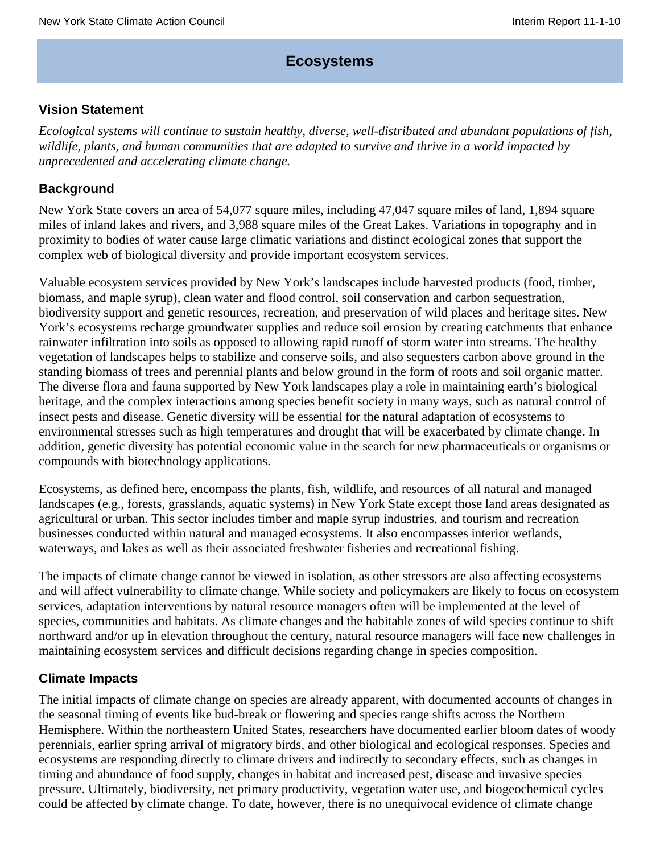# **Ecosystems**

### **Vision Statement**

*Ecological systems will continue to sustain healthy, diverse, well-distributed and abundant populations of fish, wildlife, plants, and human communities that are adapted to survive and thrive in a world impacted by unprecedented and accelerating climate change.*

### **Background**

New York State covers an area of 54,077 square miles, including 47,047 square miles of land, 1,894 square miles of inland lakes and rivers, and 3,988 square miles of the Great Lakes. Variations in topography and in proximity to bodies of water cause large climatic variations and distinct ecological zones that support the complex web of biological diversity and provide important ecosystem services.

Valuable ecosystem services provided by New York's landscapes include harvested products (food, timber, biomass, and maple syrup), clean water and flood control, soil conservation and carbon sequestration, biodiversity support and genetic resources, recreation, and preservation of wild places and heritage sites. New York's ecosystems recharge groundwater supplies and reduce soil erosion by creating catchments that enhance rainwater infiltration into soils as opposed to allowing rapid runoff of storm water into streams. The healthy vegetation of landscapes helps to stabilize and conserve soils, and also sequesters carbon above ground in the standing biomass of trees and perennial plants and below ground in the form of roots and soil organic matter. The diverse flora and fauna supported by New York landscapes play a role in maintaining earth's biological heritage, and the complex interactions among species benefit society in many ways, such as natural control of insect pests and disease. Genetic diversity will be essential for the natural adaptation of ecosystems to environmental stresses such as high temperatures and drought that will be exacerbated by climate change. In addition, genetic diversity has potential economic value in the search for new pharmaceuticals or organisms or compounds with biotechnology applications.

Ecosystems, as defined here, encompass the plants, fish, wildlife, and resources of all natural and managed landscapes (e.g., forests, grasslands, aquatic systems) in New York State except those land areas designated as agricultural or urban. This sector includes timber and maple syrup industries, and tourism and recreation businesses conducted within natural and managed ecosystems. It also encompasses interior wetlands, waterways, and lakes as well as their associated freshwater fisheries and recreational fishing.

The impacts of climate change cannot be viewed in isolation, as other stressors are also affecting ecosystems and will affect vulnerability to climate change. While society and policymakers are likely to focus on ecosystem services, adaptation interventions by natural resource managers often will be implemented at the level of species, communities and habitats. As climate changes and the habitable zones of wild species continue to shift northward and/or up in elevation throughout the century, natural resource managers will face new challenges in maintaining ecosystem services and difficult decisions regarding change in species composition.

#### **Climate Impacts**

The initial impacts of climate change on species are already apparent, with documented accounts of changes in the seasonal timing of events like bud-break or flowering and species range shifts across the Northern Hemisphere. Within the northeastern United States, researchers have documented earlier bloom dates of woody perennials, earlier spring arrival of migratory birds, and other biological and ecological responses. Species and ecosystems are responding directly to climate drivers and indirectly to secondary effects, such as changes in timing and abundance of food supply, changes in habitat and increased pest, disease and invasive species pressure. Ultimately, biodiversity, net primary productivity, vegetation water use, and biogeochemical cycles could be affected by climate change. To date, however, there is no unequivocal evidence of climate change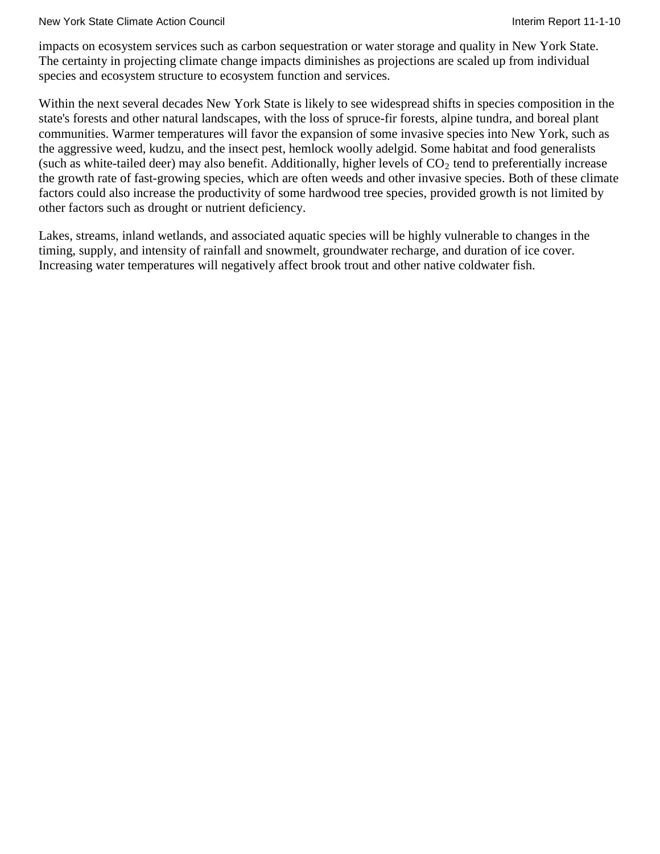#### New York State Climate Action Council **Interiment Council** Interim Report 11-1-10

impacts on ecosystem services such as carbon sequestration or water storage and quality in New York State. The certainty in projecting climate change impacts diminishes as projections are scaled up from individual species and ecosystem structure to ecosystem function and services.

Within the next several decades New York State is likely to see widespread shifts in species composition in the state's forests and other natural landscapes, with the loss of spruce-fir forests, alpine tundra, and boreal plant communities. Warmer temperatures will favor the expansion of some invasive species into New York, such as the aggressive weed, kudzu, and the insect pest, hemlock woolly adelgid. Some habitat and food generalists (such as white-tailed deer) may also benefit. Additionally, higher levels of  $CO_2$  tend to preferentially increase the growth rate of fast-growing species, which are often weeds and other invasive species. Both of these climate factors could also increase the productivity of some hardwood tree species, provided growth is not limited by other factors such as drought or nutrient deficiency.

Lakes, streams, inland wetlands, and associated aquatic species will be highly vulnerable to changes in the timing, supply, and intensity of rainfall and snowmelt, groundwater recharge, and duration of ice cover. Increasing water temperatures will negatively affect brook trout and other native coldwater fish.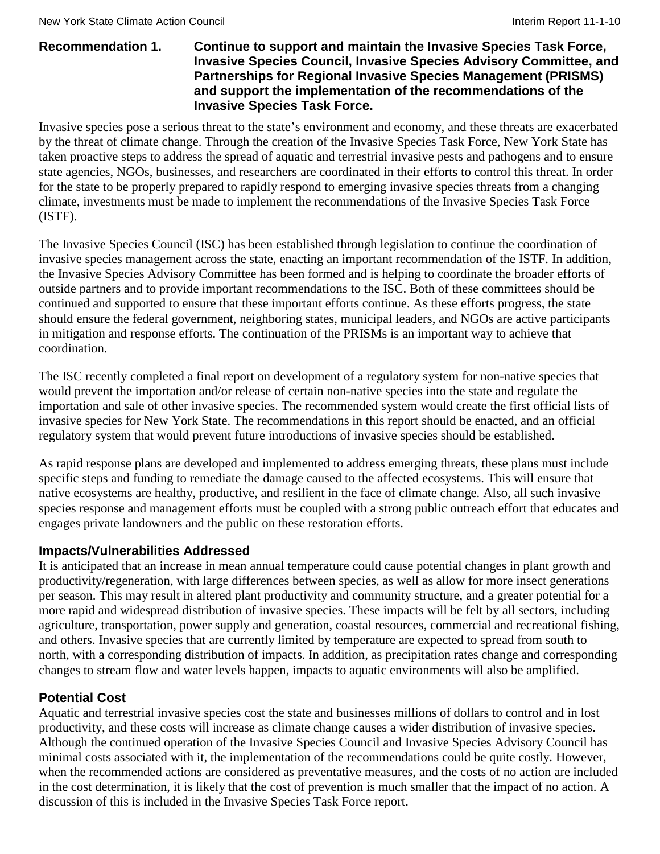#### **Recommendation 1. Continue to support and maintain the Invasive Species Task Force, Invasive Species Council, Invasive Species Advisory Committee, and Partnerships for Regional Invasive Species Management (PRISMS) and support the implementation of the recommendations of the Invasive Species Task Force.**

Invasive species pose a serious threat to the state's environment and economy, and these threats are exacerbated by the threat of climate change. Through the creation of the Invasive Species Task Force, New York State has taken proactive steps to address the spread of aquatic and terrestrial invasive pests and pathogens and to ensure state agencies, NGOs, businesses, and researchers are coordinated in their efforts to control this threat. In order for the state to be properly prepared to rapidly respond to emerging invasive species threats from a changing climate, investments must be made to implement the recommendations of the Invasive Species Task Force (ISTF).

The Invasive Species Council (ISC) has been established through legislation to continue the coordination of invasive species management across the state, enacting an important recommendation of the ISTF. In addition, the Invasive Species Advisory Committee has been formed and is helping to coordinate the broader efforts of outside partners and to provide important recommendations to the ISC. Both of these committees should be continued and supported to ensure that these important efforts continue. As these efforts progress, the state should ensure the federal government, neighboring states, municipal leaders, and NGOs are active participants in mitigation and response efforts. The continuation of the PRISMs is an important way to achieve that coordination.

The ISC recently completed a final report on development of a regulatory system for non-native species that would prevent the importation and/or release of certain non-native species into the state and regulate the importation and sale of other invasive species. The recommended system would create the first official lists of invasive species for New York State. The recommendations in this report should be enacted, and an official regulatory system that would prevent future introductions of invasive species should be established.

As rapid response plans are developed and implemented to address emerging threats, these plans must include specific steps and funding to remediate the damage caused to the affected ecosystems. This will ensure that native ecosystems are healthy, productive, and resilient in the face of climate change. Also, all such invasive species response and management efforts must be coupled with a strong public outreach effort that educates and engages private landowners and the public on these restoration efforts.

#### **Impacts/Vulnerabilities Addressed**

It is anticipated that an increase in mean annual temperature could cause potential changes in plant growth and productivity/regeneration, with large differences between species, as well as allow for more insect generations per season. This may result in altered plant productivity and community structure, and a greater potential for a more rapid and widespread distribution of invasive species. These impacts will be felt by all sectors, including agriculture, transportation, power supply and generation, coastal resources, commercial and recreational fishing, and others. Invasive species that are currently limited by temperature are expected to spread from south to north, with a corresponding distribution of impacts. In addition, as precipitation rates change and corresponding changes to stream flow and water levels happen, impacts to aquatic environments will also be amplified.

# **Potential Cost**

Aquatic and terrestrial invasive species cost the state and businesses millions of dollars to control and in lost productivity, and these costs will increase as climate change causes a wider distribution of invasive species. Although the continued operation of the Invasive Species Council and Invasive Species Advisory Council has minimal costs associated with it, the implementation of the recommendations could be quite costly. However, when the recommended actions are considered as preventative measures, and the costs of no action are included in the cost determination, it is likely that the cost of prevention is much smaller that the impact of no action. A discussion of this is included in the Invasive Species Task Force report.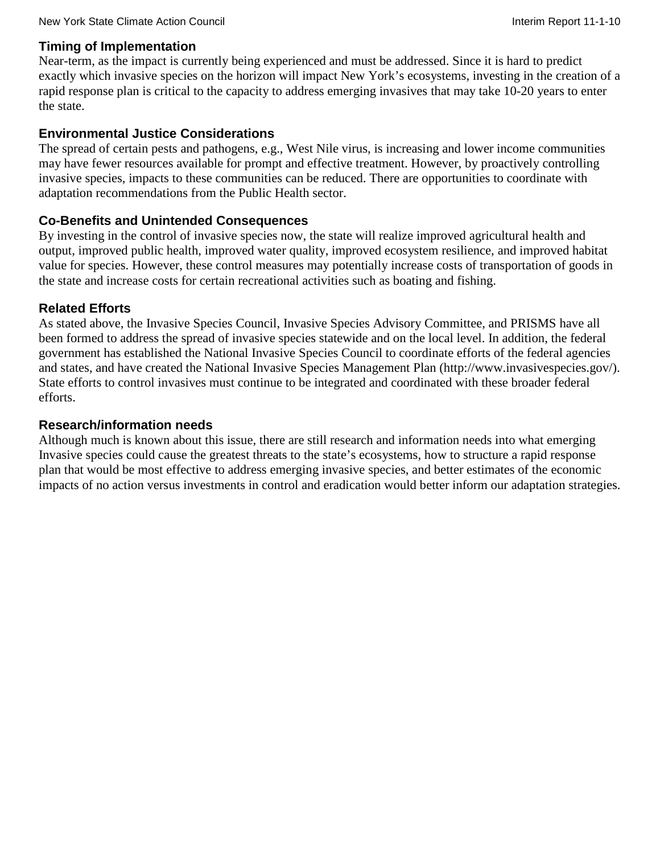#### **Timing of Implementation**

Near-term, as the impact is currently being experienced and must be addressed. Since it is hard to predict exactly which invasive species on the horizon will impact New York's ecosystems, investing in the creation of a rapid response plan is critical to the capacity to address emerging invasives that may take 10-20 years to enter the state.

#### **Environmental Justice Considerations**

The spread of certain pests and pathogens, e.g., West Nile virus, is increasing and lower income communities may have fewer resources available for prompt and effective treatment. However, by proactively controlling invasive species, impacts to these communities can be reduced. There are opportunities to coordinate with adaptation recommendations from the Public Health sector.

#### **Co-Benefits and Unintended Consequences**

By investing in the control of invasive species now, the state will realize improved agricultural health and output, improved public health, improved water quality, improved ecosystem resilience, and improved habitat value for species. However, these control measures may potentially increase costs of transportation of goods in the state and increase costs for certain recreational activities such as boating and fishing.

#### **Related Efforts**

As stated above, the Invasive Species Council, Invasive Species Advisory Committee, and PRISMS have all been formed to address the spread of invasive species statewide and on the local level. In addition, the federal government has established the National Invasive Species Council to coordinate efforts of the federal agencies and states, and have created the National Invasive Species Management Plan [\(http://www.invasivespecies.gov/\)](http://www.invasivespecies.gov/). State efforts to control invasives must continue to be integrated and coordinated with these broader federal efforts.

#### **Research/information needs**

Although much is known about this issue, there are still research and information needs into what emerging Invasive species could cause the greatest threats to the state's ecosystems, how to structure a rapid response plan that would be most effective to address emerging invasive species, and better estimates of the economic impacts of no action versus investments in control and eradication would better inform our adaptation strategies.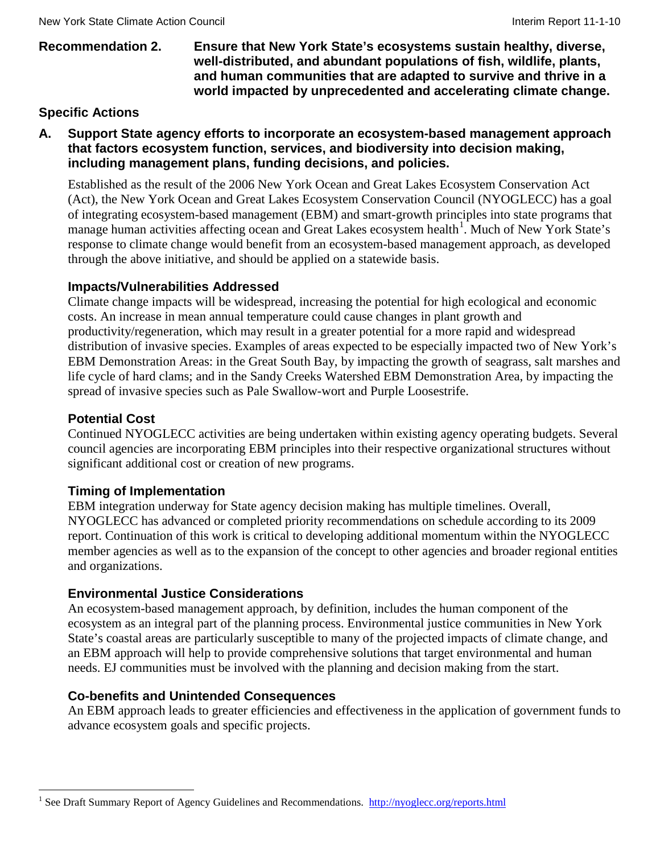#### **Recommendation 2. Ensure that New York State's ecosystems sustain healthy, diverse, well-distributed, and abundant populations of fish, wildlife, plants, and human communities that are adapted to survive and thrive in a world impacted by unprecedented and accelerating climate change.**

## **Specific Actions**

#### **A. Support State agency efforts to incorporate an ecosystem-based management approach that factors ecosystem function, services, and biodiversity into decision making, including management plans, funding decisions, and policies.**

Established as the result of the 2006 New York Ocean and Great Lakes Ecosystem Conservation Act (Act), the New York Ocean and Great Lakes Ecosystem Conservation Council (NYOGLECC) has a goal of integrating ecosystem-based management (EBM) and smart-growth principles into state programs that manage human activities affecting ocean and Great Lakes ecosystem health<sup>[1](#page-37-0)</sup>. Much of New York State's response to climate change would benefit from an ecosystem-based management approach, as developed through the above initiative, and should be applied on a statewide basis.

#### **Impacts/Vulnerabilities Addressed**

Climate change impacts will be widespread, increasing the potential for high ecological and economic costs. An increase in mean annual temperature could cause changes in plant growth and productivity/regeneration, which may result in a greater potential for a more rapid and widespread distribution of invasive species. Examples of areas expected to be especially impacted two of New York's EBM Demonstration Areas: in the Great South Bay, by impacting the growth of seagrass, salt marshes and life cycle of hard clams; and in the Sandy Creeks Watershed EBM Demonstration Area, by impacting the spread of invasive species such as Pale Swallow-wort and Purple Loosestrife.

#### **Potential Cost**

Continued NYOGLECC activities are being undertaken within existing agency operating budgets. Several council agencies are incorporating EBM principles into their respective organizational structures without significant additional cost or creation of new programs.

#### **Timing of Implementation**

EBM integration underway for State agency decision making has multiple timelines. Overall, NYOGLECC has advanced or completed priority recommendations on schedule according to its 2009 report. Continuation of this work is critical to developing additional momentum within the NYOGLECC member agencies as well as to the expansion of the concept to other agencies and broader regional entities and organizations.

#### **Environmental Justice Considerations**

An ecosystem-based management approach, by definition, includes the human component of the ecosystem as an integral part of the planning process. Environmental justice communities in New York State's coastal areas are particularly susceptible to many of the projected impacts of climate change, and an EBM approach will help to provide comprehensive solutions that target environmental and human needs. EJ communities must be involved with the planning and decision making from the start.

#### **Co-benefits and Unintended Consequences**

An EBM approach leads to greater efficiencies and effectiveness in the application of government funds to advance ecosystem goals and specific projects.

<span id="page-37-0"></span><sup>&</sup>lt;sup>1</sup> See Draft Summary Report of Agency Guidelines and Recommendations. <http://nyoglecc.org/reports.html>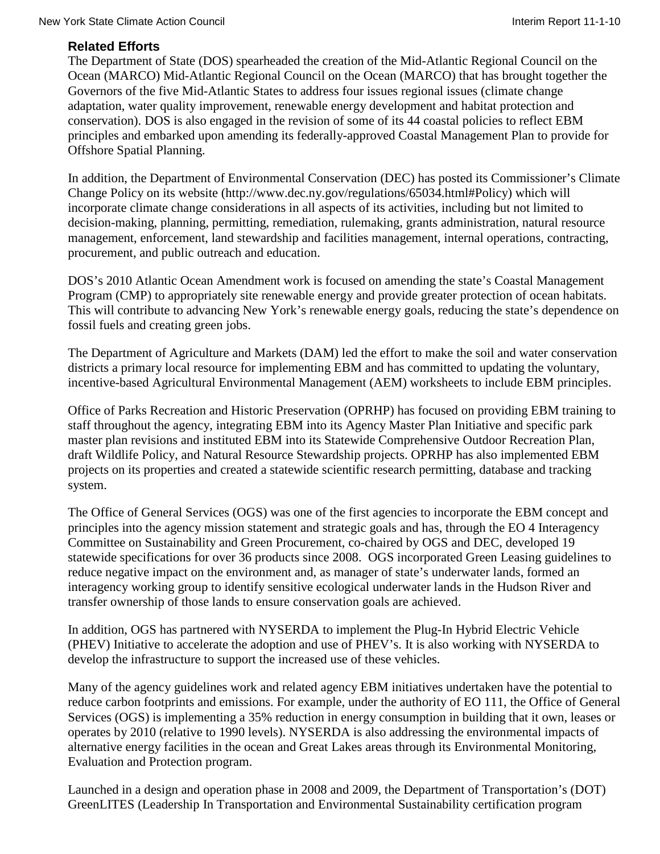## **Related Efforts**

The Department of State (DOS) spearheaded the creation of the Mid-Atlantic Regional Council on the Ocean (MARCO) [Mid-Atlantic Regional Council on the Ocean \(MARCO\)](http://www.midatlanticocean.org/) that has brought together the Governors of the five Mid-Atlantic States to address four issues regional issues (climate change adaptation, water quality improvement, renewable energy development and habitat protection and conservation). DOS is also engaged in the revision of some of its 44 coastal policies to reflect EBM principles and embarked upon amending its federally-approved Coastal Management Plan to provide for Offshore Spatial Planning.

In addition, the Department of Environmental Conservation (DEC) has posted its Commissioner's Climate Change Policy on its website [\(http://www.dec.ny.gov/regulations/65034.html#Policy\)](http://www.dec.ny.gov/regulations/65034.html) which will incorporate climate change considerations in all aspects of its activities, including but not limited to decision-making, planning, permitting, remediation, rulemaking, grants administration, natural resource management, enforcement, land stewardship and facilities management, internal operations, contracting, procurement, and public outreach and education.

DOS's 2010 Atlantic Ocean Amendment work is focused on amending the state's Coastal Management Program (CMP) to appropriately site renewable energy and provide greater protection of ocean habitats. This will contribute to advancing New York's renewable energy goals, reducing the state's dependence on fossil fuels and creating green jobs.

The Department of Agriculture and Markets (DAM) led the effort to make the soil and water conservation districts a primary local resource for implementing EBM and has committed to updating the voluntary, incentive-based Agricultural Environmental Management (AEM) worksheets to include EBM principles.

Office of Parks Recreation and Historic Preservation (OPRHP) has focused on providing EBM training to staff throughout the agency, integrating EBM into its Agency Master Plan Initiative and specific park master plan revisions and instituted EBM into its Statewide Comprehensive Outdoor Recreation Plan, draft Wildlife Policy, and Natural Resource Stewardship projects. OPRHP has also implemented EBM projects on its properties and created a statewide scientific research permitting, database and tracking system.

The Office of General Services (OGS) was one of the first agencies to incorporate the EBM concept and principles into the agency mission statement and strategic goals and has, through the EO 4 Interagency Committee on Sustainability and Green Procurement, co-chaired by OGS and DEC, developed 19 statewide specifications for over 36 products since 2008. OGS incorporated Green Leasing guidelines to reduce negative impact on the environment and, as manager of state's underwater lands, formed an interagency working group to identify sensitive ecological underwater lands in the Hudson River and transfer ownership of those lands to ensure conservation goals are achieved.

In addition, OGS has partnered with NYSERDA to implement the Plug-In Hybrid Electric Vehicle (PHEV) Initiative to accelerate the adoption and use of PHEV's. It is also working with NYSERDA to develop the infrastructure to support the increased use of these vehicles.

Many of the agency guidelines work and related agency EBM initiatives undertaken have the potential to reduce carbon footprints and emissions. For example, under the authority of EO 111, the Office of General Services (OGS) is implementing a 35% reduction in energy consumption in building that it own, leases or operates by 2010 (relative to 1990 levels). NYSERDA is also addressing the environmental impacts of alternative energy facilities in the ocean and Great Lakes areas through its Environmental Monitoring, Evaluation and Protection program.

Launched in a design and operation phase in 2008 and 2009, the Department of Transportation's (DOT) GreenLITES (Leadership In Transportation and Environmental Sustainability certification program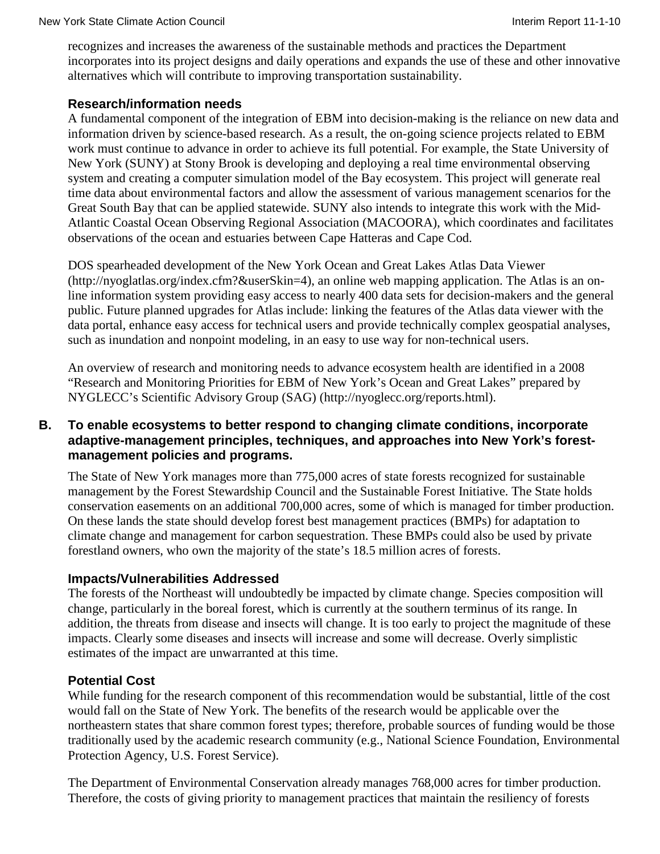recognizes and increases the awareness of the sustainable methods and practices the Department incorporates into its project designs and daily operations and expands the use of these and other innovative alternatives which will contribute to improving transportation sustainability.

#### **Research/information needs**

A fundamental component of the integration of EBM into decision-making is the reliance on new data and information driven by science-based research. As a result, the on-going science projects related to EBM work must continue to advance in order to achieve its full potential. For example, the State University of New York (SUNY) at Stony Brook is developing and deploying a real time environmental observing system and creating a computer simulation model of the Bay ecosystem. This project will generate real time data about environmental factors and allow the assessment of various management scenarios for the Great South Bay that can be applied statewide. SUNY also intends to integrate this work with the Mid-Atlantic Coastal Ocean Observing Regional Association (MACOORA), which coordinates and facilitates observations of the ocean and estuaries between Cape Hatteras and Cape Cod.

DOS spearheaded development of the New York Ocean and Great Lakes Atlas Data Viewer [\(http://nyoglatlas.org/index.cfm?&userSkin=4\)](http://nyoglatlas.org/index.cfm?&userSkin=4), an online web mapping application. The Atlas is an online information system providing easy access to nearly 400 data sets for decision-makers and the general public. Future planned upgrades for Atlas include: linking the features of the Atlas data viewer with the data portal, enhance easy access for technical users and provide technically complex geospatial analyses, such as inundation and nonpoint modeling, in an easy to use way for non-technical users.

An overview of research and monitoring needs to advance ecosystem health are identified in a 2008 "Research and Monitoring Priorities for EBM of New York's Ocean and Great Lakes" prepared by NYGLECC's Scientific Advisory Group (SAG) [\(http://nyoglecc.org/reports.html\)](http://nyoglecc.org/reports.html).

#### **B. To enable ecosystems to better respond to changing climate conditions, incorporate adaptive-management principles, techniques, and approaches into New York's forestmanagement policies and programs.**

The State of New York manages more than 775,000 acres of state forests recognized for sustainable management by the Forest Stewardship Council and the Sustainable Forest Initiative. The State holds conservation easements on an additional 700,000 acres, some of which is managed for timber production. On these lands the state should develop forest best management practices (BMPs) for adaptation to climate change and management for carbon sequestration. These BMPs could also be used by private forestland owners, who own the majority of the state's 18.5 million acres of forests.

#### **Impacts/Vulnerabilities Addressed**

The forests of the Northeast will undoubtedly be impacted by climate change. Species composition will change, particularly in the boreal forest, which is currently at the southern terminus of its range. In addition, the threats from disease and insects will change. It is too early to project the magnitude of these impacts. Clearly some diseases and insects will increase and some will decrease. Overly simplistic estimates of the impact are unwarranted at this time.

#### **Potential Cost**

While funding for the research component of this recommendation would be substantial, little of the cost would fall on the State of New York. The benefits of the research would be applicable over the northeastern states that share common forest types; therefore, probable sources of funding would be those traditionally used by the academic research community (e.g., National Science Foundation, Environmental Protection Agency, U.S. Forest Service).

The Department of Environmental Conservation already manages 768,000 acres for timber production. Therefore, the costs of giving priority to management practices that maintain the resiliency of forests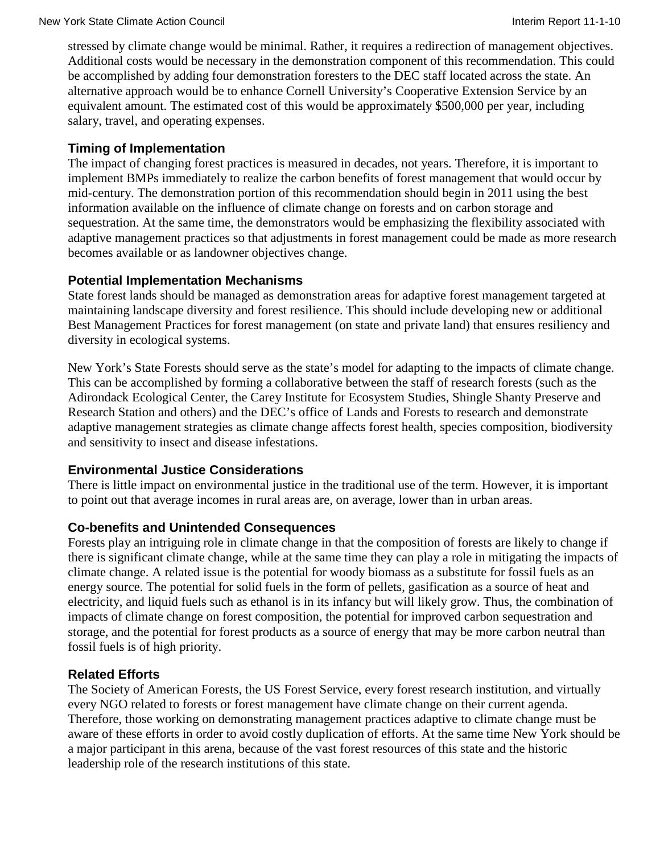stressed by climate change would be minimal. Rather, it requires a redirection of management objectives. Additional costs would be necessary in the demonstration component of this recommendation. This could be accomplished by adding four demonstration foresters to the DEC staff located across the state. An alternative approach would be to enhance Cornell University's Cooperative Extension Service by an equivalent amount. The estimated cost of this would be approximately \$500,000 per year, including salary, travel, and operating expenses.

## **Timing of Implementation**

The impact of changing forest practices is measured in decades, not years. Therefore, it is important to implement BMPs immediately to realize the carbon benefits of forest management that would occur by mid-century. The demonstration portion of this recommendation should begin in 2011 using the best information available on the influence of climate change on forests and on carbon storage and sequestration. At the same time, the demonstrators would be emphasizing the flexibility associated with adaptive management practices so that adjustments in forest management could be made as more research becomes available or as landowner objectives change.

## **Potential Implementation Mechanisms**

State forest lands should be managed as demonstration areas for adaptive forest management targeted at maintaining landscape diversity and forest resilience. This should include developing new or additional Best Management Practices for forest management (on state and private land) that ensures resiliency and diversity in ecological systems.

New York's State Forests should serve as the state's model for adapting to the impacts of climate change. This can be accomplished by forming a collaborative between the staff of research forests (such as the Adirondack Ecological Center, the Carey Institute for Ecosystem Studies, Shingle Shanty Preserve and Research Station and others) and the DEC's office of Lands and Forests to research and demonstrate adaptive management strategies as climate change affects forest health, species composition, biodiversity and sensitivity to insect and disease infestations.

## **Environmental Justice Considerations**

There is little impact on environmental justice in the traditional use of the term. However, it is important to point out that average incomes in rural areas are, on average, lower than in urban areas.

## **Co-benefits and Unintended Consequences**

Forests play an intriguing role in climate change in that the composition of forests are likely to change if there is significant climate change, while at the same time they can play a role in mitigating the impacts of climate change. A related issue is the potential for woody biomass as a substitute for fossil fuels as an energy source. The potential for solid fuels in the form of pellets, gasification as a source of heat and electricity, and liquid fuels such as ethanol is in its infancy but will likely grow. Thus, the combination of impacts of climate change on forest composition, the potential for improved carbon sequestration and storage, and the potential for forest products as a source of energy that may be more carbon neutral than fossil fuels is of high priority.

## **Related Efforts**

The Society of American Forests, the US Forest Service, every forest research institution, and virtually every NGO related to forests or forest management have climate change on their current agenda. Therefore, those working on demonstrating management practices adaptive to climate change must be aware of these efforts in order to avoid costly duplication of efforts. At the same time New York should be a major participant in this arena, because of the vast forest resources of this state and the historic leadership role of the research institutions of this state.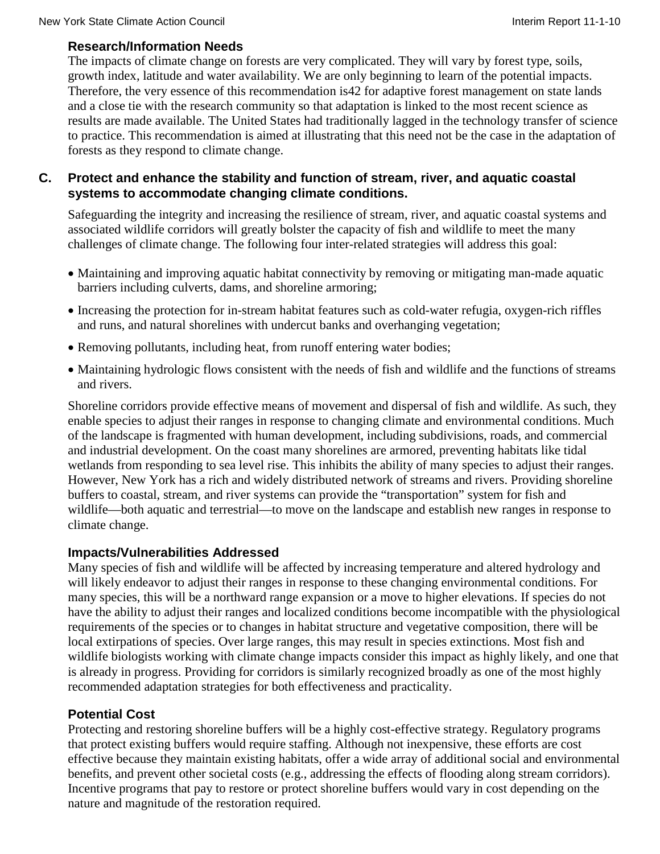# **Research/Information Needs**

The impacts of climate change on forests are very complicated. They will vary by forest type, soils, growth index, latitude and water availability. We are only beginning to learn of the potential impacts. Therefore, the very essence of this recommendation is42 for adaptive forest management on state lands and a close tie with the research community so that adaptation is linked to the most recent science as results are made available. The United States had traditionally lagged in the technology transfer of science to practice. This recommendation is aimed at illustrating that this need not be the case in the adaptation of forests as they respond to climate change.

## **C. Protect and enhance the stability and function of stream, river, and aquatic coastal systems to accommodate changing climate conditions.**

Safeguarding the integrity and increasing the resilience of stream, river, and aquatic coastal systems and associated wildlife corridors will greatly bolster the capacity of fish and wildlife to meet the many challenges of climate change. The following four inter-related strategies will address this goal:

- Maintaining and improving aquatic habitat connectivity by removing or mitigating man-made aquatic barriers including culverts, dams, and shoreline armoring;
- Increasing the protection for in-stream habitat features such as cold-water refugia, oxygen-rich riffles and runs, and natural shorelines with undercut banks and overhanging vegetation;
- Removing pollutants, including heat, from runoff entering water bodies;
- Maintaining hydrologic flows consistent with the needs of fish and wildlife and the functions of streams and rivers.

Shoreline corridors provide effective means of movement and dispersal of fish and wildlife. As such, they enable species to adjust their ranges in response to changing climate and environmental conditions. Much of the landscape is fragmented with human development, including subdivisions, roads, and commercial and industrial development. On the coast many shorelines are armored, preventing habitats like tidal wetlands from responding to sea level rise. This inhibits the ability of many species to adjust their ranges. However, New York has a rich and widely distributed network of streams and rivers. Providing shoreline buffers to coastal, stream, and river systems can provide the "transportation" system for fish and wildlife—both aquatic and terrestrial—to move on the landscape and establish new ranges in response to climate change.

# **Impacts/Vulnerabilities Addressed**

Many species of fish and wildlife will be affected by increasing temperature and altered hydrology and will likely endeavor to adjust their ranges in response to these changing environmental conditions. For many species, this will be a northward range expansion or a move to higher elevations. If species do not have the ability to adjust their ranges and localized conditions become incompatible with the physiological requirements of the species or to changes in habitat structure and vegetative composition, there will be local extirpations of species. Over large ranges, this may result in species extinctions. Most fish and wildlife biologists working with climate change impacts consider this impact as highly likely, and one that is already in progress. Providing for corridors is similarly recognized broadly as one of the most highly recommended adaptation strategies for both effectiveness and practicality.

# **Potential Cost**

Protecting and restoring shoreline buffers will be a highly cost-effective strategy. Regulatory programs that protect existing buffers would require staffing. Although not inexpensive, these efforts are cost effective because they maintain existing habitats, offer a wide array of additional social and environmental benefits, and prevent other societal costs (e.g., addressing the effects of flooding along stream corridors). Incentive programs that pay to restore or protect shoreline buffers would vary in cost depending on the nature and magnitude of the restoration required.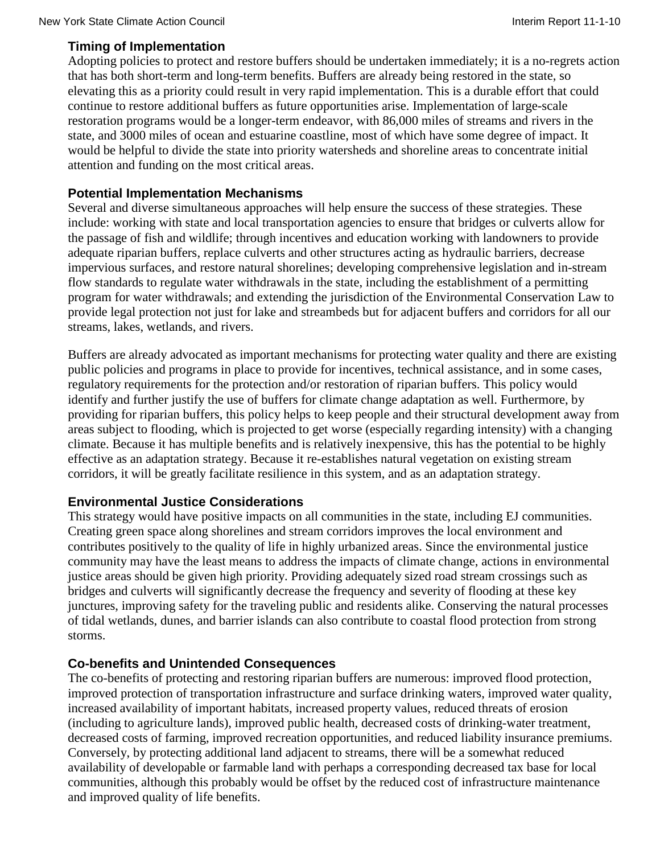## **Timing of Implementation**

Adopting policies to protect and restore buffers should be undertaken immediately; it is a no-regrets action that has both short-term and long-term benefits. Buffers are already being restored in the state, so elevating this as a priority could result in very rapid implementation. This is a durable effort that could continue to restore additional buffers as future opportunities arise. Implementation of large-scale restoration programs would be a longer-term endeavor, with 86,000 miles of streams and rivers in the state, and 3000 miles of ocean and estuarine coastline, most of which have some degree of impact. It would be helpful to divide the state into priority watersheds and shoreline areas to concentrate initial attention and funding on the most critical areas.

#### **Potential Implementation Mechanisms**

Several and diverse simultaneous approaches will help ensure the success of these strategies. These include: working with state and local transportation agencies to ensure that bridges or culverts allow for the passage of fish and wildlife; through incentives and education working with landowners to provide adequate riparian buffers, replace culverts and other structures acting as hydraulic barriers, decrease impervious surfaces, and restore natural shorelines; developing comprehensive legislation and in-stream flow standards to regulate water withdrawals in the state, including the establishment of a permitting program for water withdrawals; and extending the jurisdiction of the Environmental Conservation Law to provide legal protection not just for lake and streambeds but for adjacent buffers and corridors for all our streams, lakes, wetlands, and rivers.

Buffers are already advocated as important mechanisms for protecting water quality and there are existing public policies and programs in place to provide for incentives, technical assistance, and in some cases, regulatory requirements for the protection and/or restoration of riparian buffers. This policy would identify and further justify the use of buffers for climate change adaptation as well. Furthermore, by providing for riparian buffers, this policy helps to keep people and their structural development away from areas subject to flooding, which is projected to get worse (especially regarding intensity) with a changing climate. Because it has multiple benefits and is relatively inexpensive, this has the potential to be highly effective as an adaptation strategy. Because it re-establishes natural vegetation on existing stream corridors, it will be greatly facilitate resilience in this system, and as an adaptation strategy.

#### **Environmental Justice Considerations**

This strategy would have positive impacts on all communities in the state, including EJ communities. Creating green space along shorelines and stream corridors improves the local environment and contributes positively to the quality of life in highly urbanized areas. Since the environmental justice community may have the least means to address the impacts of climate change, actions in environmental justice areas should be given high priority. Providing adequately sized road stream crossings such as bridges and culverts will significantly decrease the frequency and severity of flooding at these key junctures, improving safety for the traveling public and residents alike. Conserving the natural processes of tidal wetlands, dunes, and barrier islands can also contribute to coastal flood protection from strong storms.

## **Co-benefits and Unintended Consequences**

The co-benefits of protecting and restoring riparian buffers are numerous: improved flood protection, improved protection of transportation infrastructure and surface drinking waters, improved water quality, increased availability of important habitats, increased property values, reduced threats of erosion (including to agriculture lands), improved public health, decreased costs of drinking-water treatment, decreased costs of farming, improved recreation opportunities, and reduced liability insurance premiums. Conversely, by protecting additional land adjacent to streams, there will be a somewhat reduced availability of developable or farmable land with perhaps a corresponding decreased tax base for local communities, although this probably would be offset by the reduced cost of infrastructure maintenance and improved quality of life benefits.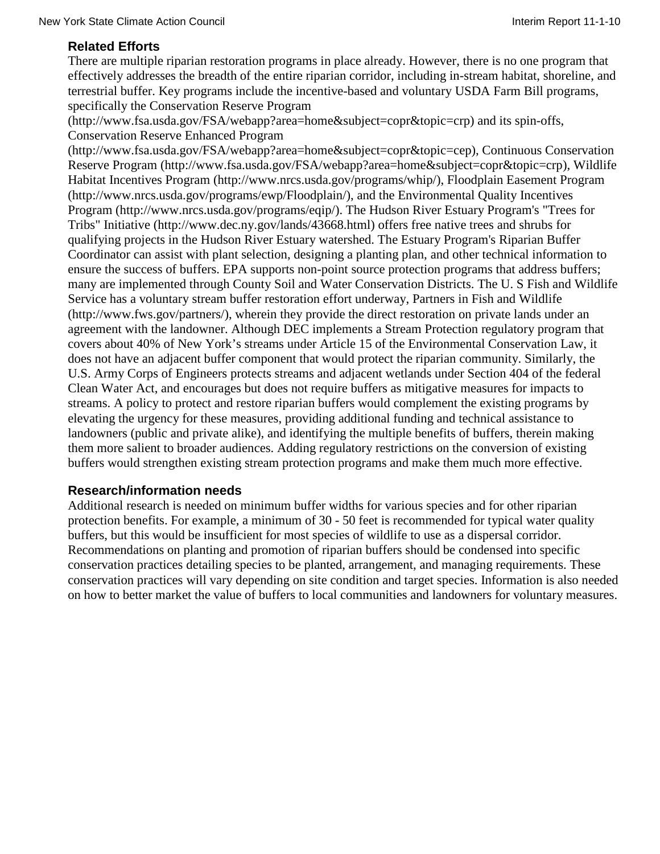## **Related Efforts**

There are multiple riparian restoration programs in place already. However, there is no one program that effectively addresses the breadth of the entire riparian corridor, including in-stream habitat, shoreline, and terrestrial buffer. Key programs include the incentive-based and voluntary USDA Farm Bill programs, specifically the Conservation Reserve Program

[\(http://www.fsa.usda.gov/FSA/webapp?area=home&subject=copr&topic=crp\)](http://www.fsa.usda.gov/FSA/webapp?area=home&subject=copr&topic=crp) and its spin-offs, Conservation Reserve Enhanced Program

(http://www.fsa.usda.gov/FSA/webapp?area=home&subject=copr&topic=cep), Continuous Conservation Reserve Program (http://www.fsa.usda.gov/FSA/webapp?area=home&subject=copr&topic=crp), Wildlife Habitat Incentives Program (http://www.nrcs.usda.gov/programs/whip/), Floodplain Easement Program (http://www.nrcs.usda.gov/programs/ewp/Floodplain/), and the Environmental Quality Incentives Program (http://www.nrcs.usda.gov/programs/eqip/). The Hudson River Estuary Program's "Trees for Tribs" Initiative (http://www.dec.ny.gov/lands/43668.html) offers free native trees and shrubs for qualifying projects in the Hudson River Estuary watershed. The Estuary Program's Riparian Buffer Coordinator can assist with plant selection, designing a planting plan, and other technical information to ensure the success of buffers. EPA supports non-point source protection programs that address buffers; many are implemented through County Soil and Water Conservation Districts. The U. S Fish and Wildlife Service has a voluntary stream buffer restoration effort underway, Partners in Fish and Wildlife (http://www.fws.gov/partners/), wherein they provide the direct restoration on private lands under an agreement with the landowner. Although DEC implements a Stream Protection regulatory program that covers about 40% of New York's streams under Article 15 of the Environmental Conservation Law, it does not have an adjacent buffer component that would protect the riparian community. Similarly, the U.S. Army Corps of Engineers protects streams and adjacent wetlands under Section 404 of the federal Clean Water Act, and encourages but does not require buffers as mitigative measures for impacts to streams. A policy to protect and restore riparian buffers would complement the existing programs by elevating the urgency for these measures, providing additional funding and technical assistance to landowners (public and private alike), and identifying the multiple benefits of buffers, therein making them more salient to broader audiences. Adding regulatory restrictions on the conversion of existing buffers would strengthen existing stream protection programs and make them much more effective.

#### **Research/information needs**

Additional research is needed on minimum buffer widths for various species and for other riparian protection benefits. For example, a minimum of 30 - 50 feet is recommended for typical water quality buffers, but this would be insufficient for most species of wildlife to use as a dispersal corridor. Recommendations on planting and promotion of riparian buffers should be condensed into specific conservation practices detailing species to be planted, arrangement, and managing requirements. These conservation practices will vary depending on site condition and target species. Information is also needed on how to better market the value of buffers to local communities and landowners for voluntary measures.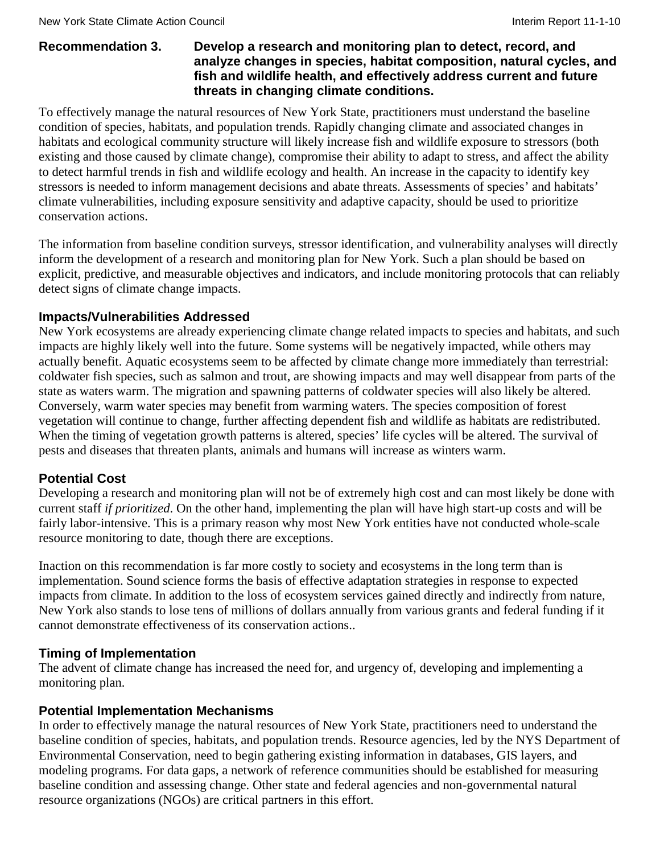#### **Recommendation 3. Develop a research and monitoring plan to detect, record, and analyze changes in species, habitat composition, natural cycles, and fish and wildlife health, and effectively address current and future threats in changing climate conditions.**

To effectively manage the natural resources of New York State, practitioners must understand the baseline condition of species, habitats, and population trends. Rapidly changing climate and associated changes in habitats and ecological community structure will likely increase fish and wildlife exposure to stressors (both existing and those caused by climate change), compromise their ability to adapt to stress, and affect the ability to detect harmful trends in fish and wildlife ecology and health. An increase in the capacity to identify key stressors is needed to inform management decisions and abate threats. Assessments of species' and habitats' climate vulnerabilities, including exposure sensitivity and adaptive capacity, should be used to prioritize conservation actions.

The information from baseline condition surveys, stressor identification, and vulnerability analyses will directly inform the development of a research and monitoring plan for New York. Such a plan should be based on explicit, predictive, and measurable objectives and indicators, and include monitoring protocols that can reliably detect signs of climate change impacts.

#### **Impacts/Vulnerabilities Addressed**

New York ecosystems are already experiencing climate change related impacts to species and habitats, and such impacts are highly likely well into the future. Some systems will be negatively impacted, while others may actually benefit. Aquatic ecosystems seem to be affected by climate change more immediately than terrestrial: coldwater fish species, such as salmon and trout, are showing impacts and may well disappear from parts of the state as waters warm. The migration and spawning patterns of coldwater species will also likely be altered. Conversely, warm water species may benefit from warming waters. The species composition of forest vegetation will continue to change, further affecting dependent fish and wildlife as habitats are redistributed. When the timing of vegetation growth patterns is altered, species' life cycles will be altered. The survival of pests and diseases that threaten plants, animals and humans will increase as winters warm.

#### **Potential Cost**

Developing a research and monitoring plan will not be of extremely high cost and can most likely be done with current staff *if prioritized*. On the other hand, implementing the plan will have high start-up costs and will be fairly labor-intensive. This is a primary reason why most New York entities have not conducted whole-scale resource monitoring to date, though there are exceptions.

Inaction on this recommendation is far more costly to society and ecosystems in the long term than is implementation. Sound science forms the basis of effective adaptation strategies in response to expected impacts from climate. In addition to the loss of ecosystem services gained directly and indirectly from nature, New York also stands to lose tens of millions of dollars annually from various grants and federal funding if it cannot demonstrate effectiveness of its conservation actions..

#### **Timing of Implementation**

The advent of climate change has increased the need for, and urgency of, developing and implementing a monitoring plan.

#### **Potential Implementation Mechanisms**

In order to effectively manage the natural resources of New York State, practitioners need to understand the baseline condition of species, habitats, and population trends. Resource agencies, led by the NYS Department of Environmental Conservation, need to begin gathering existing information in databases, GIS layers, and modeling programs. For data gaps, a network of reference communities should be established for measuring baseline condition and assessing change. Other state and federal agencies and non-governmental natural resource organizations (NGOs) are critical partners in this effort.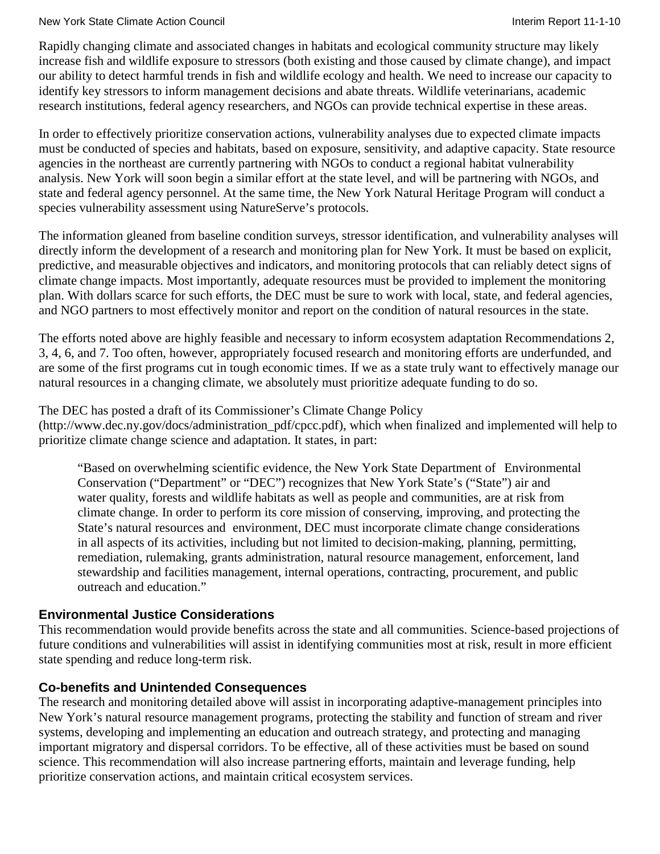#### New York State Climate Action Council **Interimental Interim Report 11-1-10** New York State Climate Action Council

Rapidly changing climate and associated changes in habitats and ecological community structure may likely increase fish and wildlife exposure to stressors (both existing and those caused by climate change), and impact our ability to detect harmful trends in fish and wildlife ecology and health. We need to increase our capacity to identify key stressors to inform management decisions and abate threats. Wildlife veterinarians, academic research institutions, federal agency researchers, and NGOs can provide technical expertise in these areas.

In order to effectively prioritize conservation actions, vulnerability analyses due to expected climate impacts must be conducted of species and habitats, based on exposure, sensitivity, and adaptive capacity. State resource agencies in the northeast are currently partnering with NGOs to conduct a regional habitat vulnerability analysis. New York will soon begin a similar effort at the state level, and will be partnering with NGOs, and state and federal agency personnel. At the same time, the New York Natural Heritage Program will conduct a species vulnerability assessment using NatureServe's protocols.

The information gleaned from baseline condition surveys, stressor identification, and vulnerability analyses will directly inform the development of a research and monitoring plan for New York. It must be based on explicit, predictive, and measurable objectives and indicators, and monitoring protocols that can reliably detect signs of climate change impacts. Most importantly, adequate resources must be provided to implement the monitoring plan. With dollars scarce for such efforts, the DEC must be sure to work with local, state, and federal agencies, and NGO partners to most effectively monitor and report on the condition of natural resources in the state.

The efforts noted above are highly feasible and necessary to inform ecosystem adaptation Recommendations 2, 3, 4, 6, and 7. Too often, however, appropriately focused research and monitoring efforts are underfunded, and are some of the first programs cut in tough economic times. If we as a state truly want to effectively manage our natural resources in a changing climate, we absolutely must prioritize adequate funding to do so.

The DEC has posted a draft of its Commissioner's Climate Change Policy

[\(http://www.dec.ny.gov/docs/administration\\_pdf/cpcc.pdf\)](http://www.dec.ny.gov/docs/administration_pdf/cpcc.pdf), which when finalized and implemented will help to prioritize climate change science and adaptation. It states, in part:

"Based on overwhelming scientific evidence, the New York State Department of Environmental Conservation ("Department" or "DEC") recognizes that New York State's ("State") air and water quality, forests and wildlife habitats as well as people and communities, are at risk from climate change. In order to perform its core mission of conserving, improving, and protecting the State's natural resources and environment, DEC must incorporate climate change considerations in all aspects of its activities, including but not limited to decision-making, planning, permitting, remediation, rulemaking, grants administration, natural resource management, enforcement, land stewardship and facilities management, internal operations, contracting, procurement, and public outreach and education."

## **Environmental Justice Considerations**

This recommendation would provide benefits across the state and all communities. Science-based projections of future conditions and vulnerabilities will assist in identifying communities most at risk, result in more efficient state spending and reduce long-term risk.

# **Co-benefits and Unintended Consequences**

The research and monitoring detailed above will assist in incorporating adaptive-management principles into New York's natural resource management programs, protecting the stability and function of stream and river systems, developing and implementing an education and outreach strategy, and protecting and managing important migratory and dispersal corridors. To be effective, all of these activities must be based on sound science. This recommendation will also increase partnering efforts, maintain and leverage funding, help prioritize conservation actions, and maintain critical ecosystem services.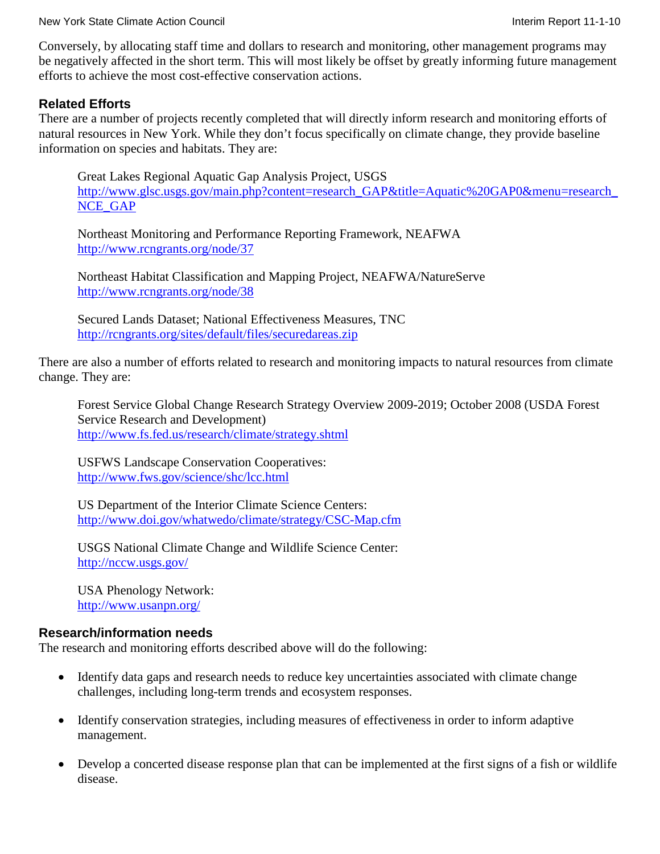Conversely, by allocating staff time and dollars to research and monitoring, other management programs may be negatively affected in the short term. This will most likely be offset by greatly informing future management efforts to achieve the most cost-effective conservation actions.

#### **Related Efforts**

There are a number of projects recently completed that will directly inform research and monitoring efforts of natural resources in New York. While they don't focus specifically on climate change, they provide baseline information on species and habitats. They are:

Great Lakes Regional Aquatic Gap Analysis Project, USGS [http://www.glsc.usgs.gov/main.php?content=research\\_GAP&title=Aquatic%20GAP0&menu=research\\_](http://www.glsc.usgs.gov/main.php?content=research_GAP&title=Aquatic%20GAP0&menu=research_NCE_GAP) [NCE\\_GAP](http://www.glsc.usgs.gov/main.php?content=research_GAP&title=Aquatic%20GAP0&menu=research_NCE_GAP) 

Northeast Monitoring and Performance Reporting Framework, NEAFWA <http://www.rcngrants.org/node/37>

Northeast Habitat Classification and Mapping Project, NEAFWA/NatureServe <http://www.rcngrants.org/node/38>

Secured Lands Dataset; National Effectiveness Measures, TNC <http://rcngrants.org/sites/default/files/securedareas.zip>

There are also a number of efforts related to research and monitoring impacts to natural resources from climate change. They are:

Forest Service Global Change Research Strategy Overview 2009-2019; October 2008 (USDA Forest Service Research and Development) <http://www.fs.fed.us/research/climate/strategy.shtml>

USFWS Landscape Conservation Cooperatives: <http://www.fws.gov/science/shc/lcc.html>

US Department of the Interior Climate Science Centers: <http://www.doi.gov/whatwedo/climate/strategy/CSC-Map.cfm>

USGS National Climate Change and Wildlife Science Center: <http://nccw.usgs.gov/>

USA Phenology Network: <http://www.usanpn.org/>

#### **Research/information needs**

The research and monitoring efforts described above will do the following:

- Identify data gaps and research needs to reduce key uncertainties associated with climate change challenges, including long-term trends and ecosystem responses.
- Identify conservation strategies, including measures of effectiveness in order to inform adaptive management.
- Develop a concerted disease response plan that can be implemented at the first signs of a fish or wildlife disease.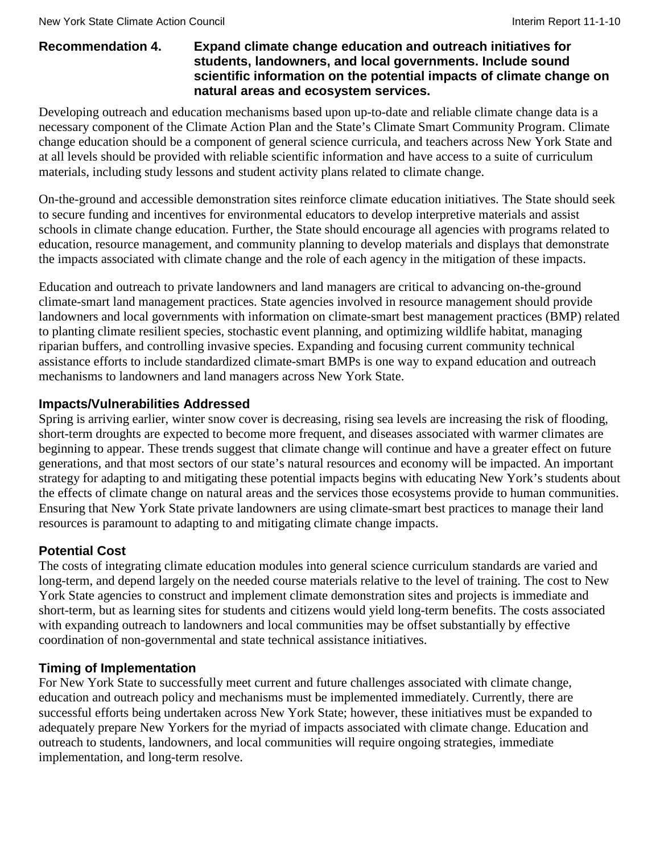#### **Recommendation 4. Expand climate change education and outreach initiatives for students, landowners, and local governments. Include sound scientific information on the potential impacts of climate change on natural areas and ecosystem services.**

Developing outreach and education mechanisms based upon up-to-date and reliable climate change data is a necessary component of the Climate Action Plan and the State's Climate Smart Community Program. Climate change education should be a component of general science curricula, and teachers across New York State and at all levels should be provided with reliable scientific information and have access to a suite of curriculum materials, including study lessons and student activity plans related to climate change.

On-the-ground and accessible demonstration sites reinforce climate education initiatives. The State should seek to secure funding and incentives for environmental educators to develop interpretive materials and assist schools in climate change education. Further, the State should encourage all agencies with programs related to education, resource management, and community planning to develop materials and displays that demonstrate the impacts associated with climate change and the role of each agency in the mitigation of these impacts.

Education and outreach to private landowners and land managers are critical to advancing on-the-ground climate-smart land management practices. State agencies involved in resource management should provide landowners and local governments with information on climate-smart best management practices (BMP) related to planting climate resilient species, stochastic event planning, and optimizing wildlife habitat, managing riparian buffers, and controlling invasive species. Expanding and focusing current community technical assistance efforts to include standardized climate-smart BMPs is one way to expand education and outreach mechanisms to landowners and land managers across New York State.

#### **Impacts/Vulnerabilities Addressed**

Spring is arriving earlier, winter snow cover is decreasing, rising sea levels are increasing the risk of flooding, short-term droughts are expected to become more frequent, and diseases associated with warmer climates are beginning to appear. These trends suggest that climate change will continue and have a greater effect on future generations, and that most sectors of our state's natural resources and economy will be impacted. An important strategy for adapting to and mitigating these potential impacts begins with educating New York's students about the effects of climate change on natural areas and the services those ecosystems provide to human communities. Ensuring that New York State private landowners are using climate-smart best practices to manage their land resources is paramount to adapting to and mitigating climate change impacts.

## **Potential Cost**

The costs of integrating climate education modules into general science curriculum standards are varied and long-term, and depend largely on the needed course materials relative to the level of training. The cost to New York State agencies to construct and implement climate demonstration sites and projects is immediate and short-term, but as learning sites for students and citizens would yield long-term benefits. The costs associated with expanding outreach to landowners and local communities may be offset substantially by effective coordination of non-governmental and state technical assistance initiatives.

#### **Timing of Implementation**

For New York State to successfully meet current and future challenges associated with climate change, education and outreach policy and mechanisms must be implemented immediately. Currently, there are successful efforts being undertaken across New York State; however, these initiatives must be expanded to adequately prepare New Yorkers for the myriad of impacts associated with climate change. Education and outreach to students, landowners, and local communities will require ongoing strategies, immediate implementation, and long-term resolve.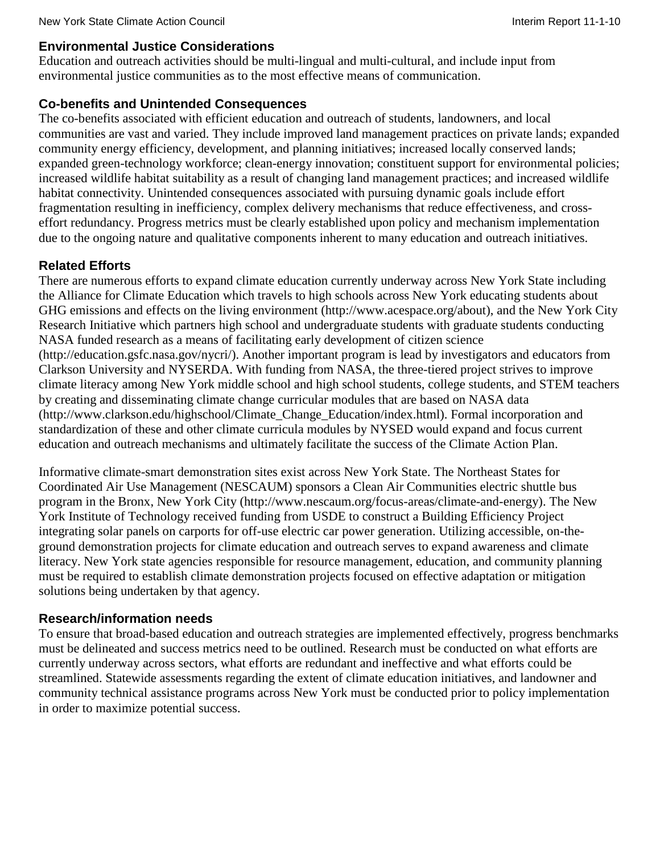#### **Environmental Justice Considerations**

Education and outreach activities should be multi-lingual and multi-cultural, and include input from environmental justice communities as to the most effective means of communication.

#### **Co-benefits and Unintended Consequences**

The co-benefits associated with efficient education and outreach of students, landowners, and local communities are vast and varied. They include improved land management practices on private lands; expanded community energy efficiency, development, and planning initiatives; increased locally conserved lands; expanded green-technology workforce; clean-energy innovation; constituent support for environmental policies; increased wildlife habitat suitability as a result of changing land management practices; and increased wildlife habitat connectivity. Unintended consequences associated with pursuing dynamic goals include effort fragmentation resulting in inefficiency, complex delivery mechanisms that reduce effectiveness, and crosseffort redundancy. Progress metrics must be clearly established upon policy and mechanism implementation due to the ongoing nature and qualitative components inherent to many education and outreach initiatives.

## **Related Efforts**

There are numerous efforts to expand climate education currently underway across New York State including the Alliance for Climate Education which travels to high schools across New York educating students about GHG emissions and effects on the living environment [\(http://www.acespace.org/about\)](http://www.acespace.org/about), and the New York City Research Initiative which partners high school and undergraduate students with graduate students conducting NASA funded research as a means of facilitating early development of citizen science [\(http://education.gsfc.nasa.gov/nycri/\)](http://education.gsfc.nasa.gov/nycri/). Another important program is lead by investigators and educators from Clarkson University and NYSERDA. With funding from NASA, the three-tiered project strives to improve climate literacy among New York middle school and high school students, college students, and STEM teachers by creating and disseminating climate change curricular modules that are based on NASA data [\(http://www.clarkson.edu/highschool/Climate\\_Change\\_Education/index.html\)](http://www.clarkson.edu/highschool/Climate_Change_Education/index.html). Formal incorporation and standardization of these and other climate curricula modules by NYSED would expand and focus current education and outreach mechanisms and ultimately facilitate the success of the Climate Action Plan.

Informative climate-smart demonstration sites exist across New York State. The Northeast States for Coordinated Air Use Management (NESCAUM) sponsors a Clean Air Communities electric shuttle bus program in the Bronx, New York City [\(http://www.nescaum.org/focus-areas/climate-and-energy\)](http://www.nescaum.org/focus-areas/climate-and-energy). The New York Institute of Technology received funding from USDE to construct a Building Efficiency Project integrating solar panels on carports for off-use electric car power generation. Utilizing accessible, on-theground demonstration projects for climate education and outreach serves to expand awareness and climate literacy. New York state agencies responsible for resource management, education, and community planning must be required to establish climate demonstration projects focused on effective adaptation or mitigation solutions being undertaken by that agency.

#### **Research/information needs**

To ensure that broad-based education and outreach strategies are implemented effectively, progress benchmarks must be delineated and success metrics need to be outlined. Research must be conducted on what efforts are currently underway across sectors, what efforts are redundant and ineffective and what efforts could be streamlined. Statewide assessments regarding the extent of climate education initiatives, and landowner and community technical assistance programs across New York must be conducted prior to policy implementation in order to maximize potential success.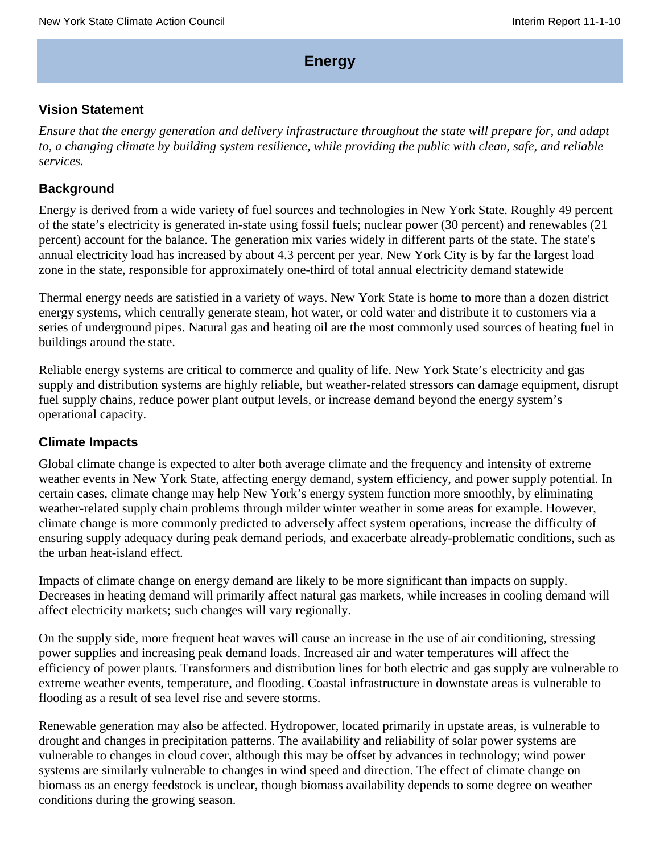## **Energy**

#### **Vision Statement**

*Ensure that the energy generation and delivery infrastructure throughout the state will prepare for, and adapt to, a changing climate by building system resilience, while providing the public with clean, safe, and reliable services.*

#### **Background**

Energy is derived from a wide variety of fuel sources and technologies in New York State. Roughly 49 percent of the state's electricity is generated in-state using fossil fuels; nuclear power (30 percent) and renewables (21 percent) account for the balance. The generation mix varies widely in different parts of the state. The state's annual electricity load has increased by about 4.3 percent per year. New York City is by far the largest load zone in the state, responsible for approximately one-third of total annual electricity demand statewide

Thermal energy needs are satisfied in a variety of ways. New York State is home to more than a dozen district energy systems, which centrally generate steam, hot water, or cold water and distribute it to customers via a series of underground pipes. Natural gas and heating oil are the most commonly used sources of heating fuel in buildings around the state.

Reliable energy systems are critical to commerce and quality of life. New York State's electricity and gas supply and distribution systems are highly reliable, but weather-related stressors can damage equipment, disrupt fuel supply chains, reduce power plant output levels, or increase demand beyond the energy system's operational capacity.

#### **Climate Impacts**

Global climate change is expected to alter both average climate and the frequency and intensity of extreme weather events in New York State, affecting energy demand, system efficiency, and power supply potential. In certain cases, climate change may help New York's energy system function more smoothly, by eliminating weather-related supply chain problems through milder winter weather in some areas for example. However, climate change is more commonly predicted to adversely affect system operations, increase the difficulty of ensuring supply adequacy during peak demand periods, and exacerbate already-problematic conditions, such as the urban heat-island effect.

Impacts of climate change on energy demand are likely to be more significant than impacts on supply. Decreases in heating demand will primarily affect natural gas markets, while increases in cooling demand will affect electricity markets; such changes will vary regionally.

On the supply side, more frequent heat waves will cause an increase in the use of air conditioning, stressing power supplies and increasing peak demand loads. Increased air and water temperatures will affect the efficiency of power plants. Transformers and distribution lines for both electric and gas supply are vulnerable to extreme weather events, temperature, and flooding. Coastal infrastructure in downstate areas is vulnerable to flooding as a result of sea level rise and severe storms.

Renewable generation may also be affected. Hydropower, located primarily in upstate areas, is vulnerable to drought and changes in precipitation patterns. The availability and reliability of solar power systems are vulnerable to changes in cloud cover, although this may be offset by advances in technology; wind power systems are similarly vulnerable to changes in wind speed and direction. The effect of climate change on biomass as an energy feedstock is unclear, though biomass availability depends to some degree on weather conditions during the growing season.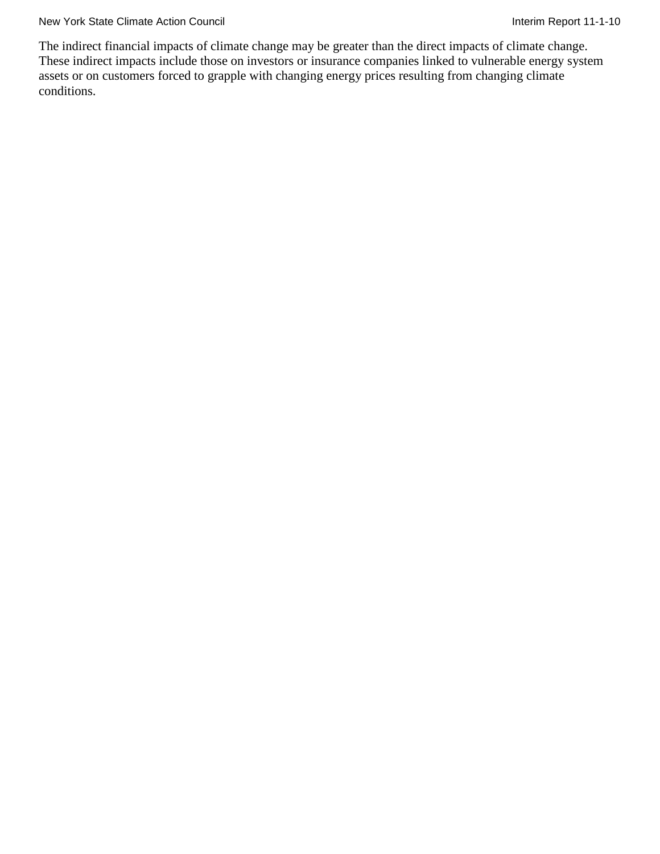New York State Climate Action Council **Interim Report 11-1-10** Interim Report 11-1-10

The indirect financial impacts of climate change may be greater than the direct impacts of climate change. These indirect impacts include those on investors or insurance companies linked to vulnerable energy system assets or on customers forced to grapple with changing energy prices resulting from changing climate conditions.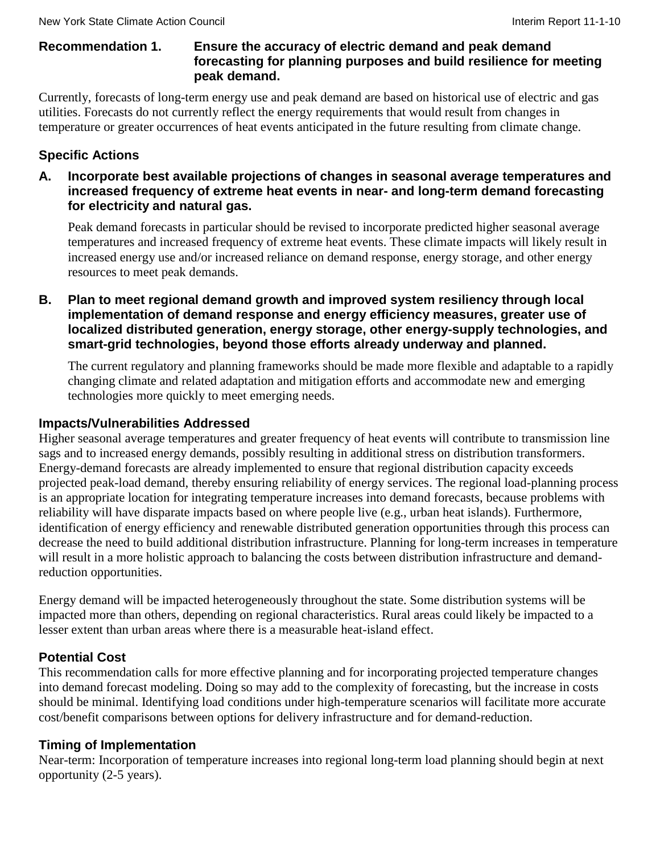## **Recommendation 1. Ensure the accuracy of electric demand and peak demand forecasting for planning purposes and build resilience for meeting peak demand.**

Currently, forecasts of long-term energy use and peak demand are based on historical use of electric and gas utilities. Forecasts do not currently reflect the energy requirements that would result from changes in temperature or greater occurrences of heat events anticipated in the future resulting from climate change.

# **Specific Actions**

**A. Incorporate best available projections of changes in seasonal average temperatures and increased frequency of extreme heat events in near- and long-term demand forecasting for electricity and natural gas.**

Peak demand forecasts in particular should be revised to incorporate predicted higher seasonal average temperatures and increased frequency of extreme heat events. These climate impacts will likely result in increased energy use and/or increased reliance on demand response, energy storage, and other energy resources to meet peak demands.

**B. Plan to meet regional demand growth and improved system resiliency through local implementation of demand response and energy efficiency measures, greater use of localized distributed generation, energy storage, other energy-supply technologies, and smart-grid technologies, beyond those efforts already underway and planned.**

The current regulatory and planning frameworks should be made more flexible and adaptable to a rapidly changing climate and related adaptation and mitigation efforts and accommodate new and emerging technologies more quickly to meet emerging needs.

#### **Impacts/Vulnerabilities Addressed**

Higher seasonal average temperatures and greater frequency of heat events will contribute to transmission line sags and to increased energy demands, possibly resulting in additional stress on distribution transformers. Energy-demand forecasts are already implemented to ensure that regional distribution capacity exceeds projected peak-load demand, thereby ensuring reliability of energy services. The regional load-planning process is an appropriate location for integrating temperature increases into demand forecasts, because problems with reliability will have disparate impacts based on where people live (e.g., urban heat islands). Furthermore, identification of energy efficiency and renewable distributed generation opportunities through this process can decrease the need to build additional distribution infrastructure. Planning for long-term increases in temperature will result in a more holistic approach to balancing the costs between distribution infrastructure and demandreduction opportunities.

Energy demand will be impacted heterogeneously throughout the state. Some distribution systems will be impacted more than others, depending on regional characteristics. Rural areas could likely be impacted to a lesser extent than urban areas where there is a measurable heat-island effect.

## **Potential Cost**

This recommendation calls for more effective planning and for incorporating projected temperature changes into demand forecast modeling. Doing so may add to the complexity of forecasting, but the increase in costs should be minimal. Identifying load conditions under high-temperature scenarios will facilitate more accurate cost/benefit comparisons between options for delivery infrastructure and for demand-reduction.

## **Timing of Implementation**

Near-term: Incorporation of temperature increases into regional long-term load planning should begin at next opportunity (2-5 years).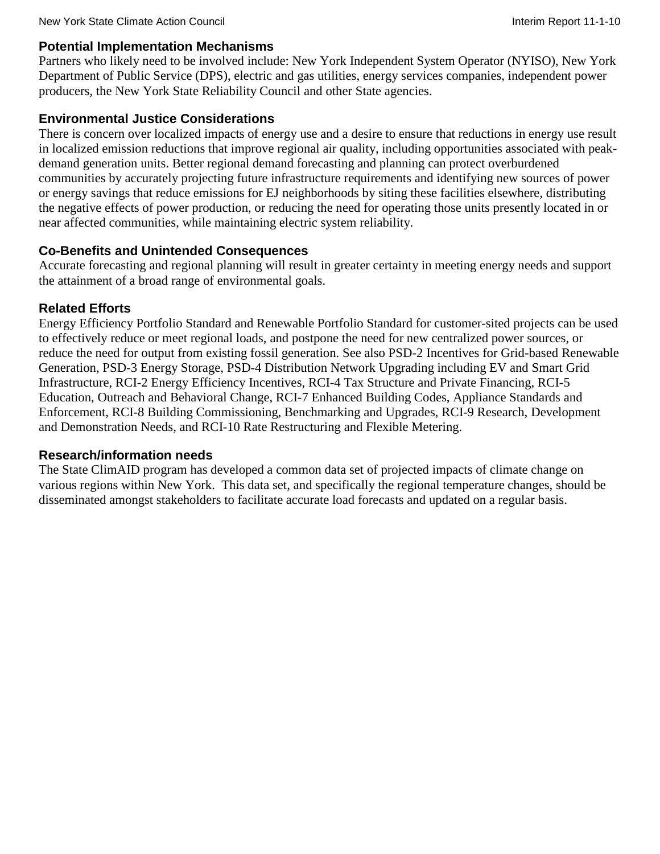#### **Potential Implementation Mechanisms**

Partners who likely need to be involved include: New York Independent System Operator (NYISO), New York Department of Public Service (DPS), electric and gas utilities, energy services companies, independent power producers, the New York State Reliability Council and other State agencies.

## **Environmental Justice Considerations**

There is concern over localized impacts of energy use and a desire to ensure that reductions in energy use result in localized emission reductions that improve regional air quality, including opportunities associated with peakdemand generation units. Better regional demand forecasting and planning can protect overburdened communities by accurately projecting future infrastructure requirements and identifying new sources of power or energy savings that reduce emissions for EJ neighborhoods by siting these facilities elsewhere, distributing the negative effects of power production, or reducing the need for operating those units presently located in or near affected communities, while maintaining electric system reliability.

#### **Co-Benefits and Unintended Consequences**

Accurate forecasting and regional planning will result in greater certainty in meeting energy needs and support the attainment of a broad range of environmental goals.

#### **Related Efforts**

Energy Efficiency Portfolio Standard and Renewable Portfolio Standard for customer-sited projects can be used to effectively reduce or meet regional loads, and postpone the need for new centralized power sources, or reduce the need for output from existing fossil generation. See also PSD-2 Incentives for Grid-based Renewable Generation, PSD-3 Energy Storage, PSD-4 Distribution Network Upgrading including EV and Smart Grid Infrastructure, RCI-2 Energy Efficiency Incentives, RCI-4 Tax Structure and Private Financing, RCI-5 Education, Outreach and Behavioral Change, RCI-7 Enhanced Building Codes, Appliance Standards and Enforcement, RCI-8 Building Commissioning, Benchmarking and Upgrades, RCI-9 Research, Development and Demonstration Needs, and RCI-10 Rate Restructuring and Flexible Metering.

#### **Research/information needs**

The State ClimAID program has developed a common data set of projected impacts of climate change on various regions within New York. This data set, and specifically the regional temperature changes, should be disseminated amongst stakeholders to facilitate accurate load forecasts and updated on a regular basis.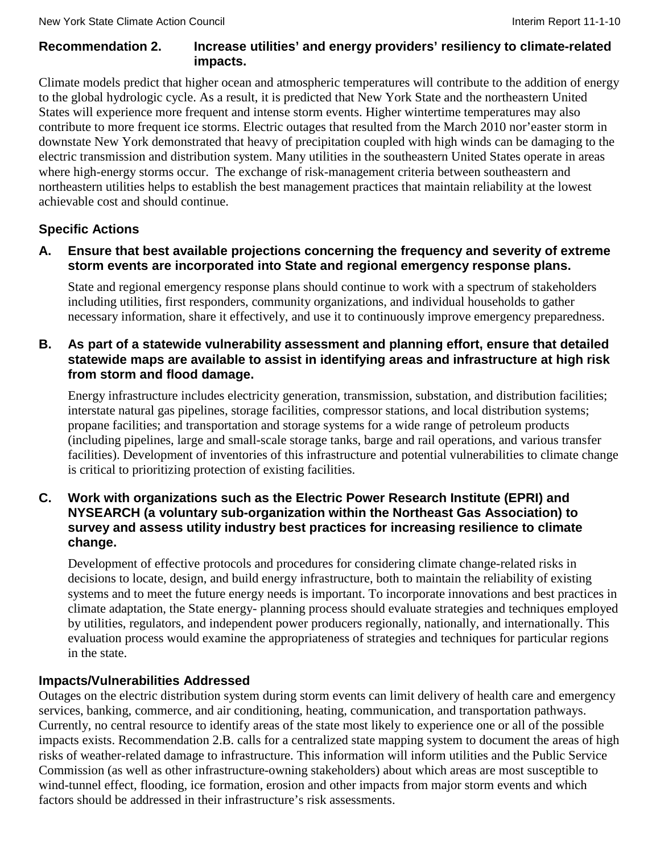#### **Recommendation 2. Increase utilities' and energy providers' resiliency to climate-related impacts.**

Climate models predict that higher ocean and atmospheric temperatures will contribute to the addition of energy to the global hydrologic cycle. As a result, it is predicted that New York State and the northeastern United States will experience more frequent and intense storm events. Higher wintertime temperatures may also contribute to more frequent ice storms. Electric outages that resulted from the March 2010 nor'easter storm in downstate New York demonstrated that heavy of precipitation coupled with high winds can be damaging to the electric transmission and distribution system. Many utilities in the southeastern United States operate in areas where high-energy storms occur. The exchange of risk-management criteria between southeastern and northeastern utilities helps to establish the best management practices that maintain reliability at the lowest achievable cost and should continue.

## **Specific Actions**

**A. Ensure that best available projections concerning the frequency and severity of extreme storm events are incorporated into State and regional emergency response plans.**

State and regional emergency response plans should continue to work with a spectrum of stakeholders including utilities, first responders, community organizations, and individual households to gather necessary information, share it effectively, and use it to continuously improve emergency preparedness.

#### **B. As part of a statewide vulnerability assessment and planning effort, ensure that detailed statewide maps are available to assist in identifying areas and infrastructure at high risk from storm and flood damage.**

Energy infrastructure includes electricity generation, transmission, substation, and distribution facilities; interstate natural gas pipelines, storage facilities, compressor stations, and local distribution systems; propane facilities; and transportation and storage systems for a wide range of petroleum products (including pipelines, large and small-scale storage tanks, barge and rail operations, and various transfer facilities). Development of inventories of this infrastructure and potential vulnerabilities to climate change is critical to prioritizing protection of existing facilities.

#### **C. Work with organizations such as the Electric Power Research Institute (EPRI) and NYSEARCH (a voluntary sub-organization within the Northeast Gas Association) to survey and assess utility industry best practices for increasing resilience to climate change.**

Development of effective protocols and procedures for considering climate change-related risks in decisions to locate, design, and build energy infrastructure, both to maintain the reliability of existing systems and to meet the future energy needs is important. To incorporate innovations and best practices in climate adaptation, the State energy- planning process should evaluate strategies and techniques employed by utilities, regulators, and independent power producers regionally, nationally, and internationally. This evaluation process would examine the appropriateness of strategies and techniques for particular regions in the state.

## **Impacts/Vulnerabilities Addressed**

Outages on the electric distribution system during storm events can limit delivery of health care and emergency services, banking, commerce, and air conditioning, heating, communication, and transportation pathways. Currently, no central resource to identify areas of the state most likely to experience one or all of the possible impacts exists. Recommendation 2.B. calls for a centralized state mapping system to document the areas of high risks of weather-related damage to infrastructure. This information will inform utilities and the Public Service Commission (as well as other infrastructure-owning stakeholders) about which areas are most susceptible to wind-tunnel effect, flooding, ice formation, erosion and other impacts from major storm events and which factors should be addressed in their infrastructure's risk assessments.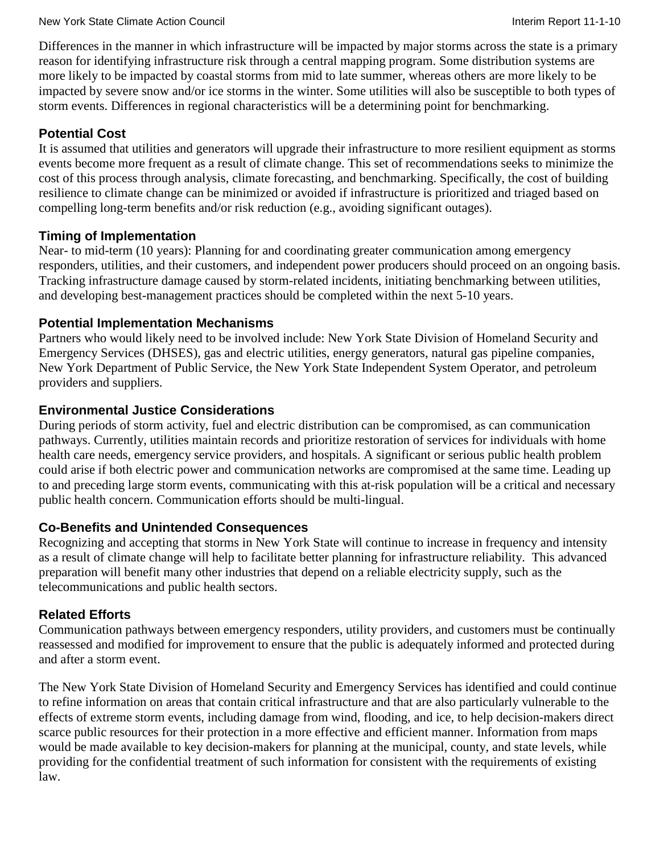Differences in the manner in which infrastructure will be impacted by major storms across the state is a primary reason for identifying infrastructure risk through a central mapping program. Some distribution systems are more likely to be impacted by coastal storms from mid to late summer, whereas others are more likely to be impacted by severe snow and/or ice storms in the winter. Some utilities will also be susceptible to both types of storm events. Differences in regional characteristics will be a determining point for benchmarking.

## **Potential Cost**

It is assumed that utilities and generators will upgrade their infrastructure to more resilient equipment as storms events become more frequent as a result of climate change. This set of recommendations seeks to minimize the cost of this process through analysis, climate forecasting, and benchmarking. Specifically, the cost of building resilience to climate change can be minimized or avoided if infrastructure is prioritized and triaged based on compelling long-term benefits and/or risk reduction (e.g., avoiding significant outages).

#### **Timing of Implementation**

Near- to mid-term (10 years): Planning for and coordinating greater communication among emergency responders, utilities, and their customers, and independent power producers should proceed on an ongoing basis. Tracking infrastructure damage caused by storm-related incidents, initiating benchmarking between utilities, and developing best-management practices should be completed within the next 5-10 years.

#### **Potential Implementation Mechanisms**

Partners who would likely need to be involved include: New York State Division of Homeland Security and Emergency Services (DHSES), gas and electric utilities, energy generators, natural gas pipeline companies, New York Department of Public Service, the New York State Independent System Operator, and petroleum providers and suppliers.

#### **Environmental Justice Considerations**

During periods of storm activity, fuel and electric distribution can be compromised, as can communication pathways. Currently, utilities maintain records and prioritize restoration of services for individuals with home health care needs, emergency service providers, and hospitals. A significant or serious public health problem could arise if both electric power and communication networks are compromised at the same time. Leading up to and preceding large storm events, communicating with this at-risk population will be a critical and necessary public health concern. Communication efforts should be multi-lingual.

#### **Co-Benefits and Unintended Consequences**

Recognizing and accepting that storms in New York State will continue to increase in frequency and intensity as a result of climate change will help to facilitate better planning for infrastructure reliability. This advanced preparation will benefit many other industries that depend on a reliable electricity supply, such as the telecommunications and public health sectors.

#### **Related Efforts**

Communication pathways between emergency responders, utility providers, and customers must be continually reassessed and modified for improvement to ensure that the public is adequately informed and protected during and after a storm event.

The New York State Division of Homeland Security and Emergency Services has identified and could continue to refine information on areas that contain critical infrastructure and that are also particularly vulnerable to the effects of extreme storm events, including damage from wind, flooding, and ice, to help decision-makers direct scarce public resources for their protection in a more effective and efficient manner. Information from maps would be made available to key decision-makers for planning at the municipal, county, and state levels, while providing for the confidential treatment of such information for consistent with the requirements of existing law.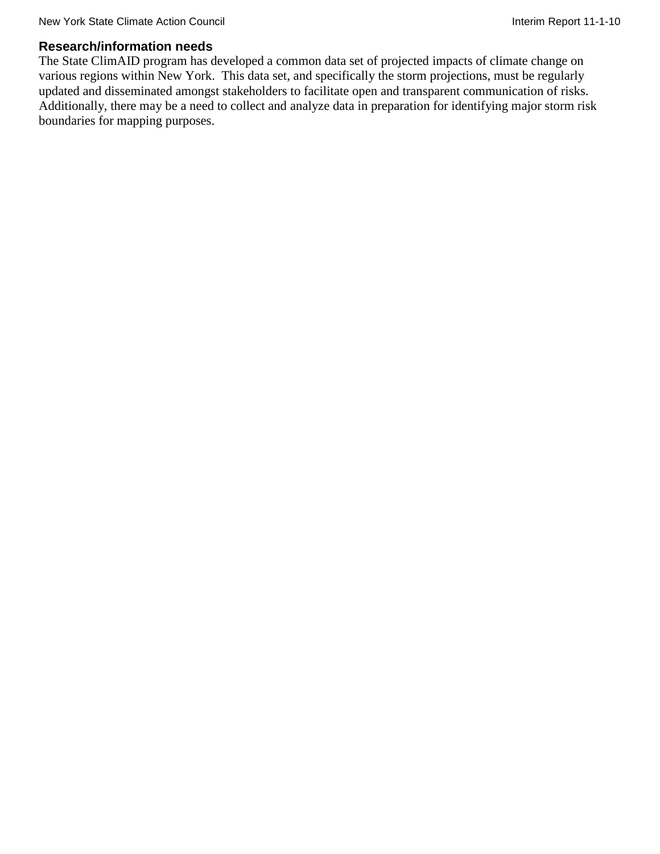#### **Research/information needs**

The State ClimAID program has developed a common data set of projected impacts of climate change on various regions within New York. This data set, and specifically the storm projections, must be regularly updated and disseminated amongst stakeholders to facilitate open and transparent communication of risks. Additionally, there may be a need to collect and analyze data in preparation for identifying major storm risk boundaries for mapping purposes.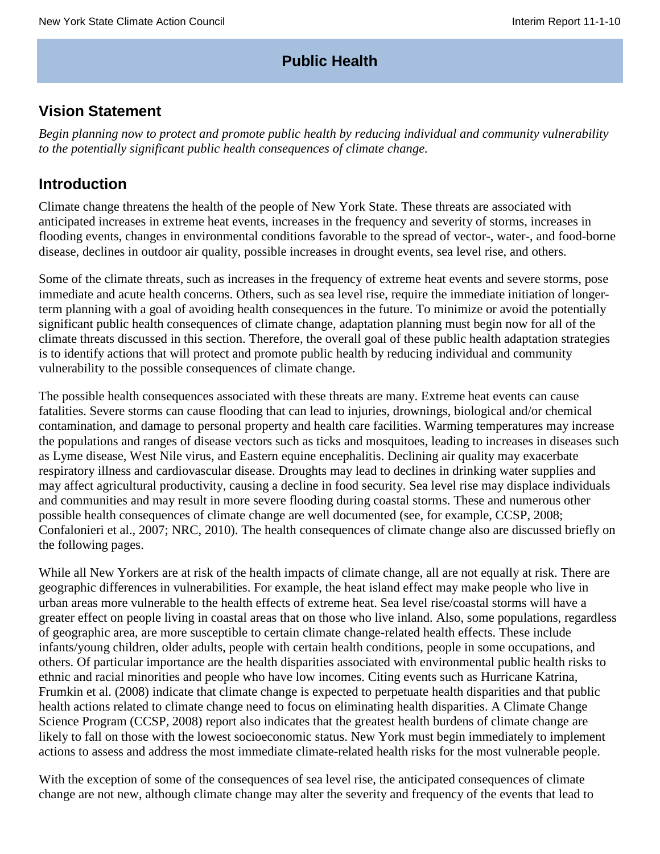## **Public Health**

# **Vision Statement**

*Begin planning now to protect and promote public health by reducing individual and community vulnerability to the potentially significant public health consequences of climate change.*

## **Introduction**

Climate change threatens the health of the people of New York State. These threats are associated with anticipated increases in extreme heat events, increases in the frequency and severity of storms, increases in flooding events, changes in environmental conditions favorable to the spread of vector-, water-, and food-borne disease, declines in outdoor air quality, possible increases in drought events, sea level rise, and others.

Some of the climate threats, such as increases in the frequency of extreme heat events and severe storms, pose immediate and acute health concerns. Others, such as sea level rise, require the immediate initiation of longerterm planning with a goal of avoiding health consequences in the future. To minimize or avoid the potentially significant public health consequences of climate change, adaptation planning must begin now for all of the climate threats discussed in this section. Therefore, the overall goal of these public health adaptation strategies is to identify actions that will protect and promote public health by reducing individual and community vulnerability to the possible consequences of climate change.

The possible health consequences associated with these threats are many. Extreme heat events can cause fatalities. Severe storms can cause flooding that can lead to injuries, drownings, biological and/or chemical contamination, and damage to personal property and health care facilities. Warming temperatures may increase the populations and ranges of disease vectors such as ticks and mosquitoes, leading to increases in diseases such as Lyme disease, West Nile virus, and Eastern equine encephalitis. Declining air quality may exacerbate respiratory illness and cardiovascular disease. Droughts may lead to declines in drinking water supplies and may affect agricultural productivity, causing a decline in food security. Sea level rise may displace individuals and communities and may result in more severe flooding during coastal storms. These and numerous other possible health consequences of climate change are well documented (see, for example, CCSP, 2008; Confalonieri et al., 2007; NRC, 2010). The health consequences of climate change also are discussed briefly on the following pages.

While all New Yorkers are at risk of the health impacts of climate change, all are not equally at risk. There are geographic differences in vulnerabilities. For example, the heat island effect may make people who live in urban areas more vulnerable to the health effects of extreme heat. Sea level rise/coastal storms will have a greater effect on people living in coastal areas that on those who live inland. Also, some populations, regardless of geographic area, are more susceptible to certain climate change-related health effects. These include infants/young children, older adults, people with certain health conditions, people in some occupations, and others. Of particular importance are the health disparities associated with environmental public health risks to ethnic and racial minorities and people who have low incomes. Citing events such as Hurricane Katrina, Frumkin et al. (2008) indicate that climate change is expected to perpetuate health disparities and that public health actions related to climate change need to focus on eliminating health disparities. A Climate Change Science Program (CCSP, 2008) report also indicates that the greatest health burdens of climate change are likely to fall on those with the lowest socioeconomic status. New York must begin immediately to implement actions to assess and address the most immediate climate-related health risks for the most vulnerable people.

With the exception of some of the consequences of sea level rise, the anticipated consequences of climate change are not new, although climate change may alter the severity and frequency of the events that lead to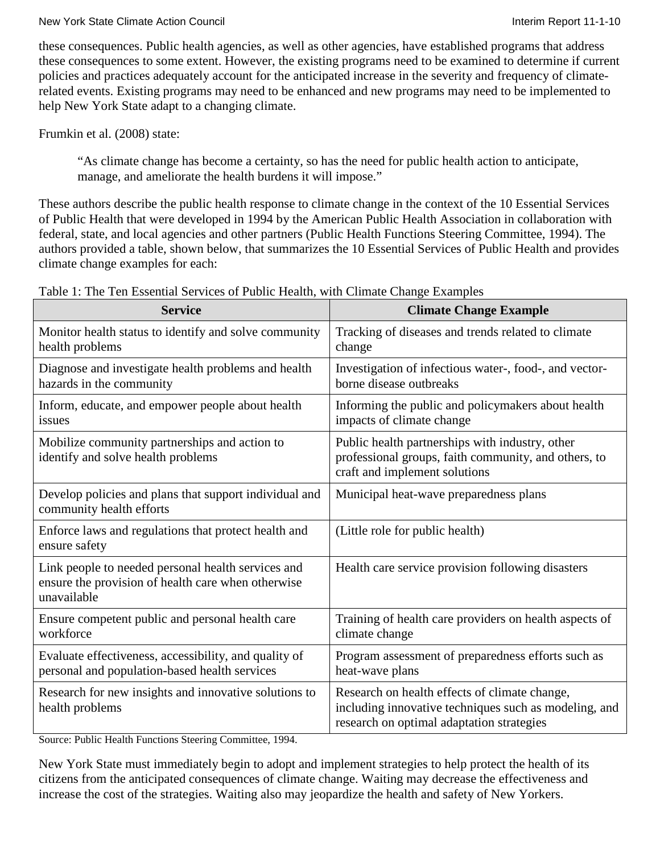these consequences. Public health agencies, as well as other agencies, have established programs that address these consequences to some extent. However, the existing programs need to be examined to determine if current policies and practices adequately account for the anticipated increase in the severity and frequency of climaterelated events. Existing programs may need to be enhanced and new programs may need to be implemented to help New York State adapt to a changing climate.

Frumkin et al. (2008) state:

"As climate change has become a certainty, so has the need for public health action to anticipate, manage, and ameliorate the health burdens it will impose."

These authors describe the public health response to climate change in the context of the 10 Essential Services of Public Health that were developed in 1994 by the American Public Health Association in collaboration with federal, state, and local agencies and other partners (Public Health Functions Steering Committee, 1994). The authors provided a table, shown below, that summarizes the 10 Essential Services of Public Health and provides climate change examples for each:

| <b>Service</b>                                                                                                          | <b>Climate Change Example</b>                                                                                                                       |
|-------------------------------------------------------------------------------------------------------------------------|-----------------------------------------------------------------------------------------------------------------------------------------------------|
| Monitor health status to identify and solve community<br>health problems                                                | Tracking of diseases and trends related to climate<br>change                                                                                        |
| Diagnose and investigate health problems and health<br>hazards in the community                                         | Investigation of infectious water-, food-, and vector-<br>borne disease outbreaks                                                                   |
| Inform, educate, and empower people about health<br>issues                                                              | Informing the public and policymakers about health<br>impacts of climate change                                                                     |
| Mobilize community partnerships and action to<br>identify and solve health problems                                     | Public health partnerships with industry, other<br>professional groups, faith community, and others, to<br>craft and implement solutions            |
| Develop policies and plans that support individual and<br>community health efforts                                      | Municipal heat-wave preparedness plans                                                                                                              |
| Enforce laws and regulations that protect health and<br>ensure safety                                                   | (Little role for public health)                                                                                                                     |
| Link people to needed personal health services and<br>ensure the provision of health care when otherwise<br>unavailable | Health care service provision following disasters                                                                                                   |
| Ensure competent public and personal health care<br>workforce                                                           | Training of health care providers on health aspects of<br>climate change                                                                            |
| Evaluate effectiveness, accessibility, and quality of<br>personal and population-based health services                  | Program assessment of preparedness efforts such as<br>heat-wave plans                                                                               |
| Research for new insights and innovative solutions to<br>health problems                                                | Research on health effects of climate change,<br>including innovative techniques such as modeling, and<br>research on optimal adaptation strategies |

Table 1: The Ten Essential Services of Public Health, with Climate Change Examples

Source: Public Health Functions Steering Committee, 1994.

New York State must immediately begin to adopt and implement strategies to help protect the health of its citizens from the anticipated consequences of climate change. Waiting may decrease the effectiveness and increase the cost of the strategies. Waiting also may jeopardize the health and safety of New Yorkers.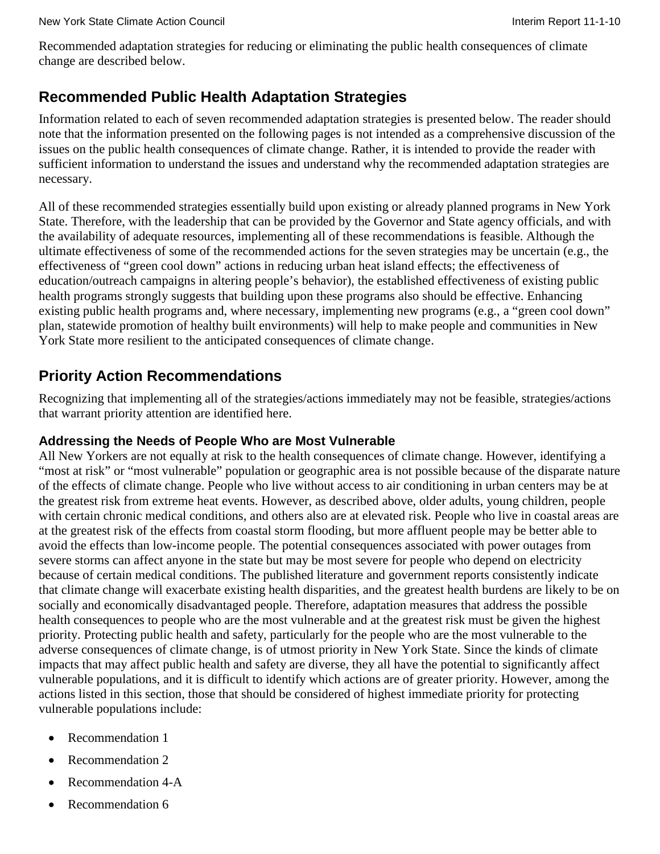Recommended adaptation strategies for reducing or eliminating the public health consequences of climate change are described below.

# **Recommended Public Health Adaptation Strategies**

Information related to each of seven recommended adaptation strategies is presented below. The reader should note that the information presented on the following pages is not intended as a comprehensive discussion of the issues on the public health consequences of climate change. Rather, it is intended to provide the reader with sufficient information to understand the issues and understand why the recommended adaptation strategies are necessary.

All of these recommended strategies essentially build upon existing or already planned programs in New York State. Therefore, with the leadership that can be provided by the Governor and State agency officials, and with the availability of adequate resources, implementing all of these recommendations is feasible. Although the ultimate effectiveness of some of the recommended actions for the seven strategies may be uncertain (e.g., the effectiveness of "green cool down" actions in reducing urban heat island effects; the effectiveness of education/outreach campaigns in altering people's behavior), the established effectiveness of existing public health programs strongly suggests that building upon these programs also should be effective. Enhancing existing public health programs and, where necessary, implementing new programs (e.g., a "green cool down" plan, statewide promotion of healthy built environments) will help to make people and communities in New York State more resilient to the anticipated consequences of climate change.

# **Priority Action Recommendations**

Recognizing that implementing all of the strategies/actions immediately may not be feasible, strategies/actions that warrant priority attention are identified here.

## **Addressing the Needs of People Who are Most Vulnerable**

All New Yorkers are not equally at risk to the health consequences of climate change. However, identifying a "most at risk" or "most vulnerable" population or geographic area is not possible because of the disparate nature of the effects of climate change. People who live without access to air conditioning in urban centers may be at the greatest risk from extreme heat events. However, as described above, older adults, young children, people with certain chronic medical conditions, and others also are at elevated risk. People who live in coastal areas are at the greatest risk of the effects from coastal storm flooding, but more affluent people may be better able to avoid the effects than low-income people. The potential consequences associated with power outages from severe storms can affect anyone in the state but may be most severe for people who depend on electricity because of certain medical conditions. The published literature and government reports consistently indicate that climate change will exacerbate existing health disparities, and the greatest health burdens are likely to be on socially and economically disadvantaged people. Therefore, adaptation measures that address the possible health consequences to people who are the most vulnerable and at the greatest risk must be given the highest priority. Protecting public health and safety, particularly for the people who are the most vulnerable to the adverse consequences of climate change, is of utmost priority in New York State. Since the kinds of climate impacts that may affect public health and safety are diverse, they all have the potential to significantly affect vulnerable populations, and it is difficult to identify which actions are of greater priority. However, among the actions listed in this section, those that should be considered of highest immediate priority for protecting vulnerable populations include:

- Recommendation 1
- Recommendation 2
- Recommendation 4-A
- Recommendation 6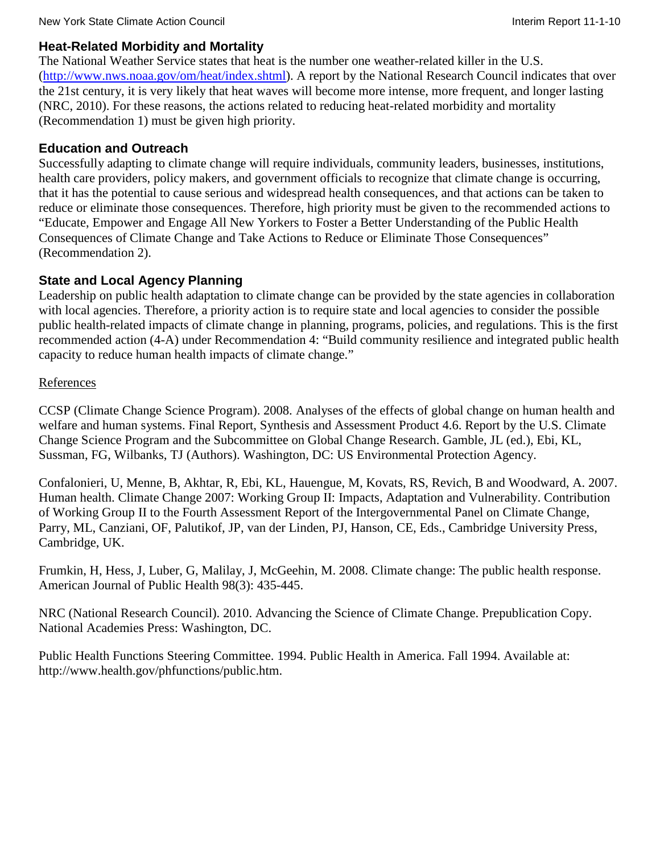#### **Heat-Related Morbidity and Mortality**

The National Weather Service states that heat is the number one weather-related killer in the U.S. [\(http://www.nws.noaa.gov/om/heat/index.shtml\)](http://www.nws.noaa.gov/om/heat/index.shtml). A report by the National Research Council indicates that over the 21st century, it is very likely that heat waves will become more intense, more frequent, and longer lasting (NRC, 2010). For these reasons, the actions related to reducing heat-related morbidity and mortality (Recommendation 1) must be given high priority.

## **Education and Outreach**

Successfully adapting to climate change will require individuals, community leaders, businesses, institutions, health care providers, policy makers, and government officials to recognize that climate change is occurring, that it has the potential to cause serious and widespread health consequences, and that actions can be taken to reduce or eliminate those consequences. Therefore, high priority must be given to the recommended actions to "Educate, Empower and Engage All New Yorkers to Foster a Better Understanding of the Public Health Consequences of Climate Change and Take Actions to Reduce or Eliminate Those Consequences" (Recommendation 2).

## **State and Local Agency Planning**

Leadership on public health adaptation to climate change can be provided by the state agencies in collaboration with local agencies. Therefore, a priority action is to require state and local agencies to consider the possible public health-related impacts of climate change in planning, programs, policies, and regulations. This is the first recommended action (4-A) under Recommendation 4: "Build community resilience and integrated public health capacity to reduce human health impacts of climate change."

## References

CCSP (Climate Change Science Program). 2008. Analyses of the effects of global change on human health and welfare and human systems. Final Report, Synthesis and Assessment Product 4.6. Report by the U.S. Climate Change Science Program and the Subcommittee on Global Change Research. Gamble, JL (ed.), Ebi, KL, Sussman, FG, Wilbanks, TJ (Authors). Washington, DC: US Environmental Protection Agency.

Confalonieri, U, Menne, B, Akhtar, R, Ebi, KL, Hauengue, M, Kovats, RS, Revich, B and Woodward, A. 2007. Human health. Climate Change 2007: Working Group II: Impacts, Adaptation and Vulnerability. Contribution of Working Group II to the Fourth Assessment Report of the Intergovernmental Panel on Climate Change, Parry, ML, Canziani, OF, Palutikof, JP, van der Linden, PJ, Hanson, CE, Eds., Cambridge University Press, Cambridge, UK.

Frumkin, H, Hess, J, Luber, G, Malilay, J, McGeehin, M. 2008. Climate change: The public health response. American Journal of Public Health 98(3): 435-445.

NRC (National Research Council). 2010. Advancing the Science of Climate Change. Prepublication Copy. National Academies Press: Washington, DC.

Public Health Functions Steering Committee. 1994. Public Health in America. Fall 1994. Available at: [http://www.health.gov/phfunctions/public.htm.](http://www.health.gov/phfunctions/public.htm)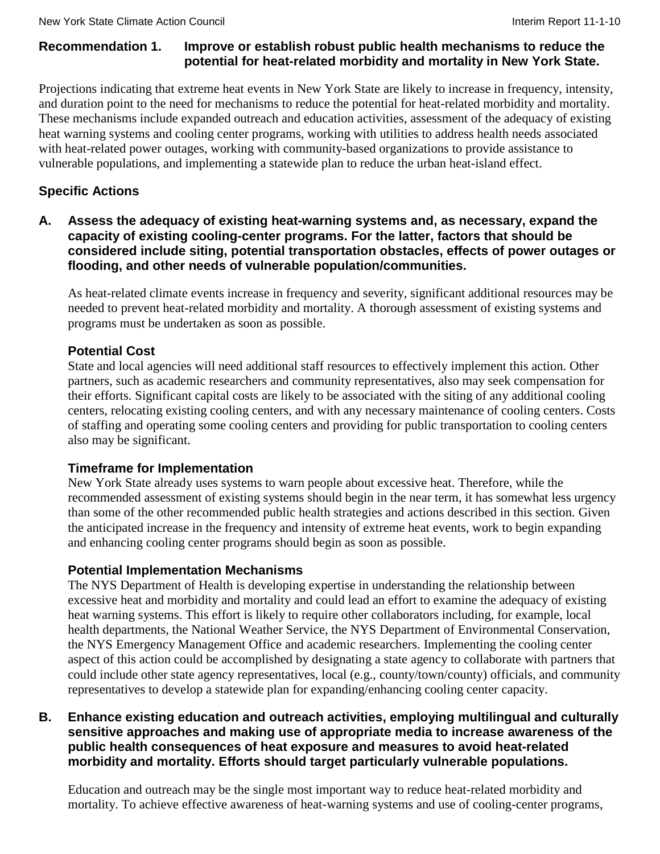#### **Recommendation 1. Improve or establish robust public health mechanisms to reduce the potential for heat-related morbidity and mortality in New York State.**

Projections indicating that extreme heat events in New York State are likely to increase in frequency, intensity, and duration point to the need for mechanisms to reduce the potential for heat-related morbidity and mortality. These mechanisms include expanded outreach and education activities, assessment of the adequacy of existing heat warning systems and cooling center programs, working with utilities to address health needs associated with heat-related power outages, working with community-based organizations to provide assistance to vulnerable populations, and implementing a statewide plan to reduce the urban heat-island effect.

## **Specific Actions**

#### **A. Assess the adequacy of existing heat-warning systems and, as necessary, expand the capacity of existing cooling-center programs. For the latter, factors that should be considered include siting, potential transportation obstacles, effects of power outages or flooding, and other needs of vulnerable population/communities.**

As heat-related climate events increase in frequency and severity, significant additional resources may be needed to prevent heat-related morbidity and mortality. A thorough assessment of existing systems and programs must be undertaken as soon as possible.

## **Potential Cost**

State and local agencies will need additional staff resources to effectively implement this action. Other partners, such as academic researchers and community representatives, also may seek compensation for their efforts. Significant capital costs are likely to be associated with the siting of any additional cooling centers, relocating existing cooling centers, and with any necessary maintenance of cooling centers. Costs of staffing and operating some cooling centers and providing for public transportation to cooling centers also may be significant.

## **Timeframe for Implementation**

New York State already uses systems to warn people about excessive heat. Therefore, while the recommended assessment of existing systems should begin in the near term, it has somewhat less urgency than some of the other recommended public health strategies and actions described in this section. Given the anticipated increase in the frequency and intensity of extreme heat events, work to begin expanding and enhancing cooling center programs should begin as soon as possible.

## **Potential Implementation Mechanisms**

The NYS Department of Health is developing expertise in understanding the relationship between excessive heat and morbidity and mortality and could lead an effort to examine the adequacy of existing heat warning systems. This effort is likely to require other collaborators including, for example, local health departments, the National Weather Service, the NYS Department of Environmental Conservation, the NYS Emergency Management Office and academic researchers. Implementing the cooling center aspect of this action could be accomplished by designating a state agency to collaborate with partners that could include other state agency representatives, local (e.g., county/town/county) officials, and community representatives to develop a statewide plan for expanding/enhancing cooling center capacity.

#### **B. Enhance existing education and outreach activities, employing multilingual and culturally sensitive approaches and making use of appropriate media to increase awareness of the public health consequences of heat exposure and measures to avoid heat-related morbidity and mortality. Efforts should target particularly vulnerable populations.**

Education and outreach may be the single most important way to reduce heat-related morbidity and mortality. To achieve effective awareness of heat-warning systems and use of cooling-center programs,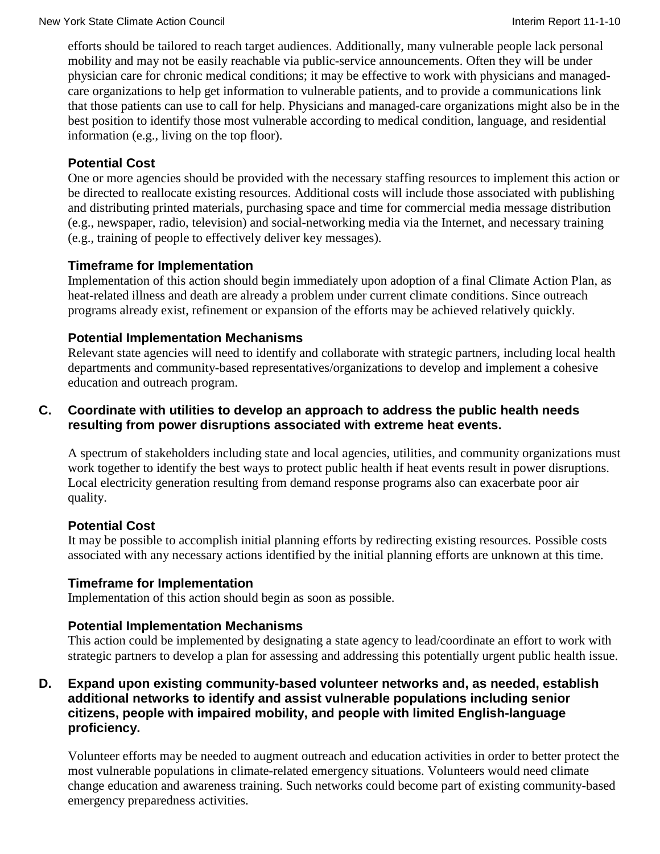efforts should be tailored to reach target audiences. Additionally, many vulnerable people lack personal mobility and may not be easily reachable via public-service announcements. Often they will be under physician care for chronic medical conditions; it may be effective to work with physicians and managedcare organizations to help get information to vulnerable patients, and to provide a communications link that those patients can use to call for help. Physicians and managed-care organizations might also be in the best position to identify those most vulnerable according to medical condition, language, and residential information (e.g., living on the top floor).

## **Potential Cost**

One or more agencies should be provided with the necessary staffing resources to implement this action or be directed to reallocate existing resources. Additional costs will include those associated with publishing and distributing printed materials, purchasing space and time for commercial media message distribution (e.g., newspaper, radio, television) and social-networking media via the Internet, and necessary training (e.g., training of people to effectively deliver key messages).

## **Timeframe for Implementation**

Implementation of this action should begin immediately upon adoption of a final Climate Action Plan, as heat-related illness and death are already a problem under current climate conditions. Since outreach programs already exist, refinement or expansion of the efforts may be achieved relatively quickly.

## **Potential Implementation Mechanisms**

Relevant state agencies will need to identify and collaborate with strategic partners, including local health departments and community-based representatives/organizations to develop and implement a cohesive education and outreach program.

## **C. Coordinate with utilities to develop an approach to address the public health needs resulting from power disruptions associated with extreme heat events.**

A spectrum of stakeholders including state and local agencies, utilities, and community organizations must work together to identify the best ways to protect public health if heat events result in power disruptions. Local electricity generation resulting from demand response programs also can exacerbate poor air quality.

## **Potential Cost**

It may be possible to accomplish initial planning efforts by redirecting existing resources. Possible costs associated with any necessary actions identified by the initial planning efforts are unknown at this time.

## **Timeframe for Implementation**

Implementation of this action should begin as soon as possible.

## **Potential Implementation Mechanisms**

This action could be implemented by designating a state agency to lead/coordinate an effort to work with strategic partners to develop a plan for assessing and addressing this potentially urgent public health issue.

#### **D. Expand upon existing community-based volunteer networks and, as needed, establish additional networks to identify and assist vulnerable populations including senior citizens, people with impaired mobility, and people with limited English-language proficiency.**

Volunteer efforts may be needed to augment outreach and education activities in order to better protect the most vulnerable populations in climate-related emergency situations. Volunteers would need climate change education and awareness training. Such networks could become part of existing community-based emergency preparedness activities.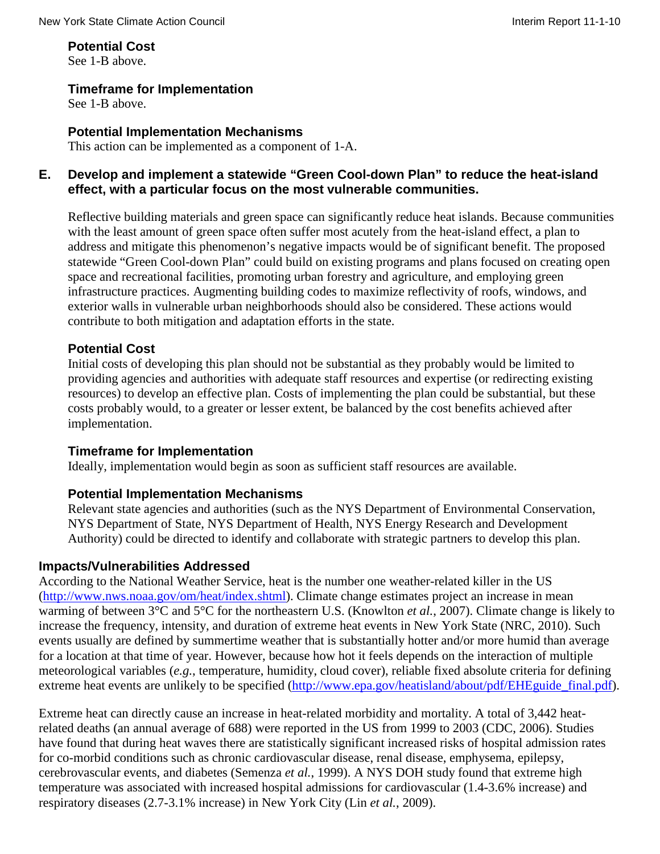**Potential Cost** 

See 1-B above.

#### **Timeframe for Implementation**

See 1-B above.

#### **Potential Implementation Mechanisms**

This action can be implemented as a component of 1-A.

#### **E. Develop and implement a statewide "Green Cool-down Plan" to reduce the heat-island effect, with a particular focus on the most vulnerable communities.**

Reflective building materials and green space can significantly reduce heat islands. Because communities with the least amount of green space often suffer most acutely from the heat-island effect, a plan to address and mitigate this phenomenon's negative impacts would be of significant benefit. The proposed statewide "Green Cool-down Plan" could build on existing programs and plans focused on creating open space and recreational facilities, promoting urban forestry and agriculture, and employing green infrastructure practices. Augmenting building codes to maximize reflectivity of roofs, windows, and exterior walls in vulnerable urban neighborhoods should also be considered. These actions would contribute to both mitigation and adaptation efforts in the state.

#### **Potential Cost**

Initial costs of developing this plan should not be substantial as they probably would be limited to providing agencies and authorities with adequate staff resources and expertise (or redirecting existing resources) to develop an effective plan. Costs of implementing the plan could be substantial, but these costs probably would, to a greater or lesser extent, be balanced by the cost benefits achieved after implementation.

#### **Timeframe for Implementation**

Ideally, implementation would begin as soon as sufficient staff resources are available.

#### **Potential Implementation Mechanisms**

Relevant state agencies and authorities (such as the NYS Department of Environmental Conservation, NYS Department of State, NYS Department of Health, NYS Energy Research and Development Authority) could be directed to identify and collaborate with strategic partners to develop this plan.

#### **Impacts/Vulnerabilities Addressed**

According to the National Weather Service, heat is the number one weather-related killer in the US [\(http://www.nws.noaa.gov/om/heat/index.shtml\)](http://www.nws.noaa.gov/om/heat/index.shtml). Climate change estimates project an increase in mean warming of between 3°C and 5°C for the northeastern U.S. (Knowlton *et al.*, 2007). Climate change is likely to increase the frequency, intensity, and duration of extreme heat events in New York State (NRC, 2010). Such events usually are defined by summertime weather that is substantially hotter and/or more humid than average for a location at that time of year. However, because how hot it feels depends on the interaction of multiple meteorological variables (*e.g.*, temperature, humidity, cloud cover), reliable fixed absolute criteria for defining extreme heat events are unlikely to be specified [\(http://www.epa.gov/heatisland/about/pdf/EHEguide\\_final.pdf\)](http://www.epa.gov/heatisland/about/pdf/EHEguide_final.pdf).

Extreme heat can directly cause an increase in heat-related morbidity and mortality. A total of 3,442 heatrelated deaths (an annual average of 688) were reported in the US from 1999 to 2003 (CDC, 2006). Studies have found that during heat waves there are statistically significant increased risks of hospital admission rates for co-morbid conditions such as chronic cardiovascular disease, renal disease, emphysema, epilepsy, cerebrovascular events, and diabetes (Semenza *et al.*, 1999). A NYS DOH study found that extreme high temperature was associated with increased hospital admissions for cardiovascular (1.4-3.6% increase) and respiratory diseases (2.7-3.1% increase) in New York City (Lin *et al.*, 2009).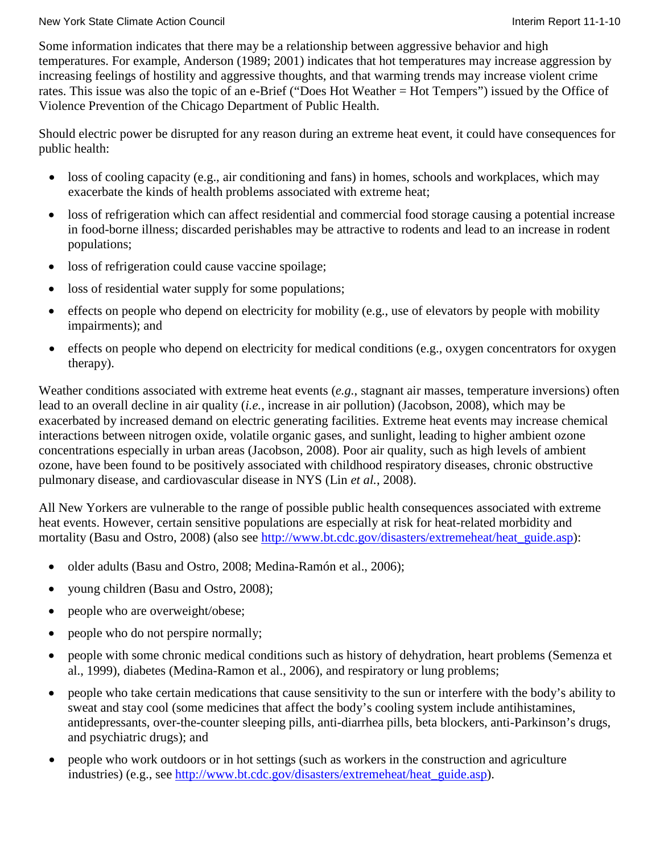Some information indicates that there may be a relationship between aggressive behavior and high temperatures. For example, Anderson (1989; 2001) indicates that hot temperatures may increase aggression by increasing feelings of hostility and aggressive thoughts, and that warming trends may increase violent crime rates. This issue was also the topic of an e-Brief ("Does Hot Weather = Hot Tempers") issued by the Office of Violence Prevention of the Chicago Department of Public Health.

Should electric power be disrupted for any reason during an extreme heat event, it could have consequences for public health:

- loss of cooling capacity (e.g., air conditioning and fans) in homes, schools and workplaces, which may exacerbate the kinds of health problems associated with extreme heat;
- loss of refrigeration which can affect residential and commercial food storage causing a potential increase in food-borne illness; discarded perishables may be attractive to rodents and lead to an increase in rodent populations;
- loss of refrigeration could cause vaccine spoilage;
- loss of residential water supply for some populations;
- effects on people who depend on electricity for mobility (e.g., use of elevators by people with mobility impairments); and
- effects on people who depend on electricity for medical conditions (e.g., oxygen concentrators for oxygen therapy).

Weather conditions associated with extreme heat events (*e.g.*, stagnant air masses, temperature inversions) often lead to an overall decline in air quality (*i.e.*, increase in air pollution) (Jacobson, 2008), which may be exacerbated by increased demand on electric generating facilities. Extreme heat events may increase chemical interactions between nitrogen oxide, volatile organic gases, and sunlight, leading to higher ambient ozone concentrations especially in urban areas (Jacobson, 2008). Poor air quality, such as high levels of ambient ozone, have been found to be positively associated with childhood respiratory diseases, chronic obstructive pulmonary disease, and cardiovascular disease in NYS (Lin *et al.*, 2008).

All New Yorkers are vulnerable to the range of possible public health consequences associated with extreme heat events. However, certain sensitive populations are especially at risk for heat-related morbidity and mortality (Basu and Ostro, 2008) (also see [http://www.bt.cdc.gov/disasters/extremeheat/heat\\_guide.asp\)](http://www.bt.cdc.gov/disasters/extremeheat/heat_guide.asp):

- older adults (Basu and Ostro, 2008; Medina-Ramón et al., 2006);
- young children (Basu and Ostro, 2008);
- people who are overweight/obese;
- people who do not perspire normally;
- people with some chronic medical conditions such as history of dehydration, heart problems (Semenza et al., 1999), diabetes (Medina-Ramon et al., 2006), and respiratory or lung problems;
- people who take certain medications that cause sensitivity to the sun or interfere with the body's ability to sweat and stay cool (some medicines that affect the body's cooling system include antihistamines, antidepressants, over-the-counter sleeping pills, anti-diarrhea pills, beta blockers, anti-Parkinson's drugs, and psychiatric drugs); and
- people who work outdoors or in hot settings (such as workers in the construction and agriculture industries) (e.g., see [http://www.bt.cdc.gov/disasters/extremeheat/heat\\_guide.asp\)](http://www.bt.cdc.gov/disasters/extremeheat/heat_guide.asp).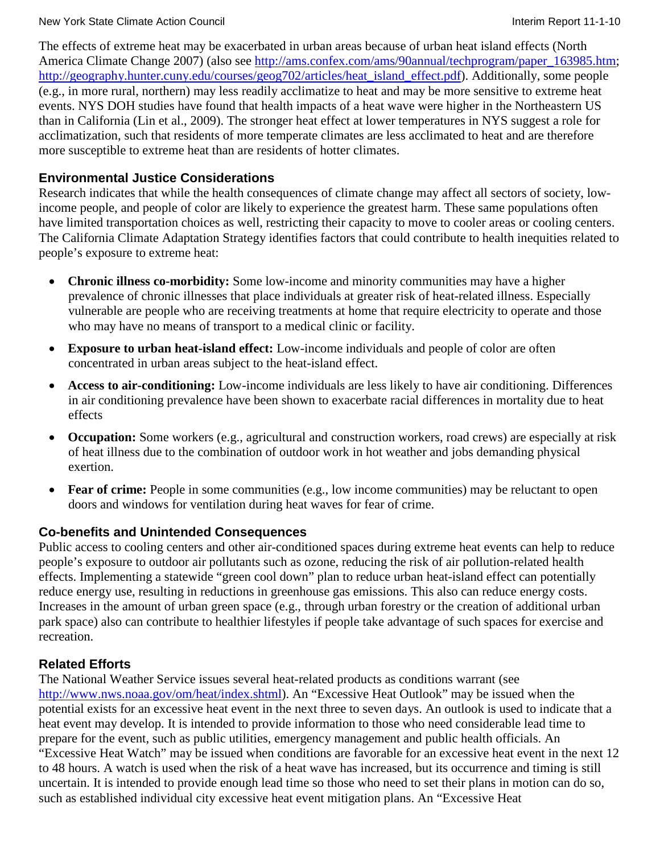The effects of extreme heat may be exacerbated in urban areas because of urban heat island effects (North America Climate Change 2007) (also see [http://ams.confex.com/ams/90annual/techprogram/paper\\_163985.htm;](http://ams.confex.com/ams/90annual/techprogram/paper_163985.htm) [http://geography.hunter.cuny.edu/courses/geog702/articles/heat\\_island\\_effect.pdf\)](http://geography.hunter.cuny.edu/courses/geog702/articles/heat_island_effect.pdf). Additionally, some people (e.g., in more rural, northern) may less readily acclimatize to heat and may be more sensitive to extreme heat events. NYS DOH studies have found that health impacts of a heat wave were higher in the Northeastern US than in California (Lin et al., 2009). The stronger heat effect at lower temperatures in NYS suggest a role for acclimatization, such that residents of more temperate climates are less acclimated to heat and are therefore more susceptible to extreme heat than are residents of hotter climates.

#### **Environmental Justice Considerations**

Research indicates that while the health consequences of climate change may affect all sectors of society, lowincome people, and people of color are likely to experience the greatest harm. These same populations often have limited transportation choices as well, restricting their capacity to move to cooler areas or cooling centers. The California Climate Adaptation Strategy identifies factors that could contribute to health inequities related to people's exposure to extreme heat:

- **Chronic illness co-morbidity:** Some low-income and minority communities may have a higher prevalence of chronic illnesses that place individuals at greater risk of heat-related illness. Especially vulnerable are people who are receiving treatments at home that require electricity to operate and those who may have no means of transport to a medical clinic or facility.
- **Exposure to urban heat-island effect:** Low-income individuals and people of color are often concentrated in urban areas subject to the heat-island effect.
- **Access to air-conditioning:** Low-income individuals are less likely to have air conditioning. Differences in air conditioning prevalence have been shown to exacerbate racial differences in mortality due to heat effects
- **Occupation:** Some workers (e.g., agricultural and construction workers, road crews) are especially at risk of heat illness due to the combination of outdoor work in hot weather and jobs demanding physical exertion.
- **Fear of crime:** People in some communities (e.g., low income communities) may be reluctant to open doors and windows for ventilation during heat waves for fear of crime.

#### **Co-benefits and Unintended Consequences**

Public access to cooling centers and other air-conditioned spaces during extreme heat events can help to reduce people's exposure to outdoor air pollutants such as ozone, reducing the risk of air pollution-related health effects. Implementing a statewide "green cool down" plan to reduce urban heat-island effect can potentially reduce energy use, resulting in reductions in greenhouse gas emissions. This also can reduce energy costs. Increases in the amount of urban green space (e.g., through urban forestry or the creation of additional urban park space) also can contribute to healthier lifestyles if people take advantage of such spaces for exercise and recreation.

#### **Related Efforts**

The National Weather Service issues several heat-related products as conditions warrant (see [http://www.nws.noaa.gov/om/heat/index.shtml\)](http://www.nws.noaa.gov/om/heat/index.shtml). An "Excessive Heat Outlook" may be issued when the potential exists for an excessive heat event in the next three to seven days. An outlook is used to indicate that a heat event may develop. It is intended to provide information to those who need considerable lead time to prepare for the event, such as public utilities, emergency management and public health officials. An "Excessive Heat Watch" may be issued when conditions are favorable for an excessive heat event in the next 12 to 48 hours. A watch is used when the risk of a heat wave has increased, but its occurrence and timing is still uncertain. It is intended to provide enough lead time so those who need to set their plans in motion can do so, such as established individual city excessive heat event mitigation plans. An "Excessive Heat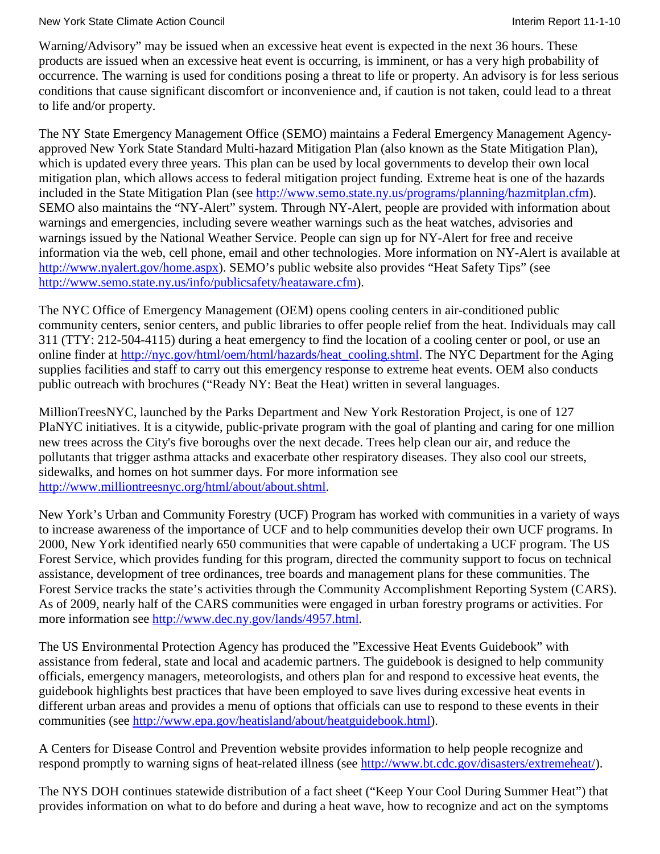Warning/Advisory" may be issued when an excessive heat event is expected in the next 36 hours. These products are issued when an excessive heat event is occurring, is imminent, or has a very high probability of occurrence. The warning is used for conditions posing a threat to life or property. An advisory is for less serious conditions that cause significant discomfort or inconvenience and, if caution is not taken, could lead to a threat to life and/or property.

The NY State Emergency Management Office (SEMO) maintains a Federal Emergency Management Agencyapproved New York State Standard Multi-hazard Mitigation Plan (also known as the State Mitigation Plan), which is updated every three years. This plan can be used by local governments to develop their own local mitigation plan, which allows access to federal mitigation project funding. Extreme heat is one of the hazards included in the State Mitigation Plan (see [http://www.semo.state.ny.us/programs/planning/hazmitplan.cfm\)](http://www.semo.state.ny.us/programs/planning/hazmitplan.cfm). SEMO also maintains the "NY-Alert" system. Through NY-Alert, people are provided with information about warnings and emergencies, including severe weather warnings such as the heat watches, advisories and warnings issued by the National Weather Service. People can sign up for NY-Alert for free and receive information via the web, cell phone, email and other technologies. More information on NY-Alert is available at [http://www.nyalert.gov/home.aspx\)](http://www.nyalert.gov/home.aspx). SEMO's public website also provides "Heat Safety Tips" (see [http://www.semo.state.ny.us/info/publicsafety/heataware.cfm\)](http://www.semo.state.ny.us/info/publicsafety/heataware.cfm).

The NYC Office of Emergency Management (OEM) opens cooling centers in air-conditioned public community centers, senior centers, and public libraries to offer people relief from the heat. Individuals may call 311 (TTY: 212-504-4115) during a heat emergency to find the location of a cooling center or pool, or use an online finder at [http://nyc.gov/html/oem/html/hazards/heat\\_cooling.shtml.](http://nyc.gov/html/oem/html/hazards/heat_cooling.shtml) The NYC Department for the Aging supplies facilities and staff to carry out this emergency response to extreme heat events. OEM also conducts public outreach with brochures ("Ready NY: Beat the Heat) written in several languages.

MillionTreesNYC, launched by the Parks Department and New York Restoration Project, is one of 127 PlaNYC initiatives. It is a citywide, public-private program with the goal of planting and caring for one million new trees across the City's five boroughs over the next decade. Trees help clean our air, and reduce the pollutants that trigger asthma attacks and exacerbate other respiratory diseases. They also cool our streets, sidewalks, and homes on hot summer days. For more information see [http://www.milliontreesnyc.org/html/about/about.shtml.](http://www.milliontreesnyc.org/html/about/about.shtml)

New York's Urban and Community Forestry (UCF) Program has worked with communities in a variety of ways to increase awareness of the importance of UCF and to help communities develop their own UCF programs. In 2000, New York identified nearly 650 communities that were capable of undertaking a UCF program. The US Forest Service, which provides funding for this program, directed the community support to focus on technical assistance, development of tree ordinances, tree boards and management plans for these communities. The Forest Service tracks the state's activities through the Community Accomplishment Reporting System (CARS). As of 2009, nearly half of the CARS communities were engaged in urban forestry programs or activities. For more information see [http://www.dec.ny.gov/lands/4957.html.](http://www.dec.ny.gov/lands/4957.html)

The US Environmental Protection Agency has produced the "Excessive Heat Events Guidebook" with assistance from federal, state and local and academic partners. The guidebook is designed to help community officials, emergency managers, meteorologists, and others plan for and respond to excessive heat events, the guidebook highlights best practices that have been employed to save lives during excessive heat events in different urban areas and provides a menu of options that officials can use to respond to these events in their communities (see [http://www.epa.gov/heatisland/about/heatguidebook.html\)](http://www.epa.gov/heatisland/about/heatguidebook.html).

A Centers for Disease Control and Prevention website provides information to help people recognize and respond promptly to warning signs of heat-related illness (see [http://www.bt.cdc.gov/disasters/extremeheat/\)](http://www.bt.cdc.gov/disasters/extremeheat/).

The NYS DOH continues statewide distribution of a fact sheet ("Keep Your Cool During Summer Heat") that provides information on what to do before and during a heat wave, how to recognize and act on the symptoms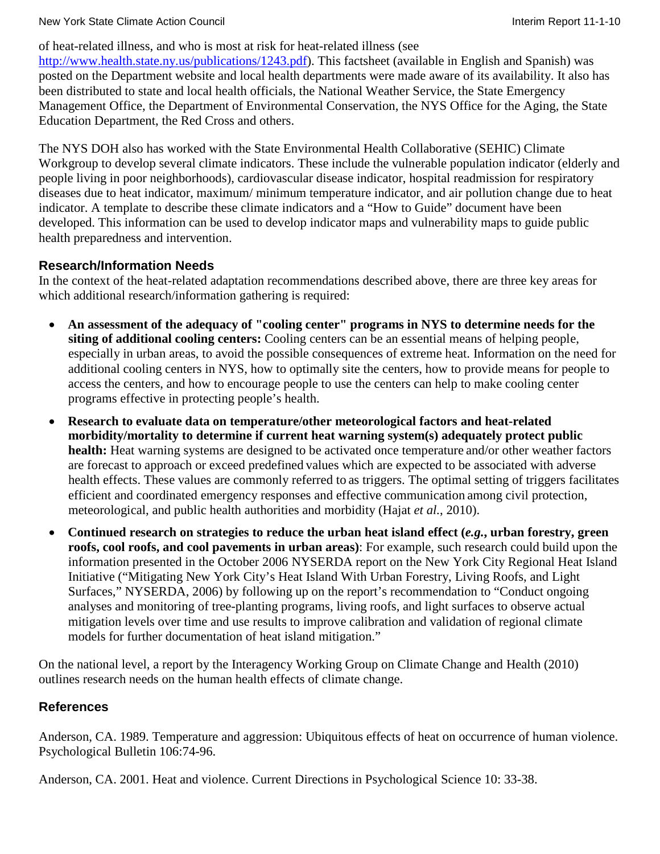of heat-related illness, and who is most at risk for heat-related illness (see

[http://www.health.state.ny.us/publications/1243.pdf\)](http://www.health.state.ny.us/publications/1243.pdf). This factsheet (available in English and Spanish) was posted on the Department website and local health departments were made aware of its availability. It also has been distributed to state and local health officials, the National Weather Service, the State Emergency Management Office, the Department of Environmental Conservation, the NYS Office for the Aging, the State Education Department, the Red Cross and others.

The NYS DOH also has worked with the State Environmental Health Collaborative (SEHIC) Climate Workgroup to develop several climate indicators. These include the vulnerable population indicator (elderly and people living in poor neighborhoods), cardiovascular disease indicator, hospital readmission for respiratory diseases due to heat indicator, maximum/ minimum temperature indicator, and air pollution change due to heat indicator. A template to describe these climate indicators and a "How to Guide" document have been developed. This information can be used to develop indicator maps and vulnerability maps to guide public health preparedness and intervention.

## **Research/Information Needs**

In the context of the heat-related adaptation recommendations described above, there are three key areas for which additional research/information gathering is required:

- **An assessment of the adequacy of "cooling center" programs in NYS to determine needs for the siting of additional cooling centers:** Cooling centers can be an essential means of helping people, especially in urban areas, to avoid the possible consequences of extreme heat. Information on the need for additional cooling centers in NYS, how to optimally site the centers, how to provide means for people to access the centers, and how to encourage people to use the centers can help to make cooling center programs effective in protecting people's health.
- **Research to evaluate data on temperature/other meteorological factors and heat-related morbidity/mortality to determine if current heat warning system(s) adequately protect public health:** Heat warning systems are designed to be activated once temperature and/or other weather factors are forecast to approach or exceed predefined values which are expected to be associated with adverse health effects. These values are commonly referred to as triggers. The optimal setting of triggers facilitates efficient and coordinated emergency responses and effective communication among civil protection, meteorological, and public health authorities and morbidity (Hajat *et al.*, 2010).
- **Continued research on strategies to reduce the urban heat island effect (***e.g.***, urban forestry, green roofs, cool roofs, and cool pavements in urban areas)**: For example, such research could build upon the information presented in the October 2006 NYSERDA report on the New York City Regional Heat Island Initiative ("Mitigating New York City's Heat Island With Urban Forestry, Living Roofs, and Light Surfaces," NYSERDA, 2006) by following up on the report's recommendation to "Conduct ongoing analyses and monitoring of tree-planting programs, living roofs, and light surfaces to observe actual mitigation levels over time and use results to improve calibration and validation of regional climate models for further documentation of heat island mitigation."

On the national level, a report by the Interagency Working Group on Climate Change and Health (2010) outlines research needs on the human health effects of climate change.

## **References**

Anderson, CA. 1989. Temperature and aggression: Ubiquitous effects of heat on occurrence of human violence. Psychological Bulletin 106:74-96.

Anderson, CA. 2001. Heat and violence. Current Directions in Psychological Science 10: 33-38.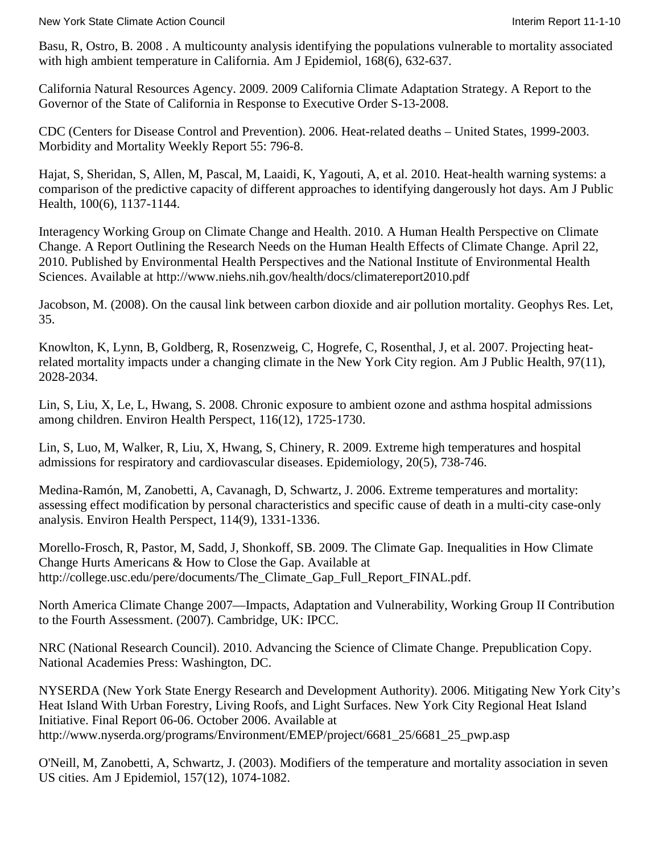Basu, R, Ostro, B. 2008 . A multicounty analysis identifying the populations vulnerable to mortality associated with high ambient temperature in California. Am J Epidemiol, 168(6), 632-637.

California Natural Resources Agency. 2009. 2009 California Climate Adaptation Strategy. A Report to the Governor of the State of California in Response to Executive Order S-13-2008.

CDC (Centers for Disease Control and Prevention). 2006. Heat-related deaths – United States, 1999-2003. Morbidity and Mortality Weekly Report 55: 796-8.

Hajat, S, Sheridan, S, Allen, M, Pascal, M, Laaidi, K, Yagouti, A, et al. 2010. Heat-health warning systems: a comparison of the predictive capacity of different approaches to identifying dangerously hot days. Am J Public Health, 100(6), 1137-1144.

Interagency Working Group on Climate Change and Health. 2010. A Human Health Perspective on Climate Change. A Report Outlining the Research Needs on the Human Health Effects of Climate Change. April 22, 2010. Published by Environmental Health Perspectives and the National Institute of Environmental Health Sciences. Available at<http://www.niehs.nih.gov/health/docs/climatereport2010.pdf>

Jacobson, M. (2008). On the causal link between carbon dioxide and air pollution mortality. Geophys Res. Let, 35.

Knowlton, K, Lynn, B, Goldberg, R, Rosenzweig, C, Hogrefe, C, Rosenthal, J, et al. 2007. Projecting heatrelated mortality impacts under a changing climate in the New York City region. Am J Public Health, 97(11), 2028-2034.

Lin, S, Liu, X, Le, L, Hwang, S. 2008. Chronic exposure to ambient ozone and asthma hospital admissions among children. Environ Health Perspect, 116(12), 1725-1730.

Lin, S, Luo, M, Walker, R, Liu, X, Hwang, S, Chinery, R. 2009. Extreme high temperatures and hospital admissions for respiratory and cardiovascular diseases. Epidemiology, 20(5), 738-746.

Medina-Ramón, M, Zanobetti, A, Cavanagh, D, Schwartz, J. 2006. Extreme temperatures and mortality: assessing effect modification by personal characteristics and specific cause of death in a multi-city case-only analysis. Environ Health Perspect, 114(9), 1331-1336.

Morello-Frosch, R, Pastor, M, Sadd, J, Shonkoff, SB. 2009. The Climate Gap. Inequalities in How Climate Change Hurts Americans & How to Close the Gap. Available at [http://college.usc.edu/pere/documents/The\\_Climate\\_Gap\\_Full\\_Report\\_FINAL.pdf.](http://college.usc.edu/pere/documents/The_Climate_Gap_Full_Report_FINAL.pdf)

North America Climate Change 2007—Impacts, Adaptation and Vulnerability, Working Group II Contribution to the Fourth Assessment. (2007). Cambridge, UK: IPCC.

NRC (National Research Council). 2010. Advancing the Science of Climate Change. Prepublication Copy. National Academies Press: Washington, DC.

NYSERDA (New York State Energy Research and Development Authority). 2006. Mitigating New York City's Heat Island With Urban Forestry, Living Roofs, and Light Surfaces. New York City Regional Heat Island Initiative. Final Report 06-06. October 2006. Available at [http://www.nyserda.org/programs/Environment/EMEP/project/6681\\_25/6681\\_25\\_pwp.asp](http://www.nyserda.org/programs/Environment/EMEP/project/6681_25/6681_25_pwp.asp)

O'Neill, M, Zanobetti, A, Schwartz, J. (2003). Modifiers of the temperature and mortality association in seven US cities. Am J Epidemiol, 157(12), 1074-1082.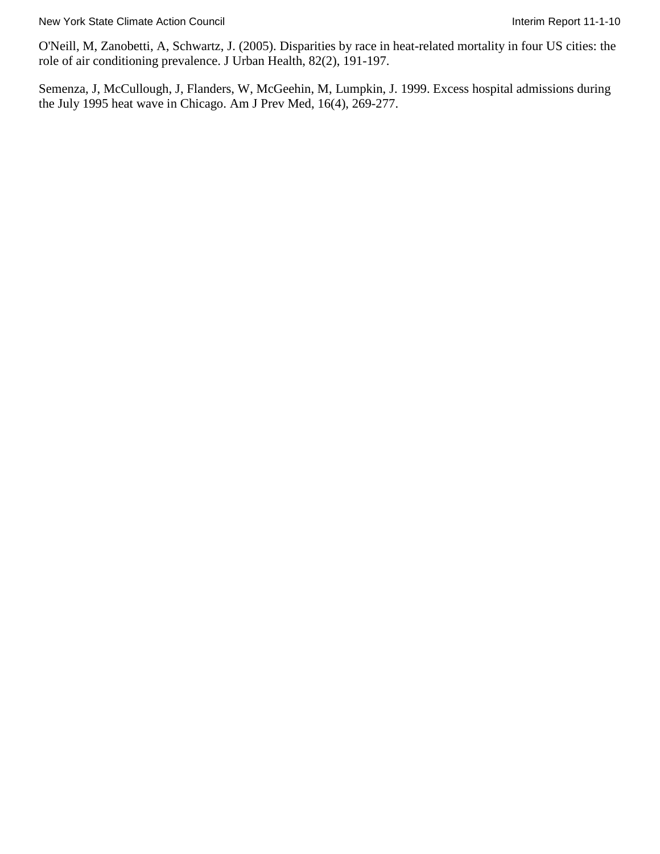O'Neill, M, Zanobetti, A, Schwartz, J. (2005). Disparities by race in heat-related mortality in four US cities: the role of air conditioning prevalence. J Urban Health, 82(2), 191-197.

Semenza, J, McCullough, J, Flanders, W, McGeehin, M, Lumpkin, J. 1999. Excess hospital admissions during the July 1995 heat wave in Chicago. Am J Prev Med, 16(4), 269-277.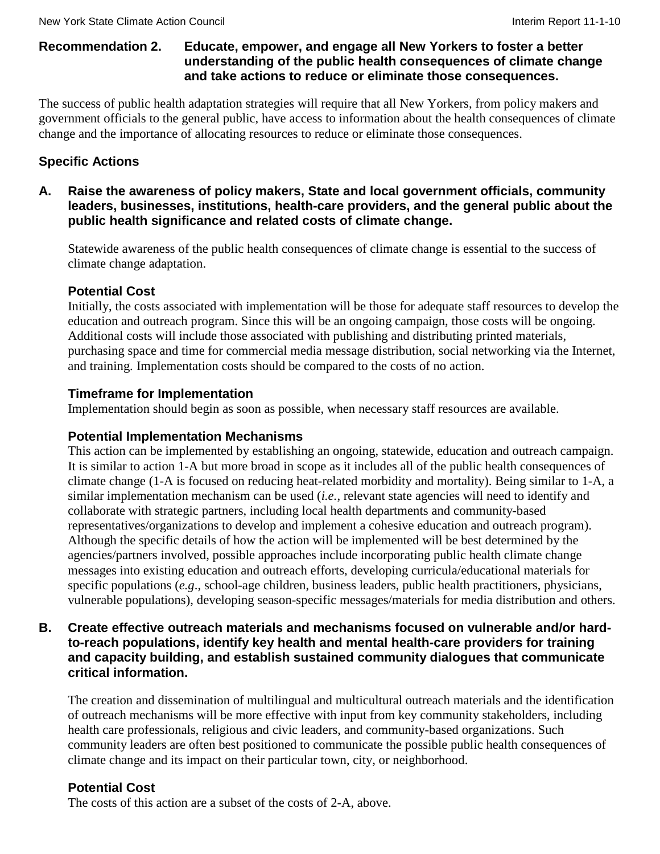#### **Recommendation 2. Educate, empower, and engage all New Yorkers to foster a better understanding of the public health consequences of climate change and take actions to reduce or eliminate those consequences.**

The success of public health adaptation strategies will require that all New Yorkers, from policy makers and government officials to the general public, have access to information about the health consequences of climate change and the importance of allocating resources to reduce or eliminate those consequences.

## **Specific Actions**

**A. Raise the awareness of policy makers, State and local government officials, community leaders, businesses, institutions, health-care providers, and the general public about the public health significance and related costs of climate change.**

Statewide awareness of the public health consequences of climate change is essential to the success of climate change adaptation.

## **Potential Cost**

Initially, the costs associated with implementation will be those for adequate staff resources to develop the education and outreach program. Since this will be an ongoing campaign, those costs will be ongoing. Additional costs will include those associated with publishing and distributing printed materials, purchasing space and time for commercial media message distribution, social networking via the Internet, and training. Implementation costs should be compared to the costs of no action.

## **Timeframe for Implementation**

Implementation should begin as soon as possible, when necessary staff resources are available.

## **Potential Implementation Mechanisms**

This action can be implemented by establishing an ongoing, statewide, education and outreach campaign. It is similar to action 1-A but more broad in scope as it includes all of the public health consequences of climate change (1-A is focused on reducing heat-related morbidity and mortality). Being similar to 1-A, a similar implementation mechanism can be used (*i.e.*, relevant state agencies will need to identify and collaborate with strategic partners, including local health departments and community-based representatives/organizations to develop and implement a cohesive education and outreach program). Although the specific details of how the action will be implemented will be best determined by the agencies/partners involved, possible approaches include incorporating public health climate change messages into existing education and outreach efforts, developing curricula/educational materials for specific populations (*e.g*., school-age children, business leaders, public health practitioners, physicians, vulnerable populations), developing season-specific messages/materials for media distribution and others.

#### **B. Create effective outreach materials and mechanisms focused on vulnerable and/or hardto-reach populations, identify key health and mental health-care providers for training and capacity building, and establish sustained community dialogues that communicate critical information.**

The creation and dissemination of multilingual and multicultural outreach materials and the identification of outreach mechanisms will be more effective with input from key community stakeholders, including health care professionals, religious and civic leaders, and community-based organizations. Such community leaders are often best positioned to communicate the possible public health consequences of climate change and its impact on their particular town, city, or neighborhood.

## **Potential Cost**

The costs of this action are a subset of the costs of 2-A, above.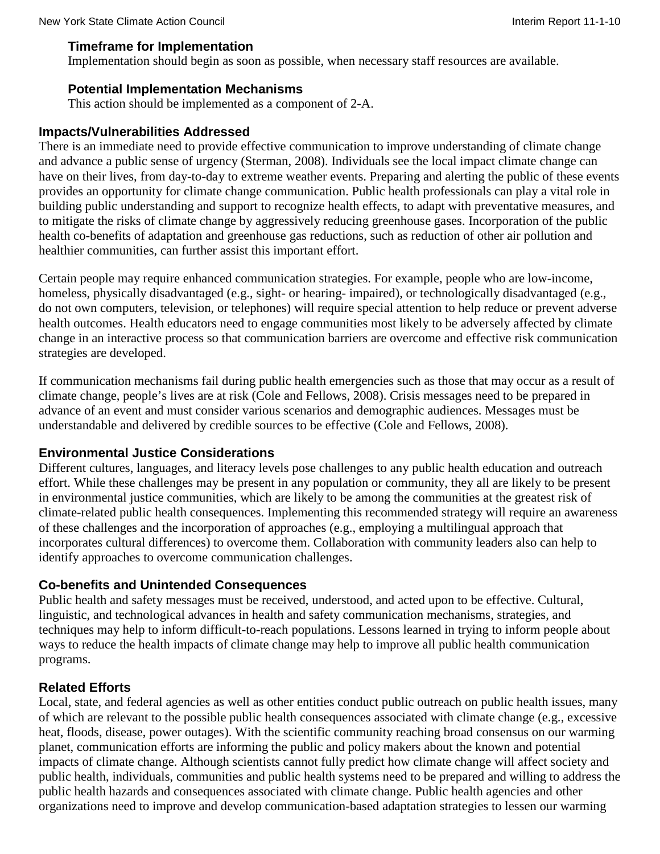#### **Timeframe for Implementation**

Implementation should begin as soon as possible, when necessary staff resources are available.

## **Potential Implementation Mechanisms**

This action should be implemented as a component of 2-A.

#### **Impacts/Vulnerabilities Addressed**

There is an immediate need to provide effective communication to improve understanding of climate change and advance a public sense of urgency (Sterman, 2008). Individuals see the local impact climate change can have on their lives, from day-to-day to extreme weather events. Preparing and alerting the public of these events provides an opportunity for climate change communication. Public health professionals can play a vital role in building public understanding and support to recognize health effects, to adapt with preventative measures, and to mitigate the risks of climate change by aggressively reducing greenhouse gases. Incorporation of the public health co-benefits of adaptation and greenhouse gas reductions, such as reduction of other air pollution and healthier communities, can further assist this important effort.

Certain people may require enhanced communication strategies. For example, people who are low-income, homeless, physically disadvantaged (e.g., sight- or hearing- impaired), or technologically disadvantaged (e.g., do not own computers, television, or telephones) will require special attention to help reduce or prevent adverse health outcomes. Health educators need to engage communities most likely to be adversely affected by climate change in an interactive process so that communication barriers are overcome and effective risk communication strategies are developed.

If communication mechanisms fail during public health emergencies such as those that may occur as a result of climate change, people's lives are at risk (Cole and Fellows, 2008). Crisis messages need to be prepared in advance of an event and must consider various scenarios and demographic audiences. Messages must be understandable and delivered by credible sources to be effective (Cole and Fellows, 2008).

## **Environmental Justice Considerations**

Different cultures, languages, and literacy levels pose challenges to any public health education and outreach effort. While these challenges may be present in any population or community, they all are likely to be present in environmental justice communities, which are likely to be among the communities at the greatest risk of climate-related public health consequences. Implementing this recommended strategy will require an awareness of these challenges and the incorporation of approaches (e.g., employing a multilingual approach that incorporates cultural differences) to overcome them. Collaboration with community leaders also can help to identify approaches to overcome communication challenges.

## **Co-benefits and Unintended Consequences**

Public health and safety messages must be received, understood, and acted upon to be effective. Cultural, linguistic, and technological advances in health and safety communication mechanisms, strategies, and techniques may help to inform difficult-to-reach populations. Lessons learned in trying to inform people about ways to reduce the health impacts of climate change may help to improve all public health communication programs.

## **Related Efforts**

Local, state, and federal agencies as well as other entities conduct public outreach on public health issues, many of which are relevant to the possible public health consequences associated with climate change (e.g., excessive heat, floods, disease, power outages). With the scientific community reaching broad consensus on our warming planet, communication efforts are informing the public and policy makers about the known and potential impacts of climate change. Although scientists cannot fully predict how climate change will affect society and public health, individuals, communities and public health systems need to be prepared and willing to address the public health hazards and consequences associated with climate change. Public health agencies and other organizations need to improve and develop communication-based adaptation strategies to lessen our warming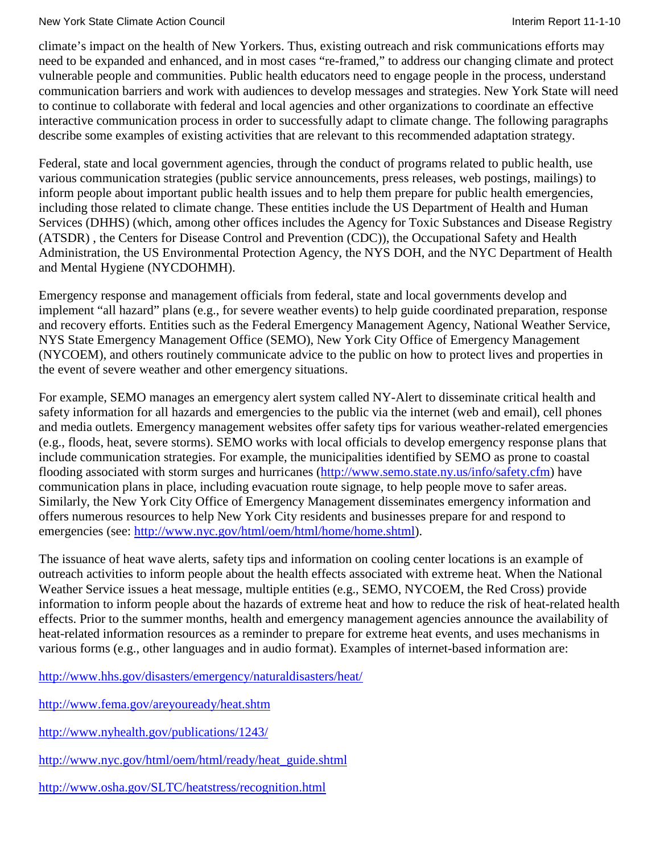climate's impact on the health of New Yorkers. Thus, existing outreach and risk communications efforts may need to be expanded and enhanced, and in most cases "re-framed," to address our changing climate and protect vulnerable people and communities. Public health educators need to engage people in the process, understand communication barriers and work with audiences to develop messages and strategies. New York State will need to continue to collaborate with federal and local agencies and other organizations to coordinate an effective interactive communication process in order to successfully adapt to climate change. The following paragraphs describe some examples of existing activities that are relevant to this recommended adaptation strategy.

Federal, state and local government agencies, through the conduct of programs related to public health, use various communication strategies (public service announcements, press releases, web postings, mailings) to inform people about important public health issues and to help them prepare for public health emergencies, including those related to climate change. These entities include the US Department of Health and Human Services (DHHS) (which, among other offices includes the Agency for Toxic Substances and Disease Registry (ATSDR) , the Centers for Disease Control and Prevention (CDC)), the Occupational Safety and Health Administration, the US Environmental Protection Agency, the NYS DOH, and the NYC Department of Health and Mental Hygiene (NYCDOHMH).

Emergency response and management officials from federal, state and local governments develop and implement "all hazard" plans (e.g., for severe weather events) to help guide coordinated preparation, response and recovery efforts. Entities such as the Federal Emergency Management Agency, National Weather Service, NYS State Emergency Management Office (SEMO), New York City Office of Emergency Management (NYCOEM), and others routinely communicate advice to the public on how to protect lives and properties in the event of severe weather and other emergency situations.

For example, SEMO manages an emergency alert system called NY-Alert to disseminate critical health and safety information for all hazards and emergencies to the public via the internet (web and email), cell phones and media outlets. Emergency management websites offer safety tips for various weather-related emergencies (e.g., floods, heat, severe storms). SEMO works with local officials to develop emergency response plans that include communication strategies. For example, the municipalities identified by SEMO as prone to coastal flooding associated with storm surges and hurricanes [\(http://www.semo.state.ny.us/info/safety.cfm\)](http://www.semo.state.ny.us/info/safety.cfm) have communication plans in place, including evacuation route signage, to help people move to safer areas. Similarly, the New York City Office of Emergency Management disseminates emergency information and offers numerous resources to help New York City residents and businesses prepare for and respond to emergencies (see: [http://www.nyc.gov/html/oem/html/home/home.shtml\)](http://www.nyc.gov/html/oem/html/home/home.shtml).

The issuance of heat wave alerts, safety tips and information on cooling center locations is an example of outreach activities to inform people about the health effects associated with extreme heat. When the National Weather Service issues a heat message, multiple entities (e.g., SEMO, NYCOEM, the Red Cross) provide information to inform people about the hazards of extreme heat and how to reduce the risk of heat-related health effects. Prior to the summer months, health and emergency management agencies announce the availability of heat-related information resources as a reminder to prepare for extreme heat events, and uses mechanisms in various forms (e.g., other languages and in audio format). Examples of internet-based information are:

<http://www.hhs.gov/disasters/emergency/naturaldisasters/heat/>

<http://www.fema.gov/areyouready/heat.shtm>

<http://www.nyhealth.gov/publications/1243/>

[http://www.nyc.gov/html/oem/html/ready/heat\\_guide.shtml](http://www.nyc.gov/html/oem/html/ready/heat_guide.shtml)

<http://www.osha.gov/SLTC/heatstress/recognition.html>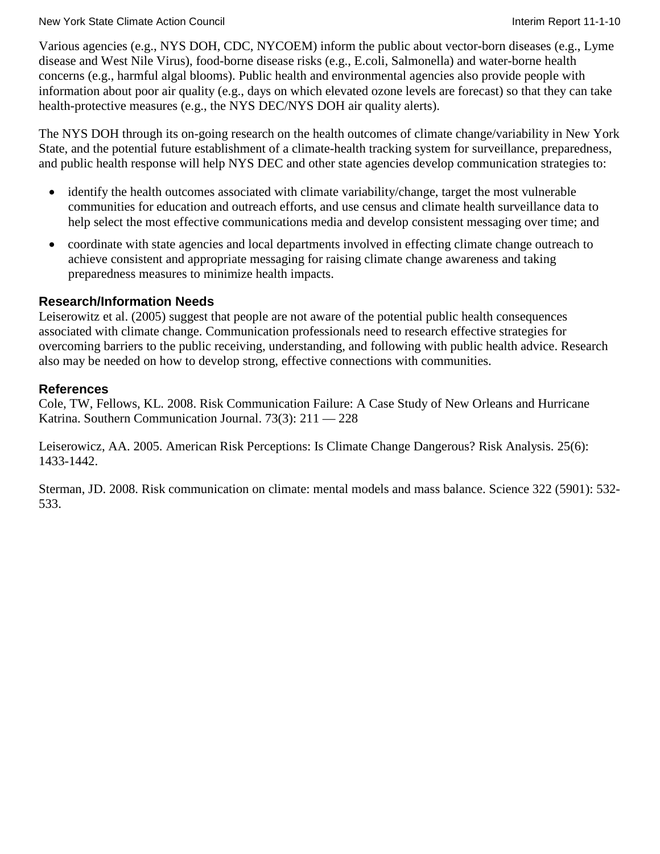#### New York State Climate Action Council **Interimental Interim Report 11-1-10** New York State Climate Action Council

Various agencies (e.g., NYS DOH, CDC, NYCOEM) inform the public about vector-born diseases (e.g., Lyme disease and West Nile Virus), food-borne disease risks (e.g., E.coli, Salmonella) and water-borne health concerns (e.g., harmful algal blooms). Public health and environmental agencies also provide people with information about poor air quality (e.g., days on which elevated ozone levels are forecast) so that they can take health-protective measures (e.g., the NYS DEC/NYS DOH air quality alerts).

The NYS DOH through its on-going research on the health outcomes of climate change/variability in New York State, and the potential future establishment of a climate-health tracking system for surveillance, preparedness, and public health response will help NYS DEC and other state agencies develop communication strategies to:

- identify the health outcomes associated with climate variability/change, target the most vulnerable communities for education and outreach efforts, and use census and climate health surveillance data to help select the most effective communications media and develop consistent messaging over time; and
- coordinate with state agencies and local departments involved in effecting climate change outreach to achieve consistent and appropriate messaging for raising climate change awareness and taking preparedness measures to minimize health impacts.

### **Research/Information Needs**

Leiserowitz et al. (2005) suggest that people are not aware of the potential public health consequences associated with climate change. Communication professionals need to research effective strategies for overcoming barriers to the public receiving, understanding, and following with public health advice. Research also may be needed on how to develop strong, effective connections with communities.

### **References**

Cole, TW, Fellows, KL. 2008. Risk Communication Failure: A Case Study of New Orleans and Hurricane Katrina. Southern Communication Journal. 73(3): 211 — 228

Leiserowicz, AA. 2005. American Risk Perceptions: Is Climate Change Dangerous? Risk Analysis. 25(6): 1433-1442.

Sterman, JD. 2008. Risk communication on climate: mental models and mass balance. Science 322 (5901): 532- 533.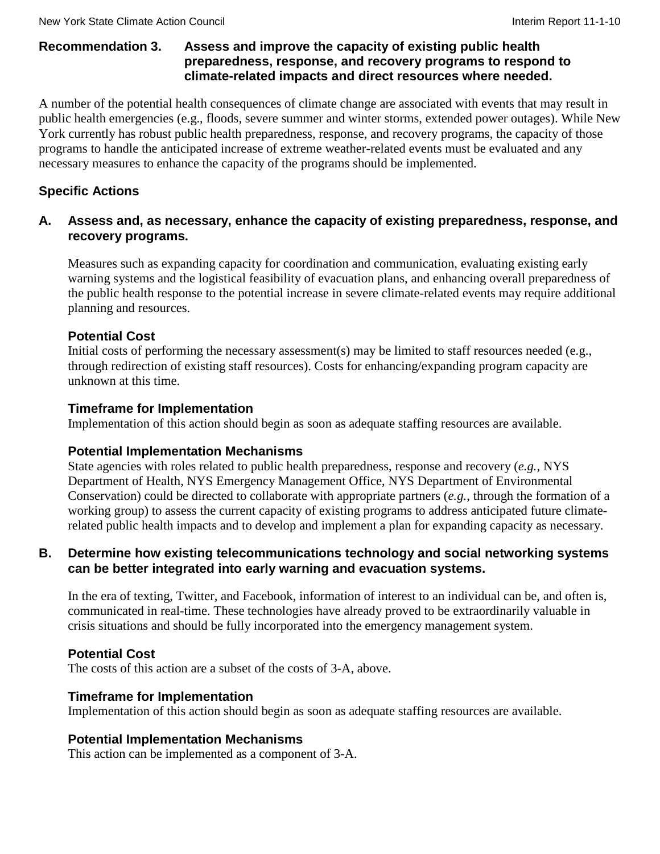### **Recommendation 3. Assess and improve the capacity of existing public health preparedness, response, and recovery programs to respond to climate-related impacts and direct resources where needed.**

A number of the potential health consequences of climate change are associated with events that may result in public health emergencies (e.g., floods, severe summer and winter storms, extended power outages). While New York currently has robust public health preparedness, response, and recovery programs, the capacity of those programs to handle the anticipated increase of extreme weather-related events must be evaluated and any necessary measures to enhance the capacity of the programs should be implemented.

# **Specific Actions**

### **A. Assess and, as necessary, enhance the capacity of existing preparedness, response, and recovery programs.**

Measures such as expanding capacity for coordination and communication, evaluating existing early warning systems and the logistical feasibility of evacuation plans, and enhancing overall preparedness of the public health response to the potential increase in severe climate-related events may require additional planning and resources.

# **Potential Cost**

Initial costs of performing the necessary assessment(s) may be limited to staff resources needed (e.g., through redirection of existing staff resources). Costs for enhancing/expanding program capacity are unknown at this time.

### **Timeframe for Implementation**

Implementation of this action should begin as soon as adequate staffing resources are available.

### **Potential Implementation Mechanisms**

State agencies with roles related to public health preparedness, response and recovery (*e.g.*, NYS Department of Health, NYS Emergency Management Office, NYS Department of Environmental Conservation) could be directed to collaborate with appropriate partners (*e.g.*, through the formation of a working group) to assess the current capacity of existing programs to address anticipated future climaterelated public health impacts and to develop and implement a plan for expanding capacity as necessary.

### **B. Determine how existing telecommunications technology and social networking systems can be better integrated into early warning and evacuation systems.**

In the era of texting, Twitter, and Facebook, information of interest to an individual can be, and often is, communicated in real-time. These technologies have already proved to be extraordinarily valuable in crisis situations and should be fully incorporated into the emergency management system.

# **Potential Cost**

The costs of this action are a subset of the costs of 3-A, above.

### **Timeframe for Implementation**

Implementation of this action should begin as soon as adequate staffing resources are available.

### **Potential Implementation Mechanisms**

This action can be implemented as a component of 3-A.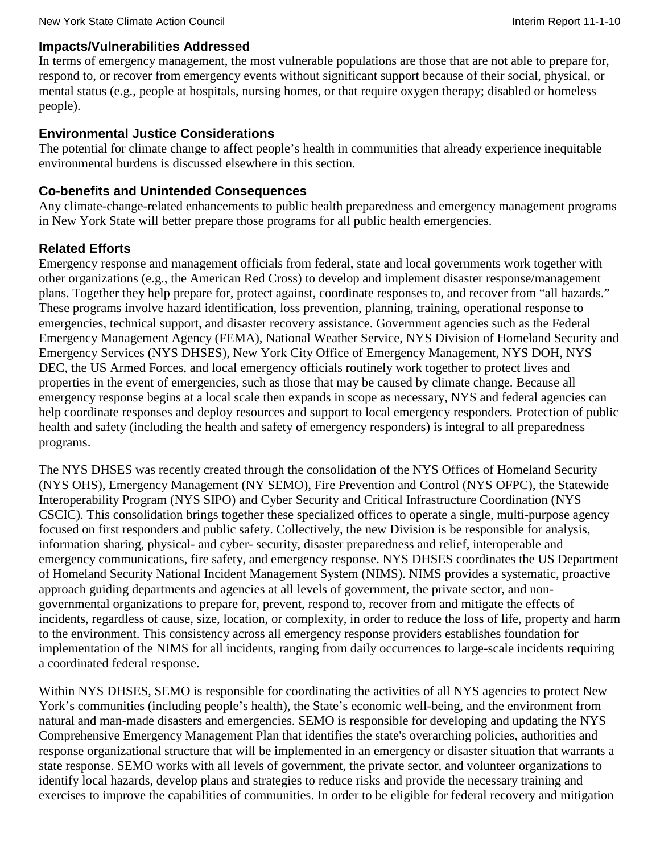### **Impacts/Vulnerabilities Addressed**

In terms of emergency management, the most vulnerable populations are those that are not able to prepare for, respond to, or recover from emergency events without significant support because of their social, physical, or mental status (e.g., people at hospitals, nursing homes, or that require oxygen therapy; disabled or homeless people).

### **Environmental Justice Considerations**

The potential for climate change to affect people's health in communities that already experience inequitable environmental burdens is discussed elsewhere in this section.

### **Co-benefits and Unintended Consequences**

Any climate-change-related enhancements to public health preparedness and emergency management programs in New York State will better prepare those programs for all public health emergencies.

# **Related Efforts**

Emergency response and management officials from federal, state and local governments work together with other organizations (e.g., the American Red Cross) to develop and implement disaster response/management plans. Together they help prepare for, protect against, coordinate responses to, and recover from "all hazards." These programs involve hazard identification, loss prevention, planning, training, operational response to emergencies, technical support, and disaster recovery assistance. Government agencies such as the Federal Emergency Management Agency (FEMA), National Weather Service, NYS Division of Homeland Security and Emergency Services (NYS DHSES), New York City Office of Emergency Management, NYS DOH, NYS DEC, the US Armed Forces, and local emergency officials routinely work together to protect lives and properties in the event of emergencies, such as those that may be caused by climate change. Because all emergency response begins at a local scale then expands in scope as necessary, NYS and federal agencies can help coordinate responses and deploy resources and support to local emergency responders. Protection of public health and safety (including the health and safety of emergency responders) is integral to all preparedness programs.

The NYS DHSES was recently created through the consolidation of the NYS Offices of Homeland Security (NYS OHS), Emergency Management (NY SEMO), Fire Prevention and Control (NYS OFPC), the Statewide Interoperability Program (NYS SIPO) and Cyber Security and Critical Infrastructure Coordination (NYS CSCIC). This consolidation brings together these specialized offices to operate a single, multi-purpose agency focused on first responders and public safety. Collectively, the new Division is be responsible for analysis, information sharing, physical- and cyber- security, disaster preparedness and relief, interoperable and emergency communications, fire safety, and emergency response. NYS DHSES coordinates the US Department of Homeland Security National Incident Management System (NIMS). NIMS provides a systematic, proactive approach guiding departments and agencies at all levels of government, the private sector, and nongovernmental organizations to prepare for, prevent, respond to, recover from and mitigate the effects of incidents, regardless of cause, size, location, or complexity, in order to reduce the loss of life, property and harm to the environment. This consistency across all emergency response providers establishes foundation for implementation of the NIMS for all incidents, ranging from daily occurrences to large-scale incidents requiring a coordinated federal response.

Within NYS DHSES, SEMO is responsible for coordinating the activities of all NYS agencies to protect New York's communities (including people's health), the State's economic well-being, and the environment from natural and man-made disasters and emergencies. SEMO is responsible for developing and updating the NYS Comprehensive Emergency Management Plan that identifies the state's overarching policies, authorities and response organizational structure that will be implemented in an emergency or disaster situation that warrants a state response. SEMO works with all levels of government, the private sector, and volunteer organizations to identify local hazards, develop plans and strategies to reduce risks and provide the necessary training and exercises to improve the capabilities of communities. In order to be eligible for federal recovery and mitigation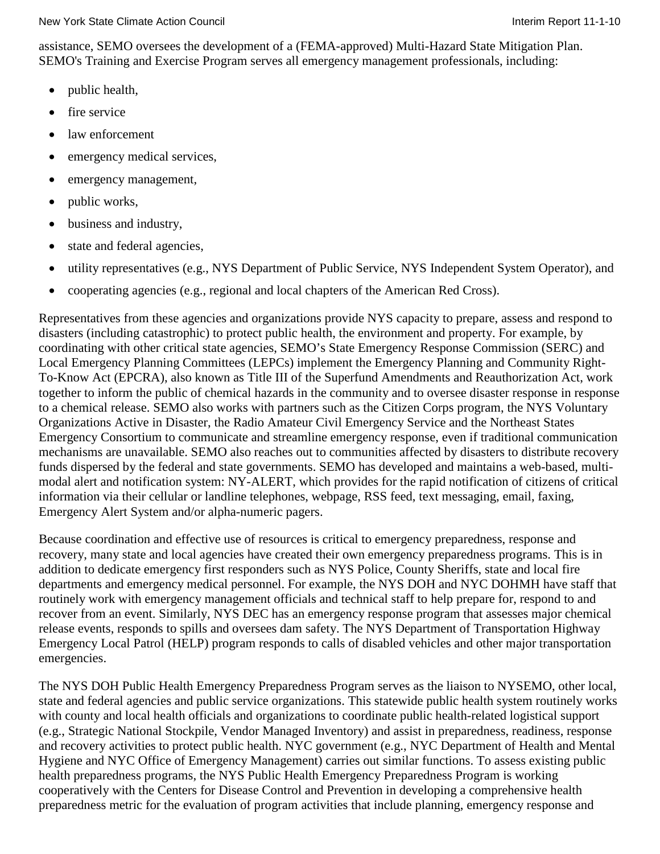assistance, SEMO oversees the development of a (FEMA-approved) Multi-Hazard State Mitigation Plan. SEMO's Training and Exercise Program serves all emergency management professionals, including:

- public health,
- fire service
- law enforcement
- emergency medical services,
- emergency management,
- public works,
- business and industry,
- state and federal agencies,
- utility representatives (e.g., NYS Department of Public Service, NYS Independent System Operator), and
- cooperating agencies (e.g., regional and local chapters of the American Red Cross).

Representatives from these agencies and organizations provide NYS capacity to prepare, assess and respond to disasters (including catastrophic) to protect public health, the environment and property. For example, by coordinating with other critical state agencies, SEMO's State Emergency Response Commission (SERC) and Local Emergency Planning Committees (LEPCs) implement the Emergency Planning and Community Right-To-Know Act (EPCRA), also known as Title III of the Superfund Amendments and Reauthorization Act, work together to inform the public of chemical hazards in the community and to oversee disaster response in response to a chemical release. SEMO also works with partners such as the Citizen Corps program, the NYS Voluntary Organizations Active in Disaster, the Radio Amateur Civil Emergency Service and the Northeast States Emergency Consortium to communicate and streamline emergency response, even if traditional communication mechanisms are unavailable. SEMO also reaches out to communities affected by disasters to distribute recovery funds dispersed by the federal and state governments. SEMO has developed and maintains a web-based, multimodal alert and notification system: NY-ALERT, which provides for the rapid notification of citizens of critical information via their cellular or landline telephones, webpage, RSS feed, text messaging, email, faxing, Emergency Alert System and/or alpha-numeric pagers.

Because coordination and effective use of resources is critical to emergency preparedness, response and recovery, many state and local agencies have created their own emergency preparedness programs. This is in addition to dedicate emergency first responders such as NYS Police, County Sheriffs, state and local fire departments and emergency medical personnel. For example, the NYS DOH and NYC DOHMH have staff that routinely work with emergency management officials and technical staff to help prepare for, respond to and recover from an event. Similarly, NYS DEC has an emergency response program that assesses major chemical release events, responds to spills and oversees dam safety. The NYS Department of Transportation Highway Emergency Local Patrol (HELP) program responds to calls of disabled vehicles and other major transportation emergencies.

The NYS DOH Public Health Emergency Preparedness Program serves as the liaison to NYSEMO, other local, state and federal agencies and public service organizations. This statewide public health system routinely works with county and local health officials and organizations to coordinate public health-related logistical support (e.g., Strategic National Stockpile, Vendor Managed Inventory) and assist in preparedness, readiness, response and recovery activities to protect public health. NYC government (e.g., NYC Department of Health and Mental Hygiene and NYC Office of Emergency Management) carries out similar functions. To assess existing public health preparedness programs, the NYS Public Health Emergency Preparedness Program is working cooperatively with the Centers for Disease Control and Prevention in developing a comprehensive health preparedness metric for the evaluation of program activities that include planning, emergency response and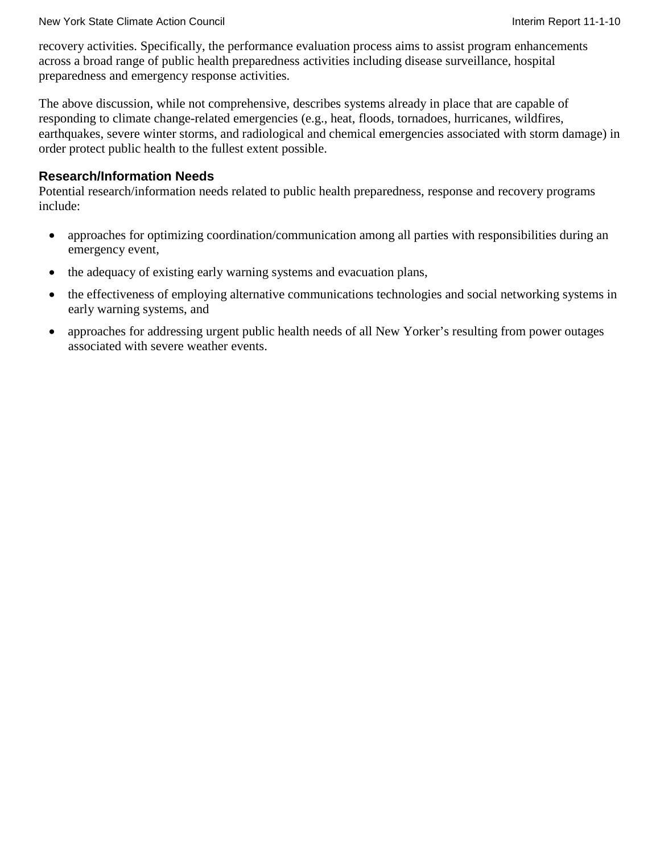#### New York State Climate Action Council **Interimental Interim Report 11-1-10** New York State Climate Action Council

recovery activities. Specifically, the performance evaluation process aims to assist program enhancements across a broad range of public health preparedness activities including disease surveillance, hospital preparedness and emergency response activities.

The above discussion, while not comprehensive, describes systems already in place that are capable of responding to climate change-related emergencies (e.g., heat, floods, tornadoes, hurricanes, wildfires, earthquakes, severe winter storms, and radiological and chemical emergencies associated with storm damage) in order protect public health to the fullest extent possible.

### **Research/Information Needs**

Potential research/information needs related to public health preparedness, response and recovery programs include:

- approaches for optimizing coordination/communication among all parties with responsibilities during an emergency event,
- the adequacy of existing early warning systems and evacuation plans,
- the effectiveness of employing alternative communications technologies and social networking systems in early warning systems, and
- approaches for addressing urgent public health needs of all New Yorker's resulting from power outages associated with severe weather events.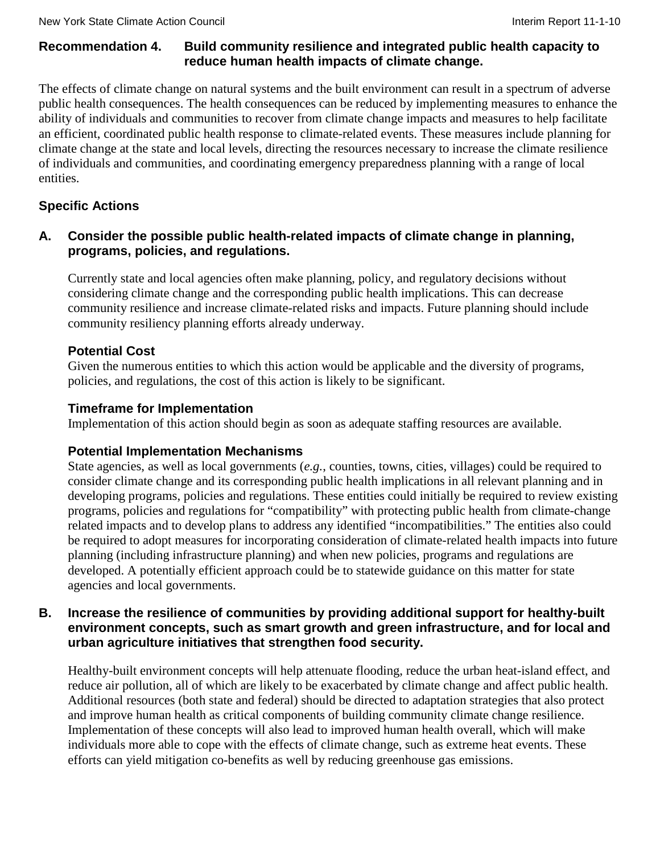# **Recommendation 4. Build community resilience and integrated public health capacity to reduce human health impacts of climate change.**

The effects of climate change on natural systems and the built environment can result in a spectrum of adverse public health consequences. The health consequences can be reduced by implementing measures to enhance the ability of individuals and communities to recover from climate change impacts and measures to help facilitate an efficient, coordinated public health response to climate-related events. These measures include planning for climate change at the state and local levels, directing the resources necessary to increase the climate resilience of individuals and communities, and coordinating emergency preparedness planning with a range of local entities.

# **Specific Actions**

# **A. Consider the possible public health-related impacts of climate change in planning, programs, policies, and regulations.**

Currently state and local agencies often make planning, policy, and regulatory decisions without considering climate change and the corresponding public health implications. This can decrease community resilience and increase climate-related risks and impacts. Future planning should include community resiliency planning efforts already underway.

# **Potential Cost**

Given the numerous entities to which this action would be applicable and the diversity of programs, policies, and regulations, the cost of this action is likely to be significant.

# **Timeframe for Implementation**

Implementation of this action should begin as soon as adequate staffing resources are available.

# **Potential Implementation Mechanisms**

State agencies, as well as local governments (*e.g.*, counties, towns, cities, villages) could be required to consider climate change and its corresponding public health implications in all relevant planning and in developing programs, policies and regulations. These entities could initially be required to review existing programs, policies and regulations for "compatibility" with protecting public health from climate-change related impacts and to develop plans to address any identified "incompatibilities." The entities also could be required to adopt measures for incorporating consideration of climate-related health impacts into future planning (including infrastructure planning) and when new policies, programs and regulations are developed. A potentially efficient approach could be to statewide guidance on this matter for state agencies and local governments.

# **B. Increase the resilience of communities by providing additional support for healthy-built environment concepts, such as smart growth and green infrastructure, and for local and urban agriculture initiatives that strengthen food security.**

Healthy-built environment concepts will help attenuate flooding, reduce the urban heat-island effect, and reduce air pollution, all of which are likely to be exacerbated by climate change and affect public health. Additional resources (both state and federal) should be directed to adaptation strategies that also protect and improve human health as critical components of building community climate change resilience. Implementation of these concepts will also lead to improved human health overall, which will make individuals more able to cope with the effects of climate change, such as extreme heat events. These efforts can yield mitigation co-benefits as well by reducing greenhouse gas emissions.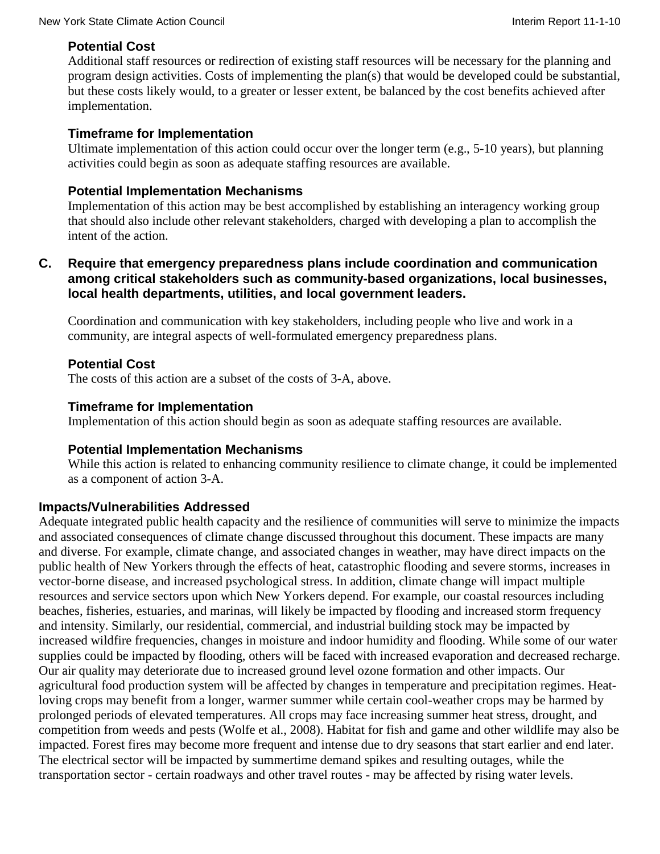# **Potential Cost**

Additional staff resources or redirection of existing staff resources will be necessary for the planning and program design activities. Costs of implementing the plan(s) that would be developed could be substantial, but these costs likely would, to a greater or lesser extent, be balanced by the cost benefits achieved after implementation.

### **Timeframe for Implementation**

Ultimate implementation of this action could occur over the longer term (e.g., 5-10 years), but planning activities could begin as soon as adequate staffing resources are available.

### **Potential Implementation Mechanisms**

Implementation of this action may be best accomplished by establishing an interagency working group that should also include other relevant stakeholders, charged with developing a plan to accomplish the intent of the action.

### **C. Require that emergency preparedness plans include coordination and communication among critical stakeholders such as community-based organizations, local businesses, local health departments, utilities, and local government leaders.**

Coordination and communication with key stakeholders, including people who live and work in a community, are integral aspects of well-formulated emergency preparedness plans.

# **Potential Cost**

The costs of this action are a subset of the costs of 3-A, above.

### **Timeframe for Implementation**

Implementation of this action should begin as soon as adequate staffing resources are available.

### **Potential Implementation Mechanisms**

While this action is related to enhancing community resilience to climate change, it could be implemented as a component of action 3-A.

# **Impacts/Vulnerabilities Addressed**

Adequate integrated public health capacity and the resilience of communities will serve to minimize the impacts and associated consequences of climate change discussed throughout this document. These impacts are many and diverse. For example, climate change, and associated changes in weather, may have direct impacts on the public health of New Yorkers through the effects of heat, catastrophic flooding and severe storms, increases in vector-borne disease, and increased psychological stress. In addition, climate change will impact multiple resources and service sectors upon which New Yorkers depend. For example, our coastal resources including beaches, fisheries, estuaries, and marinas, will likely be impacted by flooding and increased storm frequency and intensity. Similarly, our residential, commercial, and industrial building stock may be impacted by increased wildfire frequencies, changes in moisture and indoor humidity and flooding. While some of our water supplies could be impacted by flooding, others will be faced with increased evaporation and decreased recharge. Our air quality may deteriorate due to increased ground level ozone formation and other impacts. Our agricultural food production system will be affected by changes in temperature and precipitation regimes. Heatloving crops may benefit from a longer, warmer summer while certain cool-weather crops may be harmed by prolonged periods of elevated temperatures. All crops may face increasing summer heat stress, drought, and competition from weeds and pests (Wolfe et al., 2008). Habitat for fish and game and other wildlife may also be impacted. Forest fires may become more frequent and intense due to dry seasons that start earlier and end later. The electrical sector will be impacted by summertime demand spikes and resulting outages, while the transportation sector - certain roadways and other travel routes - may be affected by rising water levels.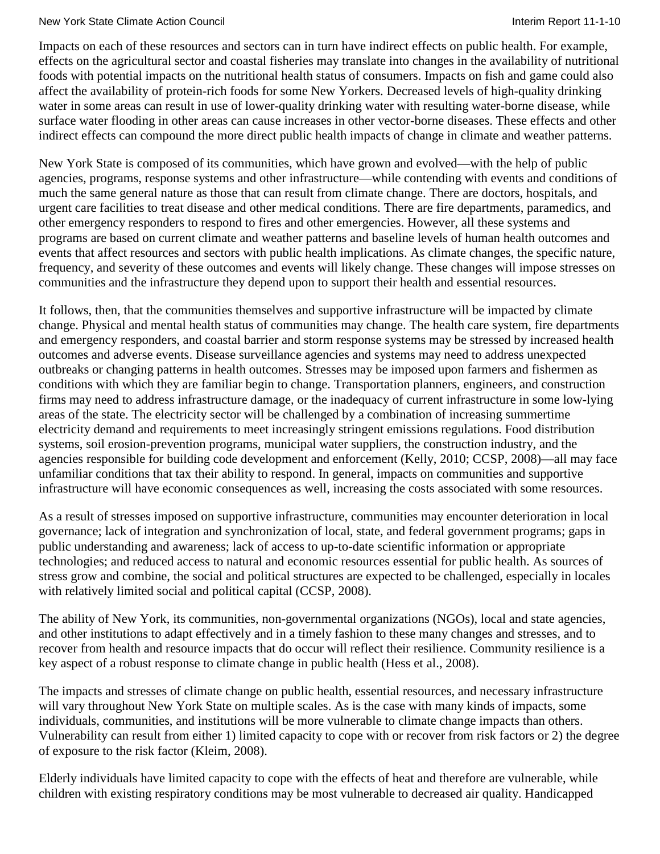#### New York State Climate Action Council **Interiment Council** Interim Report 11-1-10

Impacts on each of these resources and sectors can in turn have indirect effects on public health. For example, effects on the agricultural sector and coastal fisheries may translate into changes in the availability of nutritional foods with potential impacts on the nutritional health status of consumers. Impacts on fish and game could also affect the availability of protein-rich foods for some New Yorkers. Decreased levels of high-quality drinking water in some areas can result in use of lower-quality drinking water with resulting water-borne disease, while surface water flooding in other areas can cause increases in other vector-borne diseases. These effects and other indirect effects can compound the more direct public health impacts of change in climate and weather patterns.

New York State is composed of its communities, which have grown and evolved—with the help of public agencies, programs, response systems and other infrastructure—while contending with events and conditions of much the same general nature as those that can result from climate change. There are doctors, hospitals, and urgent care facilities to treat disease and other medical conditions. There are fire departments, paramedics, and other emergency responders to respond to fires and other emergencies. However, all these systems and programs are based on current climate and weather patterns and baseline levels of human health outcomes and events that affect resources and sectors with public health implications. As climate changes, the specific nature, frequency, and severity of these outcomes and events will likely change. These changes will impose stresses on communities and the infrastructure they depend upon to support their health and essential resources.

It follows, then, that the communities themselves and supportive infrastructure will be impacted by climate change. Physical and mental health status of communities may change. The health care system, fire departments and emergency responders, and coastal barrier and storm response systems may be stressed by increased health outcomes and adverse events. Disease surveillance agencies and systems may need to address unexpected outbreaks or changing patterns in health outcomes. Stresses may be imposed upon farmers and fishermen as conditions with which they are familiar begin to change. Transportation planners, engineers, and construction firms may need to address infrastructure damage, or the inadequacy of current infrastructure in some low-lying areas of the state. The electricity sector will be challenged by a combination of increasing summertime electricity demand and requirements to meet increasingly stringent emissions regulations. Food distribution systems, soil erosion-prevention programs, municipal water suppliers, the construction industry, and the agencies responsible for building code development and enforcement (Kelly, 2010; CCSP, 2008)—all may face unfamiliar conditions that tax their ability to respond. In general, impacts on communities and supportive infrastructure will have economic consequences as well, increasing the costs associated with some resources.

As a result of stresses imposed on supportive infrastructure, communities may encounter deterioration in local governance; lack of integration and synchronization of local, state, and federal government programs; gaps in public understanding and awareness; lack of access to up-to-date scientific information or appropriate technologies; and reduced access to natural and economic resources essential for public health. As sources of stress grow and combine, the social and political structures are expected to be challenged, especially in locales with relatively limited social and political capital (CCSP, 2008).

The ability of New York, its communities, non-governmental organizations (NGOs), local and state agencies, and other institutions to adapt effectively and in a timely fashion to these many changes and stresses, and to recover from health and resource impacts that do occur will reflect their resilience. Community resilience is a key aspect of a robust response to climate change in public health (Hess et al., 2008).

The impacts and stresses of climate change on public health, essential resources, and necessary infrastructure will vary throughout New York State on multiple scales. As is the case with many kinds of impacts, some individuals, communities, and institutions will be more vulnerable to climate change impacts than others. Vulnerability can result from either 1) limited capacity to cope with or recover from risk factors or 2) the degree of exposure to the risk factor (Kleim, 2008).

Elderly individuals have limited capacity to cope with the effects of heat and therefore are vulnerable, while children with existing respiratory conditions may be most vulnerable to decreased air quality. Handicapped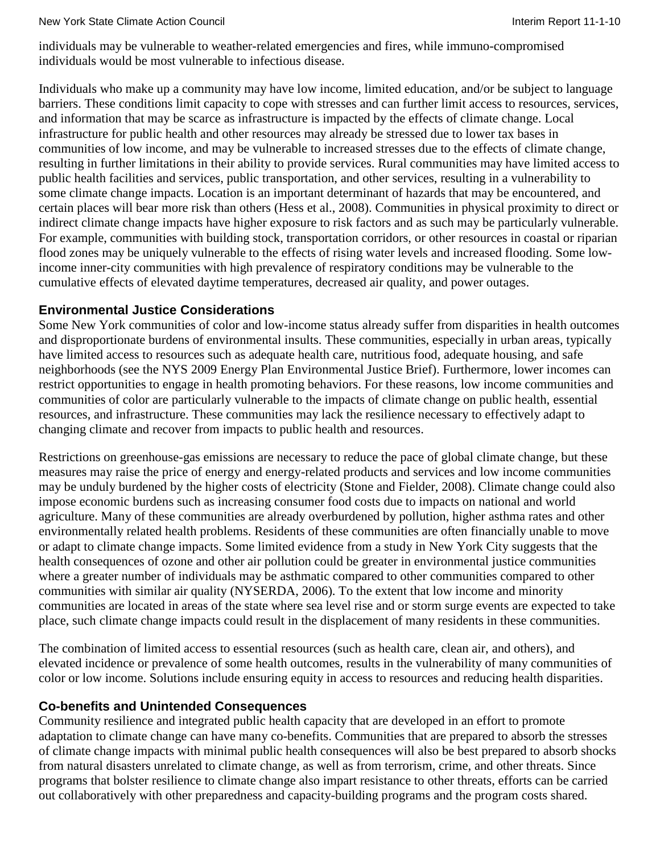individuals may be vulnerable to weather-related emergencies and fires, while immuno-compromised individuals would be most vulnerable to infectious disease.

Individuals who make up a community may have low income, limited education, and/or be subject to language barriers. These conditions limit capacity to cope with stresses and can further limit access to resources, services, and information that may be scarce as infrastructure is impacted by the effects of climate change. Local infrastructure for public health and other resources may already be stressed due to lower tax bases in communities of low income, and may be vulnerable to increased stresses due to the effects of climate change, resulting in further limitations in their ability to provide services. Rural communities may have limited access to public health facilities and services, public transportation, and other services, resulting in a vulnerability to some climate change impacts. Location is an important determinant of hazards that may be encountered, and certain places will bear more risk than others (Hess et al., 2008). Communities in physical proximity to direct or indirect climate change impacts have higher exposure to risk factors and as such may be particularly vulnerable. For example, communities with building stock, transportation corridors, or other resources in coastal or riparian flood zones may be uniquely vulnerable to the effects of rising water levels and increased flooding. Some lowincome inner-city communities with high prevalence of respiratory conditions may be vulnerable to the cumulative effects of elevated daytime temperatures, decreased air quality, and power outages.

# **Environmental Justice Considerations**

Some New York communities of color and low-income status already suffer from disparities in health outcomes and disproportionate burdens of environmental insults. These communities, especially in urban areas, typically have limited access to resources such as adequate health care, nutritious food, adequate housing, and safe neighborhoods (see the NYS 2009 Energy Plan Environmental Justice Brief). Furthermore, lower incomes can restrict opportunities to engage in health promoting behaviors. For these reasons, low income communities and communities of color are particularly vulnerable to the impacts of climate change on public health, essential resources, and infrastructure. These communities may lack the resilience necessary to effectively adapt to changing climate and recover from impacts to public health and resources.

Restrictions on greenhouse-gas emissions are necessary to reduce the pace of global climate change, but these measures may raise the price of energy and energy-related products and services and low income communities may be unduly burdened by the higher costs of electricity (Stone and Fielder, 2008). Climate change could also impose economic burdens such as increasing consumer food costs due to impacts on national and world agriculture. Many of these communities are already overburdened by pollution, higher asthma rates and other environmentally related health problems. Residents of these communities are often financially unable to move or adapt to climate change impacts. Some limited evidence from a study in New York City suggests that the health consequences of ozone and other air pollution could be greater in environmental justice communities where a greater number of individuals may be asthmatic compared to other communities compared to other communities with similar air quality (NYSERDA, 2006). To the extent that low income and minority communities are located in areas of the state where sea level rise and or storm surge events are expected to take place, such climate change impacts could result in the displacement of many residents in these communities.

The combination of limited access to essential resources (such as health care, clean air, and others), and elevated incidence or prevalence of some health outcomes, results in the vulnerability of many communities of color or low income. Solutions include ensuring equity in access to resources and reducing health disparities.

# **Co-benefits and Unintended Consequences**

Community resilience and integrated public health capacity that are developed in an effort to promote adaptation to climate change can have many co-benefits. Communities that are prepared to absorb the stresses of climate change impacts with minimal public health consequences will also be best prepared to absorb shocks from natural disasters unrelated to climate change, as well as from terrorism, crime, and other threats. Since programs that bolster resilience to climate change also impart resistance to other threats, efforts can be carried out collaboratively with other preparedness and capacity-building programs and the program costs shared.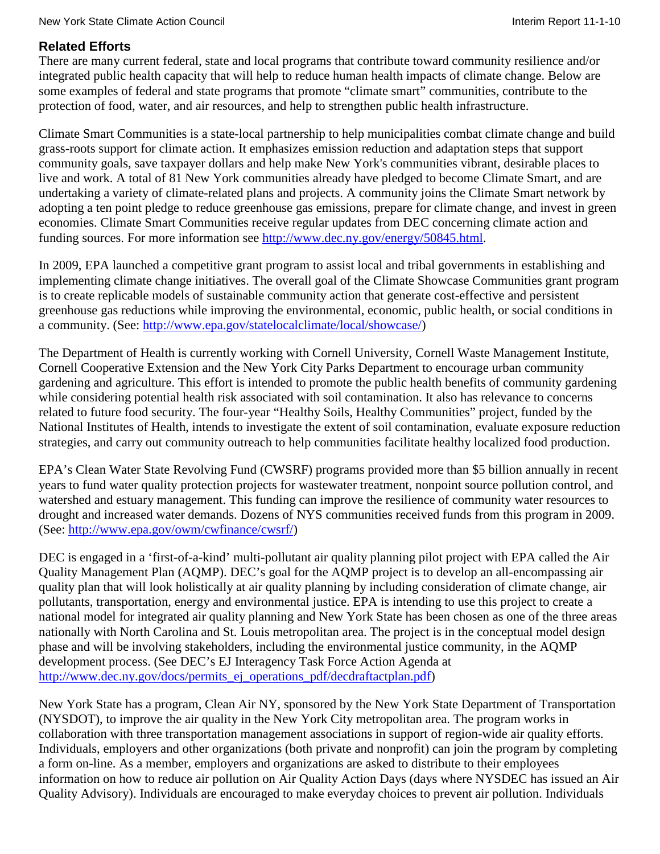# **Related Efforts**

There are many current federal, state and local programs that contribute toward community resilience and/or integrated public health capacity that will help to reduce human health impacts of climate change. Below are some examples of federal and state programs that promote "climate smart" communities, contribute to the protection of food, water, and air resources, and help to strengthen public health infrastructure.

Climate Smart Communities is a state-local partnership to help municipalities combat climate change and build grass-roots support for climate action. It emphasizes emission reduction and adaptation steps that support community goals, save taxpayer dollars and help make New York's communities vibrant, desirable places to live and work. A total of 81 New York communities already have pledged to become Climate Smart, and are undertaking a variety of climate-related plans and projects. A community joins the Climate Smart network by adopting a ten point pledge to reduce greenhouse gas emissions, prepare for climate change, and invest in green economies. Climate Smart Communities receive regular updates from DEC concerning climate action and funding sources. For more information see [http://www.dec.ny.gov/energy/50845.html.](http://www.dec.ny.gov/energy/50845.html)

In 2009, EPA launched a competitive grant program to assist local and tribal governments in establishing and implementing climate change initiatives. The overall goal of the Climate Showcase Communities grant program is to create replicable models of sustainable community action that generate cost-effective and persistent greenhouse gas reductions while improving the environmental, economic, public health, or social conditions in a community. (See: [http://www.epa.gov/statelocalclimate/local/showcase/\)](http://www.epa.gov/statelocalclimate/local/showcase/)

The Department of Health is currently working with Cornell University, Cornell Waste Management Institute, Cornell Cooperative Extension and the New York City Parks Department to encourage urban community gardening and agriculture. This effort is intended to promote the public health benefits of community gardening while considering potential health risk associated with soil contamination. It also has relevance to concerns related to future food security. The four-year "Healthy Soils, Healthy Communities" project, funded by the National Institutes of Health, intends to investigate the extent of soil contamination, evaluate exposure reduction strategies, and carry out community outreach to help communities facilitate healthy localized food production.

EPA's Clean Water State Revolving Fund (CWSRF) programs provided more than \$5 billion annually in recent years to fund water quality protection projects for wastewater treatment, nonpoint source pollution control, and watershed and estuary management. This funding can improve the resilience of community water resources to drought and increased water demands. Dozens of NYS communities received funds from this program in 2009. (See: [http://www.epa.gov/owm/cwfinance/cwsrf/\)](http://www.epa.gov/owm/cwfinance/cwsrf/)

DEC is engaged in a 'first-of-a-kind' multi-pollutant air quality planning pilot project with EPA called the Air Quality Management Plan (AQMP). DEC's goal for the AQMP project is to develop an all-encompassing air quality plan that will look holistically at air quality planning by including consideration of climate change, air pollutants, transportation, energy and environmental justice. EPA is intending to use this project to create a national model for integrated air quality planning and New York State has been chosen as one of the three areas nationally with North Carolina and St. Louis metropolitan area. The project is in the conceptual model design phase and will be involving stakeholders, including the environmental justice community, in the AQMP development process. (See DEC's EJ Interagency Task Force Action Agenda at [http://www.dec.ny.gov/docs/permits\\_ej\\_operations\\_pdf/decdraftactplan.pdf\)](http://www.dec.ny.gov/docs/permits_ej_operations_pdf/decdraftactplan.pdf)

New York State has a program, Clean Air NY, sponsored by the New York State Department of Transportation (NYSDOT), to improve the air quality in the New York City metropolitan area. The program works in collaboration with three transportation management associations in support of region-wide air quality efforts. Individuals, employers and other organizations (both private and nonprofit) can join the program by completing a form on-line. As a member, employers and organizations are asked to distribute to their employees information on how to reduce air pollution on Air Quality Action Days (days where NYSDEC has issued an Air Quality Advisory). Individuals are encouraged to make everyday choices to prevent air pollution. Individuals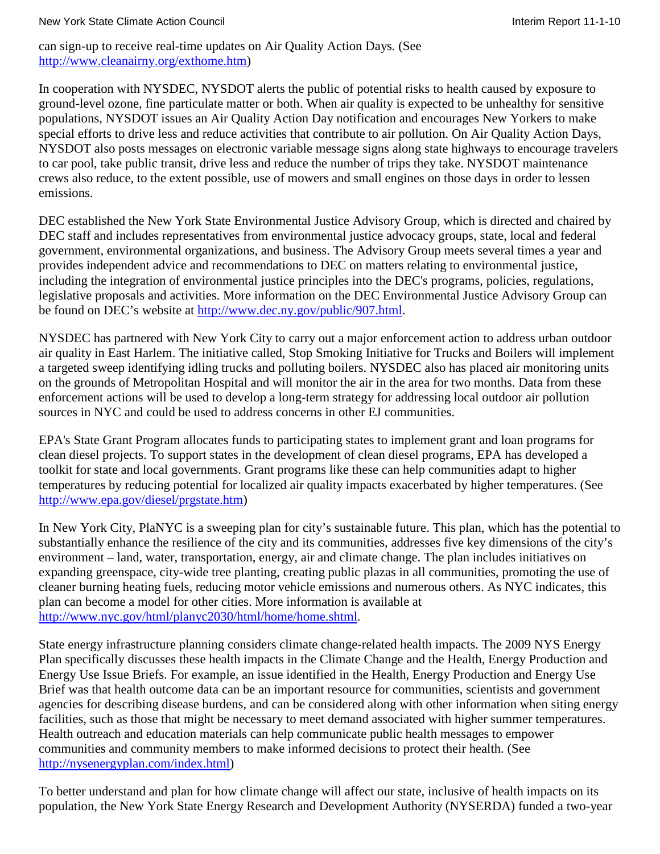#### New York State Climate Action Council **Interimental Interim Report 11-1-10** New York State Climate Action Council

can sign-up to receive real-time updates on Air Quality Action Days. (See [http://www.cleanairny.org/exthome.htm\)](http://www.cleanairny.org/exthome.htm)

In cooperation with NYSDEC, NYSDOT alerts the public of potential risks to health caused by exposure to ground-level ozone, fine particulate matter or both. When air quality is expected to be unhealthy for sensitive populations, NYSDOT issues an Air Quality Action Day notification and encourages New Yorkers to make special efforts to drive less and reduce activities that contribute to air pollution. On Air Quality Action Days, NYSDOT also posts messages on electronic variable message signs along state highways to encourage travelers to car pool, take public transit, drive less and reduce the number of trips they take. NYSDOT maintenance crews also reduce, to the extent possible, use of mowers and small engines on those days in order to lessen emissions.

DEC established the New York State Environmental Justice Advisory Group, which is directed and chaired by DEC staff and includes representatives from environmental justice advocacy groups, state, local and federal government, environmental organizations, and business. The Advisory Group meets several times a year and provides independent advice and recommendations to DEC on matters relating to environmental justice, including the integration of environmental justice principles into the DEC's programs, policies, regulations, legislative proposals and activities. More information on the DEC Environmental Justice Advisory Group can be found on DEC's website at [http://www.dec.ny.gov/public/907.html.](http://www.dec.ny.gov/public/907.html)

NYSDEC has partnered with New York City to carry out a major enforcement action to address urban outdoor air quality in East Harlem. The initiative called, Stop Smoking Initiative for Trucks and Boilers will implement a targeted sweep identifying idling trucks and polluting boilers. NYSDEC also has placed air monitoring units on the grounds of Metropolitan Hospital and will monitor the air in the area for two months. Data from these enforcement actions will be used to develop a long-term strategy for addressing local outdoor air pollution sources in NYC and could be used to address concerns in other EJ communities.

EPA's State Grant Program allocates funds to participating states to implement grant and loan programs for clean diesel projects. To support states in the development of clean diesel programs, EPA has developed a toolkit for state and local governments. Grant programs like these can help communities adapt to higher temperatures by reducing potential for localized air quality impacts exacerbated by higher temperatures. (See [http://www.epa.gov/diesel/prgstate.htm\)](http://www.epa.gov/diesel/prgstate.htm)

In New York City, PlaNYC is a sweeping plan for city's sustainable future. This plan, which has the potential to substantially enhance the resilience of the city and its communities, addresses five key dimensions of the city's environment – land, water, transportation, energy, air and climate change. The plan includes initiatives on expanding greenspace, city-wide tree planting, creating public plazas in all communities, promoting the use of cleaner burning heating fuels, reducing motor vehicle emissions and numerous others. As NYC indicates, this plan can become a model for other cities. More information is available at [http://www.nyc.gov/html/planyc2030/html/home/home.shtml.](http://www.nyc.gov/html/planyc2030/html/home/home.shtml)

State energy infrastructure planning considers climate change-related health impacts. The 2009 NYS Energy Plan specifically discusses these health impacts in the Climate Change and the Health, Energy Production and Energy Use Issue Briefs. For example, an issue identified in the Health, Energy Production and Energy Use Brief was that health outcome data can be an important resource for communities, scientists and government agencies for describing disease burdens, and can be considered along with other information when siting energy facilities, such as those that might be necessary to meet demand associated with higher summer temperatures. Health outreach and education materials can help communicate public health messages to empower communities and community members to make informed decisions to protect their health. (See [http://nysenergyplan.com/index.html\)](http://nysenergyplan.com/index.html)

To better understand and plan for how climate change will affect our state, inclusive of health impacts on its population, the New York State Energy Research and Development Authority (NYSERDA) funded a two-year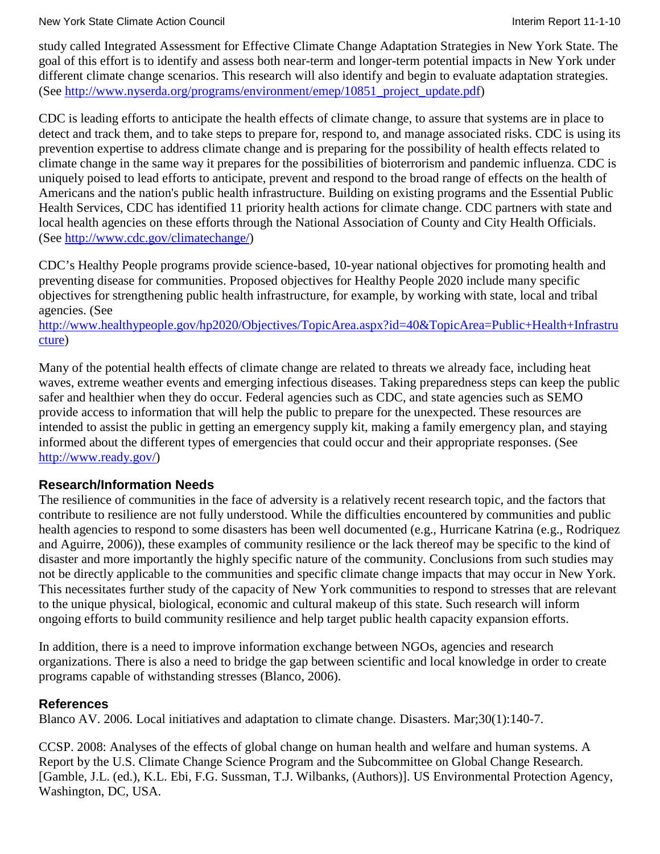New York State Climate Action Council **Interimental Interim Report 11-1-10** New York State Climate Action Council

study called Integrated Assessment for Effective Climate Change Adaptation Strategies in New York State. The goal of this effort is to identify and assess both near-term and longer-term potential impacts in New York under different climate change scenarios. This research will also identify and begin to evaluate adaptation strategies. (See [http://www.nyserda.org/programs/environment/emep/10851\\_project\\_update.pdf\)](http://www.nyserda.org/programs/environment/emep/10851_project_update.pdf)

CDC is leading efforts to anticipate the health effects of climate change, to assure that systems are in place to detect and track them, and to take steps to prepare for, respond to, and manage associated risks. CDC is using its prevention expertise to address climate change and is preparing for the possibility of health effects related to climate change in the same way it prepares for the possibilities of bioterrorism and pandemic influenza. CDC is uniquely poised to lead efforts to anticipate, prevent and respond to the broad range of effects on the health of Americans and the nation's public health infrastructure. Building on existing programs and the Essential Public Health Services, CDC has identified 11 priority health actions for climate change. CDC partners with state and local health agencies on these efforts through the National Association of County and City Health Officials. (See [http://www.cdc.gov/climatechange/\)](http://www.cdc.gov/climatechange/)

CDC's Healthy People programs provide science-based, 10-year national objectives for promoting health and preventing disease for communities. Proposed objectives for Healthy People 2020 include many specific objectives for strengthening public health infrastructure, for example, by working with state, local and tribal agencies. (See

[http://www.healthypeople.gov/hp2020/Objectives/TopicArea.aspx?id=40&TopicArea=Public+Health+Infrastru](http://www.healthypeople.gov/hp2020/Objectives/TopicArea.aspx?id=40&TopicArea=Public+Health+Infrastructure) [cture\)](http://www.healthypeople.gov/hp2020/Objectives/TopicArea.aspx?id=40&TopicArea=Public+Health+Infrastructure)

Many of the potential health effects of climate change are related to threats we already face, including heat waves, extreme weather events and emerging infectious diseases. Taking preparedness steps can keep the public safer and healthier when they do occur. Federal agencies such as CDC, and state agencies such as SEMO provide access to information that will help the public to prepare for the unexpected. These resources are intended to assist the public in getting an emergency supply kit, making a family emergency plan, and staying informed about the different types of emergencies that could occur and their appropriate responses. (See [http://www.ready.gov/\)](http://www.ready.gov/)

### **Research/Information Needs**

The resilience of communities in the face of adversity is a relatively recent research topic, and the factors that contribute to resilience are not fully understood. While the difficulties encountered by communities and public health agencies to respond to some disasters has been well documented (e.g., Hurricane Katrina (e.g., Rodriquez and Aguirre, 2006)), these examples of community resilience or the lack thereof may be specific to the kind of disaster and more importantly the highly specific nature of the community. Conclusions from such studies may not be directly applicable to the communities and specific climate change impacts that may occur in New York. This necessitates further study of the capacity of New York communities to respond to stresses that are relevant to the unique physical, biological, economic and cultural makeup of this state. Such research will inform ongoing efforts to build community resilience and help target public health capacity expansion efforts.

In addition, there is a need to improve information exchange between NGOs, agencies and research organizations. There is also a need to bridge the gap between scientific and local knowledge in order to create programs capable of withstanding stresses (Blanco, 2006).

### **References**

Blanco AV. 2006. Local initiatives and adaptation to climate change. Disasters. Mar;30(1):140-7.

CCSP. 2008: Analyses of the effects of global change on human health and welfare and human systems. A Report by the U.S. Climate Change Science Program and the Subcommittee on Global Change Research. [Gamble, J.L. (ed.), K.L. Ebi, F.G. Sussman, T.J. Wilbanks, (Authors)]. US Environmental Protection Agency, Washington, DC, USA.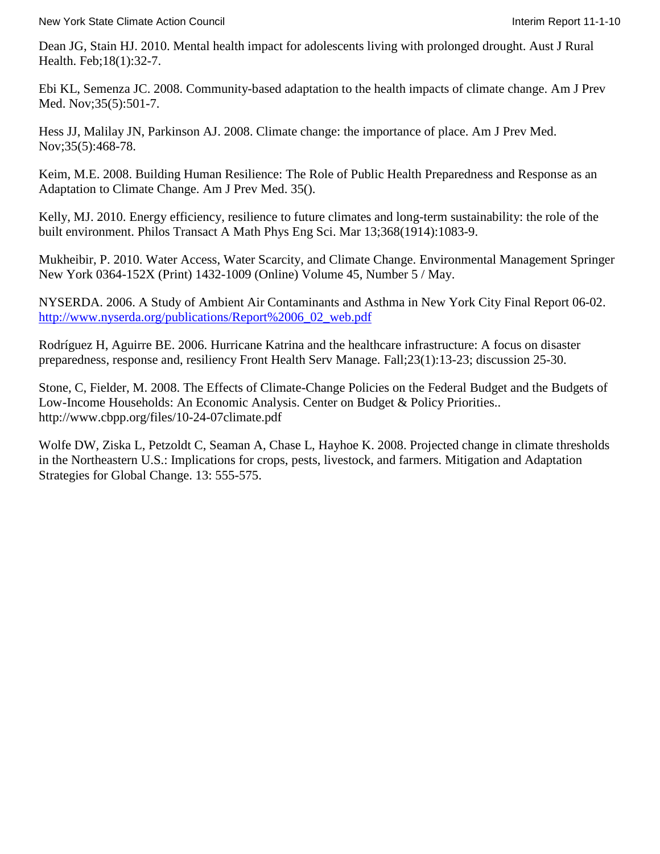New York State Climate Action Council **Interiment Council** Interim Report 11-1-10

Dean JG, Stain HJ. 2010. Mental health impact for adolescents living with prolonged drought. Aust J Rural Health. Feb;18(1):32-7.

Ebi KL, Semenza JC. 2008. Community-based adaptation to the health impacts of climate change. Am J Prev Med. Nov;35(5):501-7.

Hess JJ, Malilay JN, Parkinson AJ. 2008. Climate change: the importance of place. Am J Prev Med. Nov;35(5):468-78.

Keim, M.E. 2008. Building Human Resilience: The Role of Public Health Preparedness and Response as an Adaptation to Climate Change. Am J Prev Med. 35().

Kelly, MJ. 2010. Energy efficiency, resilience to future climates and long-term sustainability: the role of the built environment. Philos Transact A Math Phys Eng Sci. Mar 13;368(1914):1083-9.

Mukheibir, P. 2010. Water Access, Water Scarcity, and Climate Change. Environmental Management Springer New York 0364-152X (Print) 1432-1009 (Online) Volume 45, Number 5 / May.

NYSERDA. 2006. A Study of Ambient Air Contaminants and Asthma in New York City Final Report 06-02. [http://www.nyserda.org/publications/Report%2006\\_02\\_web.pdf](http://www.nyserda.org/publications/Report%2006_02_web.pdf)

Rodríguez H, Aguirre BE. 2006. Hurricane Katrina and the healthcare infrastructure: A focus on disaster preparedness, response and, resiliency Front Health Serv Manage. Fall;23(1):13-23; discussion 25-30.

Stone, C, Fielder, M. 2008. The Effects of Climate-Change Policies on the Federal Budget and the Budgets of Low-Income Households: An Economic Analysis. Center on Budget & Policy Priorities.. <http://www.cbpp.org/files/10-24-07climate.pdf>

Wolfe DW, Ziska L, Petzoldt C, Seaman A, Chase L, Hayhoe K. 2008. Projected change in climate thresholds in the Northeastern U.S.: Implications for crops, pests, livestock, and farmers. Mitigation and Adaptation Strategies for Global Change. 13: 555-575.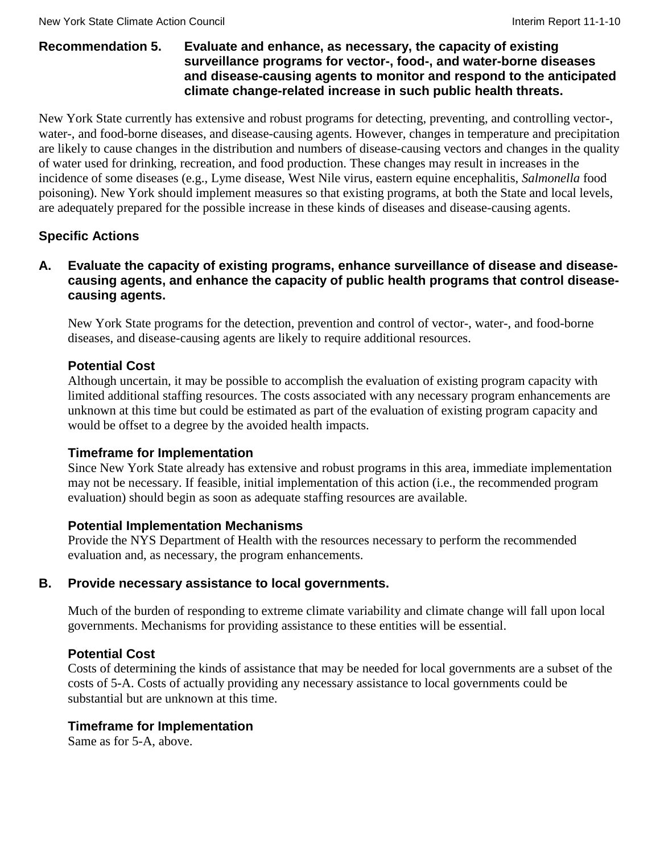### **Recommendation 5. Evaluate and enhance, as necessary, the capacity of existing surveillance programs for vector-, food-, and water-borne diseases and disease-causing agents to monitor and respond to the anticipated climate change-related increase in such public health threats.**

New York State currently has extensive and robust programs for detecting, preventing, and controlling vector-, water-, and food-borne diseases, and disease-causing agents. However, changes in temperature and precipitation are likely to cause changes in the distribution and numbers of disease-causing vectors and changes in the quality of water used for drinking, recreation, and food production. These changes may result in increases in the incidence of some diseases (e.g., Lyme disease, West Nile virus, eastern equine encephalitis, *Salmonella* food poisoning). New York should implement measures so that existing programs, at both the State and local levels, are adequately prepared for the possible increase in these kinds of diseases and disease-causing agents.

# **Specific Actions**

### **A. Evaluate the capacity of existing programs, enhance surveillance of disease and diseasecausing agents, and enhance the capacity of public health programs that control diseasecausing agents.**

New York State programs for the detection, prevention and control of vector-, water-, and food-borne diseases, and disease-causing agents are likely to require additional resources.

### **Potential Cost**

Although uncertain, it may be possible to accomplish the evaluation of existing program capacity with limited additional staffing resources. The costs associated with any necessary program enhancements are unknown at this time but could be estimated as part of the evaluation of existing program capacity and would be offset to a degree by the avoided health impacts.

### **Timeframe for Implementation**

Since New York State already has extensive and robust programs in this area, immediate implementation may not be necessary. If feasible, initial implementation of this action (i.e., the recommended program evaluation) should begin as soon as adequate staffing resources are available.

### **Potential Implementation Mechanisms**

Provide the NYS Department of Health with the resources necessary to perform the recommended evaluation and, as necessary, the program enhancements.

### **B. Provide necessary assistance to local governments.**

Much of the burden of responding to extreme climate variability and climate change will fall upon local governments. Mechanisms for providing assistance to these entities will be essential.

# **Potential Cost**

Costs of determining the kinds of assistance that may be needed for local governments are a subset of the costs of 5-A. Costs of actually providing any necessary assistance to local governments could be substantial but are unknown at this time.

### **Timeframe for Implementation**

Same as for 5-A, above.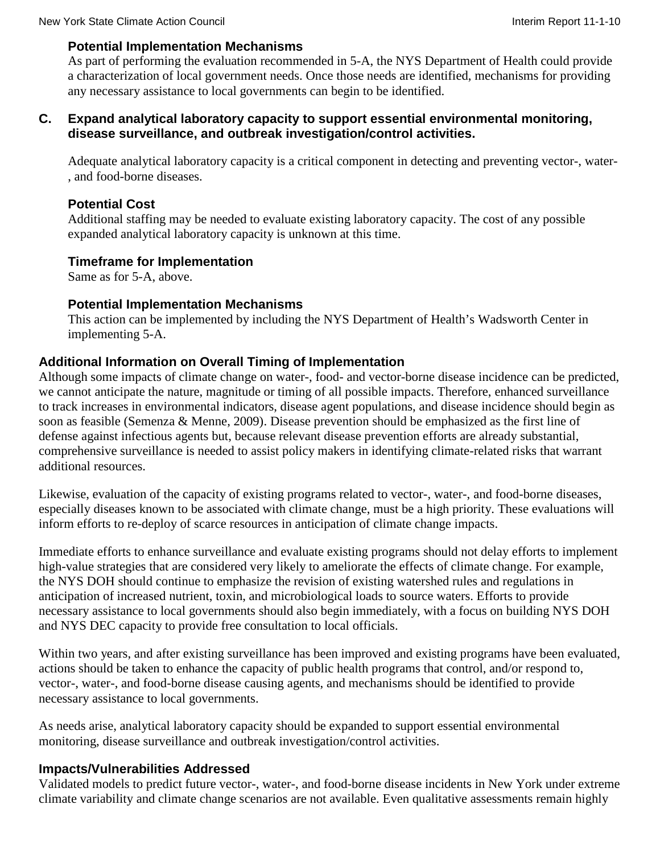### **Potential Implementation Mechanisms**

As part of performing the evaluation recommended in 5-A, the NYS Department of Health could provide a characterization of local government needs. Once those needs are identified, mechanisms for providing any necessary assistance to local governments can begin to be identified.

### **C. Expand analytical laboratory capacity to support essential environmental monitoring, disease surveillance, and outbreak investigation/control activities.**

Adequate analytical laboratory capacity is a critical component in detecting and preventing vector-, water- , and food-borne diseases.

# **Potential Cost**

Additional staffing may be needed to evaluate existing laboratory capacity. The cost of any possible expanded analytical laboratory capacity is unknown at this time.

# **Timeframe for Implementation**

Same as for 5-A, above.

### **Potential Implementation Mechanisms**

This action can be implemented by including the NYS Department of Health's Wadsworth Center in implementing 5-A.

# **Additional Information on Overall Timing of Implementation**

Although some impacts of climate change on water-, food- and vector-borne disease incidence can be predicted, we cannot anticipate the nature, magnitude or timing of all possible impacts. Therefore, enhanced surveillance to track increases in environmental indicators, disease agent populations, and disease incidence should begin as soon as feasible (Semenza & Menne, 2009). Disease prevention should be emphasized as the first line of defense against infectious agents but, because relevant disease prevention efforts are already substantial, comprehensive surveillance is needed to assist policy makers in identifying climate-related risks that warrant additional resources.

Likewise, evaluation of the capacity of existing programs related to vector-, water-, and food-borne diseases, especially diseases known to be associated with climate change, must be a high priority. These evaluations will inform efforts to re-deploy of scarce resources in anticipation of climate change impacts.

Immediate efforts to enhance surveillance and evaluate existing programs should not delay efforts to implement high-value strategies that are considered very likely to ameliorate the effects of climate change. For example, the NYS DOH should continue to emphasize the revision of existing watershed rules and regulations in anticipation of increased nutrient, toxin, and microbiological loads to source waters. Efforts to provide necessary assistance to local governments should also begin immediately, with a focus on building NYS DOH and NYS DEC capacity to provide free consultation to local officials.

Within two years, and after existing surveillance has been improved and existing programs have been evaluated, actions should be taken to enhance the capacity of public health programs that control, and/or respond to, vector-, water-, and food-borne disease causing agents, and mechanisms should be identified to provide necessary assistance to local governments.

As needs arise, analytical laboratory capacity should be expanded to support essential environmental monitoring, disease surveillance and outbreak investigation/control activities.

# **Impacts/Vulnerabilities Addressed**

Validated models to predict future vector-, water-, and food-borne disease incidents in New York under extreme climate variability and climate change scenarios are not available. Even qualitative assessments remain highly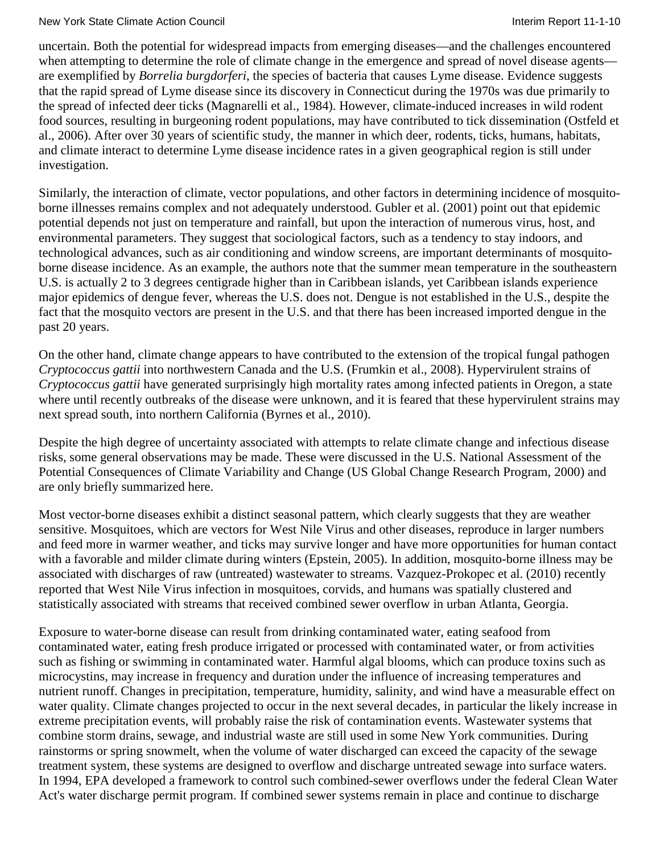uncertain. Both the potential for widespread impacts from emerging diseases—and the challenges encountered when attempting to determine the role of climate change in the emergence and spread of novel disease agents are exemplified by *Borrelia burgdorferi*, the species of bacteria that causes Lyme disease. Evidence suggests that the rapid spread of Lyme disease since its discovery in Connecticut during the 1970s was due primarily to the spread of infected deer ticks (Magnarelli et al., 1984). However, climate-induced increases in wild rodent food sources, resulting in burgeoning rodent populations, may have contributed to tick dissemination (Ostfeld et al., 2006). After over 30 years of scientific study, the manner in which deer, rodents, ticks, humans, habitats, and climate interact to determine Lyme disease incidence rates in a given geographical region is still under investigation.

Similarly, the interaction of climate, vector populations, and other factors in determining incidence of mosquitoborne illnesses remains complex and not adequately understood. Gubler et al. (2001) point out that epidemic potential depends not just on temperature and rainfall, but upon the interaction of numerous virus, host, and environmental parameters. They suggest that sociological factors, such as a tendency to stay indoors, and technological advances, such as air conditioning and window screens, are important determinants of mosquitoborne disease incidence. As an example, the authors note that the summer mean temperature in the southeastern U.S. is actually 2 to 3 degrees centigrade higher than in Caribbean islands, yet Caribbean islands experience major epidemics of dengue fever, whereas the U.S. does not. Dengue is not established in the U.S., despite the fact that the mosquito vectors are present in the U.S. and that there has been increased imported dengue in the past 20 years.

On the other hand, climate change appears to have contributed to the extension of the tropical fungal pathogen *Cryptococcus gattii* into northwestern Canada and the U.S. (Frumkin et al., 2008). Hypervirulent strains of *Cryptococcus gattii* have generated surprisingly high mortality rates among infected patients in Oregon, a state where until recently outbreaks of the disease were unknown, and it is feared that these hypervirulent strains may next spread south, into northern California (Byrnes et al., 2010).

Despite the high degree of uncertainty associated with attempts to relate climate change and infectious disease risks, some general observations may be made. These were discussed in the U.S. National Assessment of the Potential Consequences of Climate Variability and Change (US Global Change Research Program, 2000) and are only briefly summarized here.

Most vector-borne diseases exhibit a distinct seasonal pattern, which clearly suggests that they are weather sensitive. Mosquitoes, which are vectors for West Nile Virus and other diseases, reproduce in larger numbers and feed more in warmer weather, and ticks may survive longer and have more opportunities for human contact with a favorable and milder climate during winters (Epstein, 2005). In addition, mosquito-borne illness may be associated with discharges of raw (untreated) wastewater to streams. Vazquez-Prokopec et al. (2010) recently reported that West Nile Virus infection in mosquitoes, corvids, and humans was spatially clustered and statistically associated with streams that received combined sewer overflow in urban Atlanta, Georgia.

Exposure to water-borne disease can result from drinking contaminated water, eating seafood from contaminated water, eating fresh produce irrigated or processed with contaminated water, or from activities such as fishing or swimming in contaminated water. Harmful algal blooms, which can produce toxins such as microcystins, may increase in frequency and duration under the influence of increasing temperatures and nutrient runoff. Changes in precipitation, temperature, humidity, salinity, and wind have a measurable effect on water quality. Climate changes projected to occur in the next several decades, in particular the likely increase in extreme precipitation events, will probably raise the risk of contamination events. Wastewater systems that combine storm drains, sewage, and industrial waste are still used in some New York communities. During rainstorms or spring snowmelt, when the volume of water discharged can exceed the capacity of the sewage treatment system, these systems are designed to overflow and discharge untreated sewage into surface waters. In 1994, EPA developed a framework to control such combined-sewer overflows under the federal Clean Water Act's water discharge permit program. If combined sewer systems remain in place and continue to discharge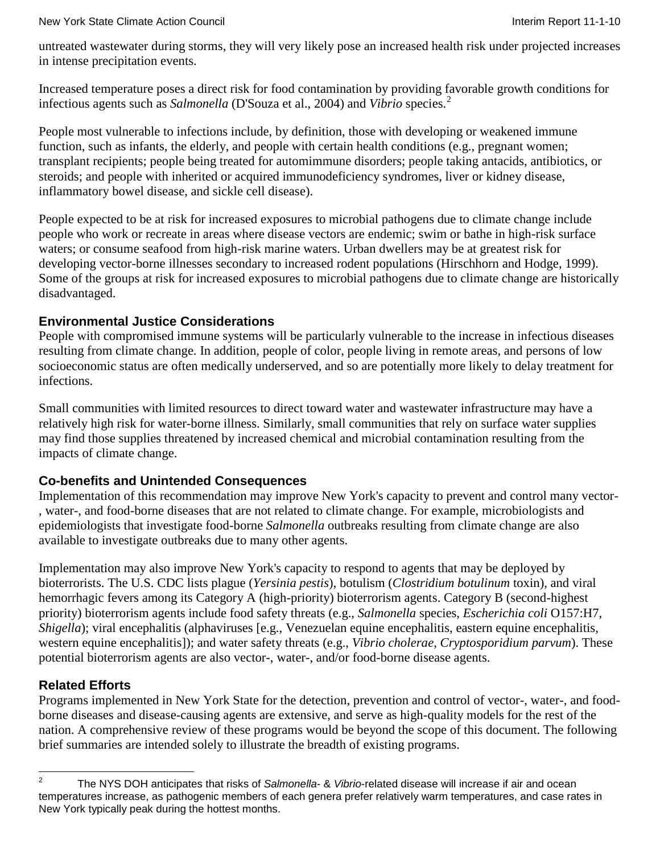untreated wastewater during storms, they will very likely pose an increased health risk under projected increases in intense precipitation events.

Increased temperature poses a direct risk for food contamination by providing favorable growth conditions for infectious agents such as *Salmonella* (D'Souza et al., 2004) and *Vibrio* species.[2](#page-88-0)

People most vulnerable to infections include, by definition, those with developing or weakened immune function, such as infants, the elderly, and people with certain health conditions (e.g., pregnant women; transplant recipients; people being treated for automimmune disorders; people taking antacids, antibiotics, or steroids; and people with inherited or acquired immunodeficiency syndromes, liver or kidney disease, inflammatory bowel disease, and sickle cell disease).

People expected to be at risk for increased exposures to microbial pathogens due to climate change include people who work or recreate in areas where disease vectors are endemic; swim or bathe in high-risk surface waters; or consume seafood from high-risk marine waters. Urban dwellers may be at greatest risk for developing vector-borne illnesses secondary to increased rodent populations (Hirschhorn and Hodge, 1999). Some of the groups at risk for increased exposures to microbial pathogens due to climate change are historically disadvantaged.

# **Environmental Justice Considerations**

People with compromised immune systems will be particularly vulnerable to the increase in infectious diseases resulting from climate change. In addition, people of color, people living in remote areas, and persons of low socioeconomic status are often medically underserved, and so are potentially more likely to delay treatment for infections.

Small communities with limited resources to direct toward water and wastewater infrastructure may have a relatively high risk for water-borne illness. Similarly, small communities that rely on surface water supplies may find those supplies threatened by increased chemical and microbial contamination resulting from the impacts of climate change.

### **Co-benefits and Unintended Consequences**

Implementation of this recommendation may improve New York's capacity to prevent and control many vector- , water-, and food-borne diseases that are not related to climate change. For example, microbiologists and epidemiologists that investigate food-borne *Salmonella* outbreaks resulting from climate change are also available to investigate outbreaks due to many other agents.

Implementation may also improve New York's capacity to respond to agents that may be deployed by bioterrorists. The U.S. CDC lists plague (*Yersinia pestis*), botulism (*Clostridium botulinum* toxin), and viral hemorrhagic fevers among its Category A (high-priority) bioterrorism agents. Category B (second-highest priority) bioterrorism agents include food safety threats (e.g., *Salmonella* species, *Escherichia coli* O157:H7, *Shigella*); viral encephalitis (alphaviruses [e.g., Venezuelan equine encephalitis, eastern equine encephalitis, western equine encephalitis]); and water safety threats (e.g., *Vibrio cholerae*, *Cryptosporidium parvum*). These potential bioterrorism agents are also vector-, water-, and/or food-borne disease agents.

# **Related Efforts**

Programs implemented in New York State for the detection, prevention and control of vector-, water-, and foodborne diseases and disease-causing agents are extensive, and serve as high-quality models for the rest of the nation. A comprehensive review of these programs would be beyond the scope of this document. The following brief summaries are intended solely to illustrate the breadth of existing programs.

<span id="page-88-0"></span><sup>2</sup> The NYS DOH anticipates that risks of *Salmonella*- & *Vibrio*-related disease will increase if air and ocean temperatures increase, as pathogenic members of each genera prefer relatively warm temperatures, and case rates in New York typically peak during the hottest months.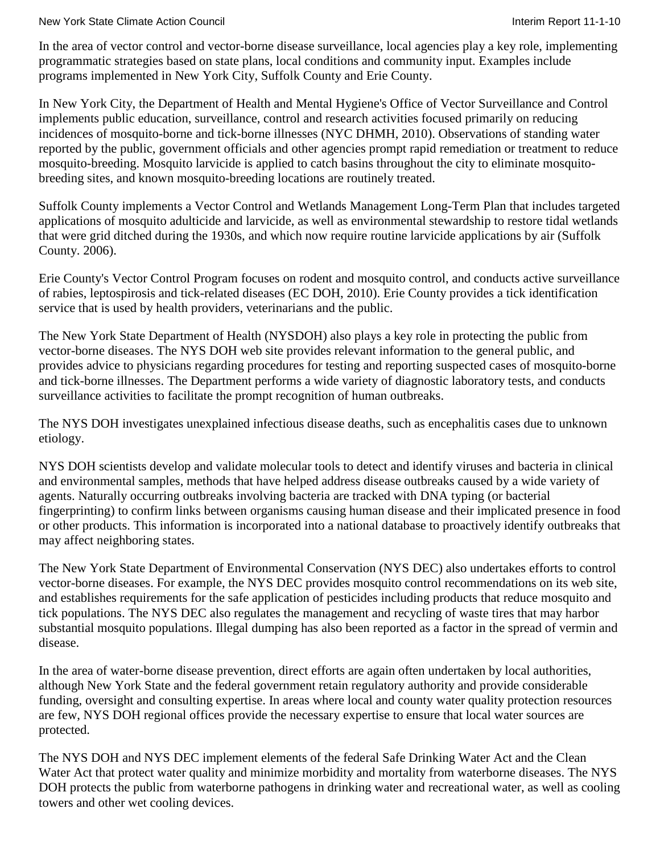#### New York State Climate Action Council **Interiment Council** Interim Report 11-1-10

In the area of vector control and vector-borne disease surveillance, local agencies play a key role, implementing programmatic strategies based on state plans, local conditions and community input. Examples include programs implemented in New York City, Suffolk County and Erie County.

In New York City, the Department of Health and Mental Hygiene's Office of Vector Surveillance and Control implements public education, surveillance, control and research activities focused primarily on reducing incidences of mosquito-borne and tick-borne illnesses (NYC DHMH, 2010). Observations of standing water reported by the public, government officials and other agencies prompt rapid remediation or treatment to reduce mosquito-breeding. Mosquito larvicide is applied to catch basins throughout the city to eliminate mosquitobreeding sites, and known mosquito-breeding locations are routinely treated.

Suffolk County implements a Vector Control and Wetlands Management Long-Term Plan that includes targeted applications of mosquito adulticide and larvicide, as well as environmental stewardship to restore tidal wetlands that were grid ditched during the 1930s, and which now require routine larvicide applications by air (Suffolk County. 2006).

Erie County's Vector Control Program focuses on rodent and mosquito control, and conducts active surveillance of rabies, leptospirosis and tick-related diseases (EC DOH, 2010). Erie County provides a tick identification service that is used by health providers, veterinarians and the public.

The New York State Department of Health (NYSDOH) also plays a key role in protecting the public from vector-borne diseases. The NYS DOH web site provides relevant information to the general public, and provides advice to physicians regarding procedures for testing and reporting suspected cases of mosquito-borne and tick-borne illnesses. The Department performs a wide variety of diagnostic laboratory tests, and conducts surveillance activities to facilitate the prompt recognition of human outbreaks.

The NYS DOH investigates unexplained infectious disease deaths, such as encephalitis cases due to unknown etiology.

NYS DOH scientists develop and validate molecular tools to detect and identify viruses and bacteria in clinical and environmental samples, methods that have helped address disease outbreaks caused by a wide variety of agents. Naturally occurring outbreaks involving bacteria are tracked with DNA typing (or bacterial fingerprinting) to confirm links between organisms causing human disease and their implicated presence in food or other products. This information is incorporated into a national database to proactively identify outbreaks that may affect neighboring states.

The New York State Department of Environmental Conservation (NYS DEC) also undertakes efforts to control vector-borne diseases. For example, the NYS DEC provides mosquito control recommendations on its web site, and establishes requirements for the safe application of pesticides including products that reduce mosquito and tick populations. The NYS DEC also regulates the management and recycling of waste tires that may harbor substantial mosquito populations. Illegal dumping has also been reported as a factor in the spread of vermin and disease.

In the area of water-borne disease prevention, direct efforts are again often undertaken by local authorities, although New York State and the federal government retain regulatory authority and provide considerable funding, oversight and consulting expertise. In areas where local and county water quality protection resources are few, NYS DOH regional offices provide the necessary expertise to ensure that local water sources are protected.

The NYS DOH and NYS DEC implement elements of the federal Safe Drinking Water Act and the Clean Water Act that protect water quality and minimize morbidity and mortality from waterborne diseases. The NYS DOH protects the public from waterborne pathogens in drinking water and recreational water, as well as cooling towers and other wet cooling devices.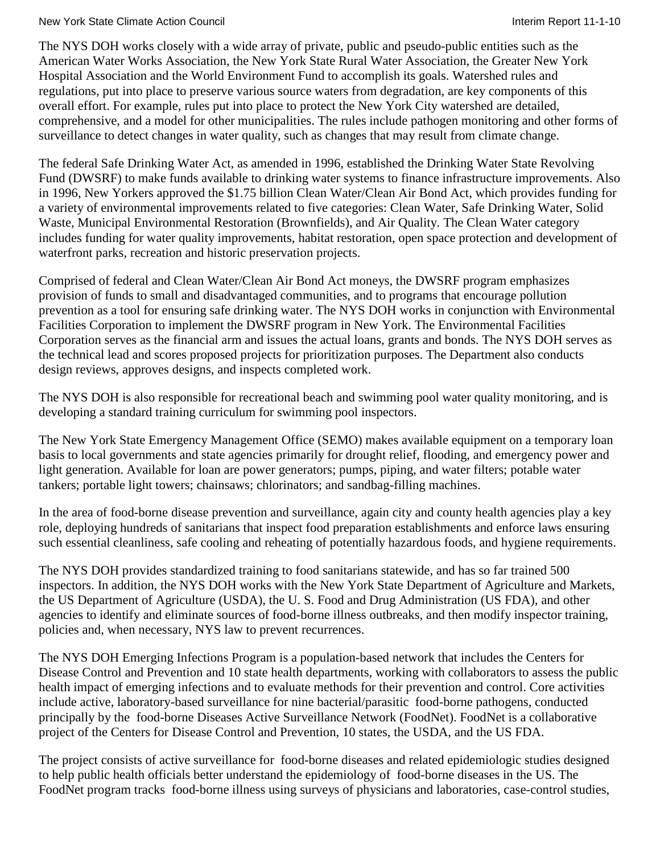#### New York State Climate Action Council **Interimental Interim Report 11-1-10** New York State Climate Action Council

The NYS DOH works closely with a wide array of private, public and pseudo-public entities such as the American Water Works Association, the New York State Rural Water Association, the Greater New York Hospital Association and the World Environment Fund to accomplish its goals. Watershed rules and regulations, put into place to preserve various source waters from degradation, are key components of this overall effort. For example, rules put into place to protect the New York City watershed are detailed, comprehensive, and a model for other municipalities. The rules include pathogen monitoring and other forms of surveillance to detect changes in water quality, such as changes that may result from climate change.

The federal Safe Drinking Water Act, as amended in 1996, established the Drinking Water State Revolving Fund (DWSRF) to make funds available to drinking water systems to finance infrastructure improvements. Also in 1996, New Yorkers approved the \$1.75 billion Clean Water/Clean Air Bond Act, which provides funding for a variety of environmental improvements related to five categories: Clean Water, Safe Drinking Water, Solid Waste, Municipal Environmental Restoration (Brownfields), and Air Quality. The Clean Water category includes funding for water quality improvements, habitat restoration, open space protection and development of waterfront parks, recreation and historic preservation projects.

Comprised of federal and Clean Water/Clean Air Bond Act moneys, the DWSRF program emphasizes provision of funds to small and disadvantaged communities, and to programs that encourage pollution prevention as a tool for ensuring safe drinking water. The NYS DOH works in conjunction with Environmental Facilities Corporation to implement the DWSRF program in New York. The Environmental Facilities Corporation serves as the financial arm and issues the actual loans, grants and bonds. The NYS DOH serves as the technical lead and scores proposed projects for prioritization purposes. The Department also conducts design reviews, approves designs, and inspects completed work.

The NYS DOH is also responsible for recreational beach and swimming pool water quality monitoring, and is developing a standard training curriculum for swimming pool inspectors.

The New York State Emergency Management Office (SEMO) makes available equipment on a temporary loan basis to local governments and state agencies primarily for drought relief, flooding, and emergency power and light generation. Available for loan are power generators; pumps, piping, and water filters; potable water tankers; portable light towers; chainsaws; chlorinators; and sandbag-filling machines.

In the area of food-borne disease prevention and surveillance, again city and county health agencies play a key role, deploying hundreds of sanitarians that inspect food preparation establishments and enforce laws ensuring such essential cleanliness, safe cooling and reheating of potentially hazardous foods, and hygiene requirements.

The NYS DOH provides standardized training to food sanitarians statewide, and has so far trained 500 inspectors. In addition, the NYS DOH works with the New York State Department of Agriculture and Markets, the US Department of Agriculture (USDA), the U. S. Food and Drug Administration (US FDA), and other agencies to identify and eliminate sources of food-borne illness outbreaks, and then modify inspector training, policies and, when necessary, NYS law to prevent recurrences.

The NYS DOH Emerging Infections Program is a population-based network that includes the Centers for Disease Control and Prevention and 10 state health departments, working with collaborators to assess the public health impact of emerging infections and to evaluate methods for their prevention and control. Core activities include active, laboratory-based surveillance for nine bacterial/parasitic food-borne pathogens, conducted principally by the food-borne Diseases Active Surveillance Network (FoodNet). FoodNet is a collaborative project of the Centers for Disease Control and Prevention, 10 states, the USDA, and the US FDA.

The project consists of active surveillance for food-borne diseases and related epidemiologic studies designed to help public health officials better understand the epidemiology of food-borne diseases in the US. The FoodNet program tracks food-borne illness using surveys of physicians and laboratories, case-control studies,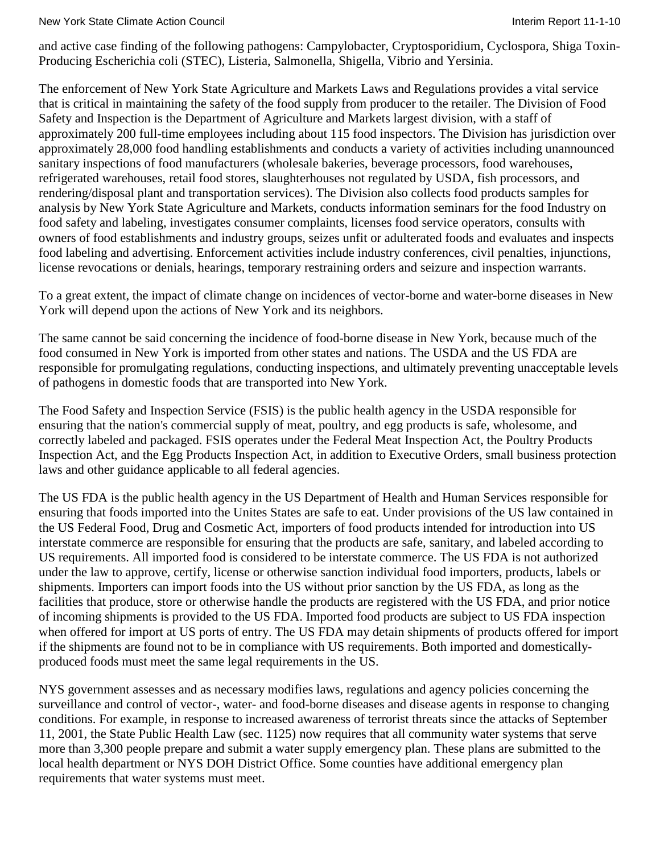New York State Climate Action Council **Interiment Council** Interim Report 11-1-10

and active case finding of the following pathogens: Campylobacter, Cryptosporidium, Cyclospora, Shiga Toxin-Producing Escherichia coli (STEC), Listeria, Salmonella, Shigella, Vibrio and Yersinia.

The enforcement of New York State Agriculture and Markets Laws and Regulations provides a vital service that is critical in maintaining the safety of the food supply from producer to the retailer. The Division of Food Safety and Inspection is the Department of Agriculture and Markets largest division, with a staff of approximately 200 full-time employees including about 115 food inspectors. The Division has jurisdiction over approximately 28,000 food handling establishments and conducts a variety of activities including unannounced sanitary inspections of food manufacturers (wholesale bakeries, beverage processors, food warehouses, refrigerated warehouses, retail food stores, slaughterhouses not regulated by USDA, fish processors, and rendering/disposal plant and transportation services). The Division also collects food products samples for analysis by New York State Agriculture and Markets, conducts information seminars for the food Industry on food safety and labeling, investigates consumer complaints, licenses food service operators, consults with owners of food establishments and industry groups, seizes unfit or adulterated foods and evaluates and inspects food labeling and advertising. Enforcement activities include industry conferences, civil penalties, injunctions, license revocations or denials, hearings, temporary restraining orders and seizure and inspection warrants.

To a great extent, the impact of climate change on incidences of vector-borne and water-borne diseases in New York will depend upon the actions of New York and its neighbors.

The same cannot be said concerning the incidence of food-borne disease in New York, because much of the food consumed in New York is imported from other states and nations. The USDA and the US FDA are responsible for promulgating regulations, conducting inspections, and ultimately preventing unacceptable levels of pathogens in domestic foods that are transported into New York.

The Food Safety and Inspection Service (FSIS) is the public health agency in the USDA responsible for ensuring that the nation's commercial supply of meat, poultry, and egg products is safe, wholesome, and correctly labeled and packaged. FSIS operates under the Federal Meat Inspection Act, the Poultry Products Inspection Act, and the Egg Products Inspection Act, in addition to Executive Orders, small business protection laws and other guidance applicable to all federal agencies.

The US FDA is the public health agency in the US Department of Health and Human Services responsible for ensuring that foods imported into the Unites States are safe to eat. Under provisions of the US law contained in the US Federal Food, Drug and Cosmetic Act, importers of food products intended for introduction into US interstate commerce are responsible for ensuring that the products are safe, sanitary, and labeled according to US requirements. All imported food is considered to be interstate commerce. The US FDA is not authorized under the law to approve, certify, license or otherwise sanction individual food importers, products, labels or shipments. Importers can import foods into the US without prior sanction by the US FDA, as long as the facilities that produce, store or otherwise handle the products are registered with the US FDA, and prior notice of incoming shipments is provided to the US FDA. Imported food products are subject to US FDA inspection when offered for import at US ports of entry. The US FDA may detain shipments of products offered for import if the shipments are found not to be in compliance with US requirements. Both imported and domesticallyproduced foods must meet the same legal requirements in the US.

NYS government assesses and as necessary modifies laws, regulations and agency policies concerning the surveillance and control of vector-, water- and food-borne diseases and disease agents in response to changing conditions. For example, in response to increased awareness of terrorist threats since the attacks of September 11, 2001, the State Public Health Law (sec. 1125) now requires that all community water systems that serve more than 3,300 people prepare and submit a water supply emergency plan. These plans are submitted to the local health department or NYS DOH District Office. Some counties have additional emergency plan requirements that water systems must meet.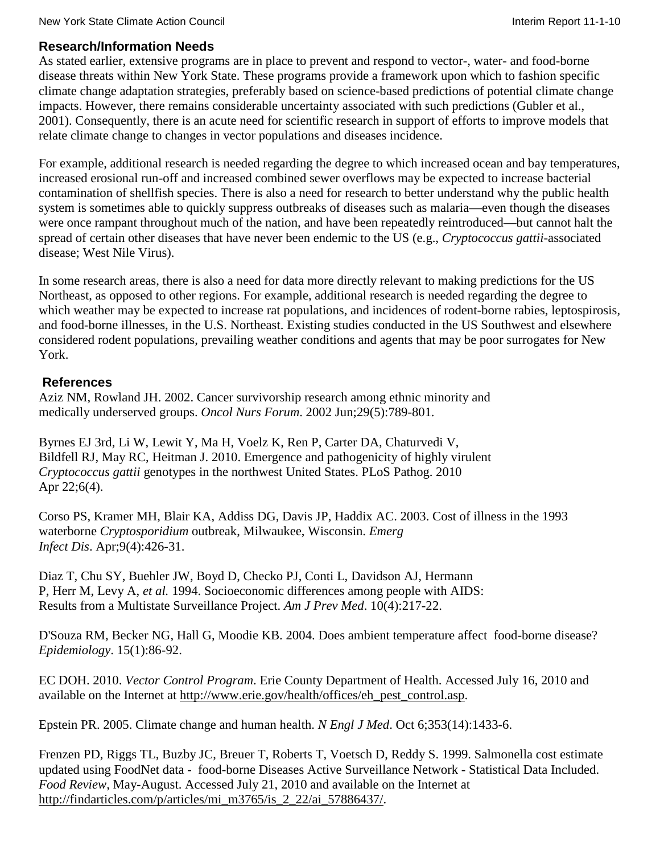# **Research/Information Needs**

As stated earlier, extensive programs are in place to prevent and respond to vector-, water- and food-borne disease threats within New York State. These programs provide a framework upon which to fashion specific climate change adaptation strategies, preferably based on science-based predictions of potential climate change impacts. However, there remains considerable uncertainty associated with such predictions (Gubler et al., 2001). Consequently, there is an acute need for scientific research in support of efforts to improve models that relate climate change to changes in vector populations and diseases incidence.

For example, additional research is needed regarding the degree to which increased ocean and bay temperatures, increased erosional run-off and increased combined sewer overflows may be expected to increase bacterial contamination of shellfish species. There is also a need for research to better understand why the public health system is sometimes able to quickly suppress outbreaks of diseases such as malaria—even though the diseases were once rampant throughout much of the nation, and have been repeatedly reintroduced—but cannot halt the spread of certain other diseases that have never been endemic to the US (e.g., *Cryptococcus gattii*-associated disease; West Nile Virus).

In some research areas, there is also a need for data more directly relevant to making predictions for the US Northeast, as opposed to other regions. For example, additional research is needed regarding the degree to which weather may be expected to increase rat populations, and incidences of rodent-borne rabies, leptospirosis, and food-borne illnesses, in the U.S. Northeast. Existing studies conducted in the US Southwest and elsewhere considered rodent populations, prevailing weather conditions and agents that may be poor surrogates for New York.

# **References**

Aziz NM, Rowland JH. 2002. Cancer survivorship research among ethnic minority and medically underserved groups. *Oncol Nurs Forum*. 2002 Jun;29(5):789-801.

Byrnes EJ 3rd, Li W, Lewit Y, Ma H, Voelz K, Ren P, Carter DA, Chaturvedi V, Bildfell RJ, May RC, Heitman J. 2010. Emergence and pathogenicity of highly virulent *Cryptococcus gattii* genotypes in the northwest United States. PLoS Pathog. 2010 Apr 22;6(4).

Corso PS, Kramer MH, Blair KA, Addiss DG, Davis JP, Haddix AC. 2003. Cost of illness in the 1993 waterborne *Cryptosporidium* outbreak, Milwaukee, Wisconsin. *Emerg Infect Dis*. Apr;9(4):426-31.

Diaz T, Chu SY, Buehler JW, Boyd D, Checko PJ, Conti L, Davidson AJ, Hermann P, Herr M, Levy A, *et al.* 1994. Socioeconomic differences among people with AIDS: Results from a Multistate Surveillance Project. *Am J Prev Med*. 10(4):217-22.

D'Souza RM, Becker NG, Hall G, Moodie KB. 2004. Does ambient temperature affect food-borne disease? *Epidemiology*. 15(1):86-92.

EC DOH. 2010. *Vector Control Program*. Erie County Department of Health. Accessed July 16, 2010 and available on the Internet at [http://www.erie.gov/health/offices/eh\\_pest\\_control.asp.](http://www.erie.gov/health/offices/eh_pest_control.asp)

Epstein PR. 2005. Climate change and human health. *N Engl J Med*. Oct 6;353(14):1433-6.

Frenzen PD, Riggs TL, Buzby JC, Breuer T, Roberts T, Voetsch D, Reddy S. 1999. Salmonella cost estimate updated using FoodNet data - food-borne Diseases Active Surveillance Network - Statistical Data Included. *Food Review*, May-August. Accessed July 21, 2010 and available on the Internet at [http://findarticles.com/p/articles/mi\\_m3765/is\\_2\\_22/ai\\_57886437/.](http://findarticles.com/p/articles/mi_m3765/is_2_22/ai_57886437/)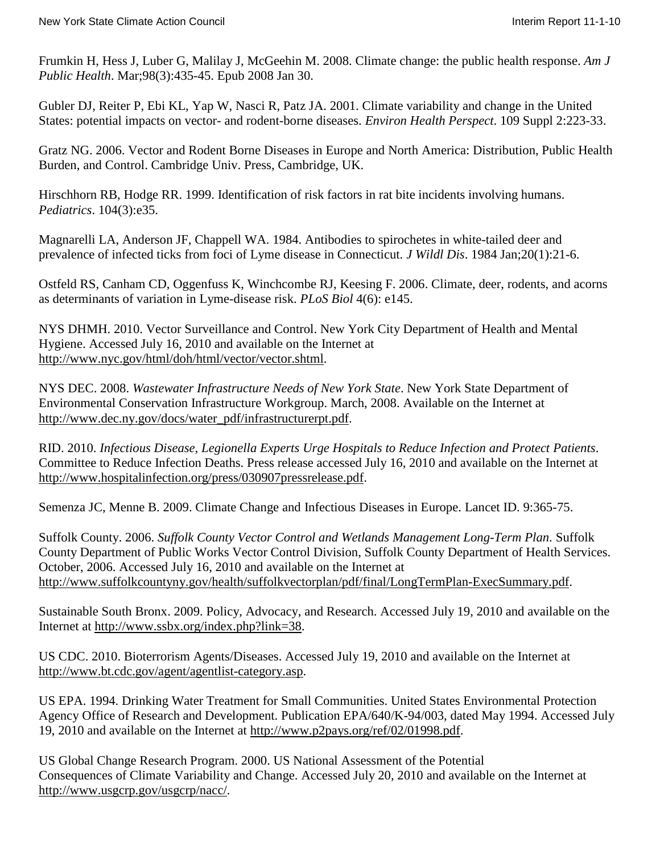Frumkin H, Hess J, Luber G, Malilay J, McGeehin M. 2008. Climate change: the public health response. *Am J Public Health*. Mar;98(3):435-45. Epub 2008 Jan 30.

Gubler DJ, Reiter P, Ebi KL, Yap W, Nasci R, Patz JA. 2001. Climate variability and change in the United States: potential impacts on vector- and rodent-borne diseases. *Environ Health Perspect*. 109 Suppl 2:223-33.

Gratz NG. 2006. Vector and Rodent Borne Diseases in Europe and North America: Distribution, Public Health Burden, and Control. Cambridge Univ. Press, Cambridge, UK.

Hirschhorn RB, Hodge RR. 1999. Identification of risk factors in rat bite incidents involving humans. *Pediatrics*. 104(3):e35.

Magnarelli LA, Anderson JF, Chappell WA. 1984. Antibodies to spirochetes in white-tailed deer and prevalence of infected ticks from foci of Lyme disease in Connecticut. *J Wildl Dis*. 1984 Jan;20(1):21-6.

Ostfeld RS, Canham CD, Oggenfuss K, Winchcombe RJ, Keesing F. 2006. Climate, deer, rodents, and acorns as determinants of variation in Lyme-disease risk. *PLoS Biol* 4(6): e145.

NYS DHMH. 2010. Vector Surveillance and Control. New York City Department of Health and Mental Hygiene. Accessed July 16, 2010 and available on the Internet at [http://www.nyc.gov/html/doh/html/vector/vector.shtml.](http://www.nyc.gov/html/doh/html/vector/vector.shtml)

NYS DEC. 2008. *Wastewater Infrastructure Needs of New York State*. New York State Department of Environmental Conservation Infrastructure Workgroup. March, 2008. Available on the Internet at [http://www.dec.ny.gov/docs/water\\_pdf/infrastructurerpt.pdf.](http://www.dec.ny.gov/docs/water_pdf/infrastructurerpt.pdf)

RID. 2010. *Infectious Disease, Legionella Experts Urge Hospitals to Reduce Infection and Protect Patients*. Committee to Reduce Infection Deaths. Press release accessed July 16, 2010 and available on the Internet at [http://www.hospitalinfection.org/press/030907pressrelease.pdf.](http://www.hospitalinfection.org/press/030907pressrelease.pdf)

Semenza JC, Menne B. 2009. Climate Change and Infectious Diseases in Europe. Lancet ID. 9:365-75.

Suffolk County. 2006. *Suffolk County Vector Control and Wetlands Management Long-Term Plan*. Suffolk County Department of Public Works Vector Control Division, Suffolk County Department of Health Services. October, 2006. Accessed July 16, 2010 and available on the Internet at [http://www.suffolkcountyny.gov/health/suffolkvectorplan/pdf/final/LongTermPlan-ExecSummary.pdf.](http://www.suffolkcountyny.gov/health/suffolkvectorplan/pdf/final/LongTermPlan-ExecSummary.pdf)

Sustainable South Bronx. 2009. Policy, Advocacy, and Research. Accessed July 19, 2010 and available on the Internet at [http://www.ssbx.org/index.php?link=38.](http://www.ssbx.org/index.php?link=38)

US CDC. 2010. Bioterrorism Agents/Diseases. Accessed July 19, 2010 and available on the Internet at [http://www.bt.cdc.gov/agent/agentlist-category.asp.](http://www.bt.cdc.gov/agent/agentlist-category.asp)

US EPA. 1994. Drinking Water Treatment for Small Communities. United States Environmental Protection Agency Office of Research and Development. Publication EPA/640/K-94/003, dated May 1994. Accessed July 19, 2010 and available on the Internet at [http://www.p2pays.org/ref/02/01998.pdf.](http://www.p2pays.org/ref/02/01998.pdf)

US Global Change Research Program. 2000. US National Assessment of the Potential Consequences of Climate Variability and Change. Accessed July 20, 2010 and available on the Internet at [http://www.usgcrp.gov/usgcrp/nacc/.](http://www.usgcrp.gov/usgcrp/nacc/)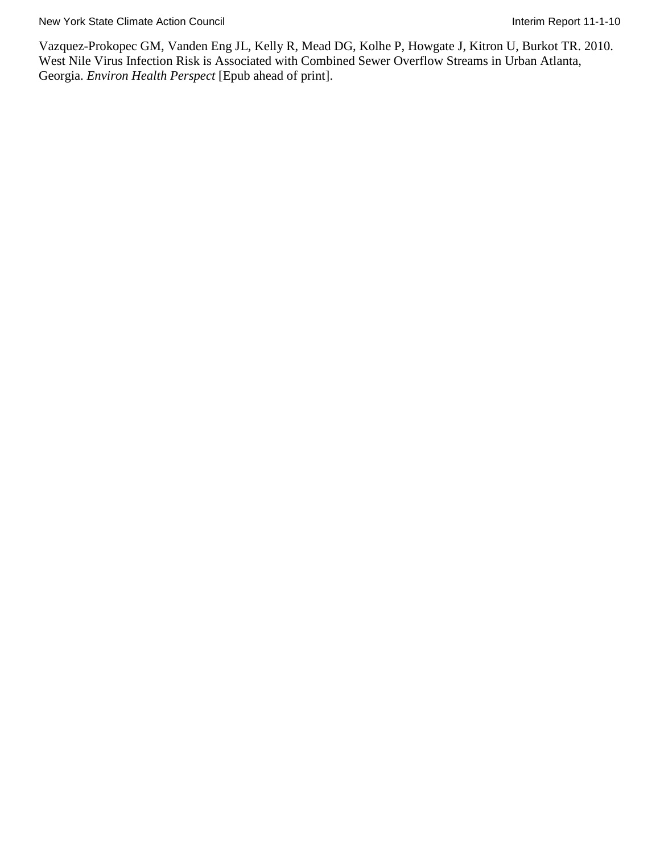Vazquez-Prokopec GM, Vanden Eng JL, Kelly R, Mead DG, Kolhe P, Howgate J, Kitron U, Burkot TR. 2010. West Nile Virus Infection Risk is Associated with Combined Sewer Overflow Streams in Urban Atlanta, Georgia. *Environ Health Perspect* [Epub ahead of print].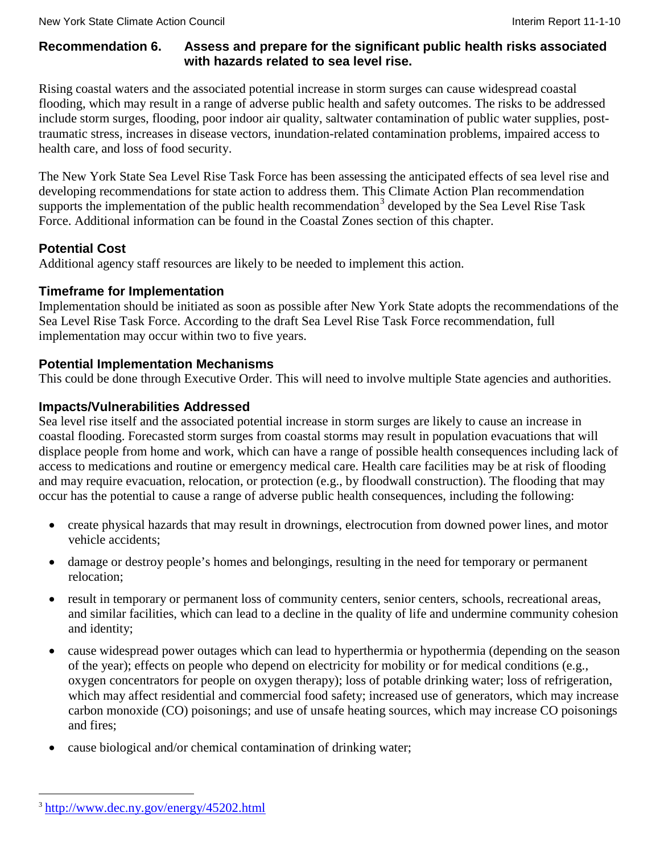### **Recommendation 6. Assess and prepare for the significant public health risks associated with hazards related to sea level rise.**

Rising coastal waters and the associated potential increase in storm surges can cause widespread coastal flooding, which may result in a range of adverse public health and safety outcomes. The risks to be addressed include storm surges, flooding, poor indoor air quality, saltwater contamination of public water supplies, posttraumatic stress, increases in disease vectors, inundation-related contamination problems, impaired access to health care, and loss of food security.

The New York State Sea Level Rise Task Force has been assessing the anticipated effects of sea level rise and developing recommendations for state action to address them. This Climate Action Plan recommendation supports the implementation of the public health recommendation<sup>[3](#page-95-0)</sup> developed by the Sea Level Rise Task Force. Additional information can be found in the Coastal Zones section of this chapter.

# **Potential Cost**

Additional agency staff resources are likely to be needed to implement this action.

# **Timeframe for Implementation**

Implementation should be initiated as soon as possible after New York State adopts the recommendations of the Sea Level Rise Task Force. According to the draft Sea Level Rise Task Force recommendation, full implementation may occur within two to five years.

# **Potential Implementation Mechanisms**

This could be done through Executive Order. This will need to involve multiple State agencies and authorities.

# **Impacts/Vulnerabilities Addressed**

Sea level rise itself and the associated potential increase in storm surges are likely to cause an increase in coastal flooding. Forecasted storm surges from coastal storms may result in population evacuations that will displace people from home and work, which can have a range of possible health consequences including lack of access to medications and routine or emergency medical care. Health care facilities may be at risk of flooding and may require evacuation, relocation, or protection (e.g., by floodwall construction). The flooding that may occur has the potential to cause a range of adverse public health consequences, including the following:

- create physical hazards that may result in drownings, electrocution from downed power lines, and motor vehicle accidents;
- damage or destroy people's homes and belongings, resulting in the need for temporary or permanent relocation;
- result in temporary or permanent loss of community centers, senior centers, schools, recreational areas, and similar facilities, which can lead to a decline in the quality of life and undermine community cohesion and identity;
- cause widespread power outages which can lead to hyperthermia or hypothermia (depending on the season of the year); effects on people who depend on electricity for mobility or for medical conditions (e.g., oxygen concentrators for people on oxygen therapy); loss of potable drinking water; loss of refrigeration, which may affect residential and commercial food safety; increased use of generators, which may increase carbon monoxide (CO) poisonings; and use of unsafe heating sources, which may increase CO poisonings and fires;
- cause biological and/or chemical contamination of drinking water;

<span id="page-95-0"></span> <sup>3</sup> <http://www.dec.ny.gov/energy/45202.html>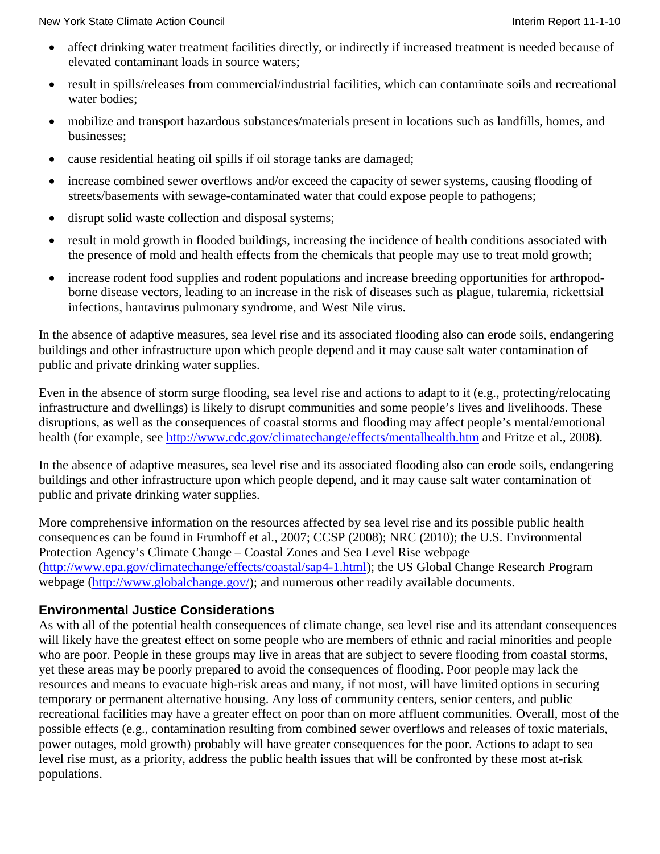- affect drinking water treatment facilities directly, or indirectly if increased treatment is needed because of elevated contaminant loads in source waters;
- result in spills/releases from commercial/industrial facilities, which can contaminate soils and recreational water bodies;
- mobilize and transport hazardous substances/materials present in locations such as landfills, homes, and businesses;
- cause residential heating oil spills if oil storage tanks are damaged;
- increase combined sewer overflows and/or exceed the capacity of sewer systems, causing flooding of streets/basements with sewage-contaminated water that could expose people to pathogens;
- disrupt solid waste collection and disposal systems;
- result in mold growth in flooded buildings, increasing the incidence of health conditions associated with the presence of mold and health effects from the chemicals that people may use to treat mold growth;
- increase rodent food supplies and rodent populations and increase breeding opportunities for arthropodborne disease vectors, leading to an increase in the risk of diseases such as plague, tularemia, rickettsial infections, hantavirus pulmonary syndrome, and West Nile virus.

In the absence of adaptive measures, sea level rise and its associated flooding also can erode soils, endangering buildings and other infrastructure upon which people depend and it may cause salt water contamination of public and private drinking water supplies.

Even in the absence of storm surge flooding, sea level rise and actions to adapt to it (e.g., protecting/relocating infrastructure and dwellings) is likely to disrupt communities and some people's lives and livelihoods. These disruptions, as well as the consequences of coastal storms and flooding may affect people's mental/emotional health (for example, see<http://www.cdc.gov/climatechange/effects/mentalhealth.htm> and Fritze et al., 2008).

In the absence of adaptive measures, sea level rise and its associated flooding also can erode soils, endangering buildings and other infrastructure upon which people depend, and it may cause salt water contamination of public and private drinking water supplies.

More comprehensive information on the resources affected by sea level rise and its possible public health consequences can be found in Frumhoff et al., 2007; CCSP (2008); NRC (2010); the U.S. Environmental Protection Agency's Climate Change – Coastal Zones and Sea Level Rise webpage [\(http://www.epa.gov/climatechange/effects/coastal/sap4-1.html\)](http://www.epa.gov/climatechange/effects/coastal/sap4-1.html); the US Global Change Research Program webpage [\(http://www.globalchange.gov/\)](http://www.globalchange.gov/); and numerous other readily available documents.

# **Environmental Justice Considerations**

As with all of the potential health consequences of climate change, sea level rise and its attendant consequences will likely have the greatest effect on some people who are members of ethnic and racial minorities and people who are poor. People in these groups may live in areas that are subject to severe flooding from coastal storms, yet these areas may be poorly prepared to avoid the consequences of flooding. Poor people may lack the resources and means to evacuate high-risk areas and many, if not most, will have limited options in securing temporary or permanent alternative housing. Any loss of community centers, senior centers, and public recreational facilities may have a greater effect on poor than on more affluent communities. Overall, most of the possible effects (e.g., contamination resulting from combined sewer overflows and releases of toxic materials, power outages, mold growth) probably will have greater consequences for the poor. Actions to adapt to sea level rise must, as a priority, address the public health issues that will be confronted by these most at-risk populations.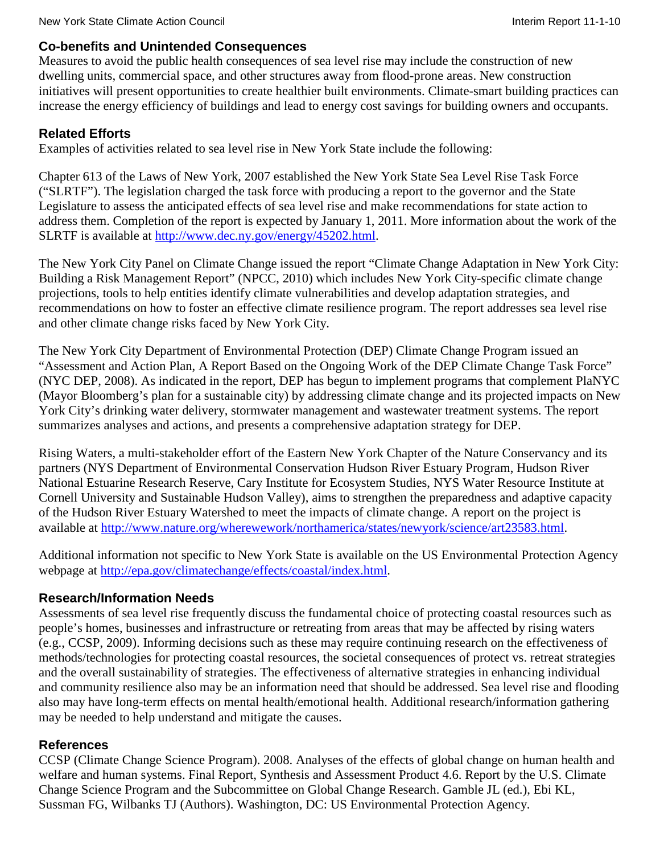# **Co-benefits and Unintended Consequences**

Measures to avoid the public health consequences of sea level rise may include the construction of new dwelling units, commercial space, and other structures away from flood-prone areas. New construction initiatives will present opportunities to create healthier built environments. Climate-smart building practices can increase the energy efficiency of buildings and lead to energy cost savings for building owners and occupants.

# **Related Efforts**

Examples of activities related to sea level rise in New York State include the following:

Chapter 613 of the Laws of New York, 2007 established the New York State Sea Level Rise Task Force ("SLRTF"). The legislation charged the task force with producing a report to the governor and the State Legislature to assess the anticipated effects of sea level rise and make recommendations for state action to address them. Completion of the report is expected by January 1, 2011. More information about the work of the SLRTF is available at [http://www.dec.ny.gov/energy/45202.html.](http://www.dec.ny.gov/energy/45202.html)

The New York City Panel on Climate Change issued the report "Climate Change Adaptation in New York City: Building a Risk Management Report" (NPCC, 2010) which includes New York City-specific climate change projections, tools to help entities identify climate vulnerabilities and develop adaptation strategies, and recommendations on how to foster an effective climate resilience program. The report addresses sea level rise and other climate change risks faced by New York City.

The New York City Department of Environmental Protection (DEP) Climate Change Program issued an "Assessment and Action Plan, A Report Based on the Ongoing Work of the DEP Climate Change Task Force" (NYC DEP, 2008). As indicated in the report, DEP has begun to implement programs that complement PlaNYC (Mayor Bloomberg's plan for a sustainable city) by addressing climate change and its projected impacts on New York City's drinking water delivery, stormwater management and wastewater treatment systems. The report summarizes analyses and actions, and presents a comprehensive adaptation strategy for DEP.

Rising Waters, a multi-stakeholder effort of the Eastern New York Chapter of the Nature Conservancy and its partners (NYS Department of Environmental Conservation Hudson River Estuary Program, Hudson River National Estuarine Research Reserve, Cary Institute for Ecosystem Studies, NYS Water Resource Institute at Cornell University and Sustainable Hudson Valley), aims to strengthen the preparedness and adaptive capacity of the Hudson River Estuary Watershed to meet the impacts of climate change. A report on the project is available at [http://www.nature.org/wherewework/northamerica/states/newyork/science/art23583.html.](http://www.nature.org/wherewework/northamerica/states/newyork/science/art23583.html)

Additional information not specific to New York State is available on the US Environmental Protection Agency webpage at [http://epa.gov/climatechange/effects/coastal/index.html.](http://epa.gov/climatechange/effects/coastal/index.html)

# **Research/Information Needs**

Assessments of sea level rise frequently discuss the fundamental choice of protecting coastal resources such as people's homes, businesses and infrastructure or retreating from areas that may be affected by rising waters (e.g., CCSP, 2009). Informing decisions such as these may require continuing research on the effectiveness of methods/technologies for protecting coastal resources, the societal consequences of protect vs. retreat strategies and the overall sustainability of strategies. The effectiveness of alternative strategies in enhancing individual and community resilience also may be an information need that should be addressed. Sea level rise and flooding also may have long-term effects on mental health/emotional health. Additional research/information gathering may be needed to help understand and mitigate the causes.

# **References**

CCSP (Climate Change Science Program). 2008. Analyses of the effects of global change on human health and welfare and human systems. Final Report, Synthesis and Assessment Product 4.6. Report by the U.S. Climate Change Science Program and the Subcommittee on Global Change Research. Gamble JL (ed.), Ebi KL, Sussman FG, Wilbanks TJ (Authors). Washington, DC: US Environmental Protection Agency.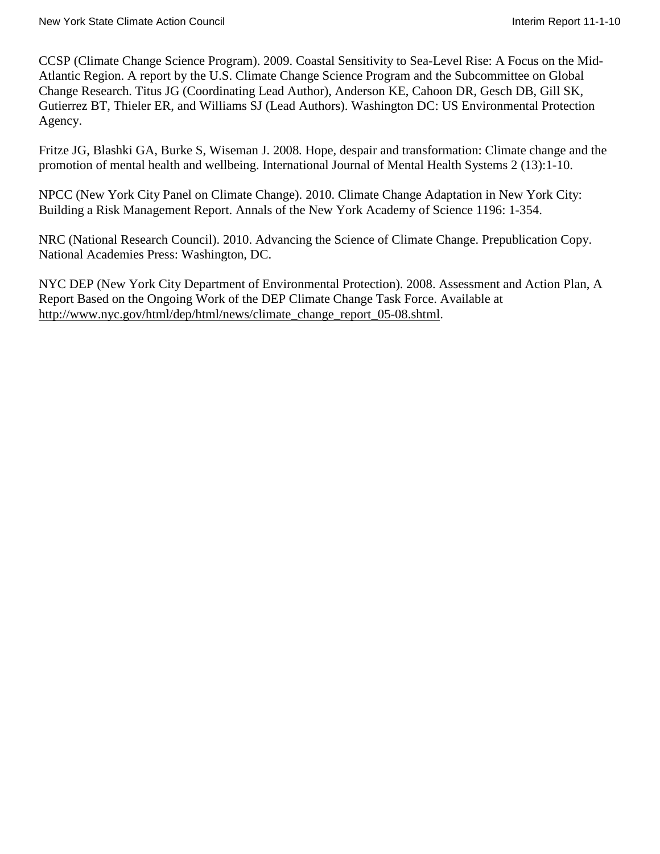CCSP (Climate Change Science Program). 2009. Coastal Sensitivity to Sea-Level Rise: A Focus on the Mid-Atlantic Region. A report by the U.S. Climate Change Science Program and the Subcommittee on Global Change Research. Titus JG (Coordinating Lead Author), Anderson KE, Cahoon DR, Gesch DB, Gill SK, Gutierrez BT, Thieler ER, and Williams SJ (Lead Authors). Washington DC: US Environmental Protection Agency.

Fritze JG, Blashki GA, Burke S, Wiseman J. 2008. Hope, despair and transformation: Climate change and the promotion of mental health and wellbeing. International Journal of Mental Health Systems 2 (13):1-10.

NPCC (New York City Panel on Climate Change). 2010. Climate Change Adaptation in New York City: Building a Risk Management Report. Annals of the New York Academy of Science 1196: 1-354.

NRC (National Research Council). 2010. Advancing the Science of Climate Change. Prepublication Copy. National Academies Press: Washington, DC.

NYC DEP (New York City Department of Environmental Protection). 2008. Assessment and Action Plan, A Report Based on the Ongoing Work of the DEP Climate Change Task Force. Available at [http://www.nyc.gov/html/dep/html/news/climate\\_change\\_report\\_05-08.shtml.](http://www.nyc.gov/html/dep/html/news/climate_change_report_05-08.shtml)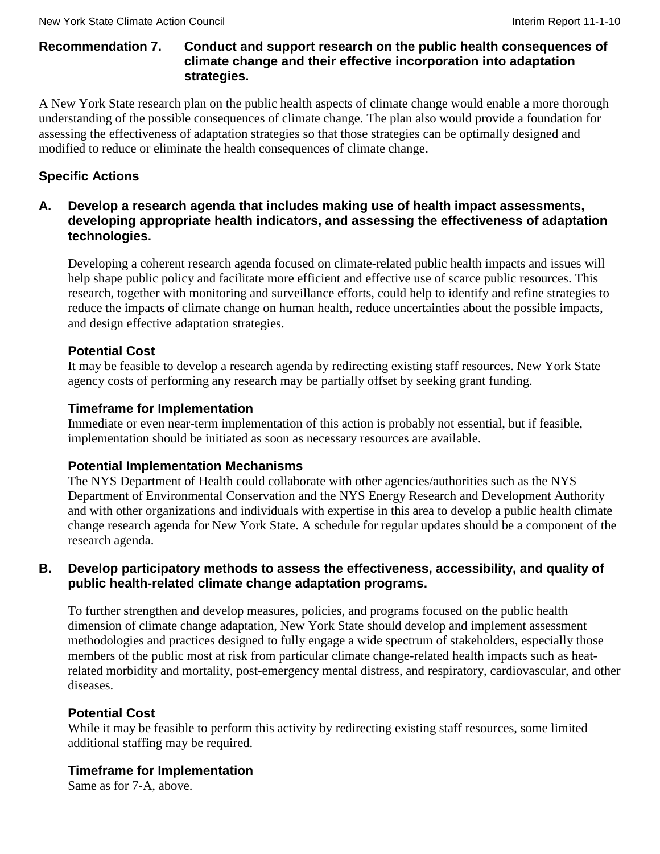### **Recommendation 7. Conduct and support research on the public health consequences of climate change and their effective incorporation into adaptation strategies.**

A New York State research plan on the public health aspects of climate change would enable a more thorough understanding of the possible consequences of climate change. The plan also would provide a foundation for assessing the effectiveness of adaptation strategies so that those strategies can be optimally designed and modified to reduce or eliminate the health consequences of climate change.

# **Specific Actions**

# **A. Develop a research agenda that includes making use of health impact assessments, developing appropriate health indicators, and assessing the effectiveness of adaptation technologies.**

Developing a coherent research agenda focused on climate-related public health impacts and issues will help shape public policy and facilitate more efficient and effective use of scarce public resources. This research, together with monitoring and surveillance efforts, could help to identify and refine strategies to reduce the impacts of climate change on human health, reduce uncertainties about the possible impacts, and design effective adaptation strategies.

# **Potential Cost**

It may be feasible to develop a research agenda by redirecting existing staff resources. New York State agency costs of performing any research may be partially offset by seeking grant funding.

# **Timeframe for Implementation**

Immediate or even near-term implementation of this action is probably not essential, but if feasible, implementation should be initiated as soon as necessary resources are available.

# **Potential Implementation Mechanisms**

The NYS Department of Health could collaborate with other agencies/authorities such as the NYS Department of Environmental Conservation and the NYS Energy Research and Development Authority and with other organizations and individuals with expertise in this area to develop a public health climate change research agenda for New York State. A schedule for regular updates should be a component of the research agenda.

# **B. Develop participatory methods to assess the effectiveness, accessibility, and quality of public health-related climate change adaptation programs.**

To further strengthen and develop measures, policies, and programs focused on the public health dimension of climate change adaptation, New York State should develop and implement assessment methodologies and practices designed to fully engage a wide spectrum of stakeholders, especially those members of the public most at risk from particular climate change-related health impacts such as heatrelated morbidity and mortality, post-emergency mental distress, and respiratory, cardiovascular, and other diseases.

# **Potential Cost**

While it may be feasible to perform this activity by redirecting existing staff resources, some limited additional staffing may be required.

# **Timeframe for Implementation**

Same as for 7-A, above.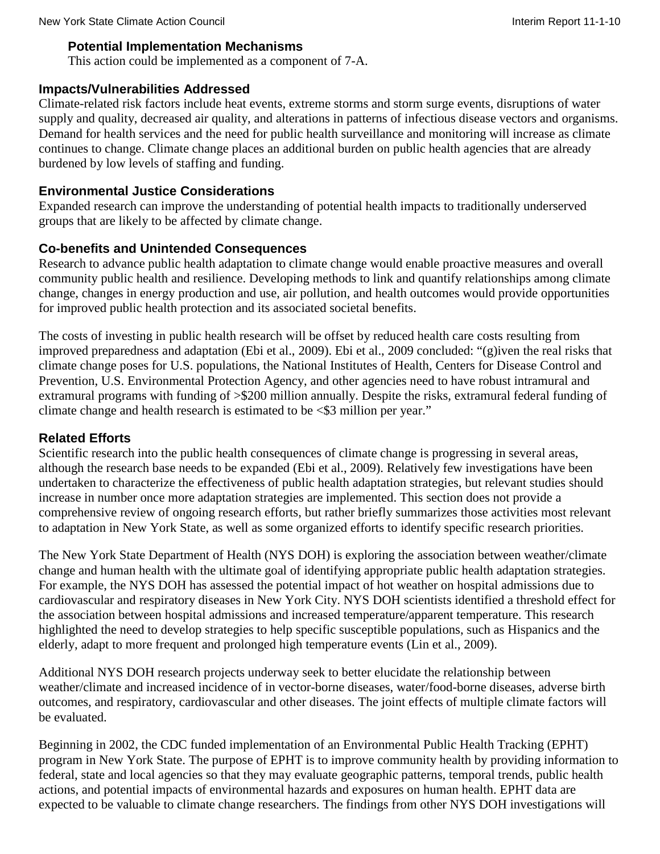### **Potential Implementation Mechanisms**

This action could be implemented as a component of 7-A.

# **Impacts/Vulnerabilities Addressed**

Climate-related risk factors include heat events, extreme storms and storm surge events, disruptions of water supply and quality, decreased air quality, and alterations in patterns of infectious disease vectors and organisms. Demand for health services and the need for public health surveillance and monitoring will increase as climate continues to change. Climate change places an additional burden on public health agencies that are already burdened by low levels of staffing and funding.

# **Environmental Justice Considerations**

Expanded research can improve the understanding of potential health impacts to traditionally underserved groups that are likely to be affected by climate change.

# **Co-benefits and Unintended Consequences**

Research to advance public health adaptation to climate change would enable proactive measures and overall community public health and resilience. Developing methods to link and quantify relationships among climate change, changes in energy production and use, air pollution, and health outcomes would provide opportunities for improved public health protection and its associated societal benefits.

The costs of investing in public health research will be offset by reduced health care costs resulting from improved preparedness and adaptation (Ebi et al., 2009). Ebi et al., 2009 concluded: "(g)iven the real risks that climate change poses for U.S. populations, the National Institutes of Health, Centers for Disease Control and Prevention, U.S. Environmental Protection Agency, and other agencies need to have robust intramural and extramural programs with funding of >\$200 million annually. Despite the risks, extramural federal funding of climate change and health research is estimated to be <\$3 million per year."

# **Related Efforts**

Scientific research into the public health consequences of climate change is progressing in several areas, although the research base needs to be expanded (Ebi et al., 2009). Relatively few investigations have been undertaken to characterize the effectiveness of public health adaptation strategies, but relevant studies should increase in number once more adaptation strategies are implemented. This section does not provide a comprehensive review of ongoing research efforts, but rather briefly summarizes those activities most relevant to adaptation in New York State, as well as some organized efforts to identify specific research priorities.

The New York State Department of Health (NYS DOH) is exploring the association between weather/climate change and human health with the ultimate goal of identifying appropriate public health adaptation strategies. For example, the NYS DOH has assessed the potential impact of hot weather on hospital admissions due to cardiovascular and respiratory diseases in New York City. NYS DOH scientists identified a threshold effect for the association between hospital admissions and increased temperature/apparent temperature. This research highlighted the need to develop strategies to help specific susceptible populations, such as Hispanics and the elderly, adapt to more frequent and prolonged high temperature events (Lin et al., 2009).

Additional NYS DOH research projects underway seek to better elucidate the relationship between weather/climate and increased incidence of in vector-borne diseases, water/food-borne diseases, adverse birth outcomes, and respiratory, cardiovascular and other diseases. The joint effects of multiple climate factors will be evaluated.

Beginning in 2002, the CDC funded implementation of an Environmental Public Health Tracking (EPHT) program in New York State. The purpose of EPHT is to improve community health by providing information to federal, state and local agencies so that they may evaluate geographic patterns, temporal trends, public health actions, and potential impacts of environmental hazards and exposures on human health. EPHT data are expected to be valuable to climate change researchers. The findings from other NYS DOH investigations will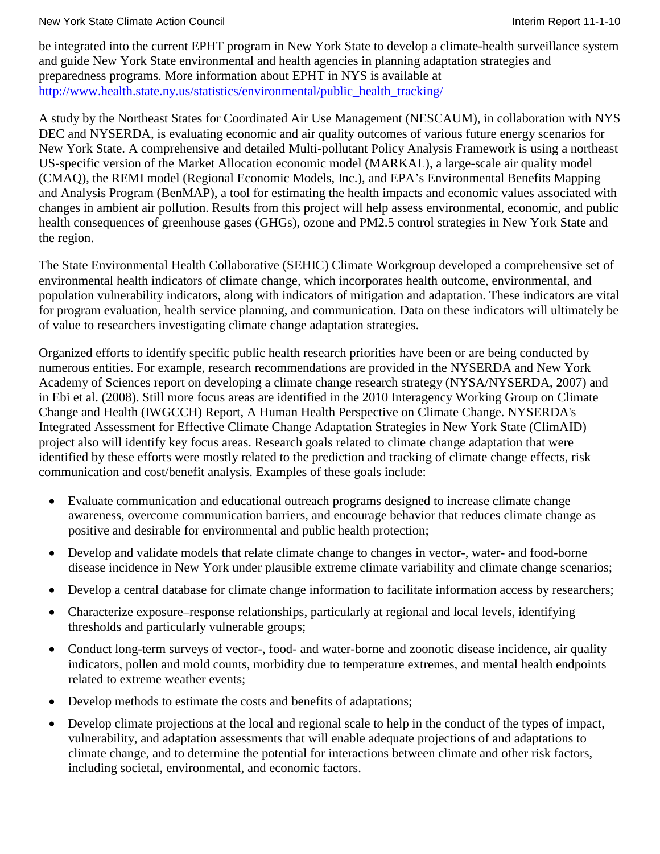New York State Climate Action Council **Interimental Interim Report 11-1-10** New York State Climate Action Council

be integrated into the current EPHT program in New York State to develop a climate-health surveillance system and guide New York State environmental and health agencies in planning adaptation strategies and preparedness programs. More information about EPHT in NYS is available at [http://www.health.state.ny.us/statistics/environmental/public\\_health\\_tracking/](http://www.health.state.ny.us/statistics/environmental/public_health_tracking/)

A study by the Northeast States for Coordinated Air Use Management (NESCAUM), in collaboration with NYS DEC and NYSERDA, is evaluating economic and air quality outcomes of various future energy scenarios for New York State. A comprehensive and detailed Multi-pollutant Policy Analysis Framework is using a northeast US-specific version of the Market Allocation economic model (MARKAL), a large-scale air quality model (CMAQ), the REMI model (Regional Economic Models, Inc.), and EPA's Environmental Benefits Mapping and Analysis Program (BenMAP), a tool for estimating the health impacts and economic values associated with changes in ambient air pollution. Results from this project will help assess environmental, economic, and public health consequences of greenhouse gases (GHGs), ozone and PM2.5 control strategies in New York State and the region.

The State Environmental Health Collaborative (SEHIC) Climate Workgroup developed a comprehensive set of environmental health indicators of climate change, which incorporates health outcome, environmental, and population vulnerability indicators, along with indicators of mitigation and adaptation. These indicators are vital for program evaluation, health service planning, and communication. Data on these indicators will ultimately be of value to researchers investigating climate change adaptation strategies.

Organized efforts to identify specific public health research priorities have been or are being conducted by numerous entities. For example, research recommendations are provided in the NYSERDA and New York Academy of Sciences report on developing a climate change research strategy (NYSA/NYSERDA, 2007) and in Ebi et al. (2008). Still more focus areas are identified in the 2010 Interagency Working Group on Climate Change and Health (IWGCCH) Report, A Human Health Perspective on Climate Change. NYSERDA's Integrated Assessment for Effective Climate Change Adaptation Strategies in New York State (ClimAID) project also will identify key focus areas. Research goals related to climate change adaptation that were identified by these efforts were mostly related to the prediction and tracking of climate change effects, risk communication and cost/benefit analysis. Examples of these goals include:

- Evaluate communication and educational outreach programs designed to increase climate change awareness, overcome communication barriers, and encourage behavior that reduces climate change as positive and desirable for environmental and public health protection;
- Develop and validate models that relate climate change to changes in vector-, water- and food-borne disease incidence in New York under plausible extreme climate variability and climate change scenarios;
- Develop a central database for climate change information to facilitate information access by researchers;
- Characterize exposure–response relationships, particularly at regional and local levels, identifying thresholds and particularly vulnerable groups;
- Conduct long-term surveys of vector-, food- and water-borne and zoonotic disease incidence, air quality indicators, pollen and mold counts, morbidity due to temperature extremes, and mental health endpoints related to extreme weather events;
- Develop methods to estimate the costs and benefits of adaptations;
- Develop climate projections at the local and regional scale to help in the conduct of the types of impact, vulnerability, and adaptation assessments that will enable adequate projections of and adaptations to climate change, and to determine the potential for interactions between climate and other risk factors, including societal, environmental, and economic factors.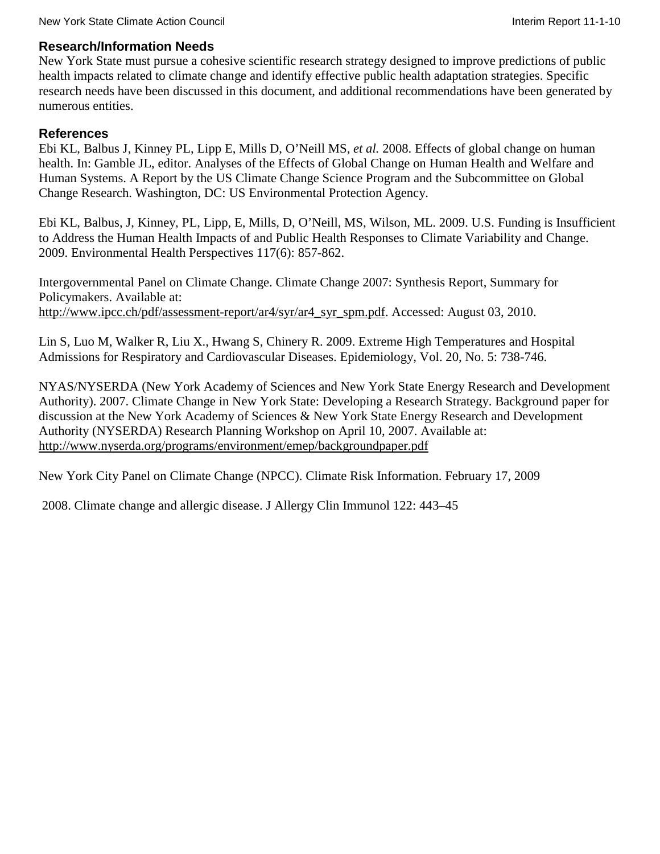### **Research/Information Needs**

New York State must pursue a cohesive scientific research strategy designed to improve predictions of public health impacts related to climate change and identify effective public health adaptation strategies. Specific research needs have been discussed in this document, and additional recommendations have been generated by numerous entities.

### **References**

Ebi KL, Balbus J, Kinney PL, Lipp E, Mills D, O'Neill MS, *et al.* 2008. Effects of global change on human health. In: Gamble JL, editor. Analyses of the Effects of Global Change on Human Health and Welfare and Human Systems. A Report by the US Climate Change Science Program and the Subcommittee on Global Change Research. Washington, DC: US Environmental Protection Agency.

Ebi KL, Balbus, J, Kinney, PL, Lipp, E, Mills, D, O'Neill, MS, Wilson, ML. 2009. U.S. Funding is Insufficient to Address the Human Health Impacts of and Public Health Responses to Climate Variability and Change. 2009. Environmental Health Perspectives 117(6): 857-862.

Intergovernmental Panel on Climate Change. Climate Change 2007: Synthesis Report, Summary for Policymakers. Available at: [http://www.ipcc.ch/pdf/assessment-report/ar4/syr/ar4\\_syr\\_spm.pdf.](http://www.ipcc.ch/pdf/assessment-report/ar4/syr/ar4_syr_spm.pdf) Accessed: August 03, 2010.

Lin S, Luo M, Walker R, Liu X., Hwang S, Chinery R. 2009. Extreme High Temperatures and Hospital Admissions for Respiratory and Cardiovascular Diseases. Epidemiology, Vol. 20, No. 5: 738-746.

NYAS/NYSERDA (New York Academy of Sciences and New York State Energy Research and Development Authority). 2007. Climate Change in New York State: Developing a Research Strategy. Background paper for discussion at the New York Academy of Sciences & New York State Energy Research and Development Authority (NYSERDA) Research Planning Workshop on April 10, 2007. Available at: <http://www.nyserda.org/programs/environment/emep/backgroundpaper.pdf>

New York City Panel on Climate Change (NPCC). Climate Risk Information. February 17, 2009

2008. Climate change and allergic disease. J Allergy Clin Immunol 122: 443–45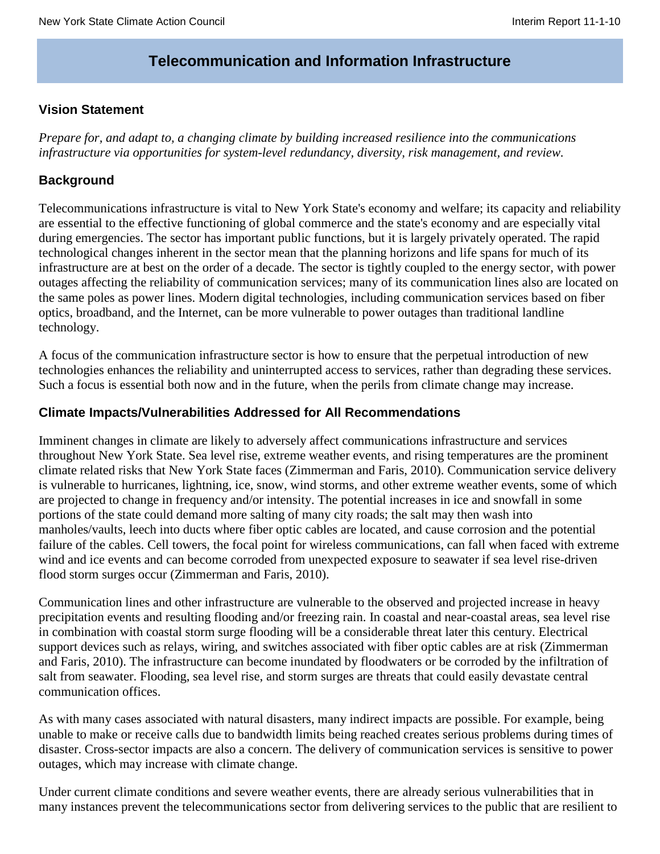# **Telecommunication and Information Infrastructure**

### **Vision Statement**

*Prepare for, and adapt to, a changing climate by building increased resilience into the communications infrastructure via opportunities for system-level redundancy, diversity, risk management, and review.*

### **Background**

Telecommunications infrastructure is vital to New York State's economy and welfare; its capacity and reliability are essential to the effective functioning of global commerce and the state's economy and are especially vital during emergencies. The sector has important public functions, but it is largely privately operated. The rapid technological changes inherent in the sector mean that the planning horizons and life spans for much of its infrastructure are at best on the order of a decade. The sector is tightly coupled to the energy sector, with power outages affecting the reliability of communication services; many of its communication lines also are located on the same poles as power lines. Modern digital technologies, including communication services based on fiber optics, broadband, and the Internet, can be more vulnerable to power outages than traditional landline technology.

A focus of the communication infrastructure sector is how to ensure that the perpetual introduction of new technologies enhances the reliability and uninterrupted access to services, rather than degrading these services. Such a focus is essential both now and in the future, when the perils from climate change may increase.

### **Climate Impacts/Vulnerabilities Addressed for All Recommendations**

Imminent changes in climate are likely to adversely affect communications infrastructure and services throughout New York State. Sea level rise, extreme weather events, and rising temperatures are the prominent climate related risks that New York State faces (Zimmerman and Faris, 2010). Communication service delivery is vulnerable to hurricanes, lightning, ice, snow, wind storms, and other extreme weather events, some of which are projected to change in frequency and/or intensity. The potential increases in ice and snowfall in some portions of the state could demand more salting of many city roads; the salt may then wash into manholes/vaults, leech into ducts where fiber optic cables are located, and cause corrosion and the potential failure of the cables. Cell towers, the focal point for wireless communications, can fall when faced with extreme wind and ice events and can become corroded from unexpected exposure to seawater if sea level rise-driven flood storm surges occur (Zimmerman and Faris, 2010).

Communication lines and other infrastructure are vulnerable to the observed and projected increase in heavy precipitation events and resulting flooding and/or freezing rain. In coastal and near-coastal areas, sea level rise in combination with coastal storm surge flooding will be a considerable threat later this century. Electrical support devices such as relays, wiring, and switches associated with fiber optic cables are at risk (Zimmerman and Faris, 2010). The infrastructure can become inundated by floodwaters or be corroded by the infiltration of salt from seawater. Flooding, sea level rise, and storm surges are threats that could easily devastate central communication offices.

As with many cases associated with natural disasters, many indirect impacts are possible. For example, being unable to make or receive calls due to bandwidth limits being reached creates serious problems during times of disaster. Cross-sector impacts are also a concern. The delivery of communication services is sensitive to power outages, which may increase with climate change.

Under current climate conditions and severe weather events, there are already serious vulnerabilities that in many instances prevent the telecommunications sector from delivering services to the public that are resilient to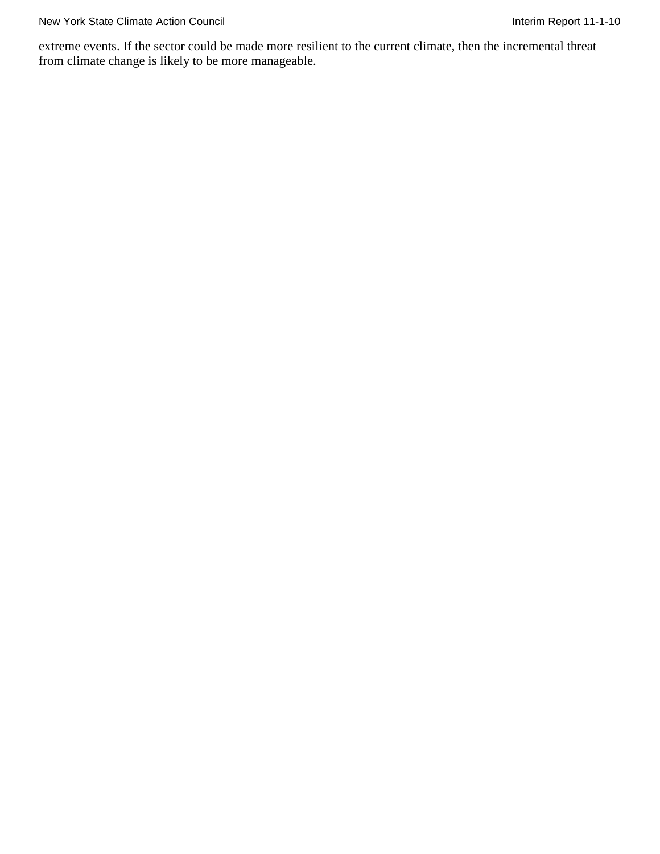extreme events. If the sector could be made more resilient to the current climate, then the incremental threat from climate change is likely to be more manageable.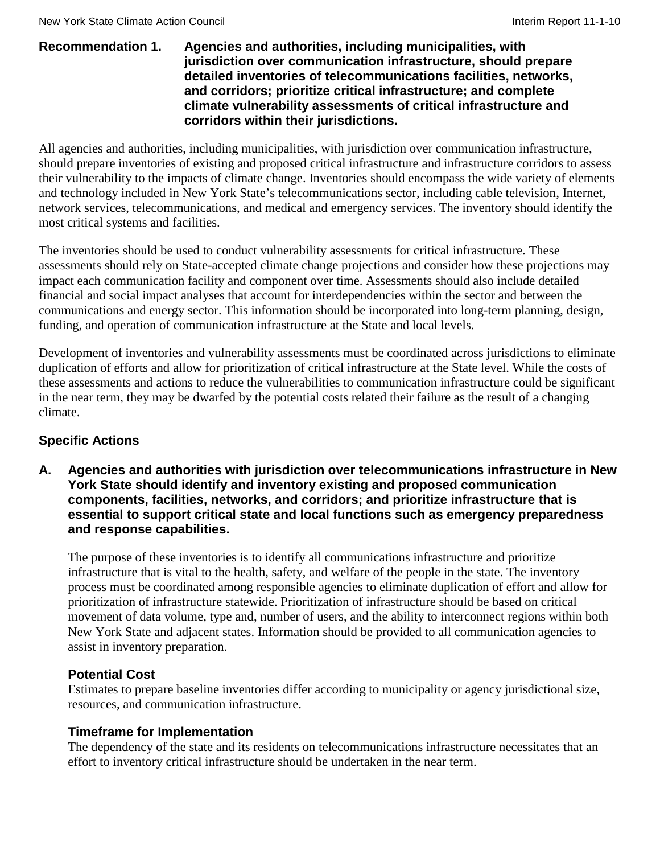### **Recommendation 1. Agencies and authorities, including municipalities, with jurisdiction over communication infrastructure, should prepare detailed inventories of telecommunications facilities, networks, and corridors; prioritize critical infrastructure; and complete climate vulnerability assessments of critical infrastructure and corridors within their jurisdictions.**

All agencies and authorities, including municipalities, with jurisdiction over communication infrastructure, should prepare inventories of existing and proposed critical infrastructure and infrastructure corridors to assess their vulnerability to the impacts of climate change. Inventories should encompass the wide variety of elements and technology included in New York State's telecommunications sector, including cable television, Internet, network services, telecommunications, and medical and emergency services. The inventory should identify the most critical systems and facilities.

The inventories should be used to conduct vulnerability assessments for critical infrastructure. These assessments should rely on State-accepted climate change projections and consider how these projections may impact each communication facility and component over time. Assessments should also include detailed financial and social impact analyses that account for interdependencies within the sector and between the communications and energy sector. This information should be incorporated into long-term planning, design, funding, and operation of communication infrastructure at the State and local levels.

Development of inventories and vulnerability assessments must be coordinated across jurisdictions to eliminate duplication of efforts and allow for prioritization of critical infrastructure at the State level. While the costs of these assessments and actions to reduce the vulnerabilities to communication infrastructure could be significant in the near term, they may be dwarfed by the potential costs related their failure as the result of a changing climate.

# **Specific Actions**

**A. Agencies and authorities with jurisdiction over telecommunications infrastructure in New York State should identify and inventory existing and proposed communication components, facilities, networks, and corridors; and prioritize infrastructure that is essential to support critical state and local functions such as emergency preparedness and response capabilities.**

The purpose of these inventories is to identify all communications infrastructure and prioritize infrastructure that is vital to the health, safety, and welfare of the people in the state. The inventory process must be coordinated among responsible agencies to eliminate duplication of effort and allow for prioritization of infrastructure statewide. Prioritization of infrastructure should be based on critical movement of data volume, type and, number of users, and the ability to interconnect regions within both New York State and adjacent states. Information should be provided to all communication agencies to assist in inventory preparation.

# **Potential Cost**

Estimates to prepare baseline inventories differ according to municipality or agency jurisdictional size, resources, and communication infrastructure.

### **Timeframe for Implementation**

The dependency of the state and its residents on telecommunications infrastructure necessitates that an effort to inventory critical infrastructure should be undertaken in the near term.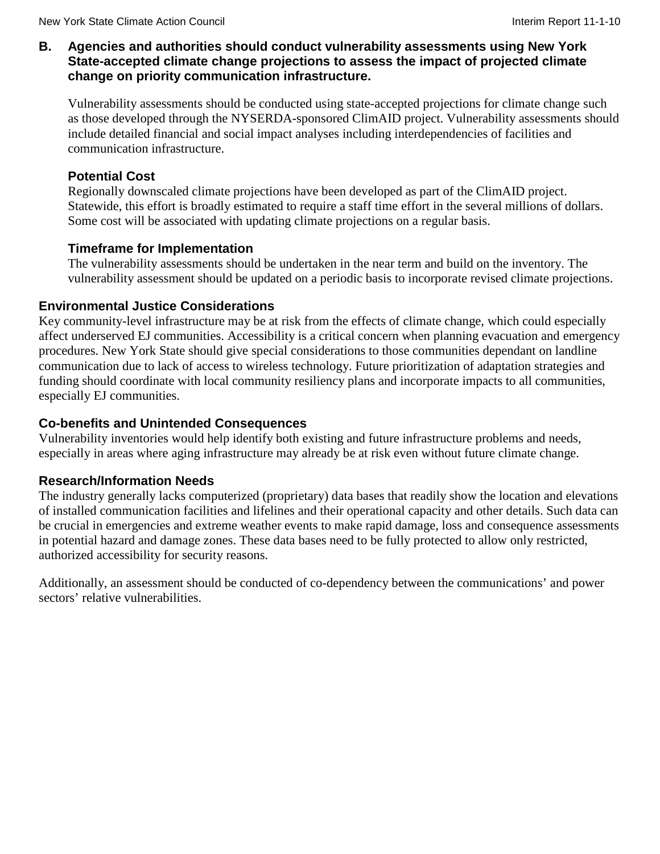### **B. Agencies and authorities should conduct vulnerability assessments using New York State-accepted climate change projections to assess the impact of projected climate change on priority communication infrastructure.**

Vulnerability assessments should be conducted using state-accepted projections for climate change such as those developed through the NYSERDA-sponsored ClimAID project. Vulnerability assessments should include detailed financial and social impact analyses including interdependencies of facilities and communication infrastructure.

# **Potential Cost**

Regionally downscaled climate projections have been developed as part of the ClimAID project. Statewide, this effort is broadly estimated to require a staff time effort in the several millions of dollars. Some cost will be associated with updating climate projections on a regular basis.

# **Timeframe for Implementation**

The vulnerability assessments should be undertaken in the near term and build on the inventory. The vulnerability assessment should be updated on a periodic basis to incorporate revised climate projections.

# **Environmental Justice Considerations**

Key community-level infrastructure may be at risk from the effects of climate change, which could especially affect underserved EJ communities. Accessibility is a critical concern when planning evacuation and emergency procedures. New York State should give special considerations to those communities dependant on landline communication due to lack of access to wireless technology. Future prioritization of adaptation strategies and funding should coordinate with local community resiliency plans and incorporate impacts to all communities, especially EJ communities.

# **Co-benefits and Unintended Consequences**

Vulnerability inventories would help identify both existing and future infrastructure problems and needs, especially in areas where aging infrastructure may already be at risk even without future climate change.

### **Research/Information Needs**

The industry generally lacks computerized (proprietary) data bases that readily show the location and elevations of installed communication facilities and lifelines and their operational capacity and other details. Such data can be crucial in emergencies and extreme weather events to make rapid damage, loss and consequence assessments in potential hazard and damage zones. These data bases need to be fully protected to allow only restricted, authorized accessibility for security reasons.

Additionally, an assessment should be conducted of co-dependency between the communications' and power sectors' relative vulnerabilities.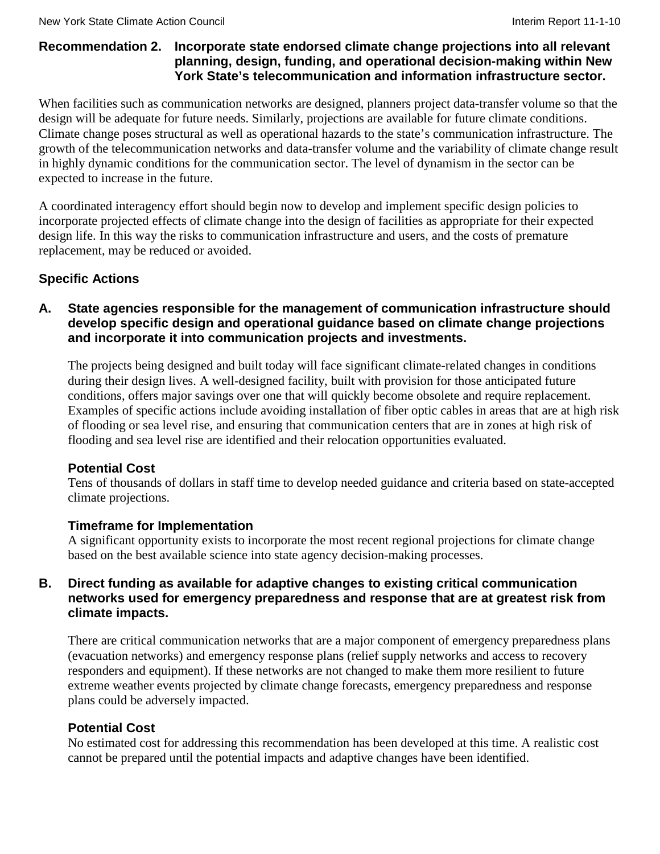### **Recommendation 2. Incorporate state endorsed climate change projections into all relevant planning, design, funding, and operational decision-making within New York State's telecommunication and information infrastructure sector.**

When facilities such as communication networks are designed, planners project data-transfer volume so that the design will be adequate for future needs. Similarly, projections are available for future climate conditions. Climate change poses structural as well as operational hazards to the state's communication infrastructure. The growth of the telecommunication networks and data-transfer volume and the variability of climate change result in highly dynamic conditions for the communication sector. The level of dynamism in the sector can be expected to increase in the future.

A coordinated interagency effort should begin now to develop and implement specific design policies to incorporate projected effects of climate change into the design of facilities as appropriate for their expected design life. In this way the risks to communication infrastructure and users, and the costs of premature replacement, may be reduced or avoided.

# **Specific Actions**

# **A. State agencies responsible for the management of communication infrastructure should develop specific design and operational guidance based on climate change projections and incorporate it into communication projects and investments.**

The projects being designed and built today will face significant climate-related changes in conditions during their design lives. A well-designed facility, built with provision for those anticipated future conditions, offers major savings over one that will quickly become obsolete and require replacement. Examples of specific actions include avoiding installation of fiber optic cables in areas that are at high risk of flooding or sea level rise, and ensuring that communication centers that are in zones at high risk of flooding and sea level rise are identified and their relocation opportunities evaluated.

# **Potential Cost**

Tens of thousands of dollars in staff time to develop needed guidance and criteria based on state-accepted climate projections.

# **Timeframe for Implementation**

A significant opportunity exists to incorporate the most recent regional projections for climate change based on the best available science into state agency decision-making processes.

# **B. Direct funding as available for adaptive changes to existing critical communication networks used for emergency preparedness and response that are at greatest risk from climate impacts.**

There are critical communication networks that are a major component of emergency preparedness plans (evacuation networks) and emergency response plans (relief supply networks and access to recovery responders and equipment). If these networks are not changed to make them more resilient to future extreme weather events projected by climate change forecasts, emergency preparedness and response plans could be adversely impacted.

# **Potential Cost**

No estimated cost for addressing this recommendation has been developed at this time. A realistic cost cannot be prepared until the potential impacts and adaptive changes have been identified.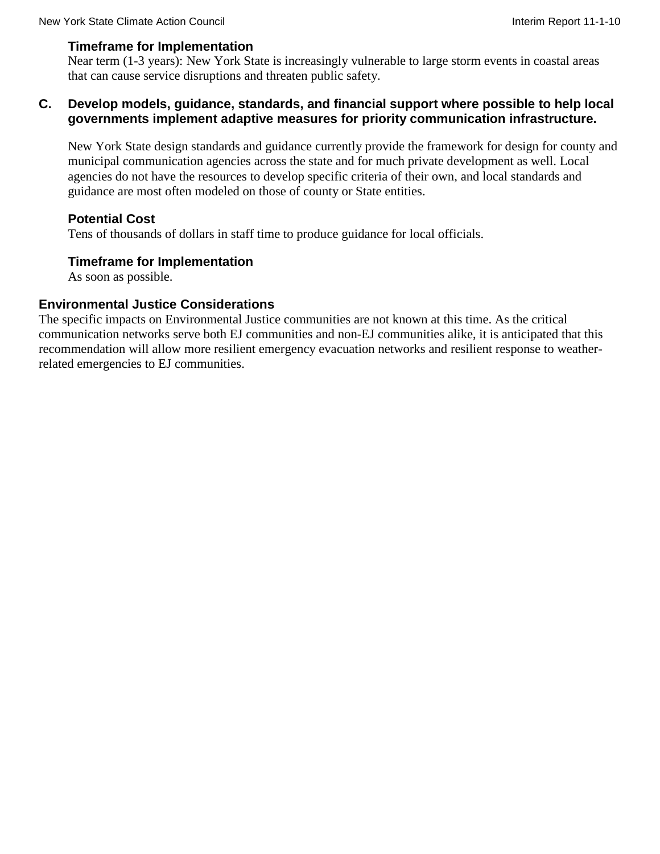### **Timeframe for Implementation**

Near term (1-3 years): New York State is increasingly vulnerable to large storm events in coastal areas that can cause service disruptions and threaten public safety.

### **C. Develop models, guidance, standards, and financial support where possible to help local governments implement adaptive measures for priority communication infrastructure.**

New York State design standards and guidance currently provide the framework for design for county and municipal communication agencies across the state and for much private development as well. Local agencies do not have the resources to develop specific criteria of their own, and local standards and guidance are most often modeled on those of county or State entities.

### **Potential Cost**

Tens of thousands of dollars in staff time to produce guidance for local officials.

### **Timeframe for Implementation**

As soon as possible.

### **Environmental Justice Considerations**

The specific impacts on Environmental Justice communities are not known at this time. As the critical communication networks serve both EJ communities and non-EJ communities alike, it is anticipated that this recommendation will allow more resilient emergency evacuation networks and resilient response to weatherrelated emergencies to EJ communities.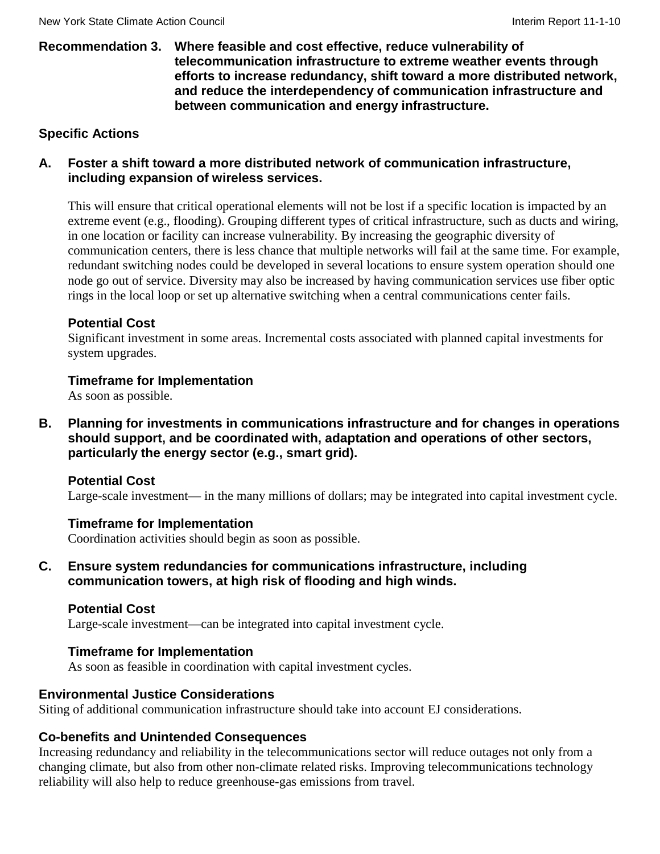#### **Recommendation 3. Where feasible and cost effective, reduce vulnerability of telecommunication infrastructure to extreme weather events through efforts to increase redundancy, shift toward a more distributed network, and reduce the interdependency of communication infrastructure and between communication and energy infrastructure.**

### **Specific Actions**

### **A. Foster a shift toward a more distributed network of communication infrastructure, including expansion of wireless services.**

This will ensure that critical operational elements will not be lost if a specific location is impacted by an extreme event (e.g., flooding). Grouping different types of critical infrastructure, such as ducts and wiring, in one location or facility can increase vulnerability. By increasing the geographic diversity of communication centers, there is less chance that multiple networks will fail at the same time. For example, redundant switching nodes could be developed in several locations to ensure system operation should one node go out of service. Diversity may also be increased by having communication services use fiber optic rings in the local loop or set up alternative switching when a central communications center fails.

### **Potential Cost**

Significant investment in some areas. Incremental costs associated with planned capital investments for system upgrades.

### **Timeframe for Implementation**

As soon as possible.

**B. Planning for investments in communications infrastructure and for changes in operations should support, and be coordinated with, adaptation and operations of other sectors, particularly the energy sector (e.g., smart grid).**

### **Potential Cost**

Large-scale investment— in the many millions of dollars; may be integrated into capital investment cycle.

### **Timeframe for Implementation**

Coordination activities should begin as soon as possible.

**C. Ensure system redundancies for communications infrastructure, including communication towers, at high risk of flooding and high winds.**

### **Potential Cost**

Large-scale investment—can be integrated into capital investment cycle.

### **Timeframe for Implementation**

As soon as feasible in coordination with capital investment cycles.

### **Environmental Justice Considerations**

Siting of additional communication infrastructure should take into account EJ considerations.

### **Co-benefits and Unintended Consequences**

Increasing redundancy and reliability in the telecommunications sector will reduce outages not only from a changing climate, but also from other non-climate related risks. Improving telecommunications technology reliability will also help to reduce greenhouse-gas emissions from travel.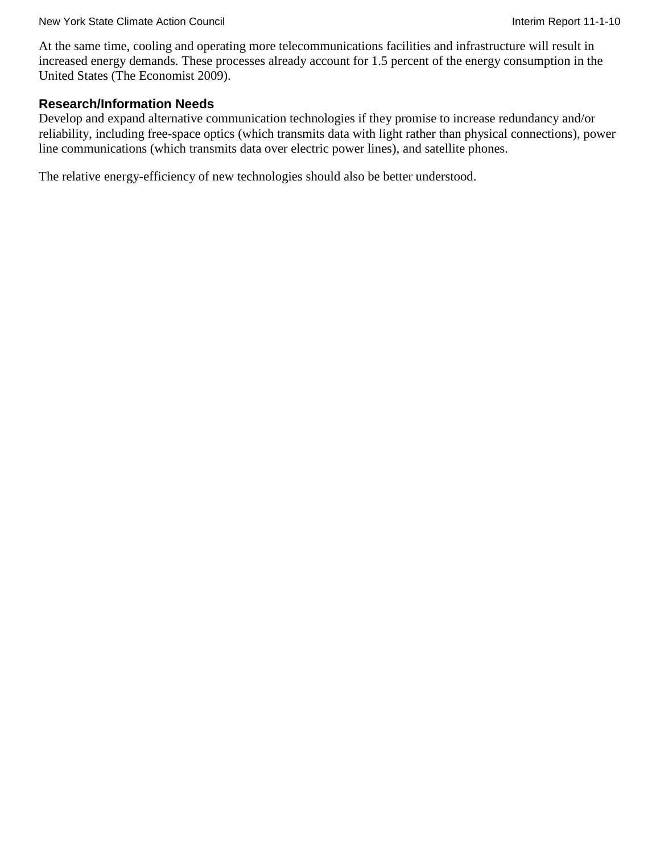At the same time, cooling and operating more telecommunications facilities and infrastructure will result in increased energy demands. These processes already account for 1.5 percent of the energy consumption in the United States (The Economist 2009).

### **Research/Information Needs**

Develop and expand alternative communication technologies if they promise to increase redundancy and/or reliability, including free-space optics (which transmits data with light rather than physical connections), power line communications (which transmits data over electric power lines), and satellite phones.

The relative energy-efficiency of new technologies should also be better understood.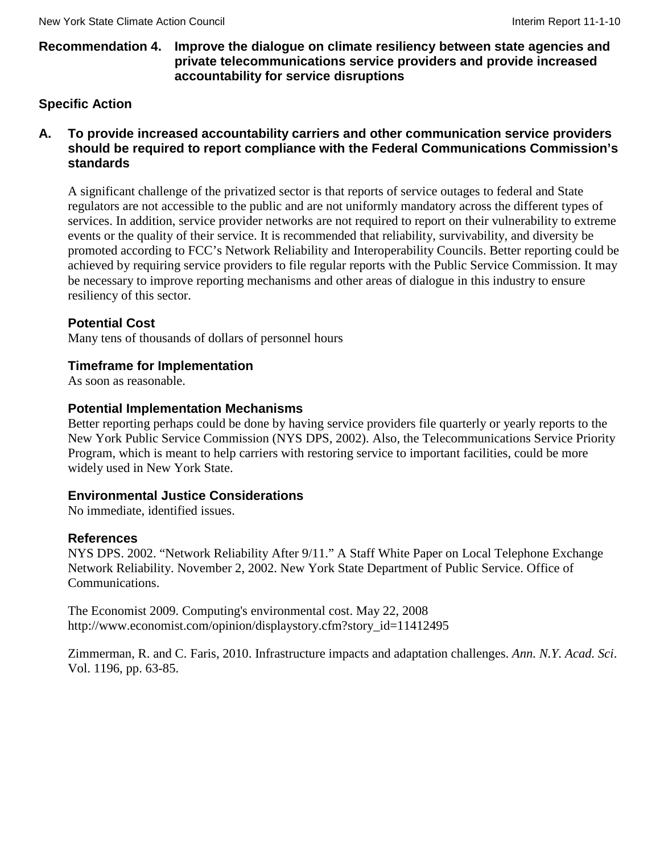### **Recommendation 4. Improve the dialogue on climate resiliency between state agencies and private telecommunications service providers and provide increased accountability for service disruptions**

### **Specific Action**

### **A. To provide increased accountability carriers and other communication service providers should be required to report compliance with the Federal Communications Commission's standards**

A significant challenge of the privatized sector is that reports of service outages to federal and State regulators are not accessible to the public and are not uniformly mandatory across the different types of services. In addition, service provider networks are not required to report on their vulnerability to extreme events or the quality of their service. It is recommended that reliability, survivability, and diversity be promoted according to FCC's Network Reliability and Interoperability Councils. Better reporting could be achieved by requiring service providers to file regular reports with the Public Service Commission. It may be necessary to improve reporting mechanisms and other areas of dialogue in this industry to ensure resiliency of this sector.

### **Potential Cost**

Many tens of thousands of dollars of personnel hours

### **Timeframe for Implementation**

As soon as reasonable.

#### **Potential Implementation Mechanisms**

Better reporting perhaps could be done by having service providers file quarterly or yearly reports to the New York Public Service Commission (NYS DPS, 2002). Also, the Telecommunications Service Priority Program, which is meant to help carriers with restoring service to important facilities, could be more widely used in New York State.

### **Environmental Justice Considerations**

No immediate, identified issues.

#### **References**

NYS DPS. 2002. "Network Reliability After 9/11." A Staff White Paper on Local Telephone Exchange Network Reliability. November 2, 2002. New York State Department of Public Service. Office of Communications.

The Economist 2009. Computing's environmental cost. May 22, 2008 http://www.economist.com/opinion/displaystory.cfm?story\_id=11412495

Zimmerman, R. and C. Faris, 2010. Infrastructure impacts and adaptation challenges. *Ann. N.Y. Acad. Sci*. Vol. 1196, pp. 63-85.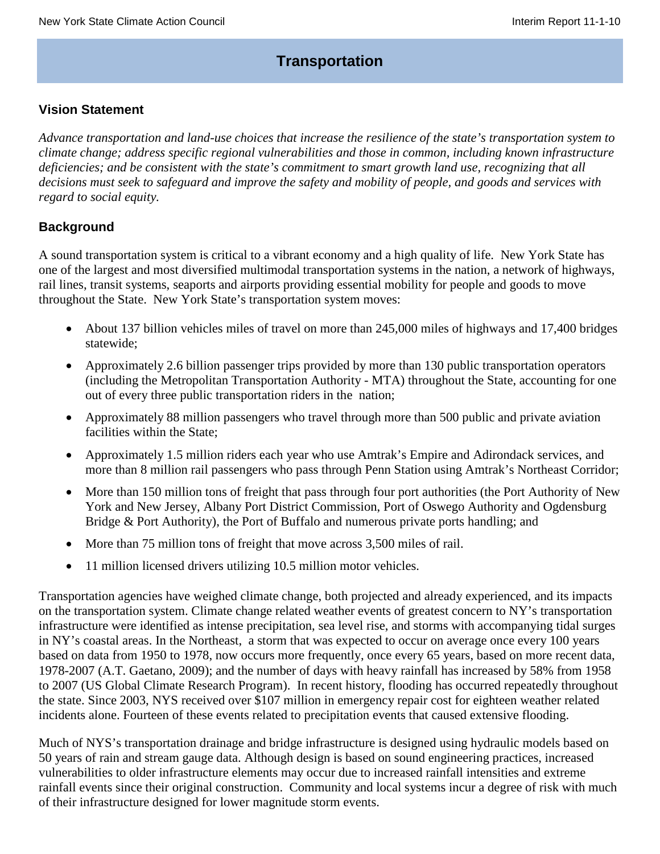# **Transportation**

### **Vision Statement**

*Advance transportation and land-use choices that increase the resilience of the state's transportation system to climate change; address specific regional vulnerabilities and those in common, including known infrastructure deficiencies; and be consistent with the state's commitment to smart growth land use, recognizing that all* decisions must seek to safeguard and improve the safety and mobility of people, and goods and services with *regard to social equity.*

### **Background**

A sound transportation system is critical to a vibrant economy and a high quality of life. New York State has one of the largest and most diversified multimodal transportation systems in the nation, a network of highways, rail lines, transit systems, seaports and airports providing essential mobility for people and goods to move throughout the State. New York State's transportation system moves:

- About 137 billion vehicles miles of travel on more than 245,000 miles of highways and 17,400 bridges statewide;
- Approximately 2.6 billion passenger trips provided by more than 130 public transportation operators (including the Metropolitan Transportation Authority - MTA) throughout the State, accounting for one out of every three public transportation riders in the nation;
- Approximately 88 million passengers who travel through more than 500 public and private aviation facilities within the State;
- Approximately 1.5 million riders each year who use Amtrak's Empire and Adirondack services, and more than 8 million rail passengers who pass through Penn Station using Amtrak's Northeast Corridor;
- More than 150 million tons of freight that pass through four port authorities (the Port Authority of New York and New Jersey, Albany Port District Commission, Port of Oswego Authority and Ogdensburg Bridge & Port Authority), the Port of Buffalo and numerous private ports handling; and
- More than 75 million tons of freight that move across 3,500 miles of rail.
- 11 million licensed drivers utilizing 10.5 million motor vehicles.

Transportation agencies have weighed climate change, both projected and already experienced, and its impacts on the transportation system. Climate change related weather events of greatest concern to NY's transportation infrastructure were identified as intense precipitation, sea level rise, and storms with accompanying tidal surges in NY's coastal areas. In the Northeast, a storm that was expected to occur on average once every 100 years based on data from 1950 to 1978, now occurs more frequently, once every 65 years, based on more recent data, 1978-2007 (A.T. Gaetano, 2009); and the number of days with heavy rainfall has increased by 58% from 1958 to 2007 (US Global Climate Research Program). In recent history, flooding has occurred repeatedly throughout the state. Since 2003, NYS received over \$107 million in emergency repair cost for eighteen weather related incidents alone. Fourteen of these events related to precipitation events that caused extensive flooding.

Much of NYS's transportation drainage and bridge infrastructure is designed using hydraulic models based on 50 years of rain and stream gauge data. Although design is based on sound engineering practices, increased vulnerabilities to older infrastructure elements may occur due to increased rainfall intensities and extreme rainfall events since their original construction. Community and local systems incur a degree of risk with much of their infrastructure designed for lower magnitude storm events.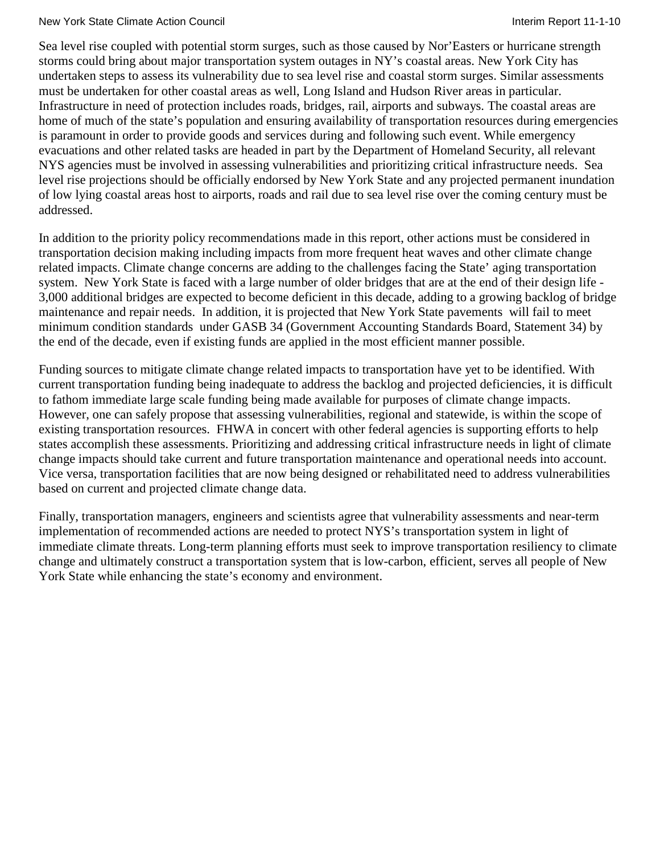#### New York State Climate Action Council **Interimental Interim Report 11-1-10** New York State Climate Action Council

Sea level rise coupled with potential storm surges, such as those caused by Nor'Easters or hurricane strength storms could bring about major transportation system outages in NY's coastal areas. New York City has undertaken steps to assess its vulnerability due to sea level rise and coastal storm surges. Similar assessments must be undertaken for other coastal areas as well, Long Island and Hudson River areas in particular. Infrastructure in need of protection includes roads, bridges, rail, airports and subways. The coastal areas are home of much of the state's population and ensuring availability of transportation resources during emergencies is paramount in order to provide goods and services during and following such event. While emergency evacuations and other related tasks are headed in part by the Department of Homeland Security, all relevant NYS agencies must be involved in assessing vulnerabilities and prioritizing critical infrastructure needs. Sea level rise projections should be officially endorsed by New York State and any projected permanent inundation of low lying coastal areas host to airports, roads and rail due to sea level rise over the coming century must be addressed.

In addition to the priority policy recommendations made in this report, other actions must be considered in transportation decision making including impacts from more frequent heat waves and other climate change related impacts. Climate change concerns are adding to the challenges facing the State' aging transportation system. New York State is faced with a large number of older bridges that are at the end of their design life - 3,000 additional bridges are expected to become deficient in this decade, adding to a growing backlog of bridge maintenance and repair needs. In addition, it is projected that New York State pavements will fail to meet minimum condition standards under GASB 34 (Government Accounting Standards Board, Statement 34) by the end of the decade, even if existing funds are applied in the most efficient manner possible.

Funding sources to mitigate climate change related impacts to transportation have yet to be identified. With current transportation funding being inadequate to address the backlog and projected deficiencies, it is difficult to fathom immediate large scale funding being made available for purposes of climate change impacts. However, one can safely propose that assessing vulnerabilities, regional and statewide, is within the scope of existing transportation resources. FHWA in concert with other federal agencies is supporting efforts to help states accomplish these assessments. Prioritizing and addressing critical infrastructure needs in light of climate change impacts should take current and future transportation maintenance and operational needs into account. Vice versa, transportation facilities that are now being designed or rehabilitated need to address vulnerabilities based on current and projected climate change data.

Finally, transportation managers, engineers and scientists agree that vulnerability assessments and near-term implementation of recommended actions are needed to protect NYS's transportation system in light of immediate climate threats. Long-term planning efforts must seek to improve transportation resiliency to climate change and ultimately construct a transportation system that is low-carbon, efficient, serves all people of New York State while enhancing the state's economy and environment.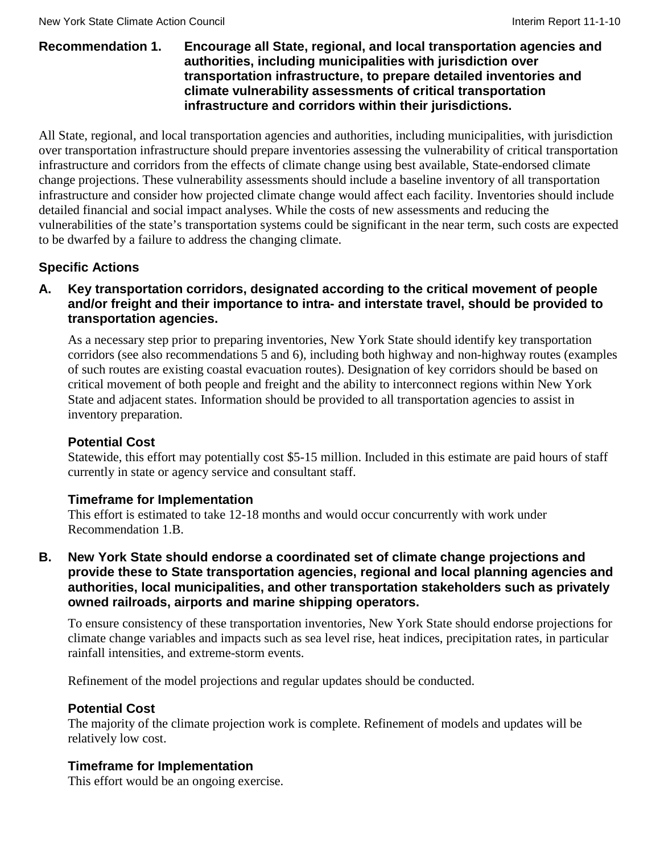#### **Recommendation 1. Encourage all State, regional, and local transportation agencies and authorities, including municipalities with jurisdiction over transportation infrastructure, to prepare detailed inventories and climate vulnerability assessments of critical transportation infrastructure and corridors within their jurisdictions.**

All State, regional, and local transportation agencies and authorities, including municipalities, with jurisdiction over transportation infrastructure should prepare inventories assessing the vulnerability of critical transportation infrastructure and corridors from the effects of climate change using best available, State-endorsed climate change projections. These vulnerability assessments should include a baseline inventory of all transportation infrastructure and consider how projected climate change would affect each facility. Inventories should include detailed financial and social impact analyses. While the costs of new assessments and reducing the vulnerabilities of the state's transportation systems could be significant in the near term, such costs are expected to be dwarfed by a failure to address the changing climate.

# **Specific Actions**

### **A. Key transportation corridors, designated according to the critical movement of people and/or freight and their importance to intra- and interstate travel, should be provided to transportation agencies.**

As a necessary step prior to preparing inventories, New York State should identify key transportation corridors (see also recommendations 5 and 6), including both highway and non-highway routes (examples of such routes are existing coastal evacuation routes). Designation of key corridors should be based on critical movement of both people and freight and the ability to interconnect regions within New York State and adjacent states. Information should be provided to all transportation agencies to assist in inventory preparation.

### **Potential Cost**

Statewide, this effort may potentially cost \$5-15 million. Included in this estimate are paid hours of staff currently in state or agency service and consultant staff.

### **Timeframe for Implementation**

This effort is estimated to take 12-18 months and would occur concurrently with work under Recommendation 1.B.

**B. New York State should endorse a coordinated set of climate change projections and provide these to State transportation agencies, regional and local planning agencies and authorities, local municipalities, and other transportation stakeholders such as privately owned railroads, airports and marine shipping operators.**

To ensure consistency of these transportation inventories, New York State should endorse projections for climate change variables and impacts such as sea level rise, heat indices, precipitation rates, in particular rainfall intensities, and extreme-storm events.

Refinement of the model projections and regular updates should be conducted.

# **Potential Cost**

The majority of the climate projection work is complete. Refinement of models and updates will be relatively low cost.

### **Timeframe for Implementation**

This effort would be an ongoing exercise.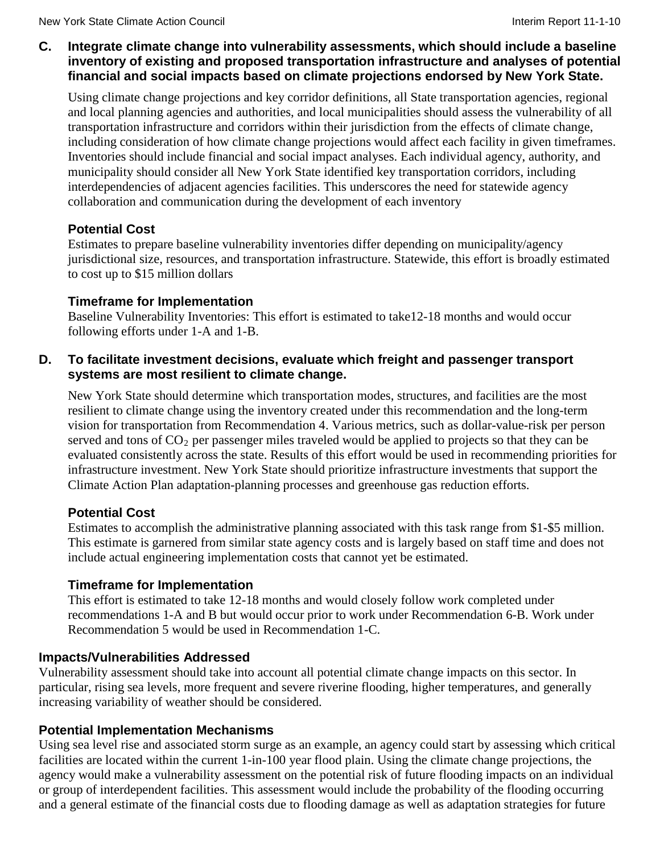### **C. Integrate climate change into vulnerability assessments, which should include a baseline inventory of existing and proposed transportation infrastructure and analyses of potential financial and social impacts based on climate projections endorsed by New York State.**

Using climate change projections and key corridor definitions, all State transportation agencies, regional and local planning agencies and authorities, and local municipalities should assess the vulnerability of all transportation infrastructure and corridors within their jurisdiction from the effects of climate change, including consideration of how climate change projections would affect each facility in given timeframes. Inventories should include financial and social impact analyses. Each individual agency, authority, and municipality should consider all New York State identified key transportation corridors, including interdependencies of adjacent agencies facilities. This underscores the need for statewide agency collaboration and communication during the development of each inventory

# **Potential Cost**

Estimates to prepare baseline vulnerability inventories differ depending on municipality/agency jurisdictional size, resources, and transportation infrastructure. Statewide, this effort is broadly estimated to cost up to \$15 million dollars

### **Timeframe for Implementation**

Baseline Vulnerability Inventories: This effort is estimated to take12-18 months and would occur following efforts under 1-A and 1-B.

### **D. To facilitate investment decisions, evaluate which freight and passenger transport systems are most resilient to climate change.**

New York State should determine which transportation modes, structures, and facilities are the most resilient to climate change using the inventory created under this recommendation and the long-term vision for transportation from Recommendation 4. Various metrics, such as dollar-value-risk per person served and tons of  $CO_2$  per passenger miles traveled would be applied to projects so that they can be evaluated consistently across the state. Results of this effort would be used in recommending priorities for infrastructure investment. New York State should prioritize infrastructure investments that support the Climate Action Plan adaptation-planning processes and greenhouse gas reduction efforts.

# **Potential Cost**

Estimates to accomplish the administrative planning associated with this task range from \$1-\$5 million. This estimate is garnered from similar state agency costs and is largely based on staff time and does not include actual engineering implementation costs that cannot yet be estimated.

# **Timeframe for Implementation**

This effort is estimated to take 12-18 months and would closely follow work completed under recommendations 1-A and B but would occur prior to work under Recommendation 6-B. Work under Recommendation 5 would be used in Recommendation 1-C.

# **Impacts/Vulnerabilities Addressed**

Vulnerability assessment should take into account all potential climate change impacts on this sector. In particular, rising sea levels, more frequent and severe riverine flooding, higher temperatures, and generally increasing variability of weather should be considered.

# **Potential Implementation Mechanisms**

Using sea level rise and associated storm surge as an example, an agency could start by assessing which critical facilities are located within the current 1-in-100 year flood plain. Using the climate change projections, the agency would make a vulnerability assessment on the potential risk of future flooding impacts on an individual or group of interdependent facilities. This assessment would include the probability of the flooding occurring and a general estimate of the financial costs due to flooding damage as well as adaptation strategies for future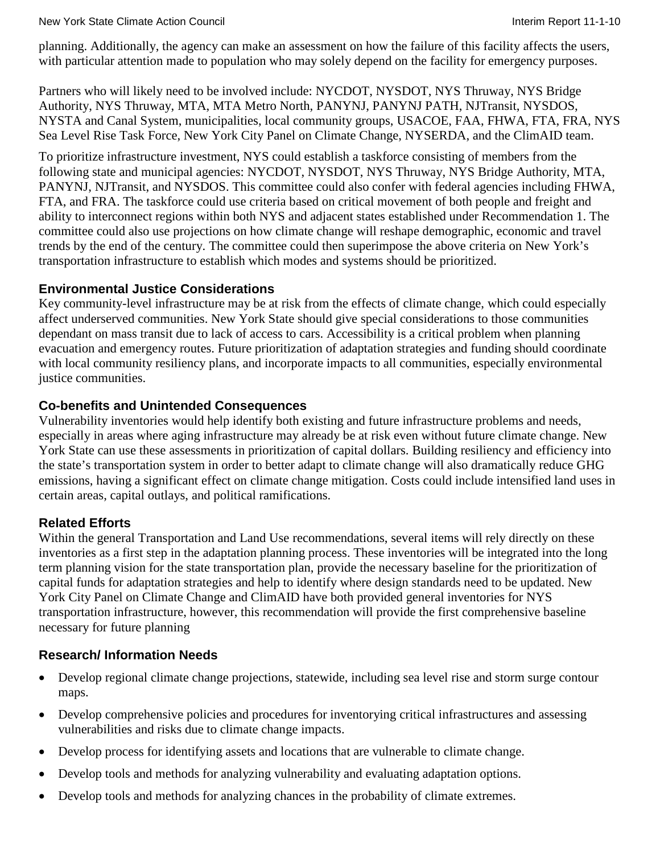planning. Additionally, the agency can make an assessment on how the failure of this facility affects the users, with particular attention made to population who may solely depend on the facility for emergency purposes.

Partners who will likely need to be involved include: NYCDOT, NYSDOT, NYS Thruway, NYS Bridge Authority, NYS Thruway, MTA, MTA Metro North, PANYNJ, PANYNJ PATH, NJTransit, NYSDOS, NYSTA and Canal System, municipalities, local community groups, USACOE, FAA, FHWA, FTA, FRA, NYS Sea Level Rise Task Force, New York City Panel on Climate Change, NYSERDA, and the ClimAID team.

To prioritize infrastructure investment, NYS could establish a taskforce consisting of members from the following state and municipal agencies: NYCDOT, NYSDOT, NYS Thruway, NYS Bridge Authority, MTA, PANYNJ, NJTransit, and NYSDOS. This committee could also confer with federal agencies including FHWA, FTA, and FRA. The taskforce could use criteria based on critical movement of both people and freight and ability to interconnect regions within both NYS and adjacent states established under Recommendation 1. The committee could also use projections on how climate change will reshape demographic, economic and travel trends by the end of the century. The committee could then superimpose the above criteria on New York's transportation infrastructure to establish which modes and systems should be prioritized.

# **Environmental Justice Considerations**

Key community-level infrastructure may be at risk from the effects of climate change, which could especially affect underserved communities. New York State should give special considerations to those communities dependant on mass transit due to lack of access to cars. Accessibility is a critical problem when planning evacuation and emergency routes. Future prioritization of adaptation strategies and funding should coordinate with local community resiliency plans, and incorporate impacts to all communities, especially environmental justice communities.

### **Co-benefits and Unintended Consequences**

Vulnerability inventories would help identify both existing and future infrastructure problems and needs, especially in areas where aging infrastructure may already be at risk even without future climate change. New York State can use these assessments in prioritization of capital dollars. Building resiliency and efficiency into the state's transportation system in order to better adapt to climate change will also dramatically reduce GHG emissions, having a significant effect on climate change mitigation. Costs could include intensified land uses in certain areas, capital outlays, and political ramifications.

# **Related Efforts**

Within the general Transportation and Land Use recommendations, several items will rely directly on these inventories as a first step in the adaptation planning process. These inventories will be integrated into the long term planning vision for the state transportation plan, provide the necessary baseline for the prioritization of capital funds for adaptation strategies and help to identify where design standards need to be updated. New York City Panel on Climate Change and ClimAID have both provided general inventories for NYS transportation infrastructure, however, this recommendation will provide the first comprehensive baseline necessary for future planning

# **Research/ Information Needs**

- Develop regional climate change projections, statewide, including sea level rise and storm surge contour maps.
- Develop comprehensive policies and procedures for inventorying critical infrastructures and assessing vulnerabilities and risks due to climate change impacts.
- Develop process for identifying assets and locations that are vulnerable to climate change.
- Develop tools and methods for analyzing vulnerability and evaluating adaptation options.
- Develop tools and methods for analyzing chances in the probability of climate extremes.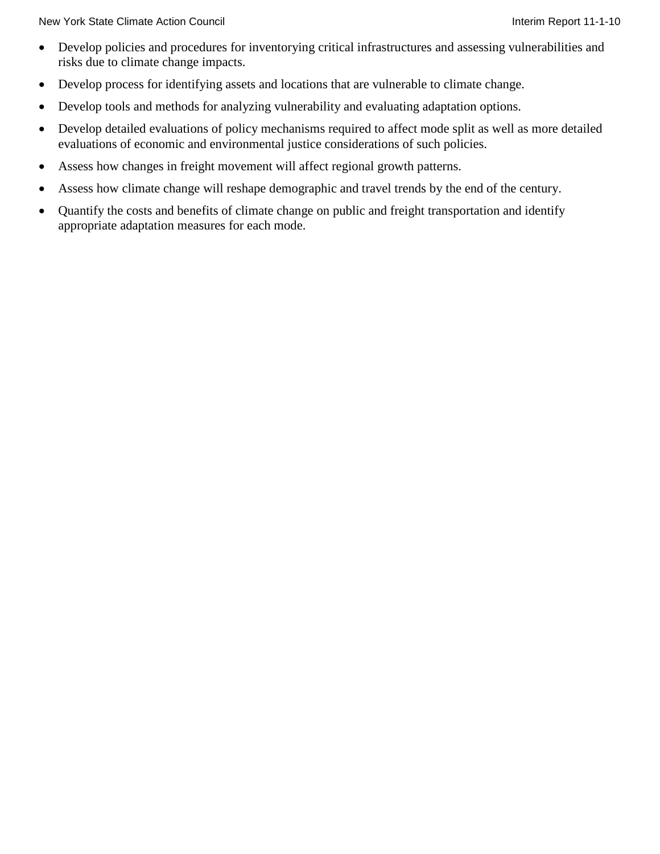New York State Climate Action Council **Interiment Council** Interim Report 11-1-10

- Develop policies and procedures for inventorying critical infrastructures and assessing vulnerabilities and risks due to climate change impacts.
- Develop process for identifying assets and locations that are vulnerable to climate change.
- Develop tools and methods for analyzing vulnerability and evaluating adaptation options.
- Develop detailed evaluations of policy mechanisms required to affect mode split as well as more detailed evaluations of economic and environmental justice considerations of such policies.
- Assess how changes in freight movement will affect regional growth patterns.
- Assess how climate change will reshape demographic and travel trends by the end of the century.
- Quantify the costs and benefits of climate change on public and freight transportation and identify appropriate adaptation measures for each mode.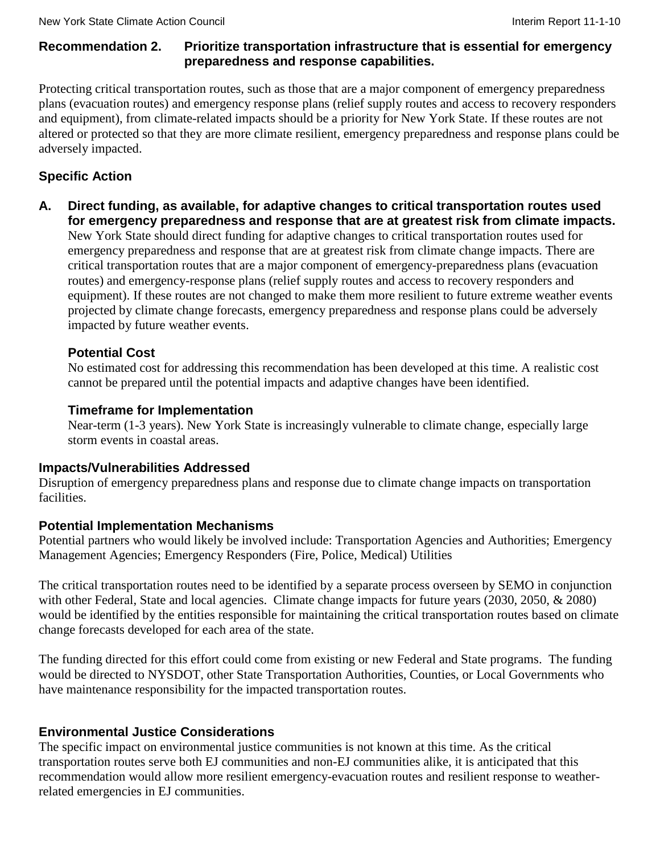# **Recommendation 2. Prioritize transportation infrastructure that is essential for emergency preparedness and response capabilities.**

Protecting critical transportation routes, such as those that are a major component of emergency preparedness plans (evacuation routes) and emergency response plans (relief supply routes and access to recovery responders and equipment), from climate-related impacts should be a priority for New York State. If these routes are not altered or protected so that they are more climate resilient, emergency preparedness and response plans could be adversely impacted.

# **Specific Action**

**A. Direct funding, as available, for adaptive changes to critical transportation routes used for emergency preparedness and response that are at greatest risk from climate impacts.** New York State should direct funding for adaptive changes to critical transportation routes used for emergency preparedness and response that are at greatest risk from climate change impacts. There are critical transportation routes that are a major component of emergency-preparedness plans (evacuation routes) and emergency-response plans (relief supply routes and access to recovery responders and equipment). If these routes are not changed to make them more resilient to future extreme weather events projected by climate change forecasts, emergency preparedness and response plans could be adversely impacted by future weather events.

# **Potential Cost**

No estimated cost for addressing this recommendation has been developed at this time. A realistic cost cannot be prepared until the potential impacts and adaptive changes have been identified.

# **Timeframe for Implementation**

Near-term (1-3 years). New York State is increasingly vulnerable to climate change, especially large storm events in coastal areas.

# **Impacts/Vulnerabilities Addressed**

Disruption of emergency preparedness plans and response due to climate change impacts on transportation facilities.

# **Potential Implementation Mechanisms**

Potential partners who would likely be involved include: Transportation Agencies and Authorities; Emergency Management Agencies; Emergency Responders (Fire, Police, Medical) Utilities

The critical transportation routes need to be identified by a separate process overseen by SEMO in conjunction with other Federal, State and local agencies. Climate change impacts for future years (2030, 2050, & 2080) would be identified by the entities responsible for maintaining the critical transportation routes based on climate change forecasts developed for each area of the state.

The funding directed for this effort could come from existing or new Federal and State programs. The funding would be directed to NYSDOT, other State Transportation Authorities, Counties, or Local Governments who have maintenance responsibility for the impacted transportation routes.

# **Environmental Justice Considerations**

The specific impact on environmental justice communities is not known at this time. As the critical transportation routes serve both EJ communities and non-EJ communities alike, it is anticipated that this recommendation would allow more resilient emergency-evacuation routes and resilient response to weatherrelated emergencies in EJ communities.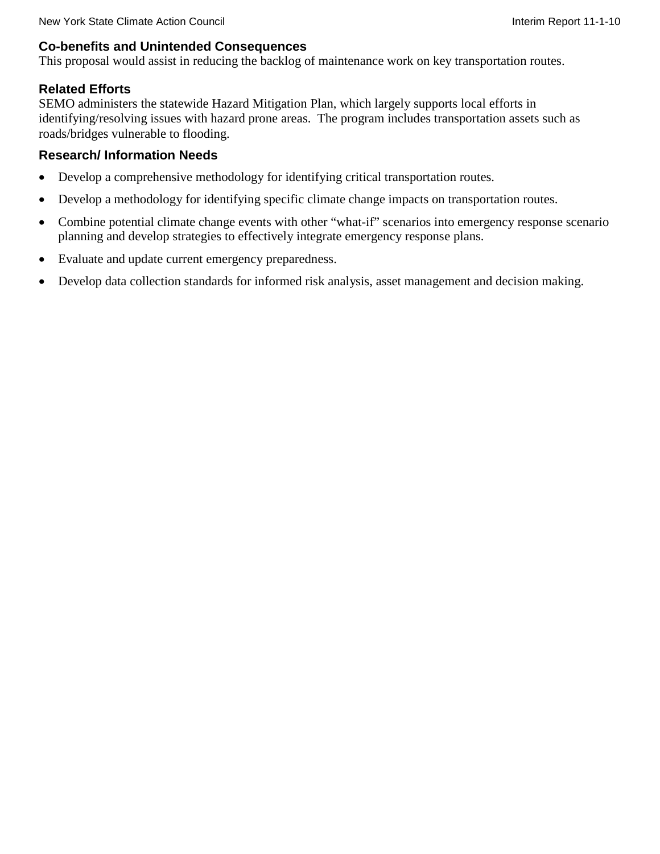### **Co-benefits and Unintended Consequences**

This proposal would assist in reducing the backlog of maintenance work on key transportation routes.

### **Related Efforts**

SEMO administers the statewide Hazard Mitigation Plan, which largely supports local efforts in identifying/resolving issues with hazard prone areas. The program includes transportation assets such as roads/bridges vulnerable to flooding.

### **Research/ Information Needs**

- Develop a comprehensive methodology for identifying critical transportation routes.
- Develop a methodology for identifying specific climate change impacts on transportation routes.
- Combine potential climate change events with other "what-if" scenarios into emergency response scenario planning and develop strategies to effectively integrate emergency response plans.
- Evaluate and update current emergency preparedness.
- Develop data collection standards for informed risk analysis, asset management and decision making.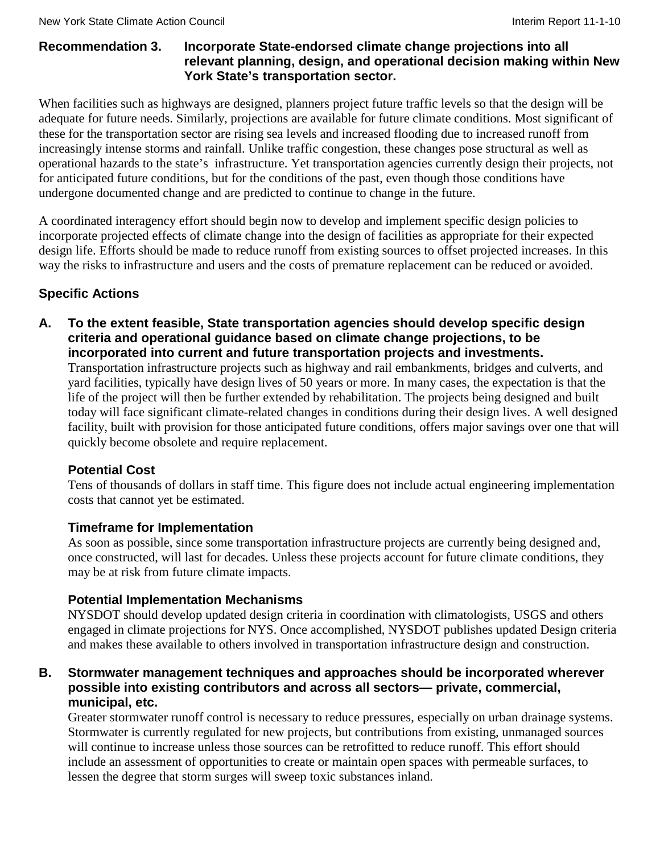### **Recommendation 3. Incorporate State-endorsed climate change projections into all relevant planning, design, and operational decision making within New York State's transportation sector.**

When facilities such as highways are designed, planners project future traffic levels so that the design will be adequate for future needs. Similarly, projections are available for future climate conditions. Most significant of these for the transportation sector are rising sea levels and increased flooding due to increased runoff from increasingly intense storms and rainfall. Unlike traffic congestion, these changes pose structural as well as operational hazards to the state's infrastructure. Yet transportation agencies currently design their projects, not for anticipated future conditions, but for the conditions of the past, even though those conditions have undergone documented change and are predicted to continue to change in the future.

A coordinated interagency effort should begin now to develop and implement specific design policies to incorporate projected effects of climate change into the design of facilities as appropriate for their expected design life. Efforts should be made to reduce runoff from existing sources to offset projected increases. In this way the risks to infrastructure and users and the costs of premature replacement can be reduced or avoided.

# **Specific Actions**

**A. To the extent feasible, State transportation agencies should develop specific design criteria and operational guidance based on climate change projections, to be incorporated into current and future transportation projects and investments.**

Transportation infrastructure projects such as highway and rail embankments, bridges and culverts, and yard facilities, typically have design lives of 50 years or more. In many cases, the expectation is that the life of the project will then be further extended by rehabilitation. The projects being designed and built today will face significant climate-related changes in conditions during their design lives. A well designed facility, built with provision for those anticipated future conditions, offers major savings over one that will quickly become obsolete and require replacement.

# **Potential Cost**

Tens of thousands of dollars in staff time. This figure does not include actual engineering implementation costs that cannot yet be estimated.

# **Timeframe for Implementation**

As soon as possible, since some transportation infrastructure projects are currently being designed and, once constructed, will last for decades. Unless these projects account for future climate conditions, they may be at risk from future climate impacts.

# **Potential Implementation Mechanisms**

NYSDOT should develop updated design criteria in coordination with climatologists, USGS and others engaged in climate projections for NYS. Once accomplished, NYSDOT publishes updated Design criteria and makes these available to others involved in transportation infrastructure design and construction.

### **B. Stormwater management techniques and approaches should be incorporated wherever possible into existing contributors and across all sectors— private, commercial, municipal, etc.**

Greater stormwater runoff control is necessary to reduce pressures, especially on urban drainage systems. Stormwater is currently regulated for new projects, but contributions from existing, unmanaged sources will continue to increase unless those sources can be retrofitted to reduce runoff. This effort should include an assessment of opportunities to create or maintain open spaces with permeable surfaces, to lessen the degree that storm surges will sweep toxic substances inland.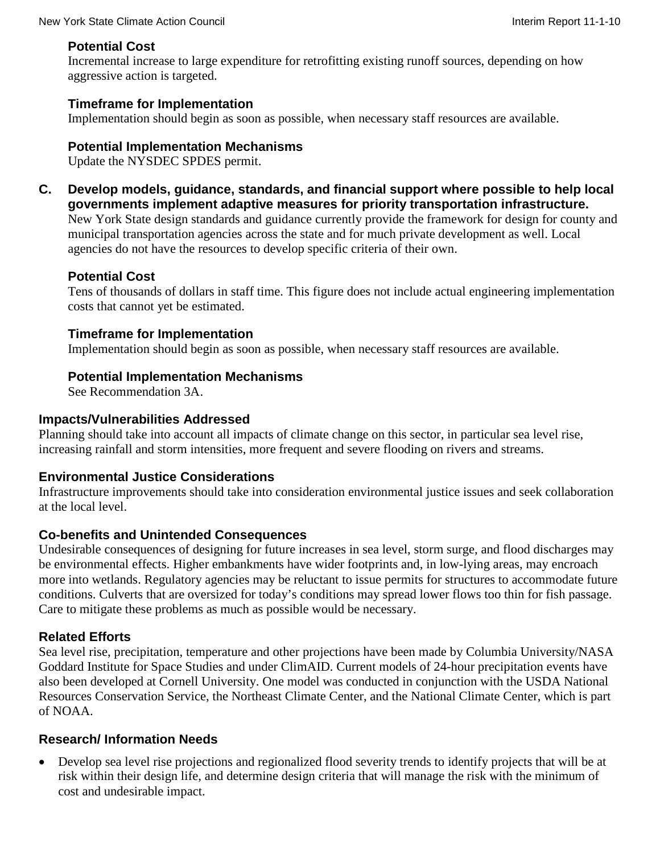# **Potential Cost**

Incremental increase to large expenditure for retrofitting existing runoff sources, depending on how aggressive action is targeted.

# **Timeframe for Implementation**

Implementation should begin as soon as possible, when necessary staff resources are available.

# **Potential Implementation Mechanisms**

Update the NYSDEC SPDES permit.

**C. Develop models, guidance, standards, and financial support where possible to help local governments implement adaptive measures for priority transportation infrastructure.** New York State design standards and guidance currently provide the framework for design for county and municipal transportation agencies across the state and for much private development as well. Local

agencies do not have the resources to develop specific criteria of their own.

# **Potential Cost**

Tens of thousands of dollars in staff time. This figure does not include actual engineering implementation costs that cannot yet be estimated.

# **Timeframe for Implementation**

Implementation should begin as soon as possible, when necessary staff resources are available.

# **Potential Implementation Mechanisms**

See Recommendation 3A.

# **Impacts/Vulnerabilities Addressed**

Planning should take into account all impacts of climate change on this sector, in particular sea level rise, increasing rainfall and storm intensities, more frequent and severe flooding on rivers and streams.

# **Environmental Justice Considerations**

Infrastructure improvements should take into consideration environmental justice issues and seek collaboration at the local level.

# **Co-benefits and Unintended Consequences**

Undesirable consequences of designing for future increases in sea level, storm surge, and flood discharges may be environmental effects. Higher embankments have wider footprints and, in low-lying areas, may encroach more into wetlands. Regulatory agencies may be reluctant to issue permits for structures to accommodate future conditions. Culverts that are oversized for today's conditions may spread lower flows too thin for fish passage. Care to mitigate these problems as much as possible would be necessary.

# **Related Efforts**

Sea level rise, precipitation, temperature and other projections have been made by Columbia University/NASA Goddard Institute for Space Studies and under ClimAID. Current models of 24-hour precipitation events have also been developed at Cornell University. One model was conducted in conjunction with the USDA National Resources Conservation Service, the Northeast Climate Center, and the National Climate Center, which is part of NOAA.

# **Research/ Information Needs**

• Develop sea level rise projections and regionalized flood severity trends to identify projects that will be at risk within their design life, and determine design criteria that will manage the risk with the minimum of cost and undesirable impact.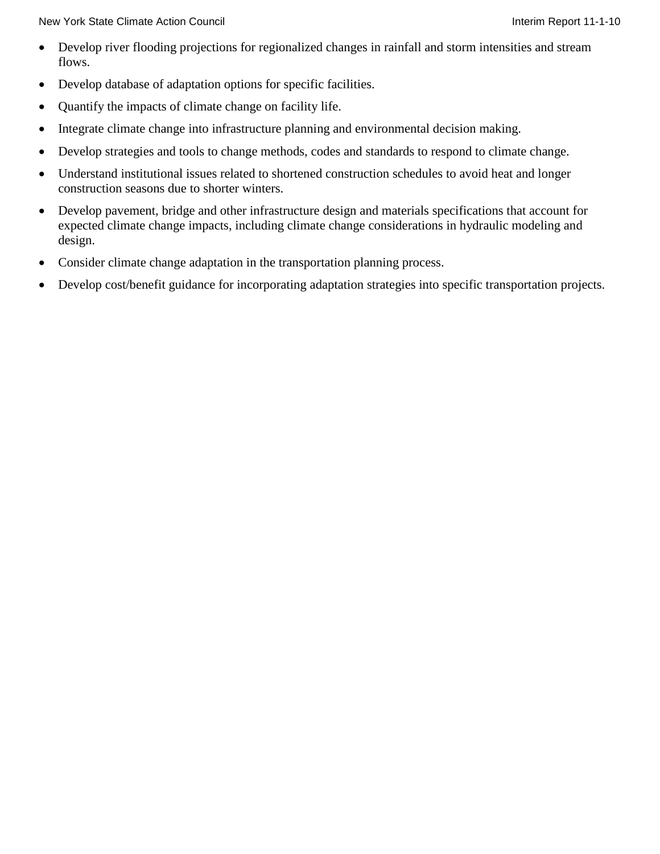New York State Climate Action Council **Interimental Interiment Council** Interim Report 11-1-10

- Develop river flooding projections for regionalized changes in rainfall and storm intensities and stream flows.
- Develop database of adaptation options for specific facilities.
- Quantify the impacts of climate change on facility life.
- Integrate climate change into infrastructure planning and environmental decision making.
- Develop strategies and tools to change methods, codes and standards to respond to climate change.
- Understand institutional issues related to shortened construction schedules to avoid heat and longer construction seasons due to shorter winters.
- Develop pavement, bridge and other infrastructure design and materials specifications that account for expected climate change impacts, including climate change considerations in hydraulic modeling and design.
- Consider climate change adaptation in the transportation planning process.
- Develop cost/benefit guidance for incorporating adaptation strategies into specific transportation projects.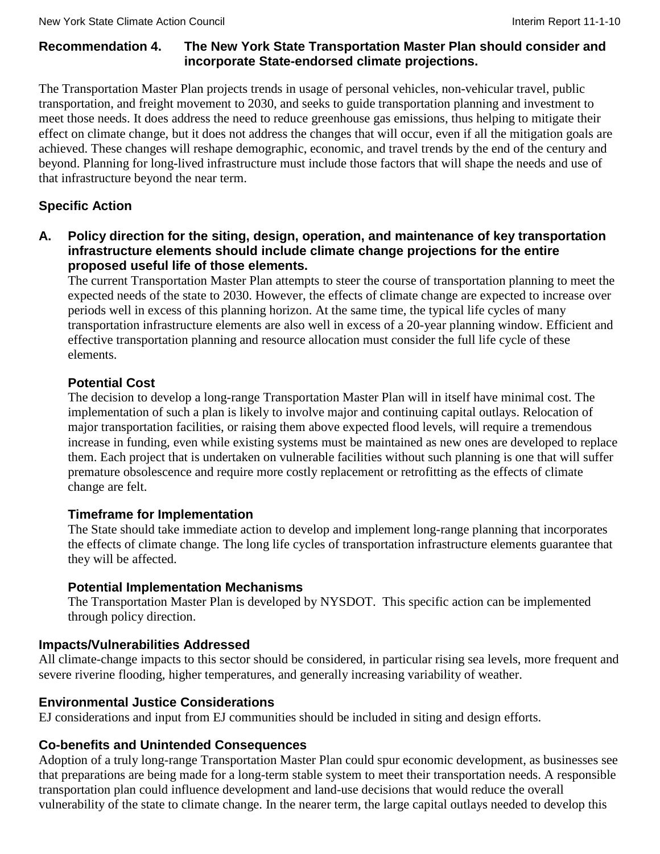# **Recommendation 4. The New York State Transportation Master Plan should consider and incorporate State-endorsed climate projections.**

The Transportation Master Plan projects trends in usage of personal vehicles, non-vehicular travel, public transportation, and freight movement to 2030, and seeks to guide transportation planning and investment to meet those needs. It does address the need to reduce greenhouse gas emissions, thus helping to mitigate their effect on climate change, but it does not address the changes that will occur, even if all the mitigation goals are achieved. These changes will reshape demographic, economic, and travel trends by the end of the century and beyond. Planning for long-lived infrastructure must include those factors that will shape the needs and use of that infrastructure beyond the near term.

# **Specific Action**

**A. Policy direction for the siting, design, operation, and maintenance of key transportation infrastructure elements should include climate change projections for the entire proposed useful life of those elements.**

The current Transportation Master Plan attempts to steer the course of transportation planning to meet the expected needs of the state to 2030. However, the effects of climate change are expected to increase over periods well in excess of this planning horizon. At the same time, the typical life cycles of many transportation infrastructure elements are also well in excess of a 20-year planning window. Efficient and effective transportation planning and resource allocation must consider the full life cycle of these elements.

# **Potential Cost**

The decision to develop a long-range Transportation Master Plan will in itself have minimal cost. The implementation of such a plan is likely to involve major and continuing capital outlays. Relocation of major transportation facilities, or raising them above expected flood levels, will require a tremendous increase in funding, even while existing systems must be maintained as new ones are developed to replace them. Each project that is undertaken on vulnerable facilities without such planning is one that will suffer premature obsolescence and require more costly replacement or retrofitting as the effects of climate change are felt.

# **Timeframe for Implementation**

The State should take immediate action to develop and implement long-range planning that incorporates the effects of climate change. The long life cycles of transportation infrastructure elements guarantee that they will be affected.

# **Potential Implementation Mechanisms**

The Transportation Master Plan is developed by NYSDOT. This specific action can be implemented through policy direction.

# **Impacts/Vulnerabilities Addressed**

All climate-change impacts to this sector should be considered, in particular rising sea levels, more frequent and severe riverine flooding, higher temperatures, and generally increasing variability of weather.

# **Environmental Justice Considerations**

EJ considerations and input from EJ communities should be included in siting and design efforts.

# **Co-benefits and Unintended Consequences**

Adoption of a truly long-range Transportation Master Plan could spur economic development, as businesses see that preparations are being made for a long-term stable system to meet their transportation needs. A responsible transportation plan could influence development and land-use decisions that would reduce the overall vulnerability of the state to climate change. In the nearer term, the large capital outlays needed to develop this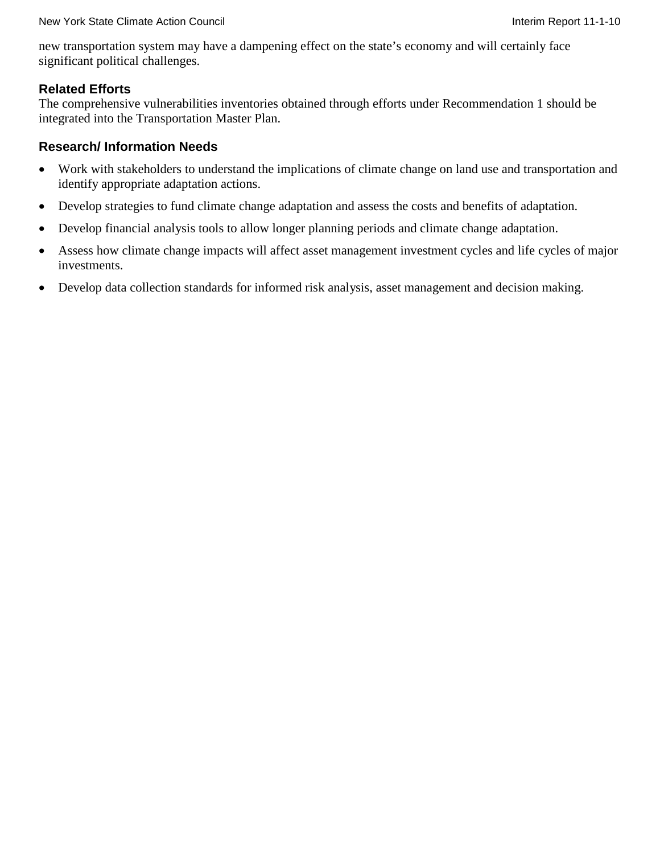new transportation system may have a dampening effect on the state's economy and will certainly face significant political challenges.

### **Related Efforts**

The comprehensive vulnerabilities inventories obtained through efforts under Recommendation 1 should be integrated into the Transportation Master Plan.

### **Research/ Information Needs**

- Work with stakeholders to understand the implications of climate change on land use and transportation and identify appropriate adaptation actions.
- Develop strategies to fund climate change adaptation and assess the costs and benefits of adaptation.
- Develop financial analysis tools to allow longer planning periods and climate change adaptation.
- Assess how climate change impacts will affect asset management investment cycles and life cycles of major investments.
- Develop data collection standards for informed risk analysis, asset management and decision making.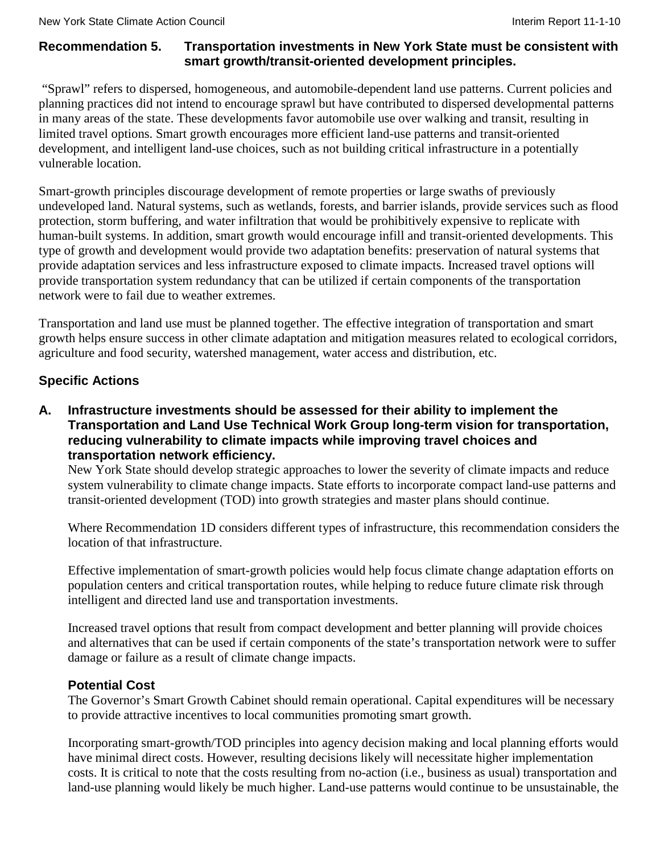# **Recommendation 5. Transportation investments in New York State must be consistent with smart growth/transit-oriented development principles.**

"Sprawl" refers to dispersed, homogeneous, and automobile-dependent land use patterns. Current policies and planning practices did not intend to encourage sprawl but have contributed to dispersed developmental patterns in many areas of the state. These developments favor automobile use over walking and transit, resulting in limited travel options. Smart growth encourages more efficient land-use patterns and transit-oriented development, and intelligent land-use choices, such as not building critical infrastructure in a potentially vulnerable location.

Smart-growth principles discourage development of remote properties or large swaths of previously undeveloped land. Natural systems, such as wetlands, forests, and barrier islands, provide services such as flood protection, storm buffering, and water infiltration that would be prohibitively expensive to replicate with human-built systems. In addition, smart growth would encourage infill and transit-oriented developments. This type of growth and development would provide two adaptation benefits: preservation of natural systems that provide adaptation services and less infrastructure exposed to climate impacts. Increased travel options will provide transportation system redundancy that can be utilized if certain components of the transportation network were to fail due to weather extremes.

Transportation and land use must be planned together. The effective integration of transportation and smart growth helps ensure success in other climate adaptation and mitigation measures related to ecological corridors, agriculture and food security, watershed management, water access and distribution, etc.

# **Specific Actions**

**A. Infrastructure investments should be assessed for their ability to implement the Transportation and Land Use Technical Work Group long-term vision for transportation, reducing vulnerability to climate impacts while improving travel choices and transportation network efficiency.**

New York State should develop strategic approaches to lower the severity of climate impacts and reduce system vulnerability to climate change impacts. State efforts to incorporate compact land-use patterns and transit-oriented development (TOD) into growth strategies and master plans should continue.

Where Recommendation 1D considers different types of infrastructure, this recommendation considers the location of that infrastructure.

Effective implementation of smart-growth policies would help focus climate change adaptation efforts on population centers and critical transportation routes, while helping to reduce future climate risk through intelligent and directed land use and transportation investments.

Increased travel options that result from compact development and better planning will provide choices and alternatives that can be used if certain components of the state's transportation network were to suffer damage or failure as a result of climate change impacts.

# **Potential Cost**

The Governor's Smart Growth Cabinet should remain operational. Capital expenditures will be necessary to provide attractive incentives to local communities promoting smart growth.

Incorporating smart-growth/TOD principles into agency decision making and local planning efforts would have minimal direct costs. However, resulting decisions likely will necessitate higher implementation costs. It is critical to note that the costs resulting from no-action (i.e., business as usual) transportation and land-use planning would likely be much higher. Land-use patterns would continue to be unsustainable, the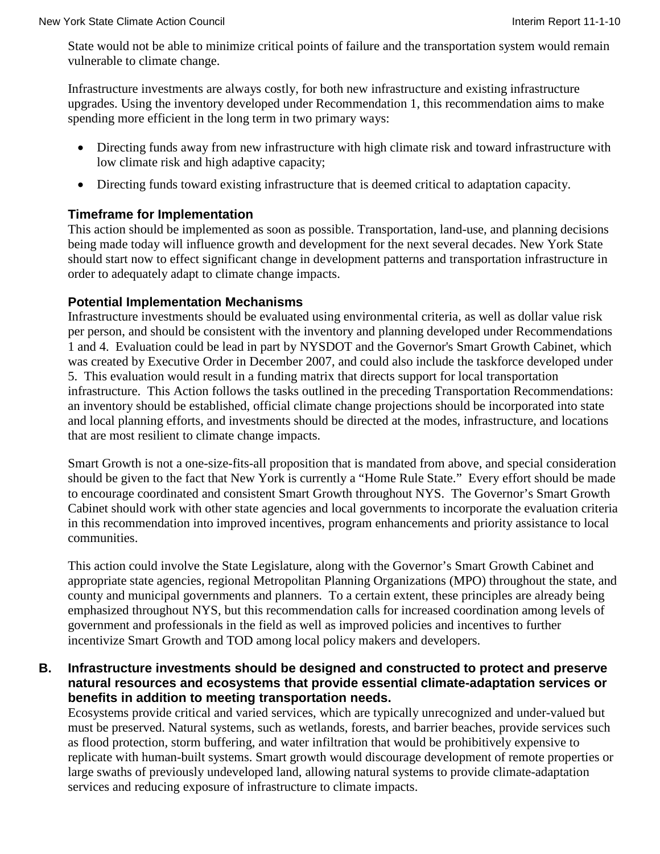State would not be able to minimize critical points of failure and the transportation system would remain vulnerable to climate change.

Infrastructure investments are always costly, for both new infrastructure and existing infrastructure upgrades. Using the inventory developed under Recommendation 1, this recommendation aims to make spending more efficient in the long term in two primary ways:

- Directing funds away from new infrastructure with high climate risk and toward infrastructure with low climate risk and high adaptive capacity;
- Directing funds toward existing infrastructure that is deemed critical to adaptation capacity.

#### **Timeframe for Implementation**

This action should be implemented as soon as possible. Transportation, land-use, and planning decisions being made today will influence growth and development for the next several decades. New York State should start now to effect significant change in development patterns and transportation infrastructure in order to adequately adapt to climate change impacts.

#### **Potential Implementation Mechanisms**

Infrastructure investments should be evaluated using environmental criteria, as well as dollar value risk per person, and should be consistent with the inventory and planning developed under Recommendations 1 and 4. Evaluation could be lead in part by NYSDOT and the Governor's Smart Growth Cabinet, which was created by Executive Order in December 2007, and could also include the taskforce developed under 5. This evaluation would result in a funding matrix that directs support for local transportation infrastructure. This Action follows the tasks outlined in the preceding Transportation Recommendations: an inventory should be established, official climate change projections should be incorporated into state and local planning efforts, and investments should be directed at the modes, infrastructure, and locations that are most resilient to climate change impacts.

Smart Growth is not a one-size-fits-all proposition that is mandated from above, and special consideration should be given to the fact that New York is currently a "Home Rule State." Every effort should be made to encourage coordinated and consistent Smart Growth throughout NYS. The Governor's Smart Growth Cabinet should work with other state agencies and local governments to incorporate the evaluation criteria in this recommendation into improved incentives, program enhancements and priority assistance to local communities.

This action could involve the State Legislature, along with the Governor's Smart Growth Cabinet and appropriate state agencies, regional Metropolitan Planning Organizations (MPO) throughout the state, and county and municipal governments and planners. To a certain extent, these principles are already being emphasized throughout NYS, but this recommendation calls for increased coordination among levels of government and professionals in the field as well as improved policies and incentives to further incentivize Smart Growth and TOD among local policy makers and developers.

### **B. Infrastructure investments should be designed and constructed to protect and preserve natural resources and ecosystems that provide essential climate-adaptation services or benefits in addition to meeting transportation needs.**

Ecosystems provide critical and varied services, which are typically unrecognized and under-valued but must be preserved. Natural systems, such as wetlands, forests, and barrier beaches, provide services such as flood protection, storm buffering, and water infiltration that would be prohibitively expensive to replicate with human-built systems. Smart growth would discourage development of remote properties or large swaths of previously undeveloped land, allowing natural systems to provide climate-adaptation services and reducing exposure of infrastructure to climate impacts.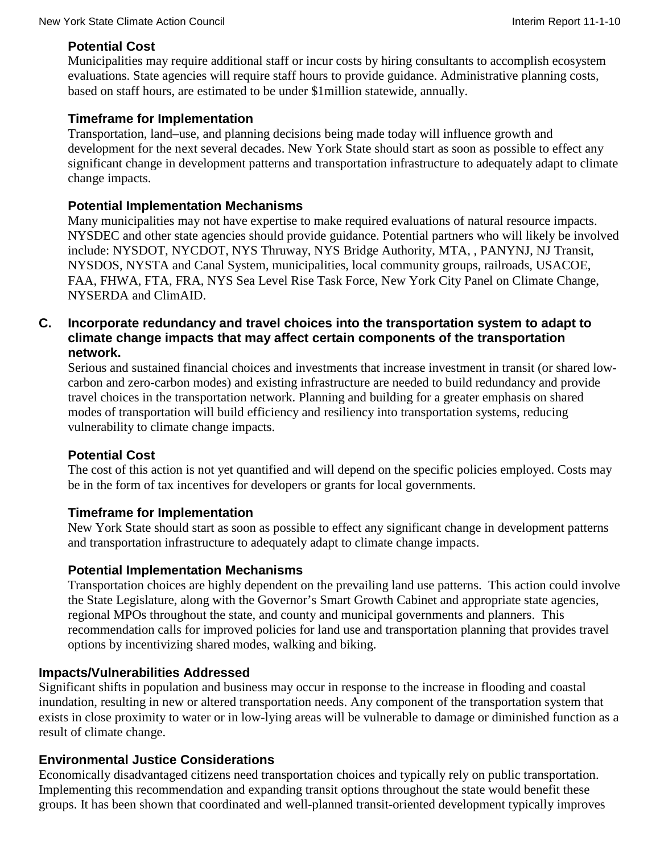# **Potential Cost**

Municipalities may require additional staff or incur costs by hiring consultants to accomplish ecosystem evaluations. State agencies will require staff hours to provide guidance. Administrative planning costs, based on staff hours, are estimated to be under \$1million statewide, annually.

# **Timeframe for Implementation**

Transportation, land–use, and planning decisions being made today will influence growth and development for the next several decades. New York State should start as soon as possible to effect any significant change in development patterns and transportation infrastructure to adequately adapt to climate change impacts.

# **Potential Implementation Mechanisms**

Many municipalities may not have expertise to make required evaluations of natural resource impacts. NYSDEC and other state agencies should provide guidance. Potential partners who will likely be involved include: NYSDOT, NYCDOT, NYS Thruway, NYS Bridge Authority, MTA, , PANYNJ, NJ Transit, NYSDOS, NYSTA and Canal System, municipalities, local community groups, railroads, USACOE, FAA, FHWA, FTA, FRA, NYS Sea Level Rise Task Force, New York City Panel on Climate Change, NYSERDA and ClimAID.

### **C. Incorporate redundancy and travel choices into the transportation system to adapt to climate change impacts that may affect certain components of the transportation network.**

Serious and sustained financial choices and investments that increase investment in transit (or shared lowcarbon and zero-carbon modes) and existing infrastructure are needed to build redundancy and provide travel choices in the transportation network. Planning and building for a greater emphasis on shared modes of transportation will build efficiency and resiliency into transportation systems, reducing vulnerability to climate change impacts.

# **Potential Cost**

The cost of this action is not yet quantified and will depend on the specific policies employed. Costs may be in the form of tax incentives for developers or grants for local governments.

# **Timeframe for Implementation**

New York State should start as soon as possible to effect any significant change in development patterns and transportation infrastructure to adequately adapt to climate change impacts.

# **Potential Implementation Mechanisms**

Transportation choices are highly dependent on the prevailing land use patterns. This action could involve the State Legislature, along with the Governor's Smart Growth Cabinet and appropriate state agencies, regional MPOs throughout the state, and county and municipal governments and planners. This recommendation calls for improved policies for land use and transportation planning that provides travel options by incentivizing shared modes, walking and biking.

# **Impacts/Vulnerabilities Addressed**

Significant shifts in population and business may occur in response to the increase in flooding and coastal inundation, resulting in new or altered transportation needs. Any component of the transportation system that exists in close proximity to water or in low-lying areas will be vulnerable to damage or diminished function as a result of climate change.

# **Environmental Justice Considerations**

Economically disadvantaged citizens need transportation choices and typically rely on public transportation. Implementing this recommendation and expanding transit options throughout the state would benefit these groups. It has been shown that coordinated and well-planned transit-oriented development typically improves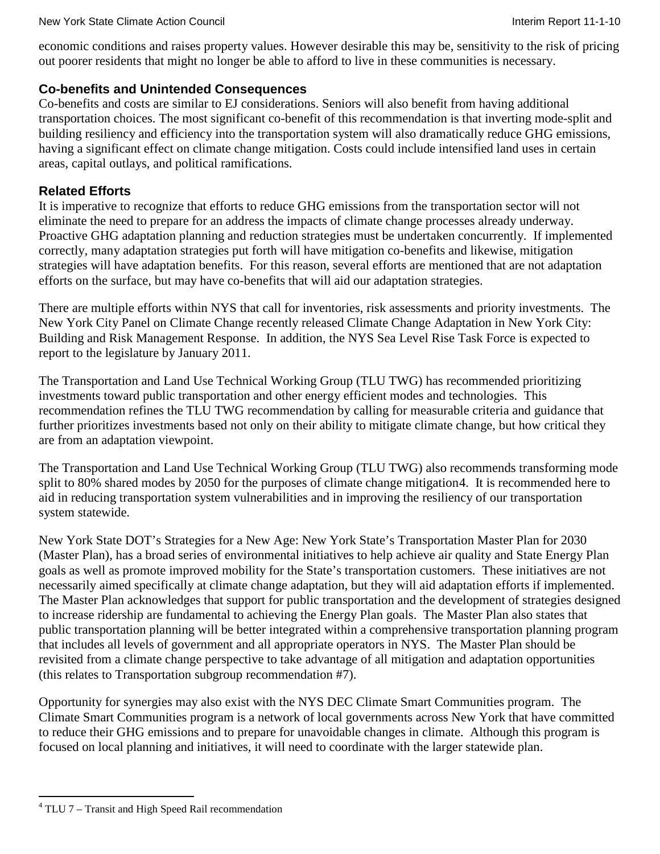economic conditions and raises property values. However desirable this may be, sensitivity to the risk of pricing out poorer residents that might no longer be able to afford to live in these communities is necessary.

### **Co-benefits and Unintended Consequences**

Co-benefits and costs are similar to EJ considerations. Seniors will also benefit from having additional transportation choices. The most significant co-benefit of this recommendation is that inverting mode-split and building resiliency and efficiency into the transportation system will also dramatically reduce GHG emissions, having a significant effect on climate change mitigation. Costs could include intensified land uses in certain areas, capital outlays, and political ramifications.

### **Related Efforts**

It is imperative to recognize that efforts to reduce GHG emissions from the transportation sector will not eliminate the need to prepare for an address the impacts of climate change processes already underway. Proactive GHG adaptation planning and reduction strategies must be undertaken concurrently. If implemented correctly, many adaptation strategies put forth will have mitigation co-benefits and likewise, mitigation strategies will have adaptation benefits. For this reason, several efforts are mentioned that are not adaptation efforts on the surface, but may have co-benefits that will aid our adaptation strategies.

There are multiple efforts within NYS that call for inventories, risk assessments and priority investments. The New York City Panel on Climate Change recently released Climate Change Adaptation in New York City: Building and Risk Management Response. In addition, the NYS Sea Level Rise Task Force is expected to report to the legislature by January 2011.

The Transportation and Land Use Technical Working Group (TLU TWG) has recommended prioritizing investments toward public transportation and other energy efficient modes and technologies. This recommendation refines the TLU TWG recommendation by calling for measurable criteria and guidance that further prioritizes investments based not only on their ability to mitigate climate change, but how critical they are from an adaptation viewpoint.

The Transportation and Land Use Technical Working Group (TLU TWG) also recommends transforming mode split to 80% shared modes by 2050 for the purposes of climate change mitigation[4](#page-128-0) . It is recommended here to aid in reducing transportation system vulnerabilities and in improving the resiliency of our transportation system statewide.

New York State DOT's Strategies for a New Age: New York State's Transportation Master Plan for 2030 (Master Plan), has a broad series of environmental initiatives to help achieve air quality and State Energy Plan goals as well as promote improved mobility for the State's transportation customers. These initiatives are not necessarily aimed specifically at climate change adaptation, but they will aid adaptation efforts if implemented. The Master Plan acknowledges that support for public transportation and the development of strategies designed to increase ridership are fundamental to achieving the Energy Plan goals. The Master Plan also states that public transportation planning will be better integrated within a comprehensive transportation planning program that includes all levels of government and all appropriate operators in NYS. The Master Plan should be revisited from a climate change perspective to take advantage of all mitigation and adaptation opportunities (this relates to Transportation subgroup recommendation #7).

Opportunity for synergies may also exist with the NYS DEC Climate Smart Communities program. The Climate Smart Communities program is a network of local governments across New York that have committed to reduce their GHG emissions and to prepare for unavoidable changes in climate. Although this program is focused on local planning and initiatives, it will need to coordinate with the larger statewide plan.

<span id="page-128-0"></span> $4$  TLU 7 – Transit and High Speed Rail recommendation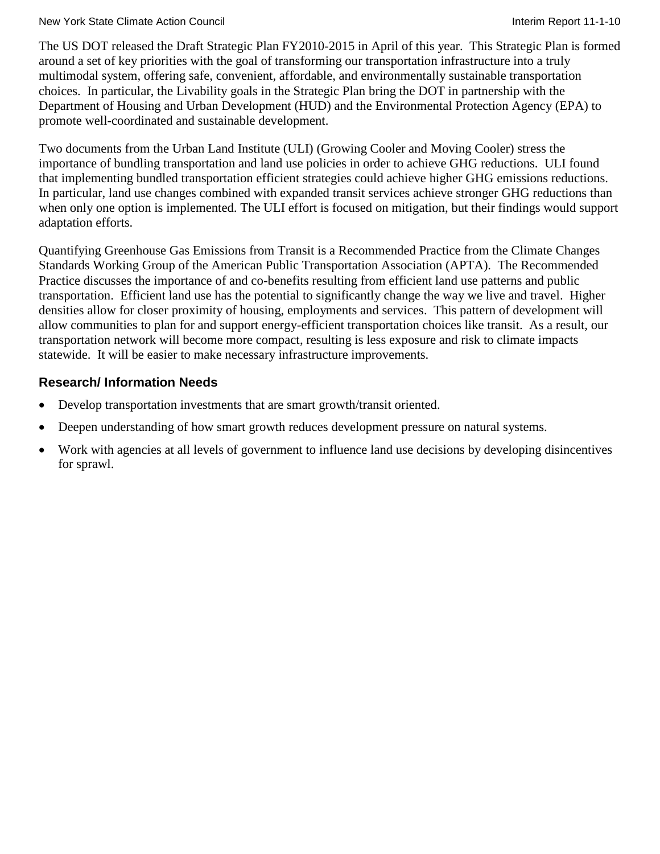#### New York State Climate Action Council **Interiment Council** Interim Report 11-1-10

The US DOT released the Draft Strategic Plan FY2010-2015 in April of this year. This Strategic Plan is formed around a set of key priorities with the goal of transforming our transportation infrastructure into a truly multimodal system, offering safe, convenient, affordable, and environmentally sustainable transportation choices. In particular, the Livability goals in the Strategic Plan bring the DOT in partnership with the Department of Housing and Urban Development (HUD) and the Environmental Protection Agency (EPA) to promote well-coordinated and sustainable development.

Two documents from the Urban Land Institute (ULI) (Growing Cooler and Moving Cooler) stress the importance of bundling transportation and land use policies in order to achieve GHG reductions. ULI found that implementing bundled transportation efficient strategies could achieve higher GHG emissions reductions. In particular, land use changes combined with expanded transit services achieve stronger GHG reductions than when only one option is implemented. The ULI effort is focused on mitigation, but their findings would support adaptation efforts.

Quantifying Greenhouse Gas Emissions from Transit is a Recommended Practice from the Climate Changes Standards Working Group of the American Public Transportation Association (APTA). The Recommended Practice discusses the importance of and co-benefits resulting from efficient land use patterns and public transportation. Efficient land use has the potential to significantly change the way we live and travel. Higher densities allow for closer proximity of housing, employments and services. This pattern of development will allow communities to plan for and support energy-efficient transportation choices like transit. As a result, our transportation network will become more compact, resulting is less exposure and risk to climate impacts statewide. It will be easier to make necessary infrastructure improvements.

# **Research/ Information Needs**

- Develop transportation investments that are smart growth/transit oriented.
- Deepen understanding of how smart growth reduces development pressure on natural systems.
- Work with agencies at all levels of government to influence land use decisions by developing disincentives for sprawl.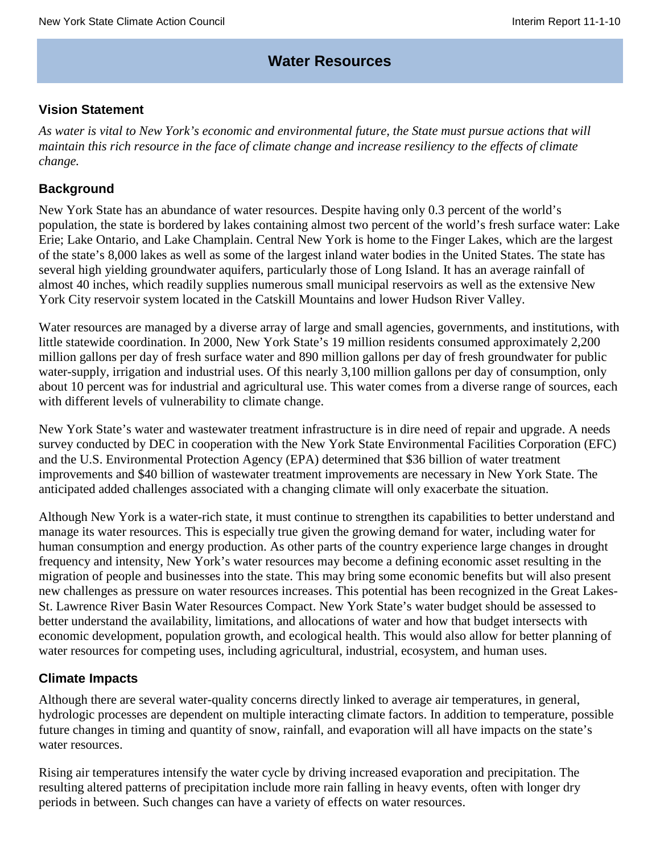# **Water Resources**

### **Vision Statement**

*As water is vital to New York's economic and environmental future, the State must pursue actions that will* maintain this rich resource in the face of climate change and increase resiliency to the effects of climate *change.*

### **Background**

New York State has an abundance of water resources. Despite having only 0.3 percent of the world's population, the state is bordered by lakes containing almost two percent of the world's fresh surface water: Lake Erie; Lake Ontario, and Lake Champlain. Central New York is home to the Finger Lakes, which are the largest of the state's 8,000 lakes as well as some of the largest inland water bodies in the United States. The state has several high yielding groundwater aquifers, particularly those of Long Island. It has an average rainfall of almost 40 inches, which readily supplies numerous small municipal reservoirs as well as the extensive New York City reservoir system located in the Catskill Mountains and lower Hudson River Valley.

Water resources are managed by a diverse array of large and small agencies, governments, and institutions, with little statewide coordination. In 2000, New York State's 19 million residents consumed approximately 2,200 million gallons per day of fresh surface water and 890 million gallons per day of fresh groundwater for public water-supply, irrigation and industrial uses. Of this nearly 3,100 million gallons per day of consumption, only about 10 percent was for industrial and agricultural use. This water comes from a diverse range of sources, each with different levels of vulnerability to climate change.

New York State's water and wastewater treatment infrastructure is in dire need of repair and upgrade. A needs survey conducted by DEC in cooperation with the New York State Environmental Facilities Corporation (EFC) and the U.S. Environmental Protection Agency (EPA) determined that \$36 billion of water treatment improvements and \$40 billion of wastewater treatment improvements are necessary in New York State. The anticipated added challenges associated with a changing climate will only exacerbate the situation.

Although New York is a water-rich state, it must continue to strengthen its capabilities to better understand and manage its water resources. This is especially true given the growing demand for water, including water for human consumption and energy production. As other parts of the country experience large changes in drought frequency and intensity, New York's water resources may become a defining economic asset resulting in the migration of people and businesses into the state. This may bring some economic benefits but will also present new challenges as pressure on water resources increases. This potential has been recognized in the Great Lakes-St. Lawrence River Basin Water Resources Compact. New York State's water budget should be assessed to better understand the availability, limitations, and allocations of water and how that budget intersects with economic development, population growth, and ecological health. This would also allow for better planning of water resources for competing uses, including agricultural, industrial, ecosystem, and human uses.

# **Climate Impacts**

Although there are several water-quality concerns directly linked to average air temperatures, in general, hydrologic processes are dependent on multiple interacting climate factors. In addition to temperature, possible future changes in timing and quantity of snow, rainfall, and evaporation will all have impacts on the state's water resources.

Rising air temperatures intensify the water cycle by driving increased evaporation and precipitation. The resulting altered patterns of precipitation include more rain falling in heavy events, often with longer dry periods in between. Such changes can have a variety of effects on water resources.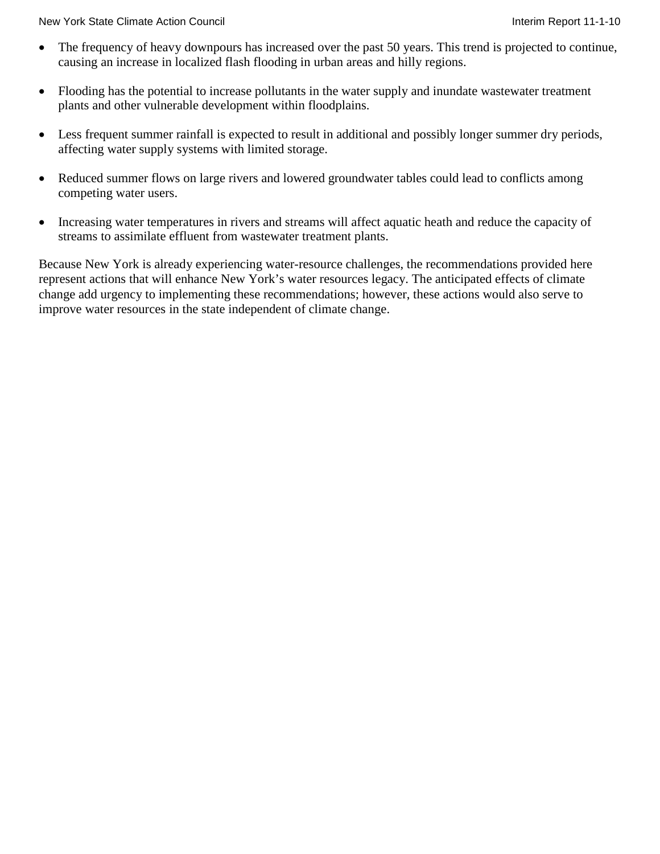New York State Climate Action Council **Interiment Council** Interim Report 11-1-10

- The frequency of heavy downpours has increased over the past 50 years. This trend is projected to continue, causing an increase in localized flash flooding in urban areas and hilly regions.
- Flooding has the potential to increase pollutants in the water supply and inundate wastewater treatment plants and other vulnerable development within floodplains.
- Less frequent summer rainfall is expected to result in additional and possibly longer summer dry periods, affecting water supply systems with limited storage.
- Reduced summer flows on large rivers and lowered groundwater tables could lead to conflicts among competing water users.
- Increasing water temperatures in rivers and streams will affect aquatic heath and reduce the capacity of streams to assimilate effluent from wastewater treatment plants.

Because New York is already experiencing water-resource challenges, the recommendations provided here represent actions that will enhance New York's water resources legacy. The anticipated effects of climate change add urgency to implementing these recommendations; however, these actions would also serve to improve water resources in the state independent of climate change.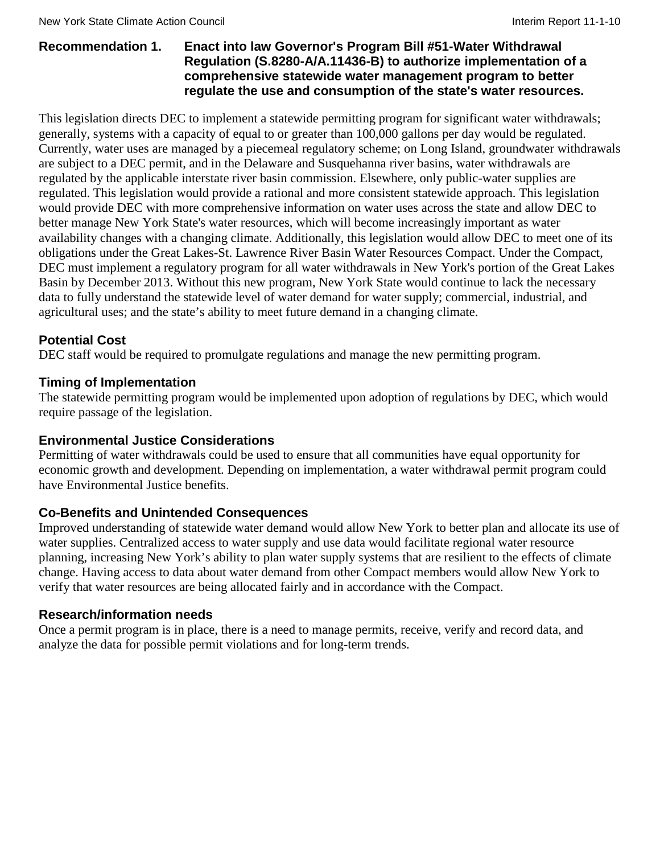### **Recommendation 1. Enact into law Governor's Program Bill #51-Water Withdrawal Regulation (S.8280-A/A.11436-B) to authorize implementation of a comprehensive statewide water management program to better regulate the use and consumption of the state's water resources.**

This legislation directs DEC to implement a statewide permitting program for significant water withdrawals; generally, systems with a capacity of equal to or greater than 100,000 gallons per day would be regulated. Currently, water uses are managed by a piecemeal regulatory scheme; on Long Island, groundwater withdrawals are subject to a DEC permit, and in the Delaware and Susquehanna river basins, water withdrawals are regulated by the applicable interstate river basin commission. Elsewhere, only public-water supplies are regulated. This legislation would provide a rational and more consistent statewide approach. This legislation would provide DEC with more comprehensive information on water uses across the state and allow DEC to better manage New York State's water resources, which will become increasingly important as water availability changes with a changing climate. Additionally, this legislation would allow DEC to meet one of its obligations under the Great Lakes-St. Lawrence River Basin Water Resources Compact. Under the Compact, DEC must implement a regulatory program for all water withdrawals in New York's portion of the Great Lakes Basin by December 2013. Without this new program, New York State would continue to lack the necessary data to fully understand the statewide level of water demand for water supply; commercial, industrial, and agricultural uses; and the state's ability to meet future demand in a changing climate.

# **Potential Cost**

DEC staff would be required to promulgate regulations and manage the new permitting program.

### **Timing of Implementation**

The statewide permitting program would be implemented upon adoption of regulations by DEC, which would require passage of the legislation.

### **Environmental Justice Considerations**

Permitting of water withdrawals could be used to ensure that all communities have equal opportunity for economic growth and development. Depending on implementation, a water withdrawal permit program could have Environmental Justice benefits.

# **Co-Benefits and Unintended Consequences**

Improved understanding of statewide water demand would allow New York to better plan and allocate its use of water supplies. Centralized access to water supply and use data would facilitate regional water resource planning, increasing New York's ability to plan water supply systems that are resilient to the effects of climate change. Having access to data about water demand from other Compact members would allow New York to verify that water resources are being allocated fairly and in accordance with the Compact.

### **Research/information needs**

Once a permit program is in place, there is a need to manage permits, receive, verify and record data, and analyze the data for possible permit violations and for long-term trends.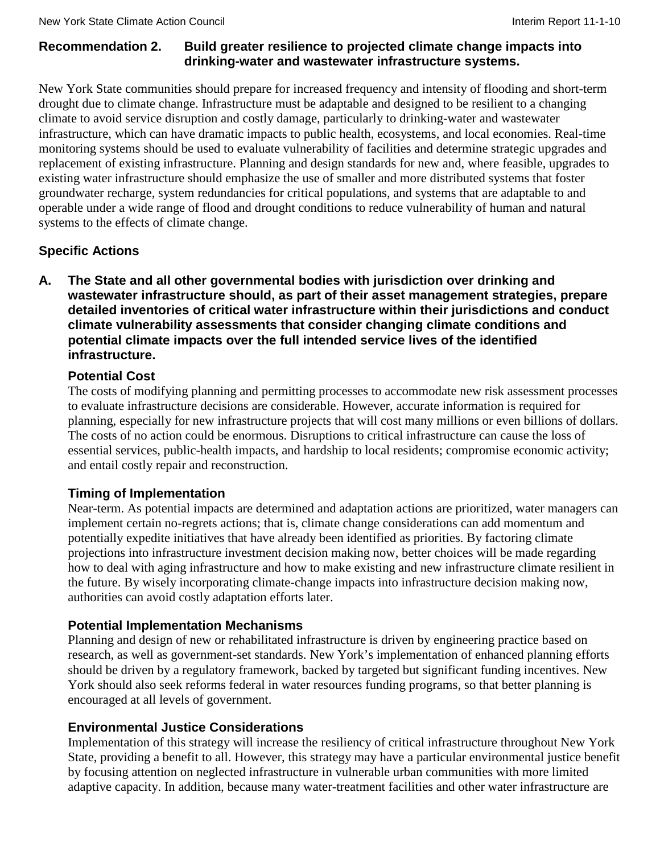# **Recommendation 2. Build greater resilience to projected climate change impacts into drinking-water and wastewater infrastructure systems.**

New York State communities should prepare for increased frequency and intensity of flooding and short-term drought due to climate change. Infrastructure must be adaptable and designed to be resilient to a changing climate to avoid service disruption and costly damage, particularly to drinking-water and wastewater infrastructure, which can have dramatic impacts to public health, ecosystems, and local economies. Real-time monitoring systems should be used to evaluate vulnerability of facilities and determine strategic upgrades and replacement of existing infrastructure. Planning and design standards for new and, where feasible, upgrades to existing water infrastructure should emphasize the use of smaller and more distributed systems that foster groundwater recharge, system redundancies for critical populations, and systems that are adaptable to and operable under a wide range of flood and drought conditions to reduce vulnerability of human and natural systems to the effects of climate change.

# **Specific Actions**

**A. The State and all other governmental bodies with jurisdiction over drinking and wastewater infrastructure should, as part of their asset management strategies, prepare detailed inventories of critical water infrastructure within their jurisdictions and conduct climate vulnerability assessments that consider changing climate conditions and potential climate impacts over the full intended service lives of the identified infrastructure.**

# **Potential Cost**

The costs of modifying planning and permitting processes to accommodate new risk assessment processes to evaluate infrastructure decisions are considerable. However, accurate information is required for planning, especially for new infrastructure projects that will cost many millions or even billions of dollars. The costs of no action could be enormous. Disruptions to critical infrastructure can cause the loss of essential services, public-health impacts, and hardship to local residents; compromise economic activity; and entail costly repair and reconstruction.

# **Timing of Implementation**

Near-term. As potential impacts are determined and adaptation actions are prioritized, water managers can implement certain no-regrets actions; that is, climate change considerations can add momentum and potentially expedite initiatives that have already been identified as priorities. By factoring climate projections into infrastructure investment decision making now, better choices will be made regarding how to deal with aging infrastructure and how to make existing and new infrastructure climate resilient in the future. By wisely incorporating climate-change impacts into infrastructure decision making now, authorities can avoid costly adaptation efforts later.

# **Potential Implementation Mechanisms**

Planning and design of new or rehabilitated infrastructure is driven by engineering practice based on research, as well as government-set standards. New York's implementation of enhanced planning efforts should be driven by a regulatory framework, backed by targeted but significant funding incentives. New York should also seek reforms federal in water resources funding programs, so that better planning is encouraged at all levels of government.

# **Environmental Justice Considerations**

Implementation of this strategy will increase the resiliency of critical infrastructure throughout New York State, providing a benefit to all. However, this strategy may have a particular environmental justice benefit by focusing attention on neglected infrastructure in vulnerable urban communities with more limited adaptive capacity. In addition, because many water-treatment facilities and other water infrastructure are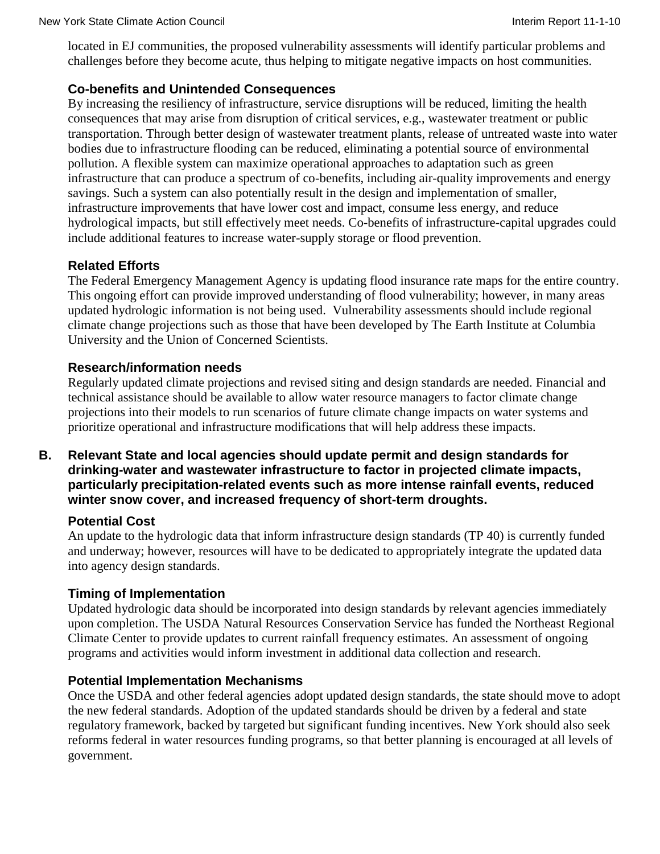located in EJ communities, the proposed vulnerability assessments will identify particular problems and challenges before they become acute, thus helping to mitigate negative impacts on host communities.

### **Co-benefits and Unintended Consequences**

By increasing the resiliency of infrastructure, service disruptions will be reduced, limiting the health consequences that may arise from disruption of critical services, e.g., wastewater treatment or public transportation. Through better design of wastewater treatment plants, release of untreated waste into water bodies due to infrastructure flooding can be reduced, eliminating a potential source of environmental pollution. A flexible system can maximize operational approaches to adaptation such as green infrastructure that can produce a spectrum of co-benefits, including air-quality improvements and energy savings. Such a system can also potentially result in the design and implementation of smaller, infrastructure improvements that have lower cost and impact, consume less energy, and reduce hydrological impacts, but still effectively meet needs. Co-benefits of infrastructure-capital upgrades could include additional features to increase water-supply storage or flood prevention.

# **Related Efforts**

The Federal Emergency Management Agency is updating flood insurance rate maps for the entire country. This ongoing effort can provide improved understanding of flood vulnerability; however, in many areas updated hydrologic information is not being used. Vulnerability assessments should include regional climate change projections such as those that have been developed by The Earth Institute at Columbia University and the Union of Concerned Scientists.

### **Research/information needs**

Regularly updated climate projections and revised siting and design standards are needed. Financial and technical assistance should be available to allow water resource managers to factor climate change projections into their models to run scenarios of future climate change impacts on water systems and prioritize operational and infrastructure modifications that will help address these impacts.

### **B. Relevant State and local agencies should update permit and design standards for drinking-water and wastewater infrastructure to factor in projected climate impacts, particularly precipitation-related events such as more intense rainfall events, reduced winter snow cover, and increased frequency of short-term droughts.**

### **Potential Cost**

An update to the hydrologic data that inform infrastructure design standards (TP 40) is currently funded and underway; however, resources will have to be dedicated to appropriately integrate the updated data into agency design standards.

### **Timing of Implementation**

Updated hydrologic data should be incorporated into design standards by relevant agencies immediately upon completion. The USDA Natural Resources Conservation Service has funded the Northeast Regional Climate Center to provide updates to current rainfall frequency estimates. An assessment of ongoing programs and activities would inform investment in additional data collection and research.

### **Potential Implementation Mechanisms**

Once the USDA and other federal agencies adopt updated design standards, the state should move to adopt the new federal standards. Adoption of the updated standards should be driven by a federal and state regulatory framework, backed by targeted but significant funding incentives. New York should also seek reforms federal in water resources funding programs, so that better planning is encouraged at all levels of government.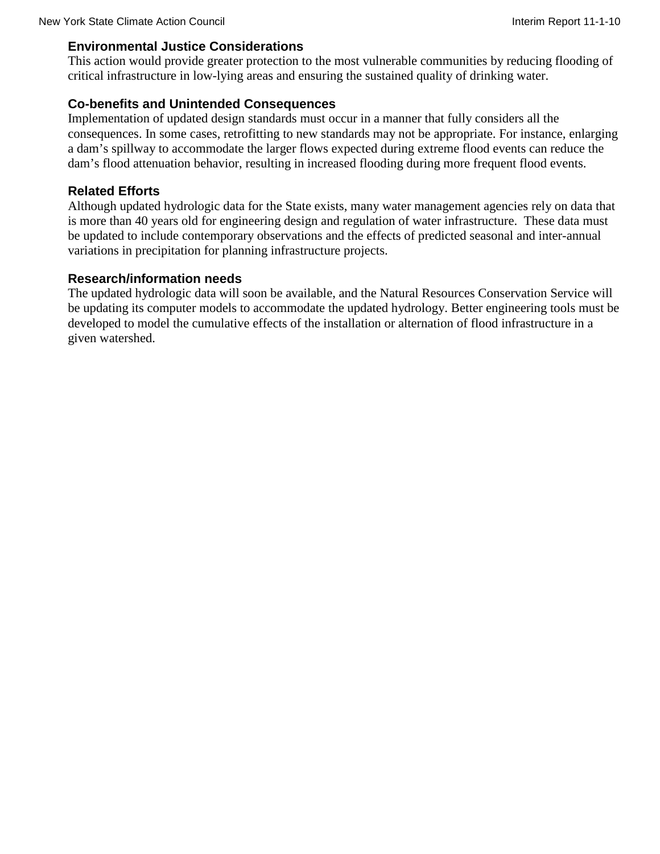#### **Environmental Justice Considerations**

This action would provide greater protection to the most vulnerable communities by reducing flooding of critical infrastructure in low-lying areas and ensuring the sustained quality of drinking water.

### **Co-benefits and Unintended Consequences**

Implementation of updated design standards must occur in a manner that fully considers all the consequences. In some cases, retrofitting to new standards may not be appropriate. For instance, enlarging a dam's spillway to accommodate the larger flows expected during extreme flood events can reduce the dam's flood attenuation behavior, resulting in increased flooding during more frequent flood events.

### **Related Efforts**

Although updated hydrologic data for the State exists, many water management agencies rely on data that is more than 40 years old for engineering design and regulation of water infrastructure. These data must be updated to include contemporary observations and the effects of predicted seasonal and inter-annual variations in precipitation for planning infrastructure projects.

### **Research/information needs**

The updated hydrologic data will soon be available, and the Natural Resources Conservation Service will be updating its computer models to accommodate the updated hydrology. Better engineering tools must be developed to model the cumulative effects of the installation or alternation of flood infrastructure in a given watershed.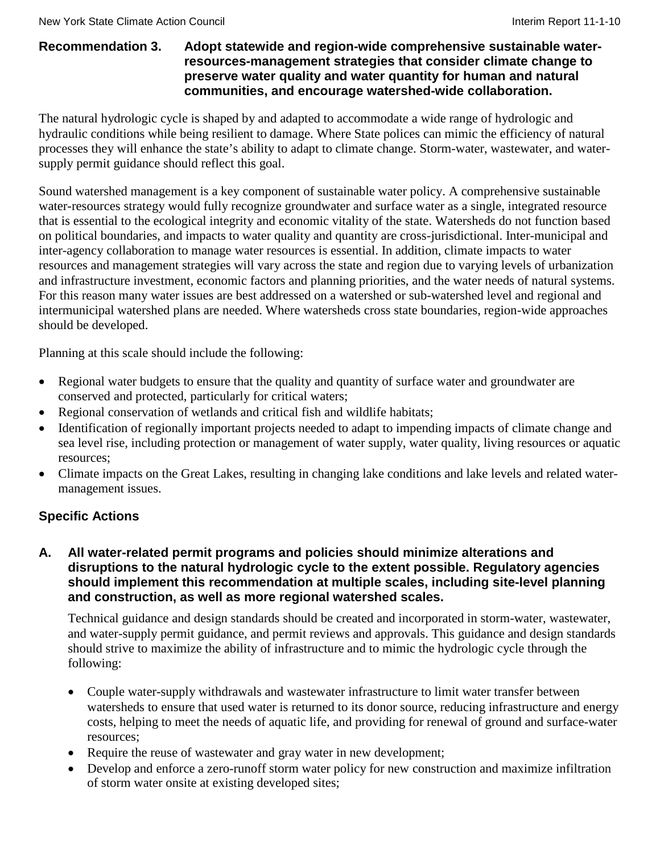### **Recommendation 3. Adopt statewide and region-wide comprehensive sustainable waterresources-management strategies that consider climate change to preserve water quality and water quantity for human and natural communities, and encourage watershed-wide collaboration.**

The natural hydrologic cycle is shaped by and adapted to accommodate a wide range of hydrologic and hydraulic conditions while being resilient to damage. Where State polices can mimic the efficiency of natural processes they will enhance the state's ability to adapt to climate change. Storm-water, wastewater, and watersupply permit guidance should reflect this goal.

Sound watershed management is a key component of sustainable water policy. A comprehensive sustainable water-resources strategy would fully recognize groundwater and surface water as a single, integrated resource that is essential to the ecological integrity and economic vitality of the state. Watersheds do not function based on political boundaries, and impacts to water quality and quantity are cross-jurisdictional. Inter-municipal and inter-agency collaboration to manage water resources is essential. In addition, climate impacts to water resources and management strategies will vary across the state and region due to varying levels of urbanization and infrastructure investment, economic factors and planning priorities, and the water needs of natural systems. For this reason many water issues are best addressed on a watershed or sub-watershed level and regional and intermunicipal watershed plans are needed. Where watersheds cross state boundaries, region-wide approaches should be developed.

Planning at this scale should include the following:

- Regional water budgets to ensure that the quality and quantity of surface water and groundwater are conserved and protected, particularly for critical waters;
- Regional conservation of wetlands and critical fish and wildlife habitats;
- Identification of regionally important projects needed to adapt to impending impacts of climate change and sea level rise, including protection or management of water supply, water quality, living resources or aquatic resources;
- Climate impacts on the Great Lakes, resulting in changing lake conditions and lake levels and related watermanagement issues.

# **Specific Actions**

### **A. All water-related permit programs and policies should minimize alterations and disruptions to the natural hydrologic cycle to the extent possible. Regulatory agencies should implement this recommendation at multiple scales, including site-level planning and construction, as well as more regional watershed scales.**

Technical guidance and design standards should be created and incorporated in storm-water, wastewater, and water-supply permit guidance, and permit reviews and approvals. This guidance and design standards should strive to maximize the ability of infrastructure and to mimic the hydrologic cycle through the following:

- Couple water-supply withdrawals and wastewater infrastructure to limit water transfer between watersheds to ensure that used water is returned to its donor source, reducing infrastructure and energy costs, helping to meet the needs of aquatic life, and providing for renewal of ground and surface-water resources;
- Require the reuse of wastewater and gray water in new development;
- Develop and enforce a zero-runoff storm water policy for new construction and maximize infiltration of storm water onsite at existing developed sites;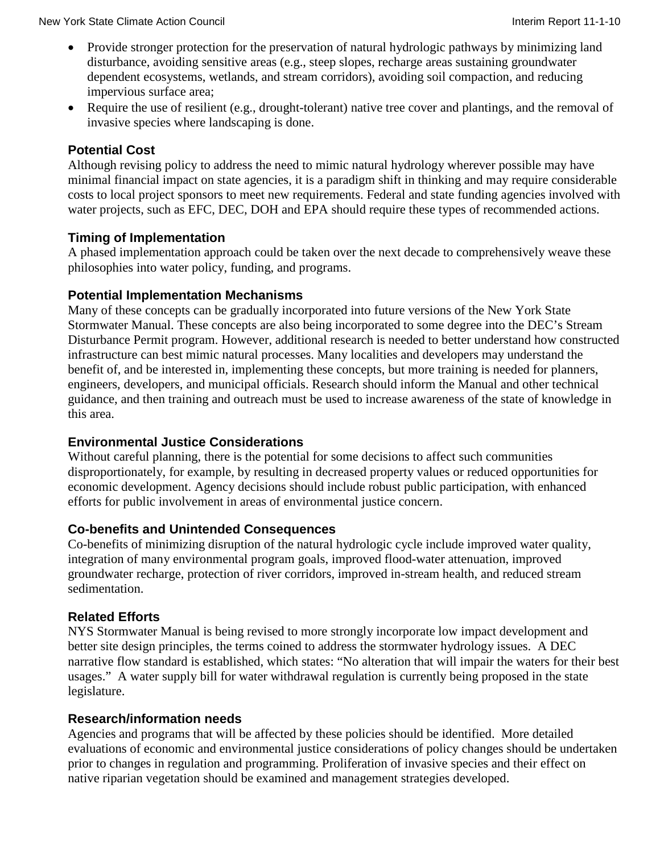- Provide stronger protection for the preservation of natural hydrologic pathways by minimizing land disturbance, avoiding sensitive areas (e.g., steep slopes, recharge areas sustaining groundwater dependent ecosystems, wetlands, and stream corridors), avoiding soil compaction, and reducing impervious surface area;
- Require the use of resilient (e.g., drought-tolerant) native tree cover and plantings, and the removal of invasive species where landscaping is done.

# **Potential Cost**

Although revising policy to address the need to mimic natural hydrology wherever possible may have minimal financial impact on state agencies, it is a paradigm shift in thinking and may require considerable costs to local project sponsors to meet new requirements. Federal and state funding agencies involved with water projects, such as EFC, DEC, DOH and EPA should require these types of recommended actions.

### **Timing of Implementation**

A phased implementation approach could be taken over the next decade to comprehensively weave these philosophies into water policy, funding, and programs.

# **Potential Implementation Mechanisms**

Many of these concepts can be gradually incorporated into future versions of the New York State Stormwater Manual. These concepts are also being incorporated to some degree into the DEC's Stream Disturbance Permit program. However, additional research is needed to better understand how constructed infrastructure can best mimic natural processes. Many localities and developers may understand the benefit of, and be interested in, implementing these concepts, but more training is needed for planners, engineers, developers, and municipal officials. Research should inform the Manual and other technical guidance, and then training and outreach must be used to increase awareness of the state of knowledge in this area.

# **Environmental Justice Considerations**

Without careful planning, there is the potential for some decisions to affect such communities disproportionately, for example, by resulting in decreased property values or reduced opportunities for economic development. Agency decisions should include robust public participation, with enhanced efforts for public involvement in areas of environmental justice concern.

# **Co-benefits and Unintended Consequences**

Co-benefits of minimizing disruption of the natural hydrologic cycle include improved water quality, integration of many environmental program goals, improved flood-water attenuation, improved groundwater recharge, protection of river corridors, improved in-stream health, and reduced stream sedimentation.

# **Related Efforts**

NYS Stormwater Manual is being revised to more strongly incorporate low impact development and better site design principles, the terms coined to address the stormwater hydrology issues. A DEC narrative flow standard is established, which states: "No alteration that will impair the waters for their best usages." A water supply bill for water withdrawal regulation is currently being proposed in the state legislature.

### **Research/information needs**

Agencies and programs that will be affected by these policies should be identified. More detailed evaluations of economic and environmental justice considerations of policy changes should be undertaken prior to changes in regulation and programming. Proliferation of invasive species and their effect on native riparian vegetation should be examined and management strategies developed.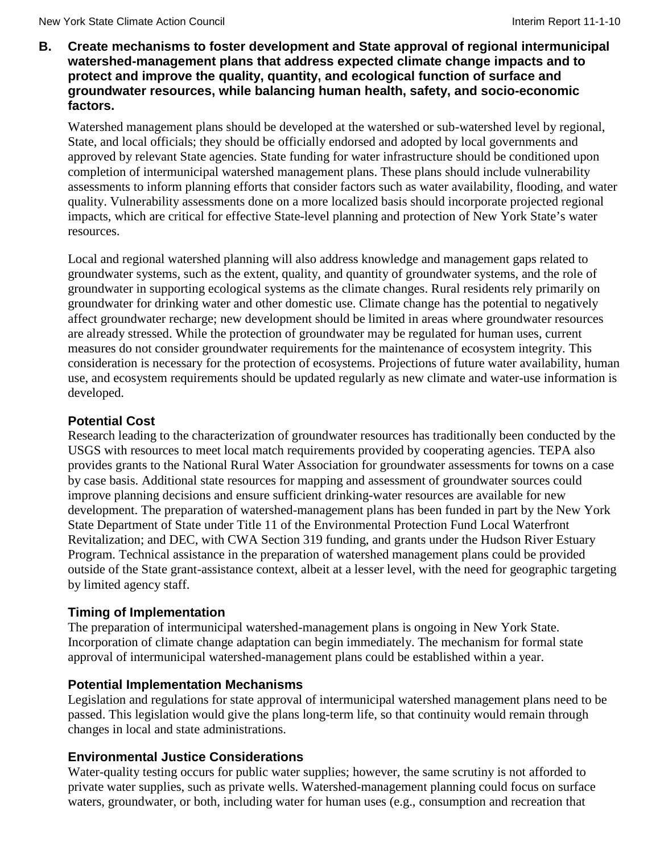**B. Create mechanisms to foster development and State approval of regional intermunicipal watershed-management plans that address expected climate change impacts and to protect and improve the quality, quantity, and ecological function of surface and groundwater resources, while balancing human health, safety, and socio-economic factors.**

Watershed management plans should be developed at the watershed or sub-watershed level by regional, State, and local officials; they should be officially endorsed and adopted by local governments and approved by relevant State agencies. State funding for water infrastructure should be conditioned upon completion of intermunicipal watershed management plans. These plans should include vulnerability assessments to inform planning efforts that consider factors such as water availability, flooding, and water quality. Vulnerability assessments done on a more localized basis should incorporate projected regional impacts, which are critical for effective State-level planning and protection of New York State's water resources.

Local and regional watershed planning will also address knowledge and management gaps related to groundwater systems, such as the extent, quality, and quantity of groundwater systems, and the role of groundwater in supporting ecological systems as the climate changes. Rural residents rely primarily on groundwater for drinking water and other domestic use. Climate change has the potential to negatively affect groundwater recharge; new development should be limited in areas where groundwater resources are already stressed. While the protection of groundwater may be regulated for human uses, current measures do not consider groundwater requirements for the maintenance of ecosystem integrity. This consideration is necessary for the protection of ecosystems. Projections of future water availability, human use, and ecosystem requirements should be updated regularly as new climate and water-use information is developed.

### **Potential Cost**

Research leading to the characterization of groundwater resources has traditionally been conducted by the USGS with resources to meet local match requirements provided by cooperating agencies. TEPA also provides grants to the National Rural Water Association for groundwater assessments for towns on a case by case basis. Additional state resources for mapping and assessment of groundwater sources could improve planning decisions and ensure sufficient drinking-water resources are available for new development. The preparation of watershed-management plans has been funded in part by the New York State Department of State under Title 11 of the Environmental Protection Fund Local Waterfront Revitalization; and DEC, with CWA Section 319 funding, and grants under the Hudson River Estuary Program. Technical assistance in the preparation of watershed management plans could be provided outside of the State grant-assistance context, albeit at a lesser level, with the need for geographic targeting by limited agency staff.

### **Timing of Implementation**

The preparation of intermunicipal watershed-management plans is ongoing in New York State. Incorporation of climate change adaptation can begin immediately. The mechanism for formal state approval of intermunicipal watershed-management plans could be established within a year.

### **Potential Implementation Mechanisms**

Legislation and regulations for state approval of intermunicipal watershed management plans need to be passed. This legislation would give the plans long-term life, so that continuity would remain through changes in local and state administrations.

### **Environmental Justice Considerations**

Water-quality testing occurs for public water supplies; however, the same scrutiny is not afforded to private water supplies, such as private wells. Watershed-management planning could focus on surface waters, groundwater, or both, including water for human uses (e.g., consumption and recreation that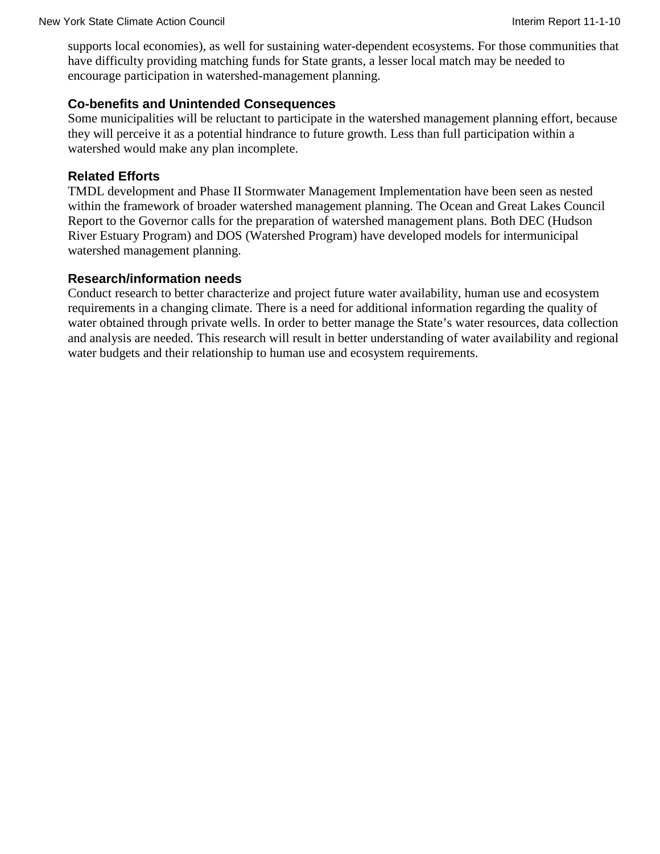supports local economies), as well for sustaining water-dependent ecosystems. For those communities that have difficulty providing matching funds for State grants, a lesser local match may be needed to encourage participation in watershed-management planning.

### **Co-benefits and Unintended Consequences**

Some municipalities will be reluctant to participate in the watershed management planning effort, because they will perceive it as a potential hindrance to future growth. Less than full participation within a watershed would make any plan incomplete.

#### **Related Efforts**

TMDL development and Phase II Stormwater Management Implementation have been seen as nested within the framework of broader watershed management planning. The Ocean and Great Lakes Council Report to the Governor calls for the preparation of watershed management plans. Both DEC (Hudson River Estuary Program) and DOS (Watershed Program) have developed models for intermunicipal watershed management planning.

#### **Research/information needs**

Conduct research to better characterize and project future water availability, human use and ecosystem requirements in a changing climate. There is a need for additional information regarding the quality of water obtained through private wells. In order to better manage the State's water resources, data collection and analysis are needed. This research will result in better understanding of water availability and regional water budgets and their relationship to human use and ecosystem requirements.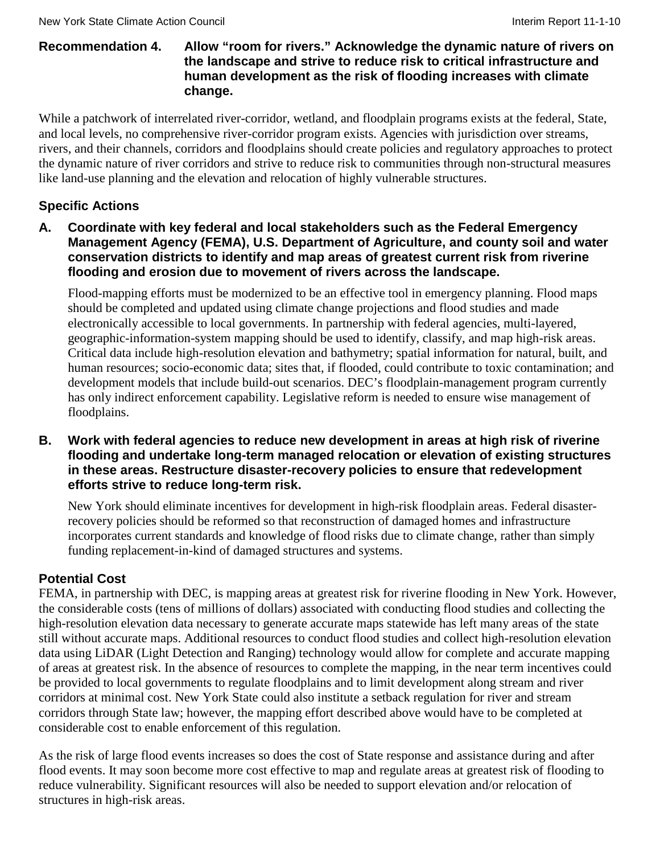### **Recommendation 4. Allow "room for rivers." Acknowledge the dynamic nature of rivers on the landscape and strive to reduce risk to critical infrastructure and human development as the risk of flooding increases with climate change.**

While a patchwork of interrelated river-corridor, wetland, and floodplain programs exists at the federal, State, and local levels, no comprehensive river-corridor program exists. Agencies with jurisdiction over streams, rivers, and their channels, corridors and floodplains should create policies and regulatory approaches to protect the dynamic nature of river corridors and strive to reduce risk to communities through non-structural measures like land-use planning and the elevation and relocation of highly vulnerable structures.

# **Specific Actions**

**A. Coordinate with key federal and local stakeholders such as the Federal Emergency Management Agency (FEMA), U.S. Department of Agriculture, and county soil and water conservation districts to identify and map areas of greatest current risk from riverine flooding and erosion due to movement of rivers across the landscape.**

Flood-mapping efforts must be modernized to be an effective tool in emergency planning. Flood maps should be completed and updated using climate change projections and flood studies and made electronically accessible to local governments. In partnership with federal agencies, multi-layered, geographic-information-system mapping should be used to identify, classify, and map high-risk areas. Critical data include high-resolution elevation and bathymetry; spatial information for natural, built, and human resources; socio-economic data; sites that, if flooded, could contribute to toxic contamination; and development models that include build-out scenarios. DEC's floodplain-management program currently has only indirect enforcement capability. Legislative reform is needed to ensure wise management of floodplains.

**B. Work with federal agencies to reduce new development in areas at high risk of riverine flooding and undertake long-term managed relocation or elevation of existing structures in these areas. Restructure disaster-recovery policies to ensure that redevelopment efforts strive to reduce long-term risk.**

New York should eliminate incentives for development in high-risk floodplain areas. Federal disasterrecovery policies should be reformed so that reconstruction of damaged homes and infrastructure incorporates current standards and knowledge of flood risks due to climate change, rather than simply funding replacement-in-kind of damaged structures and systems.

# **Potential Cost**

FEMA, in partnership with DEC, is mapping areas at greatest risk for riverine flooding in New York. However, the considerable costs (tens of millions of dollars) associated with conducting flood studies and collecting the high-resolution elevation data necessary to generate accurate maps statewide has left many areas of the state still without accurate maps. Additional resources to conduct flood studies and collect high-resolution elevation data using LiDAR (Light Detection and Ranging) technology would allow for complete and accurate mapping of areas at greatest risk. In the absence of resources to complete the mapping, in the near term incentives could be provided to local governments to regulate floodplains and to limit development along stream and river corridors at minimal cost. New York State could also institute a setback regulation for river and stream corridors through State law; however, the mapping effort described above would have to be completed at considerable cost to enable enforcement of this regulation.

As the risk of large flood events increases so does the cost of State response and assistance during and after flood events. It may soon become more cost effective to map and regulate areas at greatest risk of flooding to reduce vulnerability. Significant resources will also be needed to support elevation and/or relocation of structures in high-risk areas.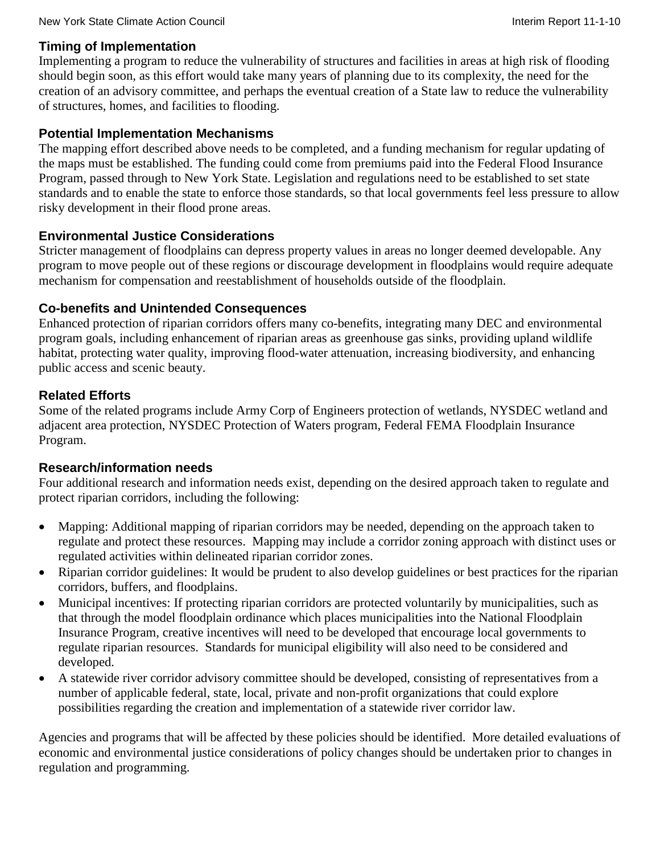### **Timing of Implementation**

Implementing a program to reduce the vulnerability of structures and facilities in areas at high risk of flooding should begin soon, as this effort would take many years of planning due to its complexity, the need for the creation of an advisory committee, and perhaps the eventual creation of a State law to reduce the vulnerability of structures, homes, and facilities to flooding.

### **Potential Implementation Mechanisms**

The mapping effort described above needs to be completed, and a funding mechanism for regular updating of the maps must be established. The funding could come from premiums paid into the Federal Flood Insurance Program, passed through to New York State. Legislation and regulations need to be established to set state standards and to enable the state to enforce those standards, so that local governments feel less pressure to allow risky development in their flood prone areas.

### **Environmental Justice Considerations**

Stricter management of floodplains can depress property values in areas no longer deemed developable. Any program to move people out of these regions or discourage development in floodplains would require adequate mechanism for compensation and reestablishment of households outside of the floodplain.

# **Co-benefits and Unintended Consequences**

Enhanced protection of riparian corridors offers many co-benefits, integrating many DEC and environmental program goals, including enhancement of riparian areas as greenhouse gas sinks, providing upland wildlife habitat, protecting water quality, improving flood-water attenuation, increasing biodiversity, and enhancing public access and scenic beauty.

# **Related Efforts**

Some of the related programs include Army Corp of Engineers protection of wetlands, NYSDEC wetland and adjacent area protection, NYSDEC Protection of Waters program, Federal FEMA Floodplain Insurance Program.

### **Research/information needs**

Four additional research and information needs exist, depending on the desired approach taken to regulate and protect riparian corridors, including the following:

- Mapping: Additional mapping of riparian corridors may be needed, depending on the approach taken to regulate and protect these resources. Mapping may include a corridor zoning approach with distinct uses or regulated activities within delineated riparian corridor zones.
- Riparian corridor guidelines: It would be prudent to also develop guidelines or best practices for the riparian corridors, buffers, and floodplains.
- Municipal incentives: If protecting riparian corridors are protected voluntarily by municipalities, such as that through the model floodplain ordinance which places municipalities into the National Floodplain Insurance Program, creative incentives will need to be developed that encourage local governments to regulate riparian resources. Standards for municipal eligibility will also need to be considered and developed.
- A statewide river corridor advisory committee should be developed, consisting of representatives from a number of applicable federal, state, local, private and non-profit organizations that could explore possibilities regarding the creation and implementation of a statewide river corridor law.

Agencies and programs that will be affected by these policies should be identified. More detailed evaluations of economic and environmental justice considerations of policy changes should be undertaken prior to changes in regulation and programming.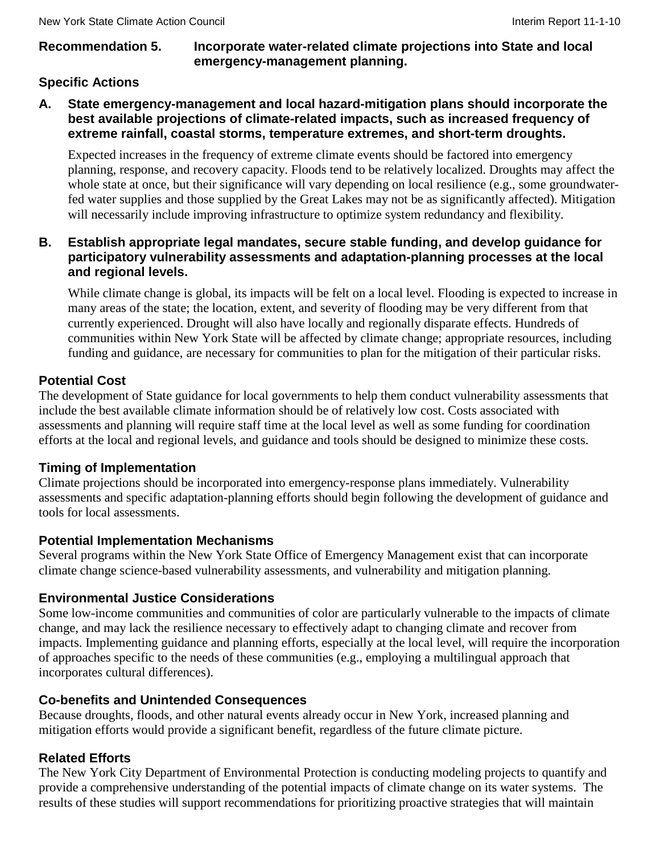### **Recommendation 5. Incorporate water-related climate projections into State and local emergency-management planning.**

# **Specific Actions**

**A. State emergency-management and local hazard-mitigation plans should incorporate the best available projections of climate-related impacts, such as increased frequency of extreme rainfall, coastal storms, temperature extremes, and short-term droughts.**

Expected increases in the frequency of extreme climate events should be factored into emergency planning, response, and recovery capacity. Floods tend to be relatively localized. Droughts may affect the whole state at once, but their significance will vary depending on local resilience (e.g., some groundwaterfed water supplies and those supplied by the Great Lakes may not be as significantly affected). Mitigation will necessarily include improving infrastructure to optimize system redundancy and flexibility.

### **B. Establish appropriate legal mandates, secure stable funding, and develop guidance for participatory vulnerability assessments and adaptation-planning processes at the local and regional levels.**

While climate change is global, its impacts will be felt on a local level. Flooding is expected to increase in many areas of the state; the location, extent, and severity of flooding may be very different from that currently experienced. Drought will also have locally and regionally disparate effects. Hundreds of communities within New York State will be affected by climate change; appropriate resources, including funding and guidance, are necessary for communities to plan for the mitigation of their particular risks.

# **Potential Cost**

The development of State guidance for local governments to help them conduct vulnerability assessments that include the best available climate information should be of relatively low cost. Costs associated with assessments and planning will require staff time at the local level as well as some funding for coordination efforts at the local and regional levels, and guidance and tools should be designed to minimize these costs.

# **Timing of Implementation**

Climate projections should be incorporated into emergency-response plans immediately. Vulnerability assessments and specific adaptation-planning efforts should begin following the development of guidance and tools for local assessments.

# **Potential Implementation Mechanisms**

Several programs within the New York State Office of Emergency Management exist that can incorporate climate change science-based vulnerability assessments, and vulnerability and mitigation planning.

# **Environmental Justice Considerations**

Some low-income communities and communities of color are particularly vulnerable to the impacts of climate change, and may lack the resilience necessary to effectively adapt to changing climate and recover from impacts. Implementing guidance and planning efforts, especially at the local level, will require the incorporation of approaches specific to the needs of these communities (e.g., employing a multilingual approach that incorporates cultural differences).

# **Co-benefits and Unintended Consequences**

Because droughts, floods, and other natural events already occur in New York, increased planning and mitigation efforts would provide a significant benefit, regardless of the future climate picture.

# **Related Efforts**

The New York City Department of Environmental Protection is conducting modeling projects to quantify and provide a comprehensive understanding of the potential impacts of climate change on its water systems. The results of these studies will support recommendations for prioritizing proactive strategies that will maintain